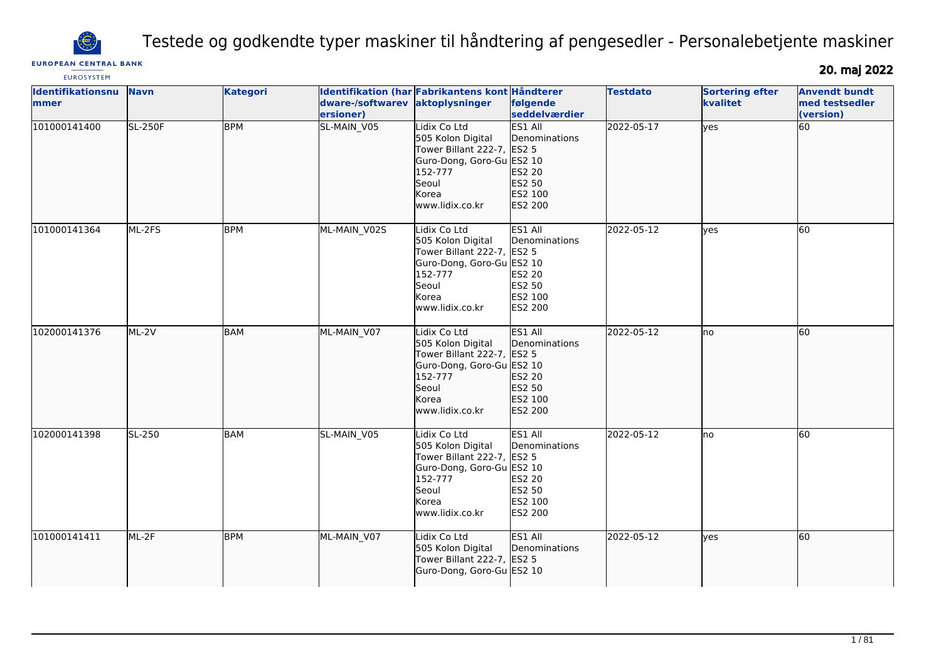

Testede og godkendte typer maskiner til håndtering af pengesedler - Personalebetjente maskiner

# **EUROPEAN CENTRAL BANK**

**EUROSYSTEM** 

20. maj 2022

| Identifikationsnu<br>mmer | <b>Navn</b>    | <b>Kategori</b> | dware-/softwarev<br>ersioner) | Identifikation (har Fabrikantens kont Håndterer<br>aktoplysninger                                                                            | følgende<br>seddelværdier                                                 | <b>Testdato</b> | <b>Sortering efter</b><br>kvalitet | <b>Anvendt bundt</b><br>med testsedler<br>(version) |
|---------------------------|----------------|-----------------|-------------------------------|----------------------------------------------------------------------------------------------------------------------------------------------|---------------------------------------------------------------------------|-----------------|------------------------------------|-----------------------------------------------------|
| 101000141400              | <b>SL-250F</b> | <b>BPM</b>      | SL-MAIN_V05                   | Lidix Co Ltd<br>505 Kolon Digital<br>Tower Billant 222-7, ES2 5<br>Guro-Dong, Goro-Gu ES2 10<br>152-777<br>Seoul<br>Korea<br>www.lidix.co.kr | ES1 All<br>Denominations<br>ES2 20<br>ES2 50<br>ES2 100<br>ES2 200        | 2022-05-17      | lyes                               | 60                                                  |
| 101000141364              | ML-2FS         | <b>BPM</b>      | ML-MAIN_V02S                  | Lidix Co Ltd<br>505 Kolon Digital<br>Tower Billant 222-7, ES2 5<br>Guro-Dong, Goro-Gu ES2 10<br>152-777<br>Seoul<br>Korea<br>www.lidix.co.kr | ES1 All<br>Denominations<br>ES2 20<br>ES2 50<br>ES2 100<br>ES2 200        | 2022-05-12      | lves                               | 60                                                  |
| 102000141376              | $ML-2V$        | <b>BAM</b>      | ML-MAIN_V07                   | Lidix Co Ltd<br>505 Kolon Digital<br>Tower Billant 222-7, ES2 5<br>Guro-Dong, Goro-Gu ES2 10<br>152-777<br>Seoul<br>Korea<br>www.lidix.co.kr | <b>ES1 All</b><br>Denominations<br>ES2 20<br>ES2 50<br>ES2 100<br>ES2 200 | 2022-05-12      | no                                 | 60                                                  |
| 102000141398              | SL-250         | <b>BAM</b>      | SL-MAIN_V05                   | Lidix Co Ltd<br>505 Kolon Digital<br>Tower Billant 222-7, ES2 5<br>Guro-Dong, Goro-Gu ES2 10<br>152-777<br>Seoul<br>Korea<br>www.lidix.co.kr | ES1 All<br>Denominations<br>ES2 20<br>ES2 50<br>ES2 100<br>ES2 200        | 2022-05-12      | lno                                | 60                                                  |
| 101000141411              | ML-2F          | <b>BPM</b>      | ML-MAIN_V07                   | Lidix Co Ltd<br>505 Kolon Digital<br>Tower Billant 222-7, ES2 5<br>Guro-Dong, Goro-Gu ES2 10                                                 | ES1 All<br>Denominations                                                  | 2022-05-12      | lyes                               | 60                                                  |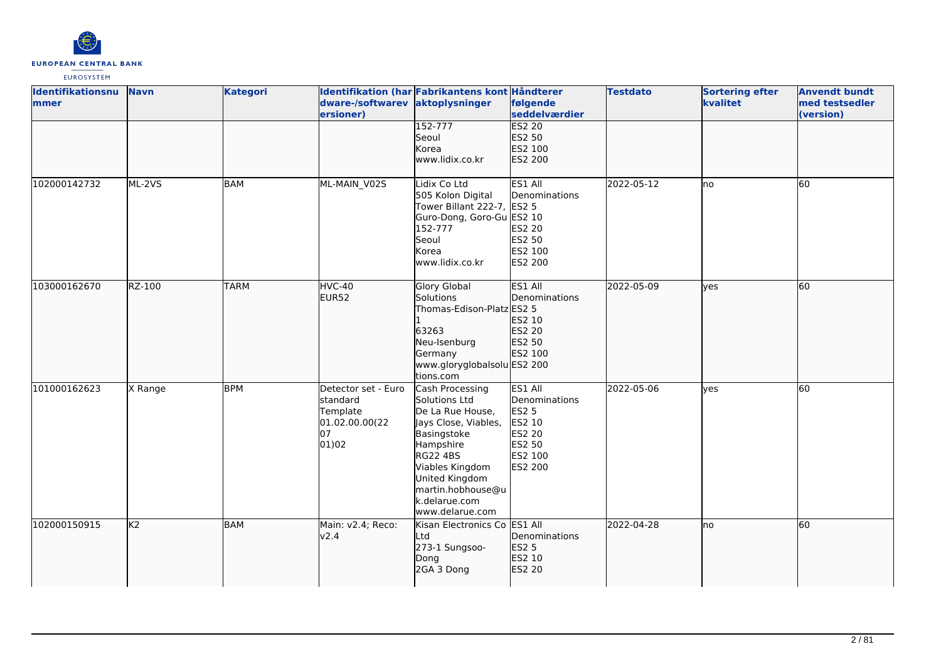

| <b>Identifikationsnu</b><br>mmer | <b>Navn</b>    | <b>Kategori</b> | dware-/softwarev aktoplysninger<br>ersioner)                                 | Identifikation (har Fabrikantens kont Håndterer                                                                                                                                                                            | følgende<br>seddelværdier                                                                           | <b>Testdato</b> | <b>Sortering efter</b><br>kvalitet | <b>Anvendt bundt</b><br>med testsedler<br>(version) |
|----------------------------------|----------------|-----------------|------------------------------------------------------------------------------|----------------------------------------------------------------------------------------------------------------------------------------------------------------------------------------------------------------------------|-----------------------------------------------------------------------------------------------------|-----------------|------------------------------------|-----------------------------------------------------|
|                                  |                |                 |                                                                              | $152 - 777$<br>Seoul<br>Korea<br>www.lidix.co.kr                                                                                                                                                                           | <b>ES2 20</b><br>ES2 50<br>ES2 100<br>ES2 200                                                       |                 |                                    |                                                     |
| 102000142732                     | ML-2VS         | <b>BAM</b>      | ML-MAIN V02S                                                                 | Lidix Co Ltd<br>505 Kolon Digital<br>Tower Billant 222-7, ES2 5<br>Guro-Dong, Goro-Gu ES2 10<br>152-777<br>Seoul<br>Korea<br>www.lidix.co.kr                                                                               | ES1 All<br>Denominations<br>ES2 20<br>ES2 50<br>ES2 100<br>ES2 200                                  | 2022-05-12      | Ino                                | 60                                                  |
| 103000162670                     | RZ-100         | <b>TARM</b>     | $HVC-40$<br>EUR52                                                            | <b>Glory Global</b><br>Solutions<br>Thomas-Edison-Platz ES2 5<br>63263<br>Neu-Isenburg<br>Germany<br>www.gloryglobalsolu ES2 200<br>tions.com                                                                              | ES1 All<br>Denominations<br>ES2 10<br>ES2 20<br>ES2 50<br>ES2 100                                   | 2022-05-09      | lves                               | 60                                                  |
| 101000162623                     | X Range        | <b>BPM</b>      | Detector set - Euro<br>standard<br>Template<br>01.02.00.00(22<br>07<br>01)02 | Cash Processing<br>Solutions Ltd<br>De La Rue House,<br>Jays Close, Viables,<br>Basingstoke<br>Hampshire<br><b>RG22 4BS</b><br>Viables Kingdom<br>United Kingdom<br>martin.hobhouse@u<br>k.delarue.com<br>lwww.delarue.com | ES1 All<br>Denominations<br><b>ES2 5</b><br>ES2 10<br>ES2 20<br>ES2 50<br>ES2 100<br><b>ES2 200</b> | 2022-05-06      | yes                                | <b>60</b>                                           |
| 102000150915                     | K <sub>2</sub> | <b>BAM</b>      | Main: v2.4; Reco:<br>v2.4                                                    | Kisan Electronics Co ES1 All<br>Ltd<br>273-1 Sungsoo-<br>Dong<br>2GA 3 Dong                                                                                                                                                | Denominations<br>ES2 5<br>ES2 10<br>ES2 20                                                          | 2022-04-28      | lno                                | 60                                                  |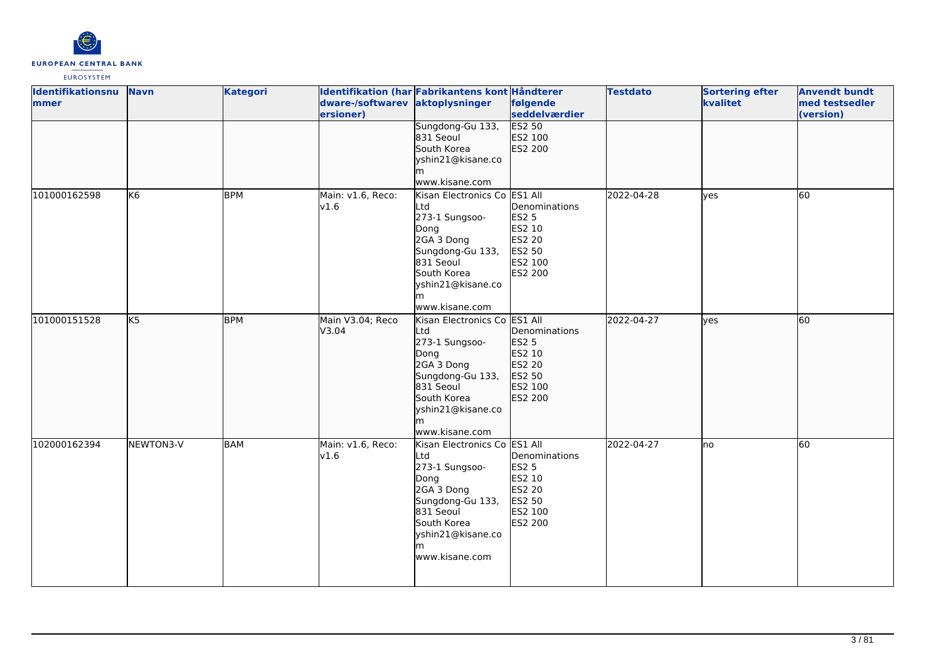

| <b>Identifikationsnu</b> | <b>Navn</b>            | <b>Kategori</b> |                                 | Identifikation (har Fabrikantens kont Håndterer |                        | <b>Testdato</b> | <b>Sortering efter</b> | <b>Anvendt bundt</b> |
|--------------------------|------------------------|-----------------|---------------------------------|-------------------------------------------------|------------------------|-----------------|------------------------|----------------------|
| lmmer                    |                        |                 | dware-/softwarev aktoplysninger |                                                 | følgende               |                 | kvalitet               | med testsedler       |
|                          |                        |                 | ersioner)                       |                                                 | seddelværdier          |                 |                        | (version)            |
|                          |                        |                 |                                 | Sungdong-Gu 133,                                | <b>ES2 50</b>          |                 |                        |                      |
|                          |                        |                 |                                 | 831 Seoul                                       | ES2 100                |                 |                        |                      |
|                          |                        |                 |                                 | South Korea                                     | ES2 200                |                 |                        |                      |
|                          |                        |                 |                                 | yshin21@kisane.co                               |                        |                 |                        |                      |
|                          |                        |                 |                                 | lm.                                             |                        |                 |                        |                      |
|                          |                        |                 |                                 | www.kisane.com                                  |                        |                 |                        |                      |
| 101000162598             | lK6                    | <b>BPM</b>      | Main: v1.6, Reco:               | Kisan Electronics Co ES1 All                    |                        | 2022-04-28      | yes                    | 60                   |
|                          |                        |                 | v1.6                            | Ltd                                             | Denominations          |                 |                        |                      |
|                          |                        |                 |                                 | 273-1 Sungsoo-                                  | <b>ES2 5</b>           |                 |                        |                      |
|                          |                        |                 |                                 | Dong                                            | ES2 10                 |                 |                        |                      |
|                          |                        |                 |                                 | 2GA 3 Dong                                      | ES2 20                 |                 |                        |                      |
|                          |                        |                 |                                 | Sungdong-Gu 133,                                | ES2 50                 |                 |                        |                      |
|                          |                        |                 |                                 | 831 Seoul<br>South Korea                        | ES2 100                |                 |                        |                      |
|                          |                        |                 |                                 |                                                 | ES2 200                |                 |                        |                      |
|                          |                        |                 |                                 | yshin21@kisane.co                               |                        |                 |                        |                      |
|                          |                        |                 |                                 | m<br>www.kisane.com                             |                        |                 |                        |                      |
|                          | $\overline{\text{KS}}$ | <b>BPM</b>      |                                 |                                                 |                        |                 |                        | 60                   |
| 101000151528             |                        |                 | Main V3.04; Reco                | Kisan Electronics Co ES1 All                    |                        | 2022-04-27      | lves                   |                      |
|                          |                        |                 | V3.04                           | Ltd<br>273-1 Sungsoo-                           | Denominations          |                 |                        |                      |
|                          |                        |                 |                                 |                                                 | <b>ES2 5</b><br>ES2 10 |                 |                        |                      |
|                          |                        |                 |                                 | Dong<br>2GA 3 Dong                              | ES2 20                 |                 |                        |                      |
|                          |                        |                 |                                 | Sungdong-Gu 133,                                | ES2 50                 |                 |                        |                      |
|                          |                        |                 |                                 | 831 Seoul                                       | ES2 100                |                 |                        |                      |
|                          |                        |                 |                                 | South Korea                                     | ES2 200                |                 |                        |                      |
|                          |                        |                 |                                 | yshin21@kisane.co                               |                        |                 |                        |                      |
|                          |                        |                 |                                 | lm                                              |                        |                 |                        |                      |
|                          |                        |                 |                                 | www.kisane.com                                  |                        |                 |                        |                      |
| 102000162394             | NEWTON3-V              | BAM             | Main: v1.6, Reco:               | Kisan Electronics Co ES1 All                    |                        | 2022-04-27      | Ino                    | 60                   |
|                          |                        |                 | v1.6                            | Ltd                                             | Denominations          |                 |                        |                      |
|                          |                        |                 |                                 | 273-1 Sungsoo-                                  | <b>ES2 5</b>           |                 |                        |                      |
|                          |                        |                 |                                 | Dong                                            | ES2 10                 |                 |                        |                      |
|                          |                        |                 |                                 | 2GA 3 Dong                                      | ES2 20                 |                 |                        |                      |
|                          |                        |                 |                                 | Sungdong-Gu 133,                                | ES2 50                 |                 |                        |                      |
|                          |                        |                 |                                 | 831 Seoul                                       | ES2 100                |                 |                        |                      |
|                          |                        |                 |                                 | South Korea                                     | <b>ES2 200</b>         |                 |                        |                      |
|                          |                        |                 |                                 | yshin21@kisane.co                               |                        |                 |                        |                      |
|                          |                        |                 |                                 | m                                               |                        |                 |                        |                      |
|                          |                        |                 |                                 | www.kisane.com                                  |                        |                 |                        |                      |
|                          |                        |                 |                                 |                                                 |                        |                 |                        |                      |
|                          |                        |                 |                                 |                                                 |                        |                 |                        |                      |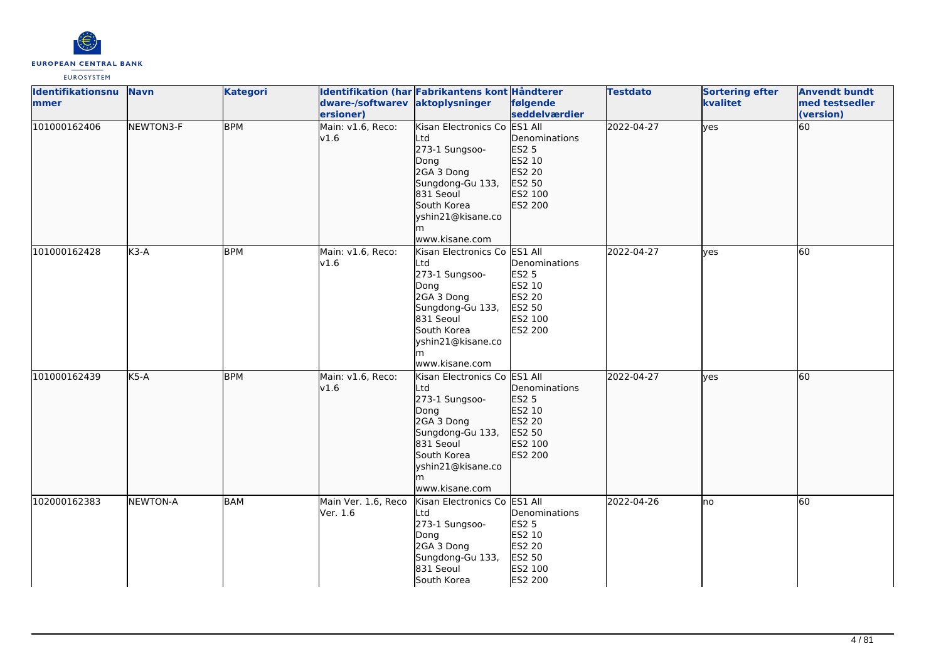

| <b>Identifikationsnu</b><br>mmer | <b>Navn</b>     | <b>Kategori</b> | dware-/softwarev aktoplysninger<br>ersioner) | Identifikation (har Fabrikantens kont Håndterer                                                                                                                          | følgende<br>seddelværdier                                                             | <b>Testdato</b> | <b>Sortering efter</b><br>kvalitet | <b>Anvendt bundt</b><br>med testsedler<br>(version) |
|----------------------------------|-----------------|-----------------|----------------------------------------------|--------------------------------------------------------------------------------------------------------------------------------------------------------------------------|---------------------------------------------------------------------------------------|-----------------|------------------------------------|-----------------------------------------------------|
| 101000162406                     | NEWTON3-F       | <b>BPM</b>      | Main: v1.6, Reco:<br>v1.6                    | Kisan Electronics Co<br>Ltd<br>273-1 Sungsoo-<br>Dong<br>2GA 3 Dong<br>Sungdong-Gu 133,<br>831 Seoul<br>South Korea<br>yshin21@kisane.co<br>www.kisane.com               | ES1 All<br>Denominations<br>ES2 5<br>ES2 10<br>ES2 20<br>ES2 50<br>ES2 100<br>ES2 200 | 2022-04-27      | lyes                               | 60                                                  |
| 101000162428                     | $K3-A$          | <b>BPM</b>      | Main: v1.6, Reco:<br>v1.6                    | Kisan Electronics Co ES1 All<br>Ltd<br>273-1 Sungsoo-<br>Dong<br>2GA 3 Dong<br>Sungdong-Gu 133,<br>831 Seoul<br>South Korea<br>yshin21@kisane.co<br>lm<br>www.kisane.com | Denominations<br><b>ES2 5</b><br>ES2 10<br>ES2 20<br>ES2 50<br>ES2 100<br>ES2 200     | 2022-04-27      | <b>ves</b>                         | 60                                                  |
| 101000162439                     | $K5-A$          | <b>BPM</b>      | Main: v1.6, Reco:<br>v1.6                    | Kisan Electronics Co ES1 All<br>Ltd<br>273-1 Sungsoo-<br>Dong<br>2GA 3 Dong<br>Sungdong-Gu 133,<br>831 Seoul<br>South Korea<br>yshin21@kisane.co<br>www.kisane.com       | Denominations<br><b>ES2 5</b><br>ES2 10<br>ES2 20<br>ES2 50<br>ES2 100<br>ES2 200     | 2022-04-27      | lyes                               | 60                                                  |
| 102000162383                     | <b>NEWTON-A</b> | BAM             | Main Ver. 1.6, Reco<br>Ver. 1.6              | Kisan Electronics Co ES1 All<br>Ltd<br>273-1 Sungsoo-<br>Dong<br>2GA 3 Dong<br>Sungdong-Gu 133,<br>831 Seoul<br>South Korea                                              | Denominations<br><b>ES2 5</b><br>ES2 10<br>ES2 20<br>ES2 50<br>ES2 100<br>ES2 200     | 2022-04-26      | lno                                | 60                                                  |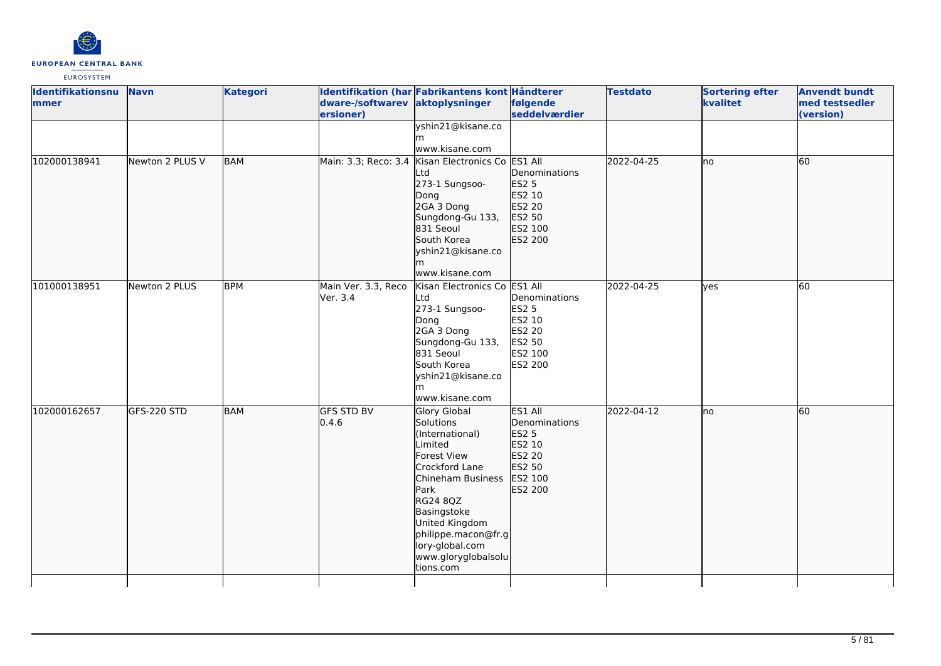

| <b>Identifikationsnu</b><br>mmer | <b>Navn</b>     | <b>Kategori</b> | dware-/softwarev aktoplysninger<br>ersioner) | Identifikation (har Fabrikantens kont Håndterer                                                                                                                                                                                                  | følgende<br>seddelværdier                                                                    | <b>Testdato</b> | <b>Sortering efter</b><br>kvalitet | <b>Anvendt bundt</b><br>med testsedler<br>(version) |
|----------------------------------|-----------------|-----------------|----------------------------------------------|--------------------------------------------------------------------------------------------------------------------------------------------------------------------------------------------------------------------------------------------------|----------------------------------------------------------------------------------------------|-----------------|------------------------------------|-----------------------------------------------------|
|                                  |                 |                 |                                              | yshin21@kisane.co<br>m<br>www.kisane.com                                                                                                                                                                                                         |                                                                                              |                 |                                    |                                                     |
| 102000138941                     | Newton 2 PLUS V | <b>BAM</b>      | Main: 3.3; Reco: 3.4                         | Kisan Electronics Co ES1 All<br>Ltd<br>273-1 Sungsoo-<br>Dong<br>2GA 3 Dong<br>Sungdong-Gu 133,<br>831 Seoul<br>South Korea<br>yshin21@kisane.co<br>lm.<br>www.kisane.com                                                                        | Denominations<br><b>ES2 5</b><br>ES2 10<br>ES2 20<br>ES2 50<br>ES2 100<br>ES2 200            | 2022-04-25      | Ino                                | 60                                                  |
| 101000138951                     | Newton 2 PLUS   | <b>BPM</b>      | Main Ver. 3.3, Reco<br>Ver. 3.4              | Kisan Electronics Co ES1 All<br>Ltd<br>273-1 Sungsoo-<br>Dong<br>2GA 3 Dong<br>Sungdong-Gu 133,<br>831 Seoul<br>South Korea<br>yshin21@kisane.co<br>m<br>www.kisane.com                                                                          | Denominations<br><b>ES2 5</b><br>ES2 10<br>ES2 20<br>ES2 50<br>ES2 100<br>ES2 200            | 2022-04-25      | ves                                | 60                                                  |
| 102000162657                     | GFS-220 STD     | <b>BAM</b>      | <b>GFS STD BV</b><br>0.4.6                   | Glory Global<br>Solutions<br>(International)<br>Limited<br>Forest View<br>Crockford Lane<br>Chineham Business<br>Park<br>RG24 8QZ<br>Basingstoke<br>United Kingdom<br>philippe.macon@fr.g<br>lory-global.com<br>www.gloryglobalsolu<br>tions.com | ES1 All<br>Denominations<br><b>ES2 5</b><br>ES2 10<br>ES2 20<br>ES2 50<br>ES2 100<br>ES2 200 | 2022-04-12      | lno                                | 60                                                  |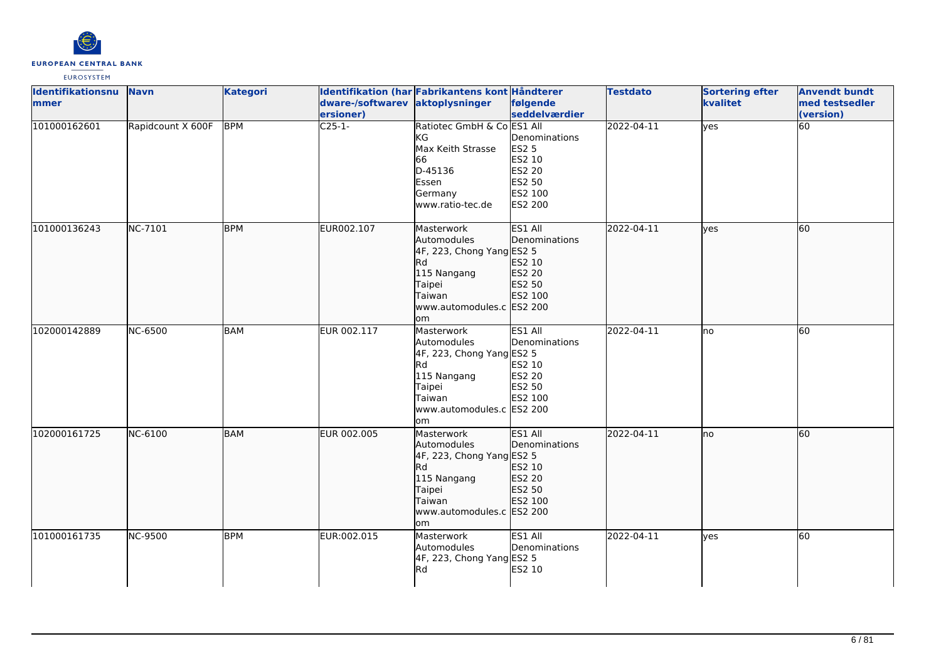

| <b>Identifikationsnu</b> | <b>Navn</b>       | <b>Kategori</b> |                                 | Identifikation (har Fabrikantens kont Håndterer                                                                                            |                                                                            | <b>Testdato</b> | <b>Sortering efter</b> | <b>Anvendt bundt</b> |
|--------------------------|-------------------|-----------------|---------------------------------|--------------------------------------------------------------------------------------------------------------------------------------------|----------------------------------------------------------------------------|-----------------|------------------------|----------------------|
| <b>mmer</b>              |                   |                 | dware-/softwarev aktoplysninger |                                                                                                                                            | følgende                                                                   |                 | kvalitet               | med testsedler       |
|                          |                   |                 | ersioner)                       |                                                                                                                                            | seddelværdier                                                              |                 |                        | (version)            |
| 101000162601             | Rapidcount X 600F | <b>BPM</b>      | $C25-1-$                        | Ratiotec GmbH & Co ES1 All<br>KG<br>Max Keith Strasse<br>66<br>D-45136<br>Essen<br>Germany<br>www.ratio-tec.de                             | Denominations<br>ES2 5<br>ES2 10<br>ES2 20<br>ES2 50<br>ES2 100<br>ES2 200 | 2022-04-11      | yes                    | 60                   |
| 101000136243             | NC-7101           | <b>BPM</b>      | EUR002.107                      | Masterwork<br>Automodules<br>4F, 223, Chong Yang ES2 5<br>Rd<br>115 Nangang<br>Taipei<br>Taiwan<br>www.automodules.c ES2 200<br>lom        | ES1 All<br>Denominations<br>ES2 10<br>ES2 20<br>ES2 50<br>ES2 100          | 2022-04-11      | lves                   | 60                   |
| 102000142889             | <b>NC-6500</b>    | <b>BAM</b>      | EUR 002.117                     | Masterwork<br>Automodules<br>4F, 223, Chong Yang ES2 5<br>Rd.<br>115 Nangang<br>Taipei<br>Taiwan<br>www.automodules.c ES2 200<br><b>om</b> | ES1 All<br>Denominations<br>ES2 10<br>ES2 20<br>ES2 50<br>ES2 100          | 2022-04-11      | no                     | 60                   |
| 102000161725             | NC-6100           | <b>BAM</b>      | EUR 002.005                     | Masterwork<br>Automodules<br>4F, 223, Chong Yang ES2 5<br>Rd.<br>115 Nangang<br>Taipei<br>Taiwan<br>www.automodules.c ES2 200<br>lom       | <b>ES1 All</b><br>Denominations<br>ES2 10<br>ES2 20<br>ES2 50<br>ES2 100   | 2022-04-11      | Ino                    | 60                   |
| 101000161735             | <b>NC-9500</b>    | <b>BPM</b>      | EUR:002.015                     | Masterwork<br>Automodules<br>4F, 223, Chong Yang ES2 5<br>Rd.                                                                              | ES1 All<br>Denominations<br>ES2 10                                         | 2022-04-11      | lves                   | 60                   |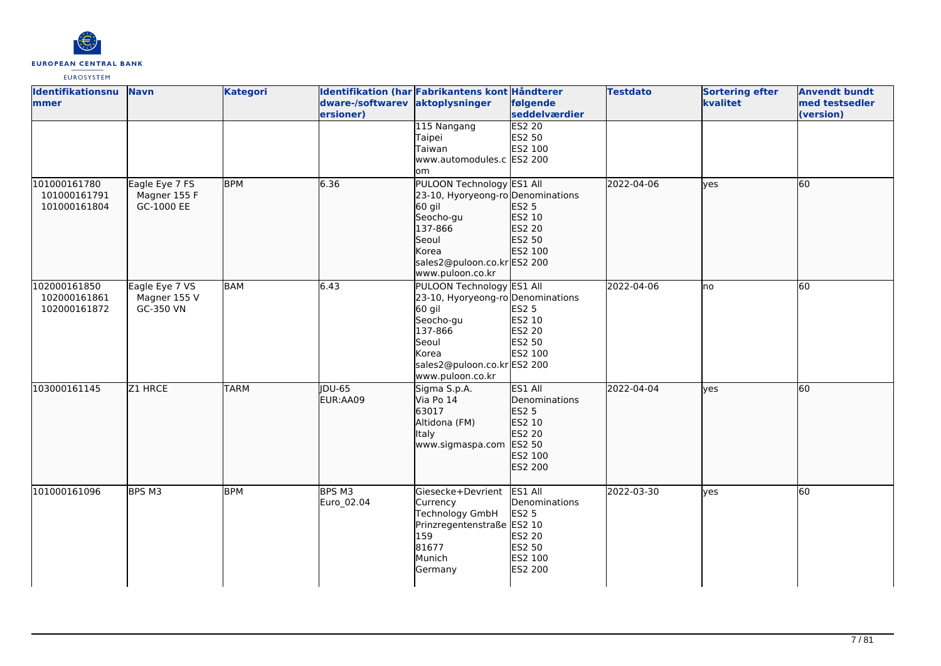

| Identifikationsnu<br>mmer                    | <b>Navn</b>                                  | <b>Kategori</b> | dware-/softwarev aktoplysninger<br>ersioner) | Identifikation (har Fabrikantens kont Håndterer                                                                                                                       | følgende<br>seddelværdier                                                             | <b>Testdato</b> | <b>Sortering efter</b><br>kvalitet | <b>Anvendt bundt</b><br>med testsedler<br>(version) |
|----------------------------------------------|----------------------------------------------|-----------------|----------------------------------------------|-----------------------------------------------------------------------------------------------------------------------------------------------------------------------|---------------------------------------------------------------------------------------|-----------------|------------------------------------|-----------------------------------------------------|
|                                              |                                              |                 |                                              | 115 Nangang<br>Taipei<br>Taiwan<br>www.automodules.c ES2 200<br>lom                                                                                                   | <b>ES2 20</b><br>ES2 50<br>ES2 100                                                    |                 |                                    |                                                     |
| 101000161780<br>101000161791<br>101000161804 | Eagle Eye 7 FS<br>Magner 155 F<br>GC-1000 EE | <b>BPM</b>      | 6.36                                         | PULOON Technology ES1 All<br>23-10, Hyoryeong-ro Denominations<br>60 gil<br>Seocho-gu<br>137-866<br>Seoul<br>Korea<br>sales2@puloon.co.kr ES2 200<br>www.puloon.co.kr | ES2 5<br>ES2 10<br>ES2 20<br>ES2 50<br>ES2 100                                        | 2022-04-06      | lyes                               | 60                                                  |
| 102000161850<br>102000161861<br>102000161872 | Eagle Eye 7 VS<br>Magner 155 V<br>GC-350 VN  | <b>BAM</b>      | 6.43                                         | PULOON Technology ES1 All<br>23-10, Hyoryeong-ro Denominations<br>60 gil<br>Seocho-gu<br>137-866<br>Seoul<br>Korea<br>sales2@puloon.co.krES2 200<br>www.puloon.co.kr  | ES2 5<br>ES2 10<br>ES2 20<br>ES2 50<br>ES2 100                                        | 2022-04-06      | lno                                | 60                                                  |
| 103000161145                                 | Z1 HRCE                                      | <b>TARM</b>     | JDU-65<br>EUR:AA09                           | Sigma S.p.A.<br>Via Po 14<br>63017<br>Altidona (FM)<br>Italy<br>www.sigmaspa.com                                                                                      | ES1 All<br>Denominations<br>ES2 5<br>ES2 10<br>ES2 20<br>ES2 50<br>ES2 100<br>ES2 200 | 2022-04-04      | lyes                               | 60                                                  |
| 101000161096                                 | BPS M3                                       | <b>BPM</b>      | BPS M3<br>Euro 02.04                         | Giesecke+Devrient<br>Currency<br>Technology GmbH<br>Prinzregentenstraße ES2 10<br>159<br>81677<br>Munich<br>Germany                                                   | ES1 All<br>Denominations<br><b>ES2 5</b><br>ES2 20<br>ES2 50<br>ES2 100<br>ES2 200    | 2022-03-30      | yes                                | 60                                                  |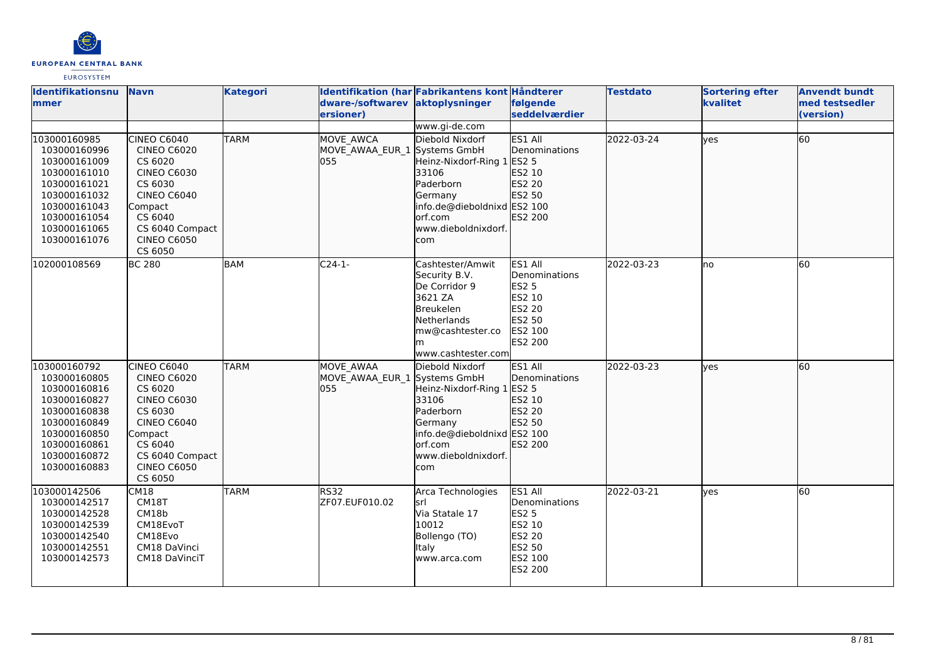| <b>EUROPEAN CENTRAL BANK</b> |
|------------------------------|
| <b>EUROSYSTEM</b>            |

| <b>Identifikationsnu</b><br><b>Immer</b>                                                                                                                     | <b>Navn</b>                                                                                                                                                                          | <b>Kategori</b> | dware-/softwarev aktoplysninger<br>lersioner)    | Identifikation (har Fabrikantens kont Håndterer                                                                                                                        | følgende<br>seddelværdier                                                                           | <b>Testdato</b> | <b>Sortering efter</b><br>kvalitet | <b>Anvendt bundt</b><br>med testsedler<br>(version) |
|--------------------------------------------------------------------------------------------------------------------------------------------------------------|--------------------------------------------------------------------------------------------------------------------------------------------------------------------------------------|-----------------|--------------------------------------------------|------------------------------------------------------------------------------------------------------------------------------------------------------------------------|-----------------------------------------------------------------------------------------------------|-----------------|------------------------------------|-----------------------------------------------------|
| 103000160985<br>103000160996<br>103000161009<br>103000161010<br>103000161021<br>103000161032<br>103000161043<br>103000161054<br>103000161065<br>103000161076 | <b>CINEO C6040</b><br><b>CINEO C6020</b><br>CS 6020<br><b>CINEO C6030</b><br>CS 6030<br><b>CINEO C6040</b><br>Compact<br>CS 6040<br>CS 6040 Compact<br><b>CINEO C6050</b><br>CS 6050 | <b>TARM</b>     | MOVE AWCA<br>MOVE AWAA EUR 1 Systems GmbH<br>055 | www.gi-de.com<br>Diebold Nixdorf<br>Heinz-Nixdorf-Ring 1<br>33106<br>Paderborn<br>Germany<br>info.de@dieboldnixd ES2 100<br>orf.com<br>www.dieboldnixdorf.<br>com      | ES1 All<br>Denominations<br>ES2 5<br>ES2 10<br>ES2 20<br>ES2 50<br>ES2 200                          | 2022-03-24      | lves                               | 60                                                  |
| 102000108569                                                                                                                                                 | <b>BC 280</b>                                                                                                                                                                        | <b>BAM</b>      | $C24-1-$                                         | Cashtester/Amwit<br>Security B.V.<br>De Corridor 9<br>3621 ZA<br>Breukelen<br>Netherlands<br>mw@cashtester.co<br>lm<br>www.cashtester.com                              | ES1 All<br>Denominations<br><b>ES2 5</b><br>ES2 10<br>ES2 20<br>ES2 50<br>ES2 100<br><b>ES2 200</b> | 2022-03-23      | no                                 | 60                                                  |
| 103000160792<br>103000160805<br>103000160816<br>103000160827<br>103000160838<br>103000160849<br>103000160850<br>103000160861<br>103000160872<br>103000160883 | <b>CINEO C6040</b><br><b>CINEO C6020</b><br>CS 6020<br><b>CINEO C6030</b><br>CS 6030<br><b>CINEO C6040</b><br>Compact<br>CS 6040<br>CS 6040 Compact<br><b>CINEO C6050</b><br>CS 6050 | <b>TARM</b>     | <b>MOVE AWAA</b><br>MOVE_AWAA_EUR_1<br>l055      | Diebold Nixdorf<br>Systems GmbH<br>Heinz-Nixdorf-Ring 1 ES2 5<br>33106<br>Paderborn<br>Germany<br>info.de@dieboldnixd ES2 100<br>orf.com<br>www.dieboldnixdorf.<br>com | ES1 All<br>Denominations<br>ES2 10<br>ES2 20<br>ES2 50<br>ES2 200                                   | 2022-03-23      | lves                               | 60                                                  |
| 103000142506<br>103000142517<br>103000142528<br>103000142539<br>103000142540<br>103000142551<br>103000142573                                                 | CM18<br>CM18T<br>CM18b<br>CM18EvoT<br>CM18Evo<br>CM18 DaVinci<br>CM18 DaVinciT                                                                                                       | <b>TARM</b>     | RS32<br>ZF07.EUF010.02                           | Arca Technologies<br>lsrl<br>Via Statale 17<br>10012<br>Bollengo (TO)<br>Italy<br>www.arca.com                                                                         | ES1 All<br>Denominations<br><b>ES2 5</b><br>ES2 10<br>ES2 20<br>ES2 50<br>ES2 100<br>ES2 200        | 2022-03-21      | <b>ves</b>                         | 60                                                  |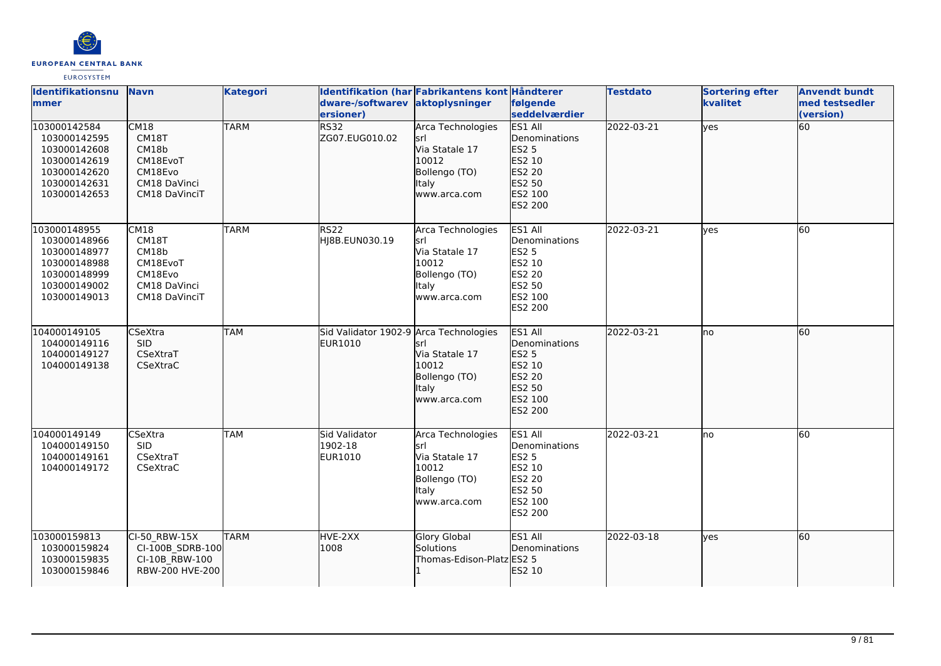

| Identifikationsnu<br><b>Immer</b>                                                                            | <b>Navn</b>                                                                           | <b>Kategori</b> | dware-/softwarev<br>ersioner)                     | Identifikation (har Fabrikantens kont Håndterer<br>aktoplysninger                                     | følgende<br>seddelværdier                                                                                  | <b>Testdato</b> | <b>Sortering efter</b><br>kvalitet | <b>Anvendt bundt</b><br>med testsedler<br>(version) |
|--------------------------------------------------------------------------------------------------------------|---------------------------------------------------------------------------------------|-----------------|---------------------------------------------------|-------------------------------------------------------------------------------------------------------|------------------------------------------------------------------------------------------------------------|-----------------|------------------------------------|-----------------------------------------------------|
| 103000142584<br>103000142595<br>103000142608<br>103000142619<br>103000142620<br>103000142631<br>103000142653 | <b>CM18</b><br>CM18T<br>CM18b<br>CM18EvoT<br>CM18Evo<br>CM18 DaVinci<br>CM18 DaVinciT | <b>TARM</b>     | <b>RS32</b><br>ZG07.EUG010.02                     | Arca Technologies<br>lsrl<br>Via Statale 17<br>10012<br>Bollengo (TO)<br><b>Italy</b><br>www.arca.com | ES1 All<br><b>Denominations</b><br><b>ES2 5</b><br>ES2 10<br>ES2 20<br>ES2 50<br>ES2 100<br>ES2 200        | 2022-03-21      | yes                                | 60                                                  |
| 103000148955<br>103000148966<br>103000148977<br>103000148988<br>103000148999<br>103000149002<br>103000149013 | CM18<br>CM18T<br>CM18b<br>CM18EvoT<br>CM18Evo<br>CM18 DaVinci<br>CM18 DaVinciT        | <b>TARM</b>     | <b>RS22</b><br>HJ8B.EUN030.19                     | Arca Technologies<br>lsrl<br>Via Statale 17<br>10012<br>Bollengo (TO)<br><b>Italy</b><br>www.arca.com | ES1 All<br>Denominations<br><b>ES2 5</b><br>ES2 10<br>ES2 20<br>ES2 50<br>ES2 100<br><b>ES2 200</b>        | 2022-03-21      | ves                                | 60                                                  |
| 104000149105<br>104000149116<br>104000149127<br>104000149138                                                 | <b>CSeXtra</b><br><b>SID</b><br>CSeXtraT<br>CSeXtraC                                  | <b>TAM</b>      | Sid Validator 1902-9 Arca Technologies<br>EUR1010 | lsrl<br>Via Statale 17<br>10012<br>Bollengo (TO)<br>Italy<br>www.arca.com                             | ES1 All<br>Denominations<br><b>ES2 5</b><br>ES2 10<br>ES2 20<br>ES2 50<br>ES2 100<br>ES2 200               | 2022-03-21      | lno                                | 60                                                  |
| 104000149149<br>104000149150<br>104000149161<br>104000149172                                                 | CSeXtra<br><b>SID</b><br>CSeXtraT<br>CSeXtraC                                         | <b>TAM</b>      | Sid Validator<br>1902-18<br>EUR1010               | Arca Technologies<br>lsrl<br>Via Statale 17<br>10012<br>Bollengo (TO)<br><b>Italy</b><br>www.arca.com | ES1 All<br>Denominations<br><b>ES2 5</b><br>ES2 10<br><b>ES2 20</b><br>ES2 50<br>ES2 100<br><b>ES2 200</b> | 2022-03-21      | lno                                | 60                                                  |
| 103000159813<br>103000159824<br>103000159835<br>103000159846                                                 | CI-50 RBW-15X<br>CI-100B SDRB-100<br>CI-10B RBW-100<br>RBW-200 HVE-200                | <b>TARM</b>     | HVE-2XX<br>1008                                   | Glory Global<br>Solutions<br>Thomas-Edison-Platz ES2 5                                                | ES1 All<br><b>Denominations</b><br>ES2 10                                                                  | 2022-03-18      | ves                                | 60                                                  |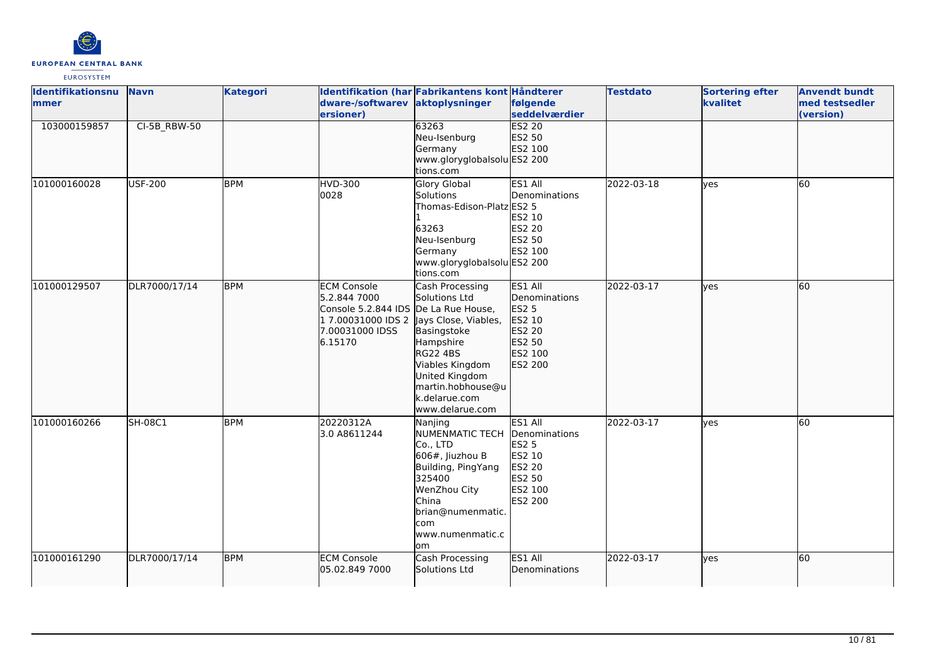

| <b>Identifikationsnu</b><br><b>mmer</b> | <b>Navn</b>    | <b>Kategori</b> | dware-/softwarev aktoplysninger<br>ersioner)                                                                                                        | Identifikation (har Fabrikantens kont Håndterer                                                                                                                               | følgende<br>seddelværdier                                                                    | <b>Testdato</b> | <b>Sortering efter</b><br>kvalitet | <b>Anvendt bundt</b><br>med testsedler<br>(version) |
|-----------------------------------------|----------------|-----------------|-----------------------------------------------------------------------------------------------------------------------------------------------------|-------------------------------------------------------------------------------------------------------------------------------------------------------------------------------|----------------------------------------------------------------------------------------------|-----------------|------------------------------------|-----------------------------------------------------|
| 103000159857                            | CI-5B_RBW-50   |                 |                                                                                                                                                     | 63263<br>Neu-Isenburg<br>Germany<br>www.gloryglobalsolu ES2 200<br>tions.com                                                                                                  | <b>ES2 20</b><br>ES2 50<br>ES2 100                                                           |                 |                                    |                                                     |
| 101000160028                            | <b>USF-200</b> | <b>BPM</b>      | <b>HVD-300</b><br>0028                                                                                                                              | <b>Glory Global</b><br>Solutions<br>Thomas-Edison-Platz ES2 5<br>63263<br>Neu-Isenburg<br>Germany<br>www.gloryglobalsolu ES2 200<br>tions.com                                 | ES1 All<br>Denominations<br>ES2 10<br>ES2 20<br>ES2 50<br>ES2 100                            | 2022-03-18      | lyes                               | 60                                                  |
| 101000129507                            | DLR7000/17/14  | <b>BPM</b>      | <b>ECM Console</b><br>5.2.844 7000<br>Console 5.2.844 IDS De La Rue House,<br>1 7.00031000 IDS 2 Jays Close, Viables,<br>7.00031000 IDSS<br>6.15170 | Cash Processing<br>Solutions Ltd<br>Basingstoke<br>Hampshire<br><b>RG22 4BS</b><br>Viables Kingdom<br>United Kingdom<br>martin.hobhouse@u<br>k.delarue.com<br>www.delarue.com | ES1 All<br>Denominations<br>ES2 5<br>ES2 10<br>ES2 20<br>ES2 50<br>ES2 100<br>ES2 200        | 2022-03-17      | yes                                | 60                                                  |
| 101000160266                            | SH-08C1        | <b>BPM</b>      | 20220312A<br>3.0 A8611244                                                                                                                           | Nanjing<br>NUMENMATIC TECH<br>Co., LTD<br>606#, Jiuzhou B<br>Building, PingYang<br>325400<br>WenZhou City<br>China<br>brian@numenmatic.<br>com<br>www.numenmatic.c<br>om      | ES1 All<br>Denominations<br><b>ES2 5</b><br>ES2 10<br>ES2 20<br>ES2 50<br>ES2 100<br>ES2 200 | 2022-03-17      | ves                                | 60                                                  |
| 101000161290                            | DLR7000/17/14  | <b>BPM</b>      | <b>ECM Console</b><br>05.02.849 7000                                                                                                                | Cash Processing<br><b>Solutions Ltd</b>                                                                                                                                       | ES1 All<br>Denominations                                                                     | 2022-03-17      | ves                                | 60                                                  |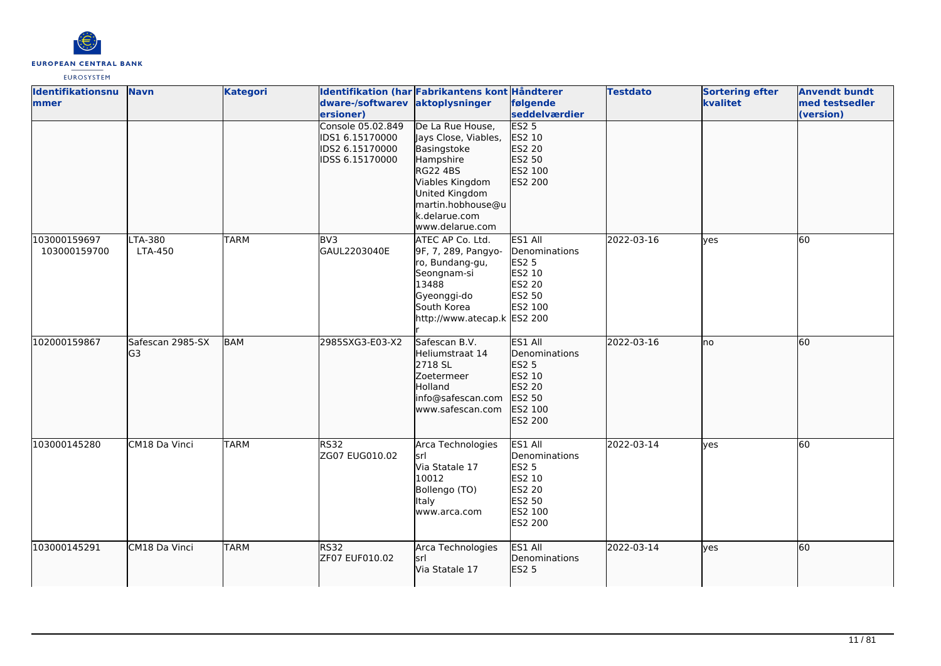

| <b>Identifikationsnu</b><br>lmmer | <b>Navn</b>            | <b>Kategori</b> | dware-/softwarev aktoplysninger<br>ersioner)                               | Identifikation (har Fabrikantens kont Håndterer                                                                                                                                       | følgende<br>seddelværdier                                                                                  | <b>Testdato</b> | <b>Sortering efter</b><br>kvalitet | <b>Anvendt bundt</b><br>med testsedler<br>(version) |
|-----------------------------------|------------------------|-----------------|----------------------------------------------------------------------------|---------------------------------------------------------------------------------------------------------------------------------------------------------------------------------------|------------------------------------------------------------------------------------------------------------|-----------------|------------------------------------|-----------------------------------------------------|
|                                   |                        |                 | Console 05.02.849<br>IDS1 6.15170000<br>IDS2 6.15170000<br>IDSS 6.15170000 | De La Rue House,<br>Jays Close, Viables,<br>Basingstoke<br>Hampshire<br><b>RG22 4BS</b><br>Viables Kingdom<br>United Kingdom<br>martin.hobhouse@u<br>k.delarue.com<br>www.delarue.com | ES2 <sub>5</sub><br>ES2 10<br>ES2 20<br>ES2 50<br>ES2 100<br>ES2 200                                       |                 |                                    |                                                     |
| 103000159697<br>103000159700      | LTA-380<br>LTA-450     | <b>TARM</b>     | BV3<br>GAUL2203040E                                                        | ATEC AP Co. Ltd.<br>9F, 7, 289, Pangyo-<br>ro, Bundang-gu,<br>Seongnam-si<br>13488<br>Gyeonggi-do<br>South Korea<br>http://www.atecap.k ES2 200                                       | ES1 All<br>Denominations<br><b>ES2 5</b><br>ES2 10<br><b>ES2 20</b><br>ES2 50<br>ES2 100                   | 2022-03-16      | lyes                               | 60                                                  |
| 102000159867                      | Safescan 2985-SX<br>G3 | <b>BAM</b>      | 2985SXG3-E03-X2                                                            | Safescan B.V.<br>Heliumstraat 14<br>2718 SL<br>Zoetermeer<br>Holland<br>info@safescan.com<br>www.safescan.com                                                                         | ES1 All<br>Denominations<br>ES2 5<br>ES2 10<br>ES2 20<br>ES2 50<br>ES2 100<br>ES2 200                      | 2022-03-16      | Ino                                | 60                                                  |
| 103000145280                      | CM18 Da Vinci          | <b>TARM</b>     | <b>RS32</b><br>ZG07 EUG010.02                                              | Arca Technologies<br>lsrl<br>Via Statale 17<br>10012<br>Bollengo (TO)<br>Italy<br>www.arca.com                                                                                        | ES1 All<br>Denominations<br><b>ES2 5</b><br>ES2 10<br><b>ES2 20</b><br>ES2 50<br>ES2 100<br><b>ES2 200</b> | 2022-03-14      | lves                               | $\overline{60}$                                     |
| 103000145291                      | CM18 Da Vinci          | <b>TARM</b>     | <b>RS32</b><br>ZF07 EUF010.02                                              | Arca Technologies<br>lsrl<br>Via Statale 17                                                                                                                                           | ES1 All<br>Denominations<br>ES2 5                                                                          | 2022-03-14      | lyes                               | 60                                                  |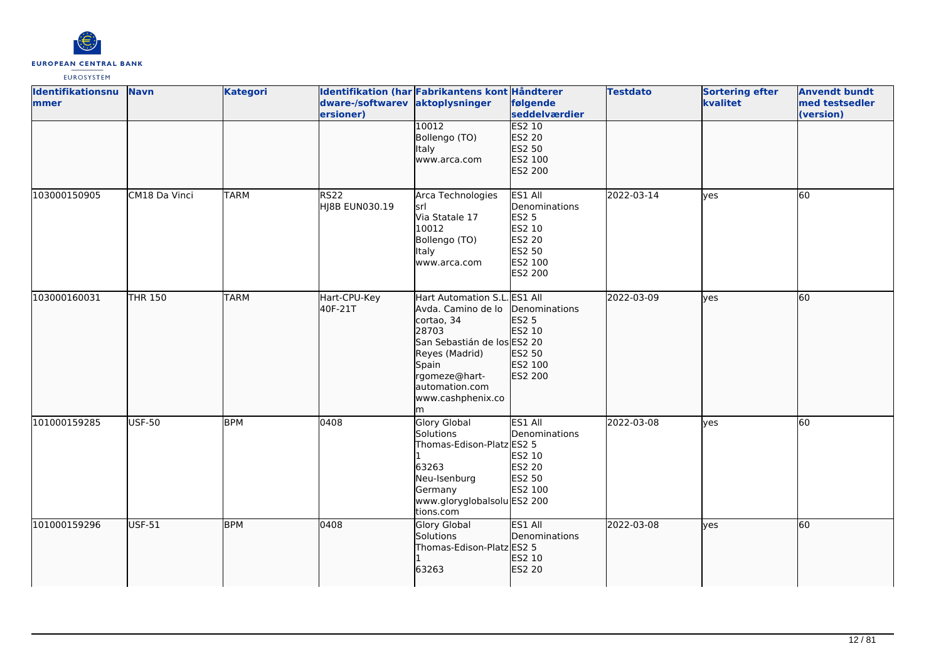

| Identifikationsnu<br>mmer | <b>Navn</b>    | <b>Kategori</b> | dware-/softwarev aktoplysninger<br>ersioner) | Identifikation (har Fabrikantens kont Håndterer                                                                                                                                                  | følgende<br>seddelværdier                                                                    | <b>Testdato</b> | <b>Sortering efter</b><br>kvalitet | <b>Anvendt bundt</b><br>med testsedler<br>(version) |
|---------------------------|----------------|-----------------|----------------------------------------------|--------------------------------------------------------------------------------------------------------------------------------------------------------------------------------------------------|----------------------------------------------------------------------------------------------|-----------------|------------------------------------|-----------------------------------------------------|
|                           |                |                 |                                              | 10012<br>Bollengo (TO)<br>Italy<br>www.arca.com                                                                                                                                                  | ES2 10<br>ES2 20<br>ES2 50<br>ES2 100<br>ES2 200                                             |                 |                                    |                                                     |
| 103000150905              | CM18 Da Vinci  | <b>TARM</b>     | <b>RS22</b><br>HJ8B EUN030.19                | Arca Technologies<br>lsrl<br>Via Statale 17<br>10012<br>Bollengo (TO)<br>Italy<br>www.arca.com                                                                                                   | ES1 All<br>Denominations<br><b>ES2 5</b><br>ES2 10<br>ES2 20<br>ES2 50<br>ES2 100<br>ES2 200 | 2022-03-14      | yes                                | 60                                                  |
| 103000160031              | <b>THR 150</b> | <b>TARM</b>     | Hart-CPU-Key<br>40F-21T                      | Hart Automation S.L. ES1 All<br>Avda. Camino de lo<br>cortao, 34<br>28703<br>San Sebastián de los ES2 20<br>Reyes (Madrid)<br>Spain<br>rgomeze@hart-<br>automation.com<br>www.cashphenix.co<br>m | Denominations<br>ES2 5<br>ES2 10<br>ES2 50<br>ES2 100<br>ES2 200                             | 2022-03-09      | ves                                | 60                                                  |
| 101000159285              | <b>USF-50</b>  | <b>BPM</b>      | 0408                                         | <b>Glory Global</b><br>Solutions<br>Thomas-Edison-Platz ES2 5<br>63263<br>Neu-Isenburg<br>Germany<br>www.gloryglobalsolu ES2 200<br>tions.com                                                    | ES1 All<br>Denominations<br>ES2 10<br>ES2 20<br>ES2 50<br>ES2 100                            | 2022-03-08      | yes                                | 60                                                  |
| 101000159296              | USF-51         | <b>BPM</b>      | 0408                                         | <b>Glory Global</b><br>Solutions<br>Thomas-Edison-Platz ES2 5<br>63263                                                                                                                           | ES1 All<br>Denominations<br>ES2 10<br>ES2 20                                                 | 2022-03-08      | ves                                | 60                                                  |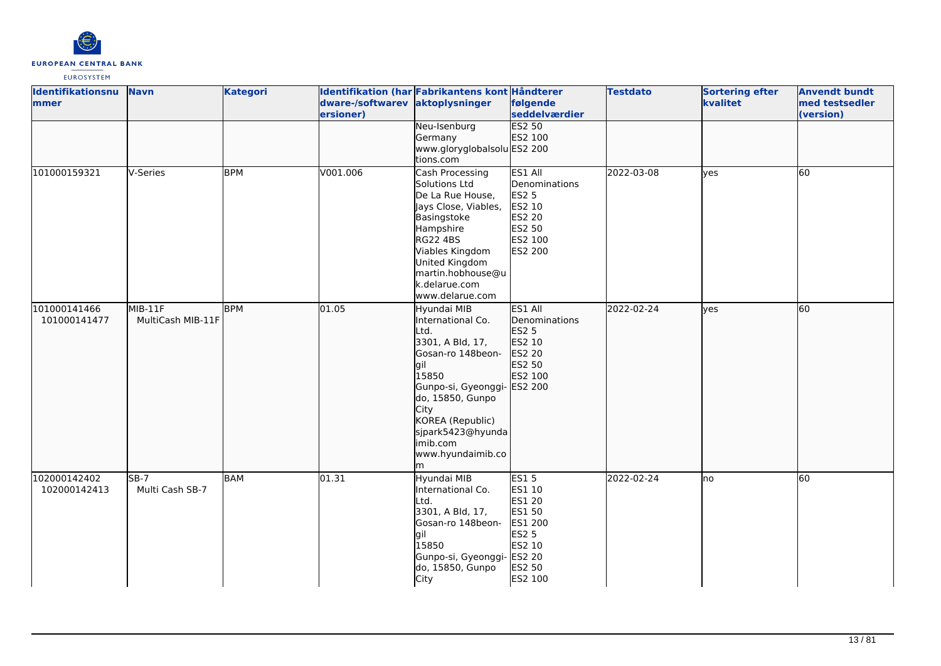

| Identifikationsnu<br>mmer    | <b>Navn</b>                  | <b>Kategori</b> | dware-/softwarev aktoplysninger<br>ersioner) | Identifikation (har Fabrikantens kont Håndterer                                                                                                                                                                                              | følgende<br>seddelværdier                                                                                            | <b>Testdato</b> | <b>Sortering efter</b><br>kvalitet | <b>Anvendt bundt</b><br>med testsedler<br>(version) |
|------------------------------|------------------------------|-----------------|----------------------------------------------|----------------------------------------------------------------------------------------------------------------------------------------------------------------------------------------------------------------------------------------------|----------------------------------------------------------------------------------------------------------------------|-----------------|------------------------------------|-----------------------------------------------------|
|                              |                              |                 |                                              | Neu-Isenburg<br>Germany<br>www.gloryglobalsolu ES2 200<br>tions.com                                                                                                                                                                          | <b>ES2 50</b><br>ES2 100                                                                                             |                 |                                    |                                                     |
| 101000159321                 | V-Series                     | <b>BPM</b>      | V001.006                                     | Cash Processing<br>Solutions Ltd<br>De La Rue House,<br>Jays Close, Viables,<br>Basingstoke<br>Hampshire<br>RG22 4BS<br>Viables Kingdom<br>United Kingdom<br>martin.hobhouse@u<br>k.delarue.com<br>www.delarue.com                           | ES1 All<br>Denominations<br><b>ES2 5</b><br>ES2 10<br>ES2 20<br>ES2 50<br>ES2 100<br>ES2 200                         | 2022-03-08      | lves                               | <b>60</b>                                           |
| 101000141466<br>101000141477 | MIB-11F<br>MultiCash MIB-11F | <b>BPM</b>      | 01.05                                        | Hyundai MIB<br>International Co.<br>Ltd.<br>3301, A Bld, 17,<br>Gosan-ro 148beon-<br>gil<br>15850<br>Gunpo-si, Gyeonggi- ES2 200<br>do, 15850, Gunpo<br>City<br>KOREA (Republic)<br>sjpark5423@hyunda<br>imib.com<br>www.hyundaimib.co<br>lm | ES1 All<br>Denominations<br>ES2 5<br>ES2 10<br>ES2 20<br>ES2 50<br>ES2 100                                           | 2022-02-24      | lves                               | 60                                                  |
| 102000142402<br>102000142413 | $SB-7$<br>Multi Cash SB-7    | BAM             | 01.31                                        | Hyundai MIB<br>International Co.<br>Ltd.<br>3301, A Bld, 17,<br>Gosan-ro 148beon-<br>lgil<br>15850<br>Gunpo-si, Gyeonggi-<br>do, 15850, Gunpo<br>City                                                                                        | <b>ES15</b><br>ES1 10<br>ES1 20<br>ES1 50<br>ES1 200<br><b>ES2 5</b><br>ES2 10<br><b>ES2 20</b><br>ES2 50<br>ES2 100 | 2022-02-24      | lno                                | 60                                                  |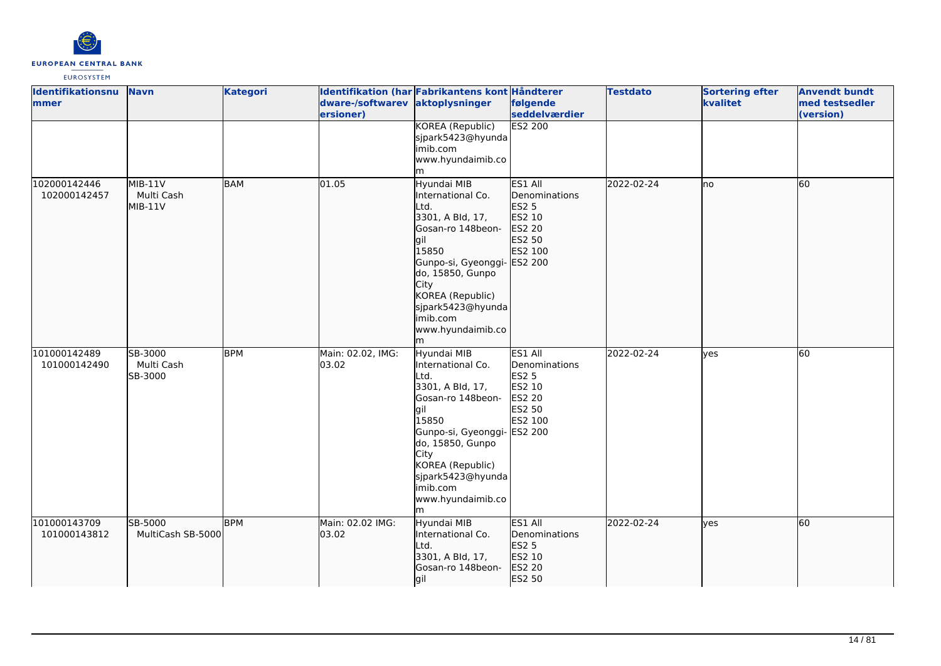

| Identifikationsnu<br>mmer    | <b>Navn</b>                        | <b>Kategori</b> | dware-/softwarev aktoplysninger<br>ersioner) | Identifikation (har Fabrikantens kont Håndterer                                                                                                                                                                                               | følgende<br>seddelværdier                                                                | <b>Testdato</b> | <b>Sortering efter</b><br>kvalitet | <b>Anvendt bundt</b><br>med testsedler<br>(version) |
|------------------------------|------------------------------------|-----------------|----------------------------------------------|-----------------------------------------------------------------------------------------------------------------------------------------------------------------------------------------------------------------------------------------------|------------------------------------------------------------------------------------------|-----------------|------------------------------------|-----------------------------------------------------|
|                              |                                    |                 |                                              | KOREA (Republic)<br>sjpark5423@hyunda<br>imib.com<br>www.hyundaimib.co<br>m                                                                                                                                                                   | <b>ES2 200</b>                                                                           |                 |                                    |                                                     |
| 102000142446<br>102000142457 | MIB-11V<br>Multi Cash<br>$MIB-11V$ | <b>BAM</b>      | 01.05                                        | Hyundai MIB<br>International Co.<br>Ltd.<br>3301, A Bld, 17,<br>Gosan-ro 148beon-<br>gil<br>15850<br>Gunpo-si, Gyeonggi- ES2 200<br>do, 15850, Gunpo<br>City<br>KOREA (Republic)<br>sjpark5423@hyunda<br>imib.com<br>www.hyundaimib.co<br>lm. | ES1 All<br>Denominations<br>ES2 5<br>ES2 10<br>ES2 20<br>ES2 50<br>ES2 100               | 2022-02-24      | lno                                | 60                                                  |
| 101000142489<br>101000142490 | SB-3000<br>Multi Cash<br>SB-3000   | <b>BPM</b>      | Main: 02.02, IMG:<br>03.02                   | Hyundai MIB<br>International Co.<br>Ltd.<br>3301, A Bld, 17,<br>Gosan-ro 148beon-<br>gil<br>15850<br>Gunpo-si, Gyeonggi- ES2 200<br>do, 15850, Gunpo<br>City<br>KOREA (Republic)<br>sjpark5423@hyunda<br>imib.com<br>www.hyundaimib.co<br>m   | ES1 All<br>Denominations<br><b>ES2 5</b><br>ES2 10<br><b>ES2 20</b><br>ES2 50<br>ES2 100 | 2022-02-24      | yes                                | 60                                                  |
| 101000143709<br>101000143812 | SB-5000<br>MultiCash SB-5000       | <b>BPM</b>      | Main: 02.02 IMG:<br>03.02                    | Hyundai MIB<br>International Co.<br>Ltd.<br>3301, A Bld, 17,<br>Gosan-ro 148beon-<br>gil                                                                                                                                                      | ES1 All<br>Denominations<br><b>ES2 5</b><br>ES2 10<br>ES2 20<br>ES2 50                   | 2022-02-24      | lyes                               | 60                                                  |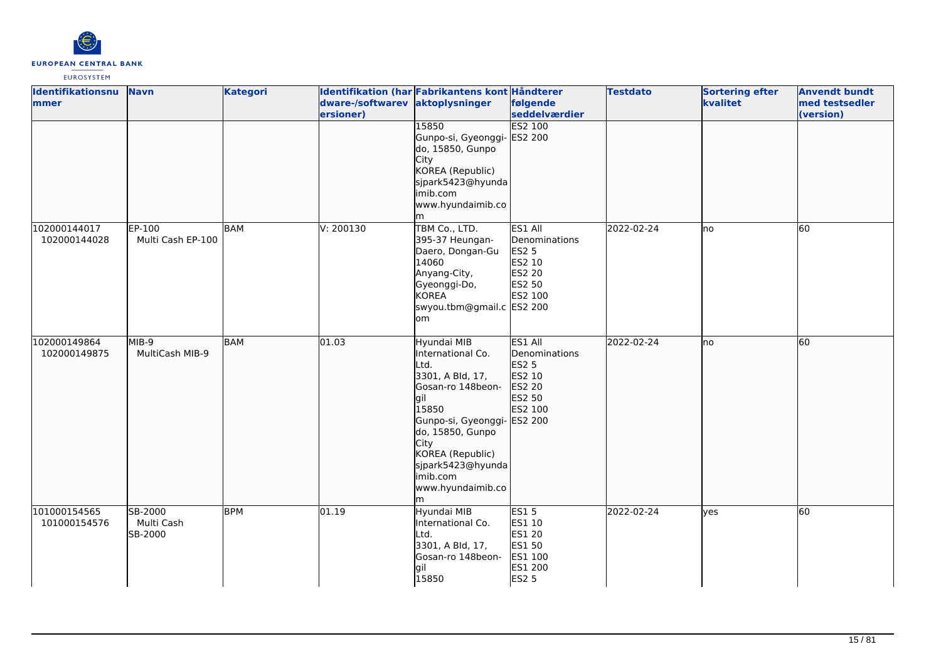

| <b>Identifikationsnu</b><br>mmer | <b>Navn</b>                      | <b>Kategori</b> | dware-/softwarev aktoplysninger<br>ersioner) | Identifikation (har Fabrikantens kont Håndterer<br>15850                                                                                                                                                                                    | følgende<br>seddelværdier<br><b>ES2 100</b>                                                         | <b>Testdato</b> | <b>Sortering efter</b><br>kvalitet | <b>Anvendt bundt</b><br>med testsedler<br>(version) |
|----------------------------------|----------------------------------|-----------------|----------------------------------------------|---------------------------------------------------------------------------------------------------------------------------------------------------------------------------------------------------------------------------------------------|-----------------------------------------------------------------------------------------------------|-----------------|------------------------------------|-----------------------------------------------------|
|                                  |                                  |                 |                                              | Gunpo-si, Gyeonggi-<br>do, 15850, Gunpo<br><b>City</b><br>KOREA (Republic)<br>sjpark5423@hyunda<br>imib.com<br>www.hyundaimib.co<br>m                                                                                                       | ES2 200                                                                                             |                 |                                    |                                                     |
| 102000144017<br>102000144028     | EP-100<br>Multi Cash EP-100      | <b>BAM</b>      | V: 200130                                    | TBM Co., LTD.<br>395-37 Heungan-<br>Daero, Dongan-Gu<br>14060<br>Anyang-City,<br>Gyeonggi-Do,<br><b>KOREA</b><br>swyou.tbm@gmail.c ES2 200<br>lom                                                                                           | ES1 All<br>Denominations<br><b>ES2 5</b><br>ES2 10<br><b>ES2 20</b><br>ES2 50<br>ES2 100            | 2022-02-24      | lno                                | 60                                                  |
| 102000149864<br>102000149875     | MIB-9<br>MultiCash MIB-9         | <b>BAM</b>      | 01.03                                        | Hyundai MIB<br>International Co.<br>Ltd.<br>3301, A Bld, 17,<br>Gosan-ro 148beon-<br>gil<br>15850<br>Gunpo-si, Gyeonggi-<br>do, 15850, Gunpo<br><b>City</b><br>KOREA (Republic)<br>sjpark5423@hyunda<br>imib.com<br>www.hyundaimib.co<br>lm | ES1 All<br>Denominations<br>ES2 5<br>ES2 10<br><b>ES2 20</b><br>ES2 50<br>ES2 100<br><b>ES2 200</b> | 2022-02-24      | lno                                | 60                                                  |
| 101000154565<br>101000154576     | SB-2000<br>Multi Cash<br>SB-2000 | <b>BPM</b>      | 01.19                                        | Hyundai MIB<br>International Co.<br>Ltd.<br>3301, A Bld, 17,<br>Gosan-ro 148beon-<br>gil<br>15850                                                                                                                                           | <b>ES15</b><br>ES1 10<br>ES1 20<br>ES1 50<br>ES1 100<br>ES1 200<br><b>ES2 5</b>                     | 2022-02-24      | lyes                               | 60                                                  |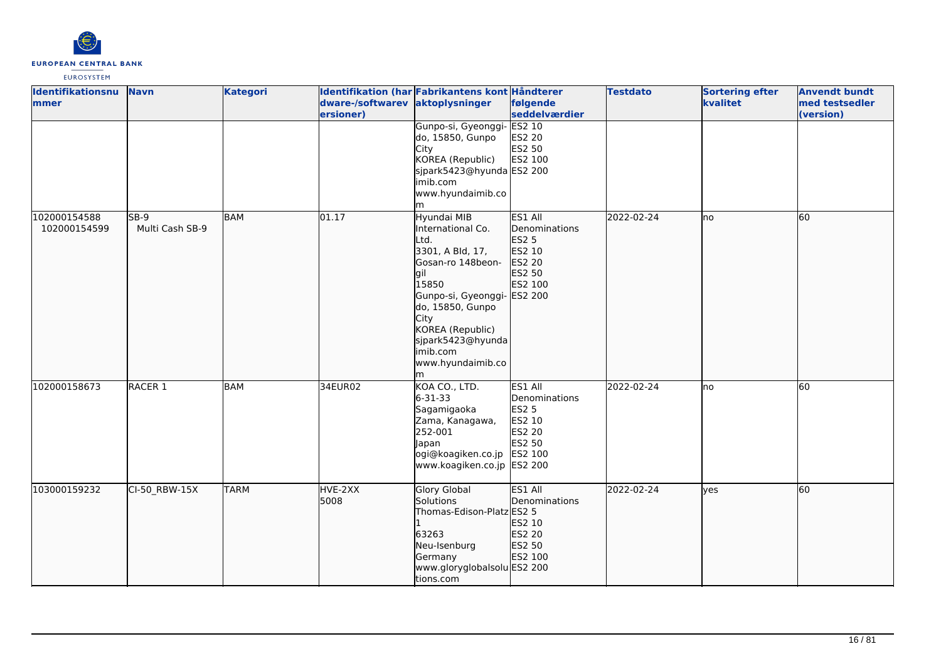

| Identifikationsnu<br>mmer    | <b>Navn</b>               | <b>Kategori</b> | dware-/softwarev aktoplysninger<br>ersioner) | Identifikation (har Fabrikantens kont Håndterer                                                                                                                                                                                                   | følgende<br>seddelværdier                                                                 | <b>Testdato</b> | <b>Sortering efter</b><br>kvalitet | <b>Anvendt bundt</b><br>med testsedler<br>(version) |
|------------------------------|---------------------------|-----------------|----------------------------------------------|---------------------------------------------------------------------------------------------------------------------------------------------------------------------------------------------------------------------------------------------------|-------------------------------------------------------------------------------------------|-----------------|------------------------------------|-----------------------------------------------------|
|                              |                           |                 |                                              | Gunpo-si, Gyeonggi-<br>do, 15850, Gunpo<br>City<br>KOREA (Republic)<br>sjpark5423@hyunda ES2 200<br>limib.com<br>www.hyundaimib.co                                                                                                                | <b>ES2 10</b><br><b>ES2 20</b><br>ES2 50<br>ES2 100                                       |                 |                                    |                                                     |
| 102000154588<br>102000154599 | $SB-9$<br>Multi Cash SB-9 | <b>BAM</b>      | 01.17                                        | m<br>Hyundai MIB<br>International Co.<br>Ltd.<br>3301, A Bld, 17,<br>Gosan-ro 148beon-<br>lgil<br>15850<br>Gunpo-si, Gyeonggi- ES2 200<br>do, 15850, Gunpo<br>City<br>KOREA (Republic)<br>sjpark5423@hyunda<br>imib.com<br>www.hyundaimib.co<br>m | ES1 All<br><b>IDenominations</b><br><b>ES2 5</b><br>ES2 10<br>ES2 20<br>ES2 50<br>ES2 100 | 2022-02-24      | lno                                | 60                                                  |
| 102000158673                 | RACER <sub>1</sub>        | <b>BAM</b>      | 34EUR02                                      | KOA CO., LTD.<br>$6 - 31 - 33$<br>Sagamigaoka<br>Zama, Kanagawa,<br>252-001<br>Japan<br>ogi@koagiken.co.jp<br>www.koagiken.co.jp ES2 200                                                                                                          | ES1 All<br>Denominations<br><b>ES2 5</b><br>ES2 10<br>ES2 20<br>ES2 50<br>ES2 100         | 2022-02-24      | lno                                | 60                                                  |
| 103000159232                 | CI-50_RBW-15X             | <b>TARM</b>     | HVE-2XX<br>5008                              | Glory Global<br>Solutions<br>Thomas-Edison-Platz ES2 5<br>63263<br>Neu-Isenburg<br>Germany<br>www.gloryglobalsolu ES2 200<br>tions.com                                                                                                            | ES1 All<br>Denominations<br>ES2 10<br>ES2 20<br>ES2 50<br>ES2 100                         | 2022-02-24      | lyes                               | 60                                                  |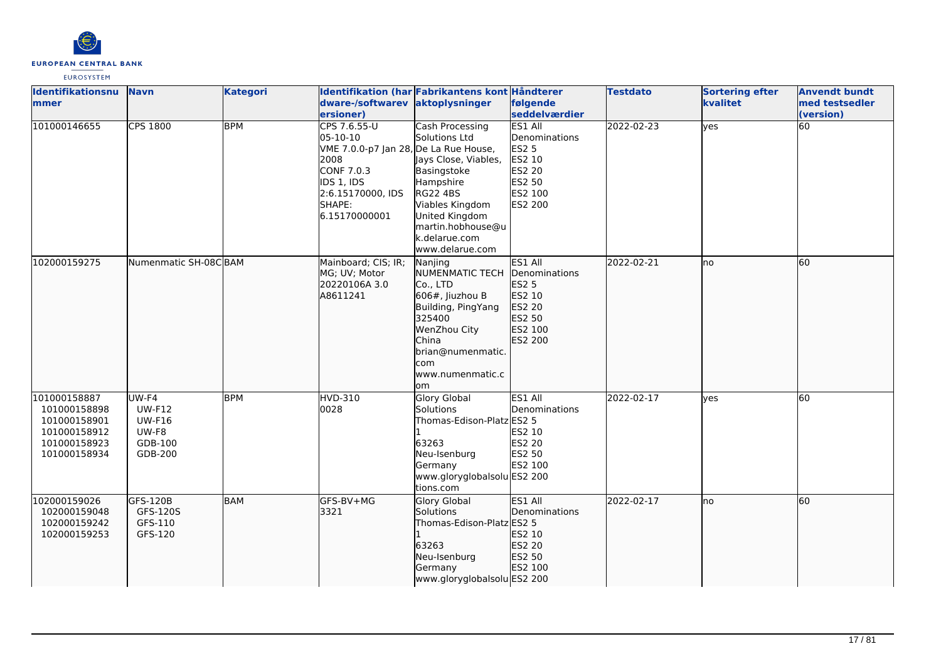

| <b>Identifikationsnu</b><br>mmer                                                             | <b>Navn</b>                                                            | <b>Kategori</b> | dware-/softwarev aktoplysninger<br>ersioner)                                                                                                          | Identifikation (har Fabrikantens kont Håndterer                                                                                                                                                              | følgende<br>seddelværdier                                                                            | <b>Testdato</b> | <b>Sortering efter</b><br>kvalitet | <b>Anvendt bundt</b><br>med testsedler<br>(version) |
|----------------------------------------------------------------------------------------------|------------------------------------------------------------------------|-----------------|-------------------------------------------------------------------------------------------------------------------------------------------------------|--------------------------------------------------------------------------------------------------------------------------------------------------------------------------------------------------------------|------------------------------------------------------------------------------------------------------|-----------------|------------------------------------|-----------------------------------------------------|
| 101000146655                                                                                 | <b>CPS 1800</b>                                                        | <b>BPM</b>      | CPS 7.6.55-U<br>05-10-10<br>VME 7.0.0-p7 Jan 28, De La Rue House,<br>2008<br>CONF 7.0.3<br>IDS 1, IDS<br>2:6.15170000, IDS<br>SHAPE:<br>6.15170000001 | <b>Cash Processing</b><br>Solutions Ltd<br>Jays Close, Viables,<br>Basingstoke<br>Hampshire<br><b>RG22 4BS</b><br>Viables Kingdom<br>United Kingdom<br>martin.hobhouse@u<br>k.delarue.com<br>www.delarue.com | ES1 All<br>Denominations<br><b>ES2 5</b><br>ES2 10<br><b>ES2 20</b><br>ES2 50<br>ES2 100<br>ES2 200  | 2022-02-23      | yes                                | 60                                                  |
| 102000159275                                                                                 | Numenmatic SH-08CBAM                                                   |                 | Mainboard; CIS; IR;<br>MG; UV; Motor<br>20220106A 3.0<br>A8611241                                                                                     | Nanjing<br><b>INUMENMATIC TECH</b><br>Co., LTD<br>606#, Jiuzhou B<br>Building, PingYang<br>325400<br>WenZhou City<br>China<br>brian@numenmatic.<br>com<br>www.numenmatic.c<br>om                             | ES1 All<br><b>IDenominations</b><br><b>ES2 5</b><br>ES2 10<br>ES2 20<br>ES2 50<br>ES2 100<br>ES2 200 | 2022-02-21      | lno                                | 60                                                  |
| 101000158887<br>101000158898<br>101000158901<br>101000158912<br>101000158923<br>101000158934 | UW-F4<br><b>UW-F12</b><br><b>UW-F16</b><br>UW-F8<br>GDB-100<br>GDB-200 | <b>BPM</b>      | <b>HVD-310</b><br>0028                                                                                                                                | <b>Glory Global</b><br>Solutions<br>Thomas-Edison-Platz ES2 5<br>63263<br>Neu-Isenburg<br>Germany<br>www.gloryglobalsolu ES2 200<br>tions.com                                                                | ES1 All<br>Denominations<br>ES2 10<br><b>ES2 20</b><br>ES2 50<br>ES2 100                             | 2022-02-17      | lves                               | 60                                                  |
| 102000159026<br>102000159048<br>102000159242<br>102000159253                                 | GFS-120B<br>GFS-120S<br>GFS-110<br>GFS-120                             | <b>BAM</b>      | lGFS-BV+MG<br>3321                                                                                                                                    | <b>Glory Global</b><br>Solutions<br>Thomas-Edison-Platz ES2 5<br>63263<br>Neu-Isenburg<br>Germany<br>www.gloryglobalsolu ES2 200                                                                             | ES1 All<br>Denominations<br>ES2 10<br>ES2 20<br>ES2 50<br>ES2 100                                    | 2022-02-17      | lno                                | 60                                                  |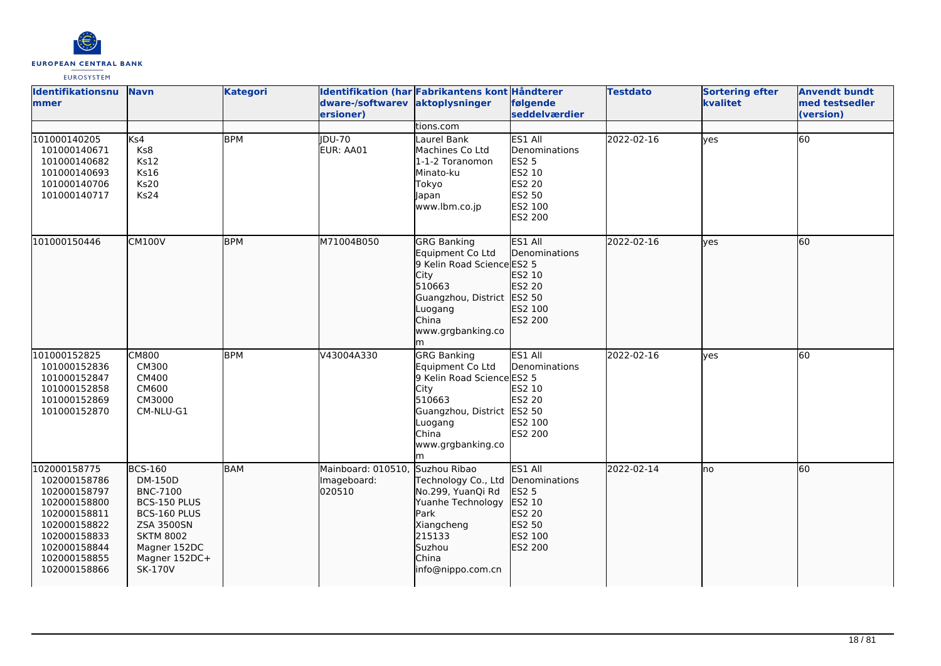

| Identifikationsnu<br>mmer                                                                                                                                    | <b>Navn</b>                                                                                                                                                              | <b>Kategori</b> | dware-/softwarev<br>ersioner)               | Identifikation (har Fabrikantens kont Håndterer<br>aktoplysninger                                                                                                  | følgende<br>seddelværdier                                                                                  | <b>Testdato</b> | <b>Sortering efter</b><br>kvalitet | <b>Anvendt bundt</b><br>med testsedler<br>(version) |
|--------------------------------------------------------------------------------------------------------------------------------------------------------------|--------------------------------------------------------------------------------------------------------------------------------------------------------------------------|-----------------|---------------------------------------------|--------------------------------------------------------------------------------------------------------------------------------------------------------------------|------------------------------------------------------------------------------------------------------------|-----------------|------------------------------------|-----------------------------------------------------|
| 101000140205<br>101000140671<br>101000140682<br>101000140693<br>101000140706<br>101000140717                                                                 | Ks4<br>Ks8<br><b>Ks12</b><br><b>Ks16</b><br><b>Ks20</b><br>Ks24                                                                                                          | <b>BPM</b>      | <b>IDU-70</b><br>EUR: AA01                  | tions.com<br>Laurel Bank<br>Machines Co Ltd<br>1-1-2 Toranomon<br>Minato-ku<br>Tokyo<br>Japan<br>www.lbm.co.jp                                                     | ES1 All<br>Denominations<br><b>ES2 5</b><br>ES2 10<br><b>ES2 20</b><br><b>ES2 50</b><br>ES2 100<br>ES2 200 | 2022-02-16      | <b>ves</b>                         | 60                                                  |
| 101000150446                                                                                                                                                 | <b>CM100V</b>                                                                                                                                                            | <b>BPM</b>      | M71004B050                                  | <b>GRG Banking</b><br>Equipment Co Ltd<br>9 Kelin Road Science ES2 5<br>City<br>510663<br>Guangzhou, District<br>Luogang<br>China<br>www.grgbanking.co<br>m        | ES1 All<br>Denominations<br>ES2 10<br>ES2 20<br>ES2 50<br>ES2 100<br>ES2 200                               | 2022-02-16      | lves                               | $\overline{60}$                                     |
| 101000152825<br>101000152836<br>101000152847<br>101000152858<br>101000152869<br>101000152870                                                                 | <b>CM800</b><br>CM300<br>CM400<br><b>CM600</b><br>CM3000<br>CM-NLU-G1                                                                                                    | <b>BPM</b>      | V43004A330                                  | <b>GRG Banking</b><br>Equipment Co Ltd<br>9 Kelin Road Science ES2 5<br>City<br>510663<br>Guangzhou, District ES2 50<br>Luogang<br>China<br>www.grgbanking.co<br>m | ES1 All<br>Denominations<br>ES2 10<br><b>ES2 20</b><br>ES2 100<br><b>ES2 200</b>                           | 2022-02-16      | <b>ves</b>                         | 60                                                  |
| 102000158775<br>102000158786<br>102000158797<br>102000158800<br>102000158811<br>102000158822<br>102000158833<br>102000158844<br>102000158855<br>102000158866 | <b>BCS-160</b><br>DM-150D<br><b>BNC-7100</b><br>BCS-150 PLUS<br>BCS-160 PLUS<br><b>ZSA 3500SN</b><br><b>SKTM 8002</b><br>Magner 152DC<br>Magner 152DC+<br><b>SK-170V</b> | <b>BAM</b>      | Mainboard: 010510,<br>Imageboard:<br>020510 | Suzhou Ribao<br>Technology Co., Ltd<br>No.299, YuanQi Rd<br>Yuanhe Technology<br><b>Park</b><br>Xiangcheng<br>215133<br>Suzhou<br>China<br>info@nippo.com.cn       | ES1 All<br>Denominations<br><b>ES2 5</b><br>ES2 10<br>ES2 20<br>ES2 50<br>ES2 100<br>ES2 200               | 2022-02-14      | <b>I</b> no                        | 60                                                  |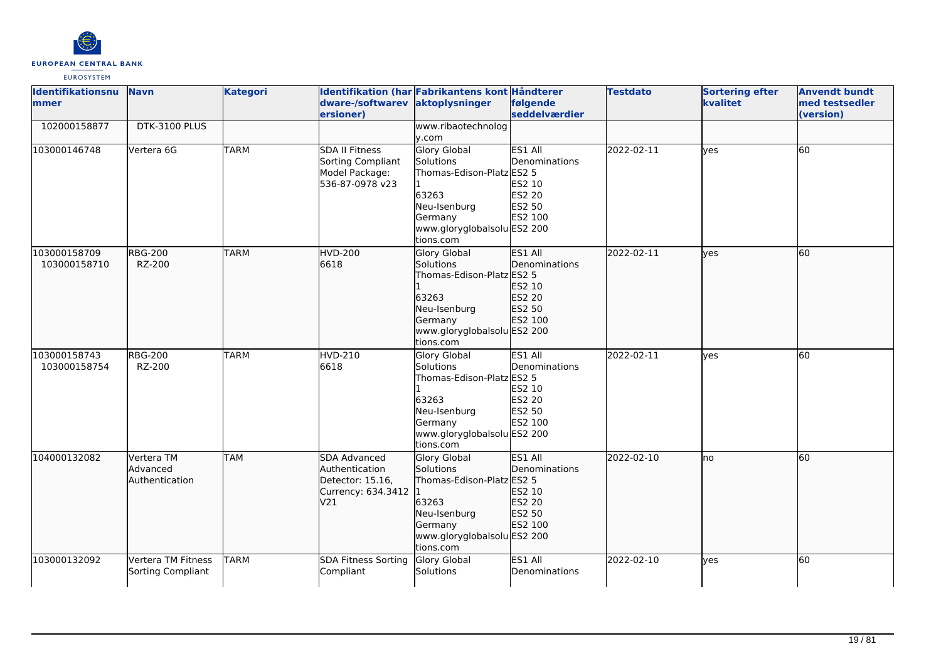

| <b>Identifikationsnu</b><br>mmer | <b>Navn</b>                              | <b>Kategori</b> | dware-/softwarev aktoplysninger<br>ersioner)                                    | Identifikation (har Fabrikantens kont Håndterer                                                                                               | følgende<br><b>seddelværdier</b>                                  | <b>Testdato</b> | <b>Sortering efter</b><br>kvalitet | <b>Anvendt bundt</b><br>med testsedler<br>(version) |
|----------------------------------|------------------------------------------|-----------------|---------------------------------------------------------------------------------|-----------------------------------------------------------------------------------------------------------------------------------------------|-------------------------------------------------------------------|-----------------|------------------------------------|-----------------------------------------------------|
| 102000158877                     | DTK-3100 PLUS                            |                 |                                                                                 | www.ribaotechnolog<br>y.com                                                                                                                   |                                                                   |                 |                                    |                                                     |
| 103000146748                     | Vertera 6G                               | <b>TARM</b>     | <b>SDA II Fitness</b><br>Sorting Compliant<br>Model Package:<br>536-87-0978 v23 | Glory Global<br><b>Solutions</b><br>Thomas-Edison-Platz ES2 5<br>63263<br>Neu-Isenburg<br>Germany<br>www.gloryglobalsolu ES2 200<br>tions.com | ES1 All<br>Denominations<br>ES2 10<br>ES2 20<br>ES2 50<br>ES2 100 | 2022-02-11      | <b>l</b> ves                       | 60                                                  |
| 103000158709<br>103000158710     | <b>RBG-200</b><br>RZ-200                 | <b>TARM</b>     | <b>HVD-200</b><br>6618                                                          | Glory Global<br>Solutions<br>Thomas-Edison-Platz ES2 5<br>63263<br>Neu-Isenburg<br>Germany<br>www.gloryglobalsolu ES2 200<br>tions.com        | ES1 All<br>Denominations<br>ES2 10<br>ES2 20<br>ES2 50<br>ES2 100 | 2022-02-11      | lves                               | 60                                                  |
| 103000158743<br>103000158754     | <b>RBG-200</b><br>RZ-200                 | <b>TARM</b>     | HVD-210<br>6618                                                                 | <b>Glory Global</b><br>Solutions<br>Thomas-Edison-Platz ES2 5<br>63263<br>Neu-Isenburg<br>Germany<br>www.gloryglobalsolu ES2 200<br>tions.com | ES1 All<br>Denominations<br>ES2 10<br>ES2 20<br>ES2 50<br>ES2 100 | 2022-02-11      | lves                               | 60                                                  |
| 104000132082                     | Vertera TM<br>Advanced<br>Authentication | <b>TAM</b>      | SDA Advanced<br>Authentication<br>Detector: 15.16,<br>Currency: 634.3412<br>V21 | <b>Glory Global</b><br>Solutions<br>Thomas-Edison-Platz ES2 5<br>63263<br>Neu-Isenburg<br>Germany<br>www.gloryglobalsolu ES2 200<br>tions.com | ES1 All<br>Denominations<br>ES2 10<br>ES2 20<br>ES2 50<br>ES2 100 | 2022-02-10      | lno                                | 60                                                  |
| 103000132092                     | Vertera TM Fitness<br>Sorting Compliant  | <b>TARM</b>     | <b>SDA Fitness Sorting</b><br>Compliant                                         | Glory Global<br>Solutions                                                                                                                     | ES1 All<br>Denominations                                          | 2022-02-10      | lves                               | <b>60</b>                                           |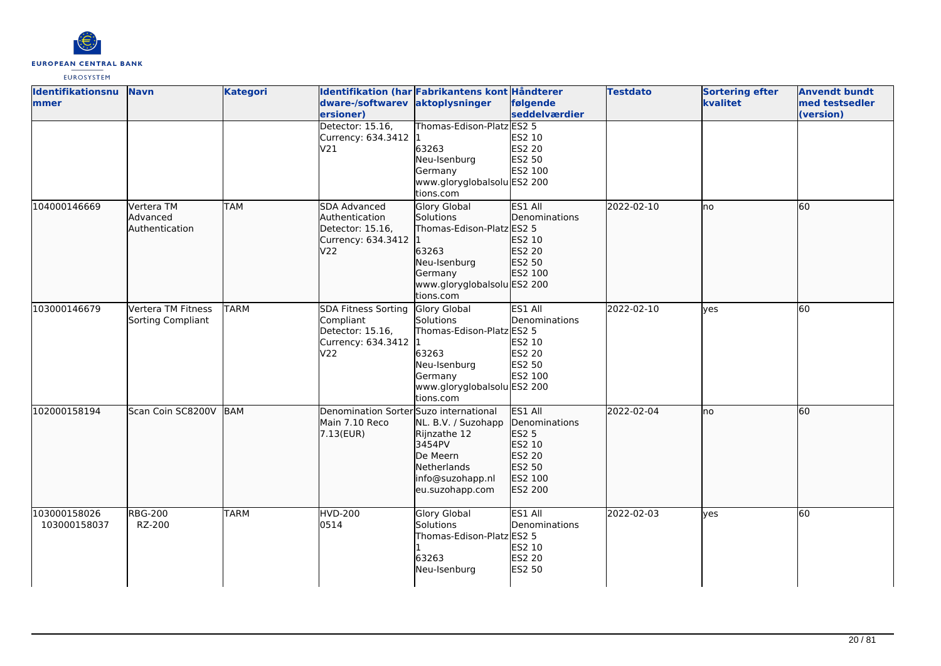

| Identifikationsnu<br>mmer    | <b>Navn</b>                              | <b>Kategori</b> | dware-/softwarev aktoplysninger<br>ersioner)                                               | Identifikation (har Fabrikantens kont Håndterer                                                                                        | følgende<br>seddelværdier                                                             | <b>Testdato</b> | <b>Sortering efter</b><br>kvalitet | <b>Anvendt bundt</b><br>med testsedler<br>(version) |
|------------------------------|------------------------------------------|-----------------|--------------------------------------------------------------------------------------------|----------------------------------------------------------------------------------------------------------------------------------------|---------------------------------------------------------------------------------------|-----------------|------------------------------------|-----------------------------------------------------|
|                              |                                          |                 | Detector: 15.16,<br>Currency: 634.3412 1<br>V21                                            | Thomas-Edison-Platz ES2 5<br>63263<br>Neu-Isenburg<br>Germany<br>www.gloryglobalsolu ES2 200<br>tions.com                              | ES2 10<br>ES2 20<br>ES2 50<br>ES2 100                                                 |                 |                                    |                                                     |
| 104000146669                 | Vertera TM<br>Advanced<br>Authentication | <b>TAM</b>      | SDA Advanced<br>Authentication<br>Detector: 15.16,<br>Currency: 634.3412 1<br>V22          | Glory Global<br>Solutions<br>Thomas-Edison-Platz ES2 5<br>63263<br>Neu-Isenburg<br>Germany<br>www.gloryglobalsolu ES2 200<br>tions.com | ES1 All<br>Denominations<br>ES2 10<br>ES2 20<br>ES2 50<br>ES2 100                     | 2022-02-10      | lno                                | 60                                                  |
| 103000146679                 | Vertera TM Fitness<br>Sorting Compliant  | <b>TARM</b>     | <b>SDA Fitness Sorting</b><br>Compliant<br>Detector: 15.16,<br>Currency: 634.3412 1<br>V22 | Glory Global<br>Solutions<br>Thomas-Edison-Platz ES2 5<br>63263<br>Neu-Isenburg<br>Germany<br>www.gloryglobalsolu ES2 200<br>tions.com | ES1 All<br>Denominations<br>ES2 10<br><b>ES2 20</b><br>ES2 50<br>ES2 100              | 2022-02-10      | <b>ves</b>                         | 60                                                  |
| 102000158194                 | Scan Coin SC8200V                        | BAM             | Denomination Sorter Suzo international<br>Main 7.10 Reco<br>7.13(EUR)                      | NL. B.V. / Suzohapp<br>Rijnzathe 12<br>3454PV<br>De Meern<br><b>Netherlands</b><br>info@suzohapp.nl<br>eu.suzohapp.com                 | ES1 All<br>Denominations<br>ES2 5<br>ES2 10<br>ES2 20<br>ES2 50<br>ES2 100<br>ES2 200 | 2022-02-04      | lno                                | 60                                                  |
| 103000158026<br>103000158037 | <b>RBG-200</b><br>RZ-200                 | <b>TARM</b>     | <b>HVD-200</b><br>0514                                                                     | Glory Global<br>Solutions<br>Thomas-Edison-Platz ES2 5<br>63263<br>Neu-Isenburg                                                        | ES1 All<br>Denominations<br>ES2 10<br><b>ES2 20</b><br>ES2 50                         | 2022-02-03      | lves                               | <b>60</b>                                           |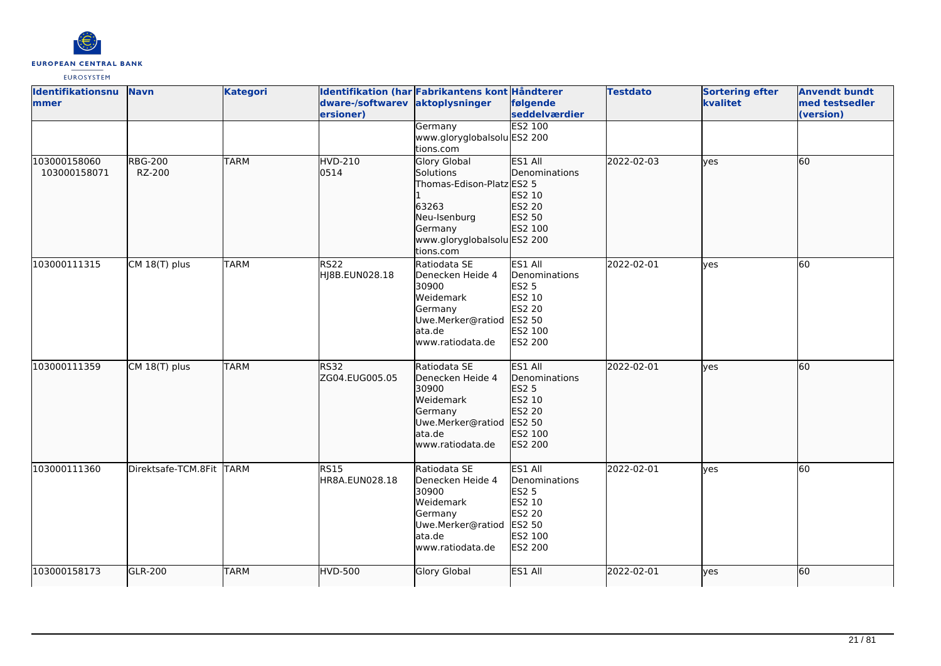

| Identifikationsnu<br>mmer    | <b>Navn</b>              | <b>Kategori</b> | dware-/softwarev              | Identifikation (har Fabrikantens kont Håndterer<br>aktoplysninger                                                           | følgende                                                                                                   | <b>Testdato</b> | <b>Sortering efter</b><br>kvalitet | <b>Anvendt bundt</b><br>med testsedler |
|------------------------------|--------------------------|-----------------|-------------------------------|-----------------------------------------------------------------------------------------------------------------------------|------------------------------------------------------------------------------------------------------------|-----------------|------------------------------------|----------------------------------------|
|                              |                          |                 | ersioner)                     |                                                                                                                             | seddelværdier                                                                                              |                 |                                    | (version)                              |
|                              |                          |                 |                               | Germany                                                                                                                     | <b>ES2 100</b>                                                                                             |                 |                                    |                                        |
|                              |                          |                 |                               | www.gloryglobalsolu ES2 200                                                                                                 |                                                                                                            |                 |                                    |                                        |
|                              |                          |                 |                               | tions.com                                                                                                                   |                                                                                                            |                 |                                    |                                        |
| 103000158060<br>103000158071 | <b>RBG-200</b><br>RZ-200 | <b>TARM</b>     | <b>HVD-210</b><br>0514        | Glory Global<br>Solutions<br>Thomas-Edison-Platz ES2 5<br>63263<br>Neu-Isenburg<br>Germany<br>www.gloryglobalsolu ES2 200   | ES1 All<br>Denominations<br>ES2 10<br>ES2 20<br>ES2 50<br>ES2 100                                          | 2022-02-03      | lyes                               | 60                                     |
|                              |                          |                 |                               | tions.com                                                                                                                   |                                                                                                            |                 |                                    |                                        |
| 103000111315                 | CM 18(T) plus            | <b>TARM</b>     | <b>RS22</b><br>HJ8B.EUN028.18 | Ratiodata SE<br>Denecken Heide 4<br>30900<br>Weidemark<br>Germany<br>Uwe.Merker@ratiod<br>ata.de<br>lwww.ratiodata.de       | ES1 All<br>Denominations<br><b>ES2 5</b><br>ES2 10<br>ES2 20<br>ES2 50<br>ES2 100<br><b>ES2 200</b>        | 2022-02-01      | <b>ves</b>                         | $\overline{60}$                        |
| 103000111359                 | CM 18(T) plus            | <b>TARM</b>     | RS32<br>ZG04.EUG005.05        | Ratiodata SE<br>Denecken Heide 4<br>30900<br>Weidemark<br>Germany<br>Uwe.Merker@ratiod<br>lata.de<br>www.ratiodata.de       | ES1 All<br>Denominations<br><b>ES2 5</b><br>ES2 10<br>ES2 20<br>ES2 50<br>ES2 100<br>ES2 200               | 2022-02-01      | lves                               | 60                                     |
| 103000111360                 | Direktsafe-TCM.8Fit TARM |                 | RS15<br>HR8A.EUN028.18        | Ratiodata SE<br>Denecken Heide 4<br>30900<br><b>Weidemark</b><br>Germany<br>Uwe.Merker@ratiod<br>ata.de<br>www.ratiodata.de | ES1 All<br>Denominations<br><b>ES2 5</b><br>ES2 10<br><b>ES2 20</b><br>ES2 50<br>ES2 100<br><b>ES2 200</b> | 2022-02-01      | yes                                | 60                                     |
| 103000158173                 | <b>GLR-200</b>           | <b>TARM</b>     | <b>HVD-500</b>                | Glory Global                                                                                                                | ES1 All                                                                                                    | 2022-02-01      | lyes                               | 60                                     |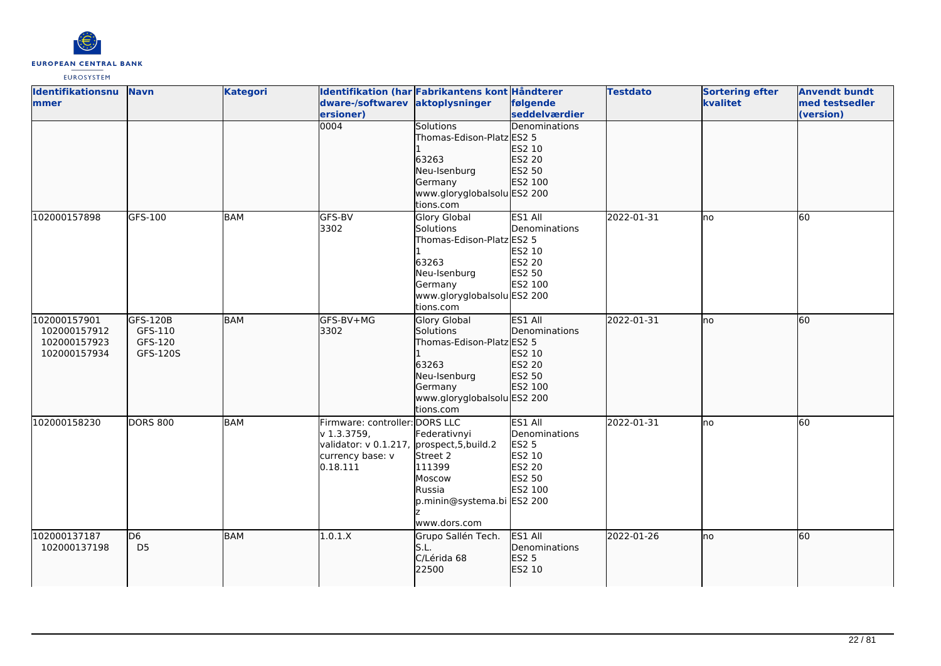

| Identifikationsnu | <b>Navn</b>     | <b>Kategori</b> |                                             | Identifikation (har Fabrikantens kont Håndterer |               | <b>Testdato</b> | <b>Sortering efter</b> | <b>Anvendt bundt</b> |
|-------------------|-----------------|-----------------|---------------------------------------------|-------------------------------------------------|---------------|-----------------|------------------------|----------------------|
| <b>Immer</b>      |                 |                 | dware-/softwarev aktoplysninger             |                                                 | følgende      |                 | kvalitet               | med testsedler       |
|                   |                 |                 | ersioner)                                   |                                                 | seddelværdier |                 |                        | (version)            |
|                   |                 |                 | 0004                                        | <b>Solutions</b>                                | Denominations |                 |                        |                      |
|                   |                 |                 |                                             | Thomas-Edison-Platz ES2 5                       |               |                 |                        |                      |
|                   |                 |                 |                                             |                                                 | ES2 10        |                 |                        |                      |
|                   |                 |                 |                                             | 63263                                           | ES2 20        |                 |                        |                      |
|                   |                 |                 |                                             | Neu-Isenburg                                    | ES2 50        |                 |                        |                      |
|                   |                 |                 |                                             | Germany                                         | ES2 100       |                 |                        |                      |
|                   |                 |                 |                                             | www.gloryglobalsolu ES2 200                     |               |                 |                        |                      |
|                   |                 |                 |                                             | tions.com                                       |               |                 |                        |                      |
| 102000157898      | GFS-100         | <b>BAM</b>      | GFS-BV                                      | <b>Glory Global</b>                             | ES1 All       | 2022-01-31      | no                     | 60                   |
|                   |                 |                 | 3302                                        | <b>Solutions</b>                                | Denominations |                 |                        |                      |
|                   |                 |                 |                                             | Thomas-Edison-Platz ES2 5                       |               |                 |                        |                      |
|                   |                 |                 |                                             |                                                 | ES2 10        |                 |                        |                      |
|                   |                 |                 |                                             | 63263                                           | <b>ES2 20</b> |                 |                        |                      |
|                   |                 |                 |                                             | Neu-Isenburg                                    | ES2 50        |                 |                        |                      |
|                   |                 |                 |                                             | Germany                                         | ES2 100       |                 |                        |                      |
|                   |                 |                 |                                             | www.gloryglobalsolu ES2 200                     |               |                 |                        |                      |
|                   |                 |                 |                                             | tions.com                                       |               |                 |                        |                      |
| 102000157901      | GFS-120B        | <b>BAM</b>      | GFS-BV+MG                                   | <b>Glory Global</b>                             | ES1 All       | 2022-01-31      | lno                    | 60                   |
| 102000157912      | GFS-110         |                 | 3302                                        | Solutions                                       | Denominations |                 |                        |                      |
| 102000157923      | GFS-120         |                 |                                             | Thomas-Edison-Platz ES2 5                       |               |                 |                        |                      |
| 102000157934      | GFS-120S        |                 |                                             |                                                 | ES2 10        |                 |                        |                      |
|                   |                 |                 |                                             | 63263                                           | ES2 20        |                 |                        |                      |
|                   |                 |                 |                                             | Neu-Isenburg                                    | ES2 50        |                 |                        |                      |
|                   |                 |                 |                                             | Germany                                         | ES2 100       |                 |                        |                      |
|                   |                 |                 |                                             | www.gloryglobalsolu ES2 200                     |               |                 |                        |                      |
|                   |                 |                 |                                             | tions.com                                       |               |                 |                        |                      |
| 102000158230      | <b>DORS 800</b> | <b>BAM</b>      | Firmware: controller: DORS LLC              |                                                 | ES1 All       | 2022-01-31      | Ino                    | 60                   |
|                   |                 |                 | v 1.3.3759,                                 | Federativnyi                                    | Denominations |                 |                        |                      |
|                   |                 |                 | validator: v 0.1.217, prospect, 5, build. 2 |                                                 | <b>ES2 5</b>  |                 |                        |                      |
|                   |                 |                 | currency base: v                            | Street 2                                        | ES2 10        |                 |                        |                      |
|                   |                 |                 | 0.18.111                                    | 111399                                          | <b>ES2 20</b> |                 |                        |                      |
|                   |                 |                 |                                             | Moscow                                          | ES2 50        |                 |                        |                      |
|                   |                 |                 |                                             | Russia                                          | ES2 100       |                 |                        |                      |
|                   |                 |                 |                                             | p.minin@systema.bi ES2 200                      |               |                 |                        |                      |
|                   |                 |                 |                                             |                                                 |               |                 |                        |                      |
|                   |                 |                 |                                             | www.dors.com                                    |               |                 |                        |                      |
| 102000137187      | D <sub>6</sub>  | <b>BAM</b>      | 1.0.1.X                                     | Grupo Sallén Tech.                              | ES1 All       | 2022-01-26      | Ino                    | 60                   |
| 102000137198      | D <sub>5</sub>  |                 |                                             | S.L.                                            | Denominations |                 |                        |                      |
|                   |                 |                 |                                             | C/Lérida 68                                     | <b>ES2 5</b>  |                 |                        |                      |
|                   |                 |                 |                                             | 22500                                           | ES2 10        |                 |                        |                      |
|                   |                 |                 |                                             |                                                 |               |                 |                        |                      |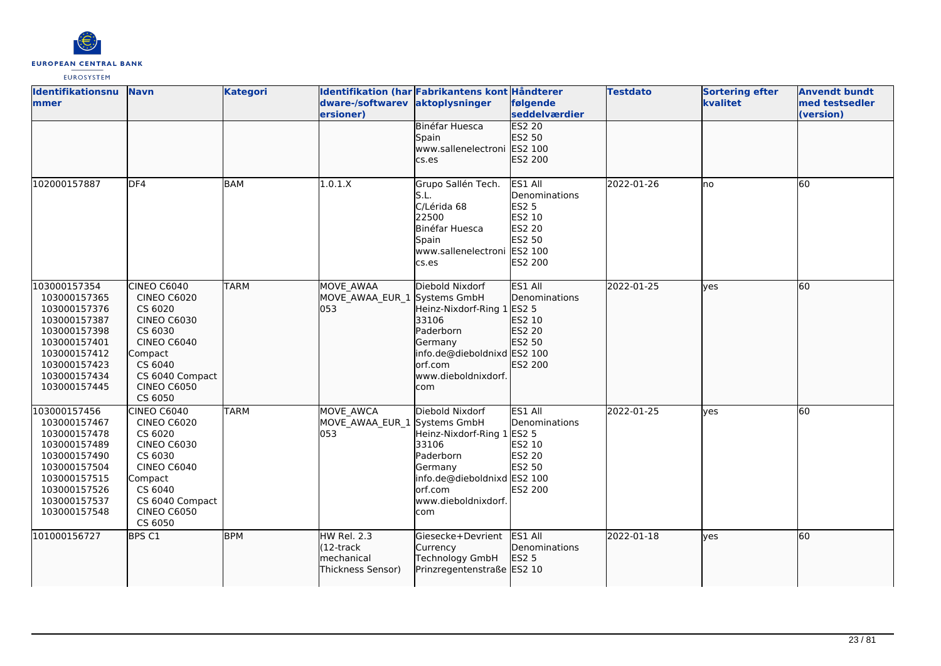

| Identifikationsnu<br>mmer                                                                                                                                    | <b>Navn</b>                                                                                                                                                                          | <b>Kategori</b> | dware-/softwarev<br>ersioner)                                           | Identifikation (har Fabrikantens kont Håndterer<br>aktoplysninger                                                                                      | følgende<br>seddelværdier                                                                | <b>Testdato</b> | <b>Sortering efter</b><br>kvalitet | <b>Anvendt bundt</b><br>med testsedler<br>(version) |
|--------------------------------------------------------------------------------------------------------------------------------------------------------------|--------------------------------------------------------------------------------------------------------------------------------------------------------------------------------------|-----------------|-------------------------------------------------------------------------|--------------------------------------------------------------------------------------------------------------------------------------------------------|------------------------------------------------------------------------------------------|-----------------|------------------------------------|-----------------------------------------------------|
|                                                                                                                                                              |                                                                                                                                                                                      |                 |                                                                         | Binéfar Huesca<br>Spain<br>www.sallenelectroni ES2 100<br>cs.es                                                                                        | <b>ES2 20</b><br>ES2 50<br>ES2 200                                                       |                 |                                    |                                                     |
| 102000157887                                                                                                                                                 | DF4                                                                                                                                                                                  | <b>BAM</b>      | 1.0.1.X                                                                 | Grupo Sallén Tech.<br>S.L.<br>C/Lérida 68<br>22500<br>Binéfar Huesca<br>Spain<br>www.sallenelectroni ES2 100<br>cs.es                                  | ES1 All<br>Denominations<br><b>ES2 5</b><br>ES2 10<br>ES2 20<br>ES2 50<br><b>ES2 200</b> | 2022-01-26      | Ino                                | 60                                                  |
| 103000157354<br>103000157365<br>103000157376<br>103000157387<br>103000157398<br>103000157401<br>103000157412<br>103000157423<br>103000157434<br>103000157445 | CINEO C6040<br><b>CINEO C6020</b><br>CS 6020<br><b>CINEO C6030</b><br>CS 6030<br><b>CINEO C6040</b><br>Compact<br>CS 6040<br>CS 6040 Compact<br><b>CINEO C6050</b><br>CS 6050        | <b>TARM</b>     | <b>MOVE AWAA</b><br>MOVE_AWAA_EUR_1 Systems GmbH<br>053                 | Diebold Nixdorf<br>Heinz-Nixdorf-Ring 1 ES2 5<br>33106<br>Paderborn<br>Germany<br>info.de@dieboldnixd ES2 100<br>orf.com<br>www.dieboldnixdorf.<br>com | ES1 All<br>Denominations<br>ES2 10<br>ES2 20<br>ES2 50<br>ES2 200                        | 2022-01-25      | ves                                | 60                                                  |
| 103000157456<br>103000157467<br>103000157478<br>103000157489<br>103000157490<br>103000157504<br>103000157515<br>103000157526<br>103000157537<br>103000157548 | <b>CINEO C6040</b><br><b>CINEO C6020</b><br>CS 6020<br><b>CINEO C6030</b><br>CS 6030<br><b>CINEO C6040</b><br>Compact<br>CS 6040<br>CS 6040 Compact<br><b>CINEO C6050</b><br>CS 6050 | <b>TARM</b>     | MOVE AWCA<br>MOVE_AWAA_EUR_1 Systems GmbH<br>053                        | Diebold Nixdorf<br>Heinz-Nixdorf-Ring 1 ES2 5<br>33106<br>Paderborn<br>Germany<br>info.de@dieboldnixd ES2 100<br>orf.com<br>www.dieboldnixdorf.<br>com | ES1 All<br>Denominations<br>ES2 10<br><b>ES2 20</b><br>ES2 50<br><b>ES2 200</b>          | 2022-01-25      | <b>ves</b>                         | 60                                                  |
| 101000156727                                                                                                                                                 | BPS C1                                                                                                                                                                               | <b>BPM</b>      | HW Rel. 2.3<br>$(12 -$ track<br><b>Imechanical</b><br>(Thickness Sensor | Giesecke+Devrient<br>Currency<br>Technology GmbH<br>Prinzregentenstraße ES2 10                                                                         | ES1 All<br>Denominations<br><b>ES2 5</b>                                                 | 2022-01-18      | lyes                               | 60                                                  |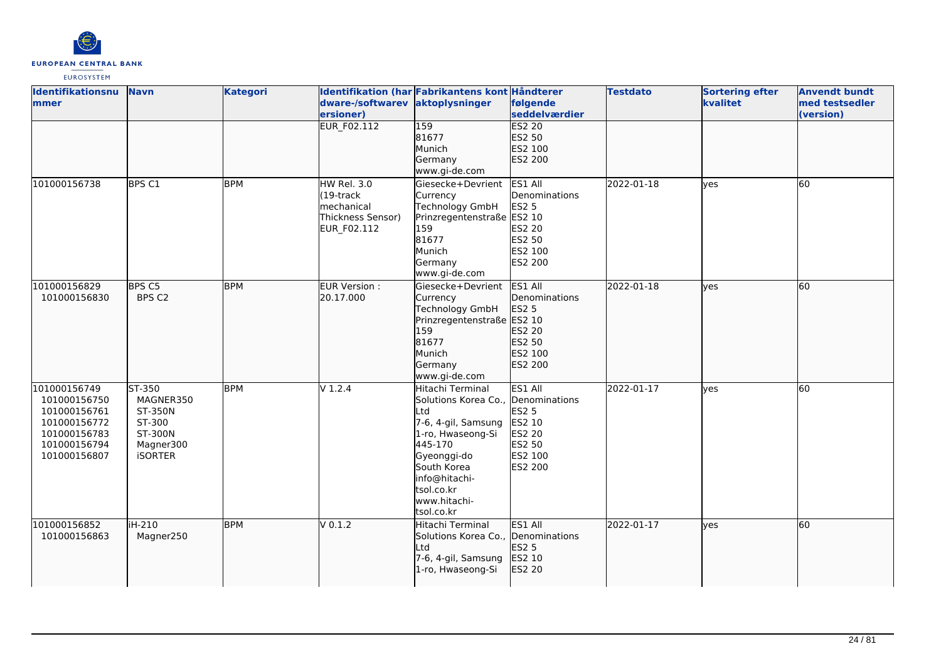

| Identifikationsnu | <b>Navn</b>       | <b>Kategori</b> |                    | Identifikation (har Fabrikantens kont Håndterer |               | <b>Testdato</b> | <b>Sortering efter</b> | <b>Anvendt bundt</b> |
|-------------------|-------------------|-----------------|--------------------|-------------------------------------------------|---------------|-----------------|------------------------|----------------------|
| <b>Immer</b>      |                   |                 | dware-/softwarev   | aktoplysninger                                  | følgende      |                 | kvalitet               | med testsedler       |
|                   |                   |                 | ersioner)          |                                                 | seddelværdier |                 |                        | (version)            |
|                   |                   |                 | <b>EUR F02.112</b> | $\overline{159}$                                | <b>ES2 20</b> |                 |                        |                      |
|                   |                   |                 |                    | 81677                                           | ES2 50        |                 |                        |                      |
|                   |                   |                 |                    | Munich                                          | ES2 100       |                 |                        |                      |
|                   |                   |                 |                    | Germany                                         | ES2 200       |                 |                        |                      |
|                   |                   |                 |                    | www.gi-de.com                                   |               |                 |                        |                      |
| 101000156738      | BPS <sub>C1</sub> | <b>BPM</b>      | HW Rel. 3.0        | Giesecke+Devrient                               | ES1 All       | 2022-01-18      | <b>l</b> ves           | 60                   |
|                   |                   |                 | $(19$ -track       | Currency                                        | Denominations |                 |                        |                      |
|                   |                   |                 | mechanical         | Technology GmbH                                 | <b>ES2 5</b>  |                 |                        |                      |
|                   |                   |                 | Thickness Sensor)  | Prinzregentenstraße ES2 10                      |               |                 |                        |                      |
|                   |                   |                 | EUR_F02.112        | 159                                             | ES2 20        |                 |                        |                      |
|                   |                   |                 |                    | 81677                                           | ES2 50        |                 |                        |                      |
|                   |                   |                 |                    | Munich                                          | ES2 100       |                 |                        |                      |
|                   |                   |                 |                    | Germany                                         | ES2 200       |                 |                        |                      |
|                   |                   |                 |                    | www.gi-de.com                                   |               |                 |                        |                      |
| 101000156829      | BPS C5            | <b>BPM</b>      | EUR Version :      | Giesecke+Devrient                               | ES1 All       | 2022-01-18      | lves                   | 60                   |
| 101000156830      | BPS C2            |                 | 20.17.000          | Currency                                        | Denominations |                 |                        |                      |
|                   |                   |                 |                    | Technology GmbH                                 | ES2 5         |                 |                        |                      |
|                   |                   |                 |                    | Prinzregentenstraße ES2 10                      |               |                 |                        |                      |
|                   |                   |                 |                    | 159                                             | ES2 20        |                 |                        |                      |
|                   |                   |                 |                    | 81677                                           | ES2 50        |                 |                        |                      |
|                   |                   |                 |                    | Munich                                          | ES2 100       |                 |                        |                      |
|                   |                   |                 |                    | Germany                                         | ES2 200       |                 |                        |                      |
|                   |                   |                 |                    | www.gi-de.com                                   |               |                 |                        |                      |
| 101000156749      | ST-350            | <b>BPM</b>      | $V$ 1.2.4          | Hitachi Terminal                                | ES1 All       | 2022-01-17      | yes                    | 60                   |
| 101000156750      | MAGNER350         |                 |                    | Solutions Korea Co., Denominations              |               |                 |                        |                      |
| 101000156761      | ST-350N           |                 |                    | Ltd                                             | ES2 5         |                 |                        |                      |
| 101000156772      | ST-300            |                 |                    | 7-6, 4-gil, Samsung                             | ES2 10        |                 |                        |                      |
| 101000156783      | ST-300N           |                 |                    | 1-ro, Hwaseong-Si                               | <b>ES2 20</b> |                 |                        |                      |
| 101000156794      | Magner300         |                 |                    | 445-170                                         | ES2 50        |                 |                        |                      |
| 101000156807      | <b>iSORTER</b>    |                 |                    | Gyeonggi-do                                     | ES2 100       |                 |                        |                      |
|                   |                   |                 |                    | South Korea                                     | ES2 200       |                 |                        |                      |
|                   |                   |                 |                    | info@hitachi-                                   |               |                 |                        |                      |
|                   |                   |                 |                    | tsol.co.kr                                      |               |                 |                        |                      |
|                   |                   |                 |                    | lwww.hitachi-                                   |               |                 |                        |                      |
|                   |                   |                 |                    | tsol.co.kr                                      |               |                 |                        |                      |
| 101000156852      | iH-210            | <b>BPM</b>      | $V$ 0.1.2          | Hitachi Terminal                                | ES1 All       | 2022-01-17      | lves                   | 60                   |
| 101000156863      | Magner250         |                 |                    | Solutions Korea Co., Denominations              |               |                 |                        |                      |
|                   |                   |                 |                    | Ltd                                             | ES2 5         |                 |                        |                      |
|                   |                   |                 |                    | 7-6, 4-gil, Samsung                             | ES2 10        |                 |                        |                      |
|                   |                   |                 |                    | 1-ro, Hwaseong-Si                               | ES2 20        |                 |                        |                      |
|                   |                   |                 |                    |                                                 |               |                 |                        |                      |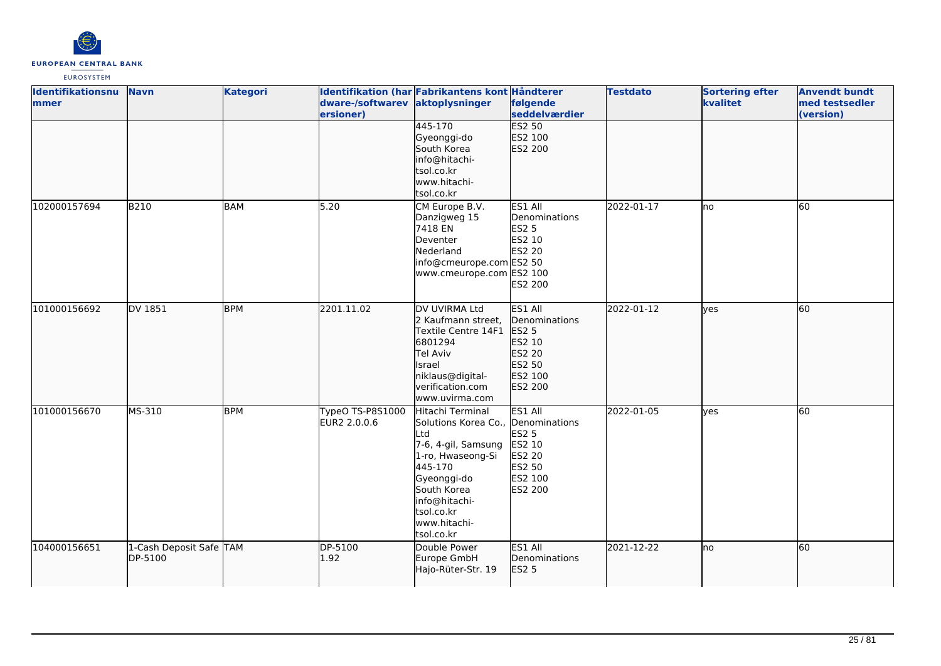

| <b>Identifikationsnu</b><br>mmer | <b>Navn</b>                        | <b>Kategori</b> | dware-/softwarev aktoplysninger<br>ersioner) | Identifikation (har Fabrikantens kont Håndterer                                                                                                                                                                 | følgende<br>seddelværdier                                                                        | <b>Testdato</b> | <b>Sortering efter</b><br>kvalitet | <b>Anvendt bundt</b><br>med testsedler<br>(version) |
|----------------------------------|------------------------------------|-----------------|----------------------------------------------|-----------------------------------------------------------------------------------------------------------------------------------------------------------------------------------------------------------------|--------------------------------------------------------------------------------------------------|-----------------|------------------------------------|-----------------------------------------------------|
|                                  |                                    |                 |                                              | 445-170<br>Gyeonggi-do<br>South Korea<br>info@hitachi-<br>tsol.co.kr<br>www.hitachi-<br>tsol.co.kr                                                                                                              | <b>ES2 50</b><br>ES2 100<br>ES2 200                                                              |                 |                                    |                                                     |
| 102000157694                     | <b>B210</b>                        | <b>BAM</b>      | 5.20                                         | CM Europe B.V.<br>Danzigweg 15<br>7418 EN<br>Deventer<br>Nederland<br>info@cmeurope.com ES2 50<br>www.cmeurope.com ES2 100                                                                                      | ES1 All<br>Denominations<br><b>ES2 5</b><br>ES2 10<br>ES2 20<br><b>ES2 200</b>                   | 2022-01-17      | no                                 | 60                                                  |
| 101000156692                     | DV 1851                            | <b>BPM</b>      | 2201.11.02                                   | DV UVIRMA Ltd<br>2 Kaufmann street,<br>Textile Centre 14F1<br>6801294<br>Tel Aviv<br>Israel<br>niklaus@digital-<br>verification.com<br>www.uvirma.com                                                           | ES1 All<br>Denominations<br>ES2 <sub>5</sub><br>ES2 10<br>ES2 20<br>ES2 50<br>ES2 100<br>ES2 200 | 2022-01-12      | lves                               | 60                                                  |
| 101000156670                     | MS-310                             | <b>BPM</b>      | TypeO TS-P8S1000<br>EUR2 2.0.0.6             | Hitachi Terminal<br>Solutions Korea Co., Denominations<br>Ltd<br>7-6, 4-gil, Samsung<br>1-ro, Hwaseong-Si<br>445-170<br>Gyeonggi-do<br>South Korea<br>info@hitachi-<br>tsol.co.kr<br>www.hitachi-<br>tsol.co.kr | ES1 All<br><b>ES2 5</b><br>ES2 10<br>ES2 20<br>ES2 50<br>ES2 100<br>ES2 200                      | 2022-01-05      | yes                                | 60                                                  |
| 104000156651                     | 1-Cash Deposit Safe TAM<br>DP-5100 |                 | DP-5100<br>1.92                              | Double Power<br>Europe GmbH<br>Hajo-Rüter-Str. 19                                                                                                                                                               | ES1 All<br>Denominations<br>ES2 5                                                                | 2021-12-22      | no                                 | 60                                                  |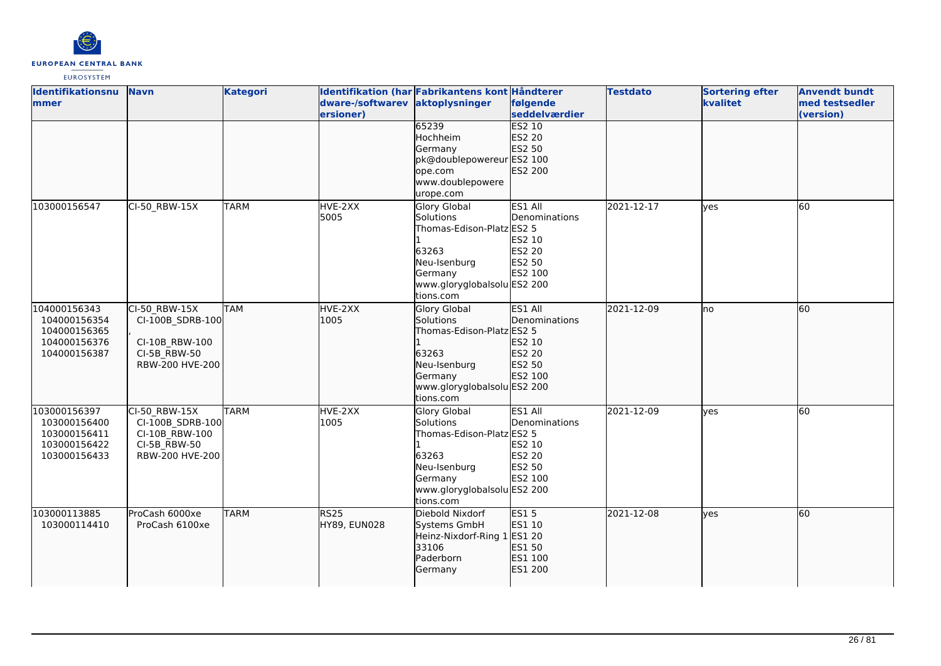

| Identifikationsnu | <b>Navn</b>      | <b>Kategori</b> |                                 | Identifikation (har Fabrikantens kont Håndterer |               | <b>Testdato</b> | <b>Sortering efter</b> | <b>Anvendt bundt</b> |
|-------------------|------------------|-----------------|---------------------------------|-------------------------------------------------|---------------|-----------------|------------------------|----------------------|
| mmer              |                  |                 | dware-/softwarev aktoplysninger |                                                 | følgende      |                 | kvalitet               | med testsedler       |
|                   |                  |                 | ersioner)                       |                                                 | seddelværdier |                 |                        | (version)            |
|                   |                  |                 |                                 | 65239                                           | <b>ES2 10</b> |                 |                        |                      |
|                   |                  |                 |                                 | Hochheim                                        | ES2 20        |                 |                        |                      |
|                   |                  |                 |                                 | Germany                                         | ES2 50        |                 |                        |                      |
|                   |                  |                 |                                 | pk@doublepowereur ES2 100                       |               |                 |                        |                      |
|                   |                  |                 |                                 | ope.com                                         | ES2 200       |                 |                        |                      |
|                   |                  |                 |                                 | www.doublepowere                                |               |                 |                        |                      |
|                   |                  |                 |                                 | urope.com                                       |               |                 |                        |                      |
| 103000156547      | CI-50_RBW-15X    | <b>TARM</b>     | HVE-2XX                         | Glory Global                                    | ES1 All       | 2021-12-17      | ves                    | 60                   |
|                   |                  |                 | 5005                            | Solutions                                       | Denominations |                 |                        |                      |
|                   |                  |                 |                                 | Thomas-Edison-Platz ES2 5                       |               |                 |                        |                      |
|                   |                  |                 |                                 |                                                 | ES2 10        |                 |                        |                      |
|                   |                  |                 |                                 | 63263                                           | <b>ES2 20</b> |                 |                        |                      |
|                   |                  |                 |                                 | Neu-Isenburg                                    | ES2 50        |                 |                        |                      |
|                   |                  |                 |                                 | Germany                                         | ES2 100       |                 |                        |                      |
|                   |                  |                 |                                 | www.gloryglobalsolu ES2 200                     |               |                 |                        |                      |
|                   |                  |                 |                                 | tions.com                                       |               |                 |                        |                      |
| 104000156343      | CI-50 RBW-15X    | <b>TAM</b>      | HVE-2XX                         | <b>Glory Global</b>                             | ES1 All       | 2021-12-09      | lno                    | 60                   |
| 104000156354      | CI-100B_SDRB-100 |                 | 1005                            | Solutions                                       | Denominations |                 |                        |                      |
| 104000156365      |                  |                 |                                 | Thomas-Edison-Platz ES2 5                       |               |                 |                        |                      |
| 104000156376      | CI-10B RBW-100   |                 |                                 |                                                 | ES2 10        |                 |                        |                      |
| 104000156387      | CI-5B_RBW-50     |                 |                                 | 63263                                           | ES2 20        |                 |                        |                      |
|                   | RBW-200 HVE-200  |                 |                                 | Neu-Isenburg                                    | ES2 50        |                 |                        |                      |
|                   |                  |                 |                                 | Germany                                         | ES2 100       |                 |                        |                      |
|                   |                  |                 |                                 | www.gloryglobalsolu ES2 200                     |               |                 |                        |                      |
|                   |                  |                 |                                 | tions.com                                       |               |                 |                        |                      |
| 103000156397      | CI-50 RBW-15X    | <b>TARM</b>     | HVE-2XX                         | Glory Global                                    | ES1 All       | 2021-12-09      | <b>l</b> ves           | 60                   |
| 103000156400      | CI-100B SDRB-100 |                 | 1005                            | Solutions                                       | Denominations |                 |                        |                      |
| 103000156411      | CI-10B_RBW-100   |                 |                                 | Thomas-Edison-Platz ES2 5                       |               |                 |                        |                      |
| 103000156422      | CI-5B RBW-50     |                 |                                 |                                                 | ES2 10        |                 |                        |                      |
| 103000156433      | RBW-200 HVE-200  |                 |                                 | 63263                                           | <b>ES2 20</b> |                 |                        |                      |
|                   |                  |                 |                                 | Neu-Isenburg                                    | ES2 50        |                 |                        |                      |
|                   |                  |                 |                                 | Germany                                         | ES2 100       |                 |                        |                      |
|                   |                  |                 |                                 | www.gloryglobalsolu ES2 200                     |               |                 |                        |                      |
|                   |                  |                 |                                 | tions.com                                       |               |                 |                        |                      |
| 103000113885      | ProCash 6000xe   | <b>TARM</b>     | RS25                            | Diebold Nixdorf                                 | <b>ES15</b>   | 2021-12-08      | lves                   | 60                   |
| 103000114410      | ProCash 6100xe   |                 | HY89, EUN028                    | Systems GmbH                                    | ES1 10        |                 |                        |                      |
|                   |                  |                 |                                 | Heinz-Nixdorf-Ring 1                            | <b>ES1 20</b> |                 |                        |                      |
|                   |                  |                 |                                 | 33106                                           | ES1 50        |                 |                        |                      |
|                   |                  |                 |                                 | Paderborn                                       | ES1 100       |                 |                        |                      |
|                   |                  |                 |                                 | Germany                                         | ES1 200       |                 |                        |                      |
|                   |                  |                 |                                 |                                                 |               |                 |                        |                      |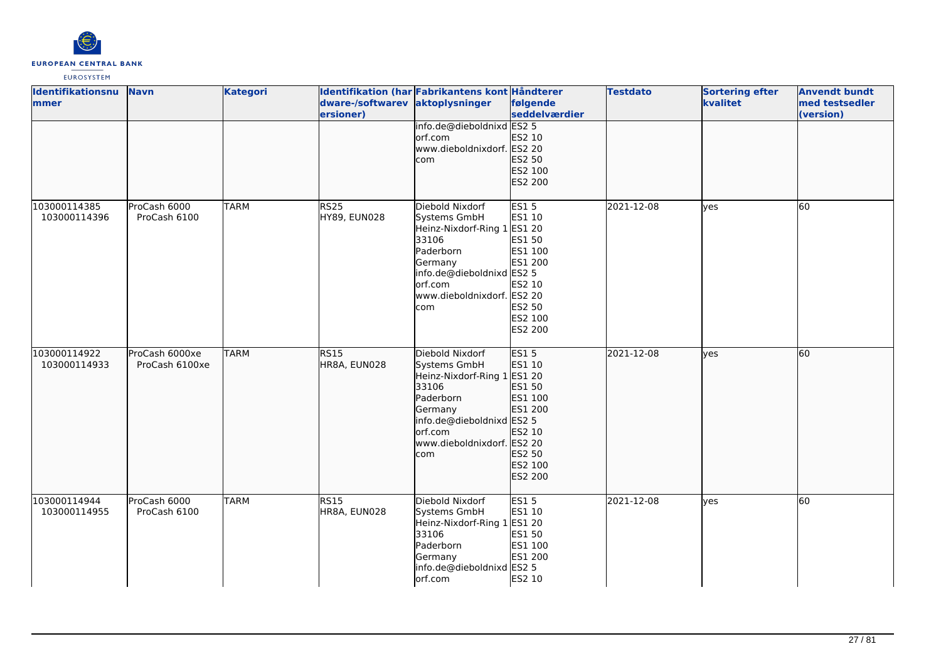

| Identifikationsnu<br>mmer    | <b>Navn</b>                      | <b>Kategori</b> | dware-/softwarev aktoplysninger<br>ersioner) | Identifikation (har Fabrikantens kont Håndterer                                                                                                                              | følgende<br>seddelværdier                                                                              | <b>Testdato</b> | <b>Sortering efter</b><br>kvalitet | <b>Anvendt bundt</b><br>med testsedler<br>(version) |
|------------------------------|----------------------------------|-----------------|----------------------------------------------|------------------------------------------------------------------------------------------------------------------------------------------------------------------------------|--------------------------------------------------------------------------------------------------------|-----------------|------------------------------------|-----------------------------------------------------|
|                              |                                  |                 |                                              | info.de@dieboldnixd ES2 5<br>orf.com<br>www.dieboldnixdorf. ES2 20<br>com                                                                                                    | ES2 10<br>ES2 50<br>ES2 100<br>ES2 200                                                                 |                 |                                    |                                                     |
| 103000114385<br>103000114396 | ProCash 6000<br>ProCash 6100     | <b>TARM</b>     | <b>RS25</b><br>HY89, EUN028                  | Diebold Nixdorf<br>Systems GmbH<br>Heinz-Nixdorf-Ring 1 ES1 20<br>33106<br>Paderborn<br>Germany<br>info.de@dieboldnixd ES2 5<br>orf.com<br>www.dieboldnixdorf. ES2 20<br>com | <b>ES15</b><br>ES1 10<br>ES1 50<br>ES1 100<br>ES1 200<br>ES2 10<br>ES2 50<br>ES2 100<br><b>ES2 200</b> | 2021-12-08      | <b>ves</b>                         | 60                                                  |
| 103000114922<br>103000114933 | ProCash 6000xe<br>ProCash 6100xe | <b>TARM</b>     | <b>RS15</b><br>HR8A, EUN028                  | Diebold Nixdorf<br>Systems GmbH<br>Heinz-Nixdorf-Ring 1 ES1 20<br>33106<br>Paderborn<br>Germany<br>info.de@dieboldnixd ES2 5<br>orf.com<br>www.dieboldnixdorf. ES2 20<br>com | ES15<br>ES1 10<br>ES1 50<br>ES1 100<br>ES1 200<br>ES2 10<br>ES2 50<br>ES2 100<br>ES2 200               | 2021-12-08      | lves                               | 60                                                  |
| 103000114944<br>103000114955 | ProCash 6000<br>ProCash 6100     | <b>TARM</b>     | <b>RS15</b><br>HR8A, EUN028                  | Diebold Nixdorf<br>Systems GmbH<br>Heinz-Nixdorf-Ring 1 ES1 20<br>33106<br>Paderborn<br>Germany<br>info.de@dieboldnixd ES2 5<br>orf.com                                      | <b>ES15</b><br>ES1 10<br>ES1 50<br>ES1 100<br>ES1 200<br>ES2 10                                        | 2021-12-08      | <b>yes</b>                         | 60                                                  |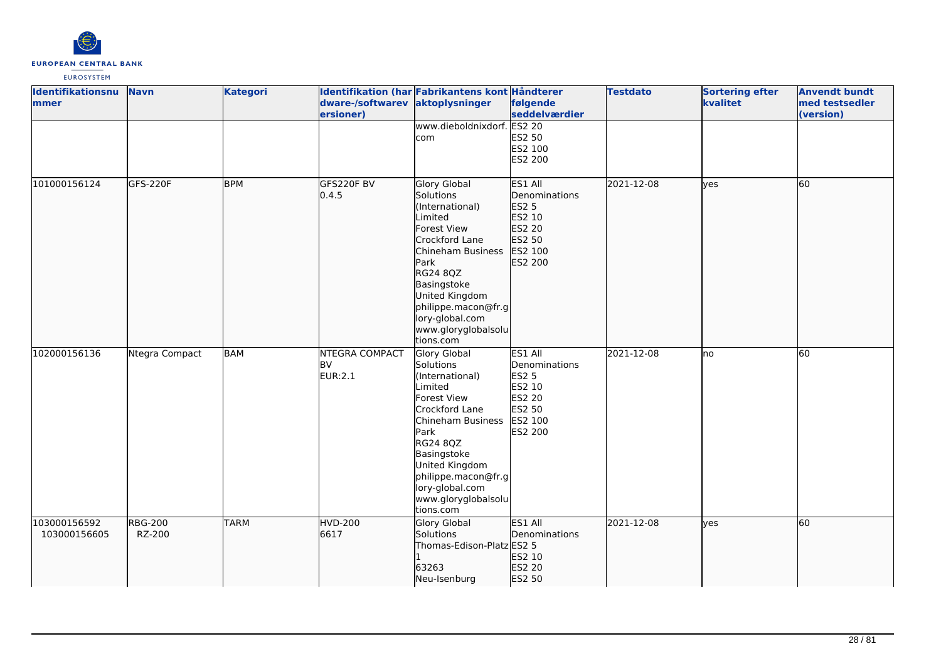

| Identifikationsnu<br><b>Immer</b> | <b>Navn</b>              | <b>Kategori</b> | dware-/softwarev aktoplysninger<br>ersioner)  | Identifikation (har Fabrikantens kont Håndterer                                                                                                                                                                                                         | følgende<br>seddelværdier                                                                    | <b>Testdato</b> | <b>Sortering efter</b><br>kvalitet | <b>Anvendt bundt</b><br>med testsedler<br>(version) |
|-----------------------------------|--------------------------|-----------------|-----------------------------------------------|---------------------------------------------------------------------------------------------------------------------------------------------------------------------------------------------------------------------------------------------------------|----------------------------------------------------------------------------------------------|-----------------|------------------------------------|-----------------------------------------------------|
|                                   |                          |                 |                                               | www.dieboldnixdorf. ES2 20<br>com                                                                                                                                                                                                                       | ES2 50<br>ES2 100<br>ES2 200                                                                 |                 |                                    |                                                     |
| 101000156124                      | GFS-220F                 | <b>BPM</b>      | GFS220F BV<br>0.4.5                           | <b>Glory Global</b><br>Solutions<br>(International)<br>Limited<br>Forest View<br>Crockford Lane<br>Chineham Business<br>Park<br>RG24 8QZ<br>Basingstoke<br>United Kingdom<br>philippe.macon@fr.g<br>lory-global.com<br>www.gloryglobalsolu<br>tions.com | ES1 All<br>Denominations<br><b>ES2 5</b><br>ES2 10<br>ES2 20<br>ES2 50<br>ES2 100<br>ES2 200 | 2021-12-08      | lyes                               | 60                                                  |
| 102000156136                      | Ntegra Compact           | <b>BAM</b>      | <b>NTEGRA COMPACT</b><br><b>BV</b><br>EUR:2.1 | Glory Global<br>Solutions<br>(International)<br>Limited<br>Forest View<br>Crockford Lane<br>Chineham Business<br>Park<br>RG24 8QZ<br>Basingstoke<br>United Kingdom<br>philippe.macon@fr.g<br>lory-global.com<br>www.gloryglobalsolu<br>tions.com        | ES1 All<br>Denominations<br><b>ES2 5</b><br>ES2 10<br>ES2 20<br>ES2 50<br>ES2 100<br>ES2 200 | 2021-12-08      | lno                                | 60                                                  |
| 103000156592<br>103000156605      | <b>RBG-200</b><br>RZ-200 | <b>TARM</b>     | <b>HVD-200</b><br>6617                        | <b>Glory Global</b><br>Solutions<br>Thomas-Edison-Platz ES2 5<br>63263<br>Neu-Isenburg                                                                                                                                                                  | ES1 All<br>Denominations<br>ES2 10<br>ES2 20<br>ES2 50                                       | 2021-12-08      | lyes                               | 60                                                  |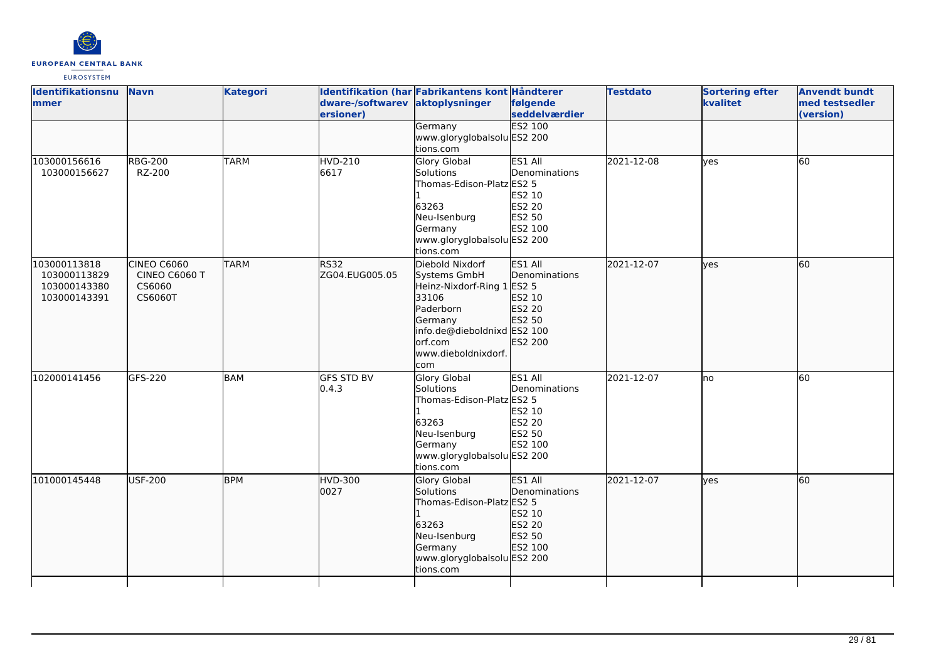

| Identifikationsnu<br>mmer | <b>Navn</b>          | <b>Kategori</b> | dware-/softwarev  | Identifikation (har Fabrikantens kont Håndterer<br>aktoplysninger | følgende                        | <b>Testdato</b> | <b>Sortering efter</b><br>kvalitet | <b>Anvendt bundt</b><br>med testsedler |
|---------------------------|----------------------|-----------------|-------------------|-------------------------------------------------------------------|---------------------------------|-----------------|------------------------------------|----------------------------------------|
|                           |                      |                 | ersioner)         |                                                                   | seddelværdier<br><b>ES2 100</b> |                 |                                    | (version)                              |
|                           |                      |                 |                   | Germany<br>www.gloryglobalsolu ES2 200                            |                                 |                 |                                    |                                        |
|                           |                      |                 |                   | tions.com                                                         |                                 |                 |                                    |                                        |
| 103000156616              | <b>RBG-200</b>       | <b>TARM</b>     | <b>HVD-210</b>    | Glory Global                                                      | ES1 All                         | 2021-12-08      | lyes                               | 60                                     |
| 103000156627              | RZ-200               |                 | 6617              | Solutions                                                         | Denominations                   |                 |                                    |                                        |
|                           |                      |                 |                   | Thomas-Edison-Platz ES2 5                                         |                                 |                 |                                    |                                        |
|                           |                      |                 |                   |                                                                   | ES2 10                          |                 |                                    |                                        |
|                           |                      |                 |                   | 63263                                                             | <b>ES2 20</b>                   |                 |                                    |                                        |
|                           |                      |                 |                   | Neu-Isenburg                                                      | ES2 50                          |                 |                                    |                                        |
|                           |                      |                 |                   | Germany                                                           | ES2 100                         |                 |                                    |                                        |
|                           |                      |                 |                   | www.gloryglobalsolu ES2 200                                       |                                 |                 |                                    |                                        |
|                           |                      |                 |                   | tions.com                                                         |                                 |                 |                                    |                                        |
| 103000113818              | CINEO C6060          | <b>TARM</b>     | <b>RS32</b>       | Diebold Nixdorf                                                   | ES1 All                         | 2021-12-07      | lves                               | 60                                     |
| 103000113829              | <b>CINEO C6060 T</b> |                 | ZG04.EUG005.05    | Systems GmbH                                                      | Denominations                   |                 |                                    |                                        |
| 103000143380              | CS6060               |                 |                   | Heinz-Nixdorf-Ring 1 ES2 5                                        |                                 |                 |                                    |                                        |
| 103000143391              | CS6060T              |                 |                   | 33106                                                             | ES2 10                          |                 |                                    |                                        |
|                           |                      |                 |                   | Paderborn                                                         | ES2 20                          |                 |                                    |                                        |
|                           |                      |                 |                   | Germany                                                           | ES2 50                          |                 |                                    |                                        |
|                           |                      |                 |                   | info.de@dieboldnixd ES2 100<br>orf.com                            | ES2 200                         |                 |                                    |                                        |
|                           |                      |                 |                   | www.dieboldnixdorf.                                               |                                 |                 |                                    |                                        |
|                           |                      |                 |                   | com                                                               |                                 |                 |                                    |                                        |
| 102000141456              | GFS-220              | <b>BAM</b>      | <b>GFS STD BV</b> | Glory Global                                                      | ES1 All                         | 2021-12-07      | lno                                | 60                                     |
|                           |                      |                 | 0.4.3             | <b>Solutions</b>                                                  | Denominations                   |                 |                                    |                                        |
|                           |                      |                 |                   | Thomas-Edison-Platz ES2 5                                         |                                 |                 |                                    |                                        |
|                           |                      |                 |                   |                                                                   | ES2 10                          |                 |                                    |                                        |
|                           |                      |                 |                   | 63263                                                             | ES2 20                          |                 |                                    |                                        |
|                           |                      |                 |                   | Neu-Isenburg                                                      | ES2 50                          |                 |                                    |                                        |
|                           |                      |                 |                   | Germany                                                           | ES2 100                         |                 |                                    |                                        |
|                           |                      |                 |                   | www.gloryglobalsolu ES2 200                                       |                                 |                 |                                    |                                        |
|                           |                      |                 |                   | tions.com                                                         |                                 |                 |                                    |                                        |
| 101000145448              | <b>USF-200</b>       | <b>BPM</b>      | <b>HVD-300</b>    | Glory Global                                                      | ES1 All                         | 2021-12-07      | lves                               | 60                                     |
|                           |                      |                 | 0027              | Solutions                                                         | Denominations                   |                 |                                    |                                        |
|                           |                      |                 |                   | Thomas-Edison-PlatzlES2 5                                         |                                 |                 |                                    |                                        |
|                           |                      |                 |                   |                                                                   | ES2 10                          |                 |                                    |                                        |
|                           |                      |                 |                   | 63263                                                             | ES2 20                          |                 |                                    |                                        |
|                           |                      |                 |                   | Neu-Isenburg                                                      | ES2 50                          |                 |                                    |                                        |
|                           |                      |                 |                   | Germany                                                           | ES2 100                         |                 |                                    |                                        |
|                           |                      |                 |                   | www.gloryglobalsolu ES2 200<br>tions.com                          |                                 |                 |                                    |                                        |
|                           |                      |                 |                   |                                                                   |                                 |                 |                                    |                                        |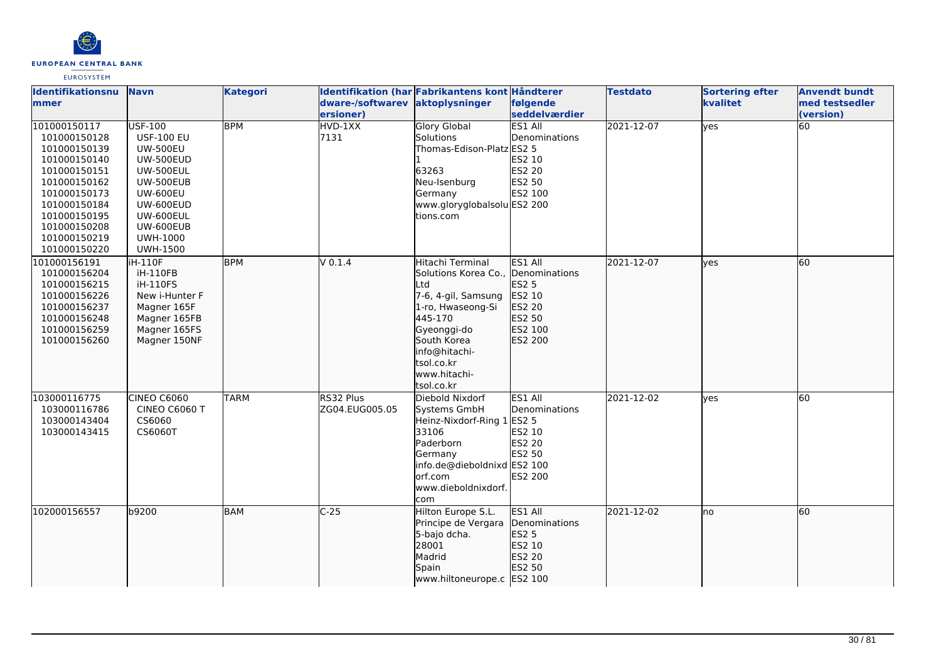

| Identifikationsnu<br>mmer                                                                                                                                                                    | <b>Navn</b>                                                                                                                                                                                                        | <b>Kategori</b> | dware-/softwarev<br>ersioner) | Identifikation (har Fabrikantens kont Håndterer<br>aktoplysninger                                                                                                                                 | følgende<br>seddelværdier                                                             | <b>Testdato</b> | <b>Sortering efter</b><br>kvalitet | <b>Anvendt bundt</b><br>med testsedler<br>(version) |
|----------------------------------------------------------------------------------------------------------------------------------------------------------------------------------------------|--------------------------------------------------------------------------------------------------------------------------------------------------------------------------------------------------------------------|-----------------|-------------------------------|---------------------------------------------------------------------------------------------------------------------------------------------------------------------------------------------------|---------------------------------------------------------------------------------------|-----------------|------------------------------------|-----------------------------------------------------|
| 101000150117<br>101000150128<br>101000150139<br>101000150140<br>101000150151<br>101000150162<br>101000150173<br>101000150184<br>101000150195<br>101000150208<br>101000150219<br>101000150220 | <b>USF-100</b><br><b>USF-100 EU</b><br><b>UW-500EU</b><br><b>UW-500EUD</b><br><b>UW-500EUL</b><br><b>UW-500EUB</b><br><b>UW-600EU</b><br>UW-600EUD<br>UW-600EUL<br>UW-600EUB<br><b>UWH-1000</b><br><b>UWH-1500</b> | <b>BPM</b>      | HVD-1XX<br>7131               | <b>Glory Global</b><br>Solutions<br>Thomas-Edison-Platz ES2 5<br>63263<br>Neu-Isenburg<br>Germany<br>www.gloryglobalsolu ES2 200<br>tions.com                                                     | <b>ES1 All</b><br>Denominations<br>ES2 10<br>ES2 20<br>ES2 50<br>ES2 100              | 2021-12-07      | <b>yes</b>                         | 60                                                  |
| 101000156191<br>101000156204<br>101000156215<br>101000156226<br>101000156237<br>101000156248<br>101000156259<br>101000156260                                                                 | <b>iH-110F</b><br>iH-110FB<br>iH-110FS<br>New i-Hunter F<br>Magner 165F<br>Magner 165FB<br>Magner 165FS<br>Magner 150NF                                                                                            | <b>BPM</b>      | $V$ 0.1.4                     | Hitachi Terminal<br>Solutions Korea Co.,<br>Ltd<br>7-6, 4-gil, Samsung<br>1-ro, Hwaseong-Si<br>445-170<br>Gyeonggi-do<br>South Korea<br>info@hitachi-<br>tsol.co.kr<br>www.hitachi-<br>tsol.co.kr | ES1 All<br>Denominations<br>ES2 5<br>ES2 10<br>ES2 20<br>ES2 50<br>ES2 100<br>ES2 200 | 2021-12-07      | <b>lves</b>                        | 60                                                  |
| 103000116775<br>103000116786<br>103000143404<br>103000143415                                                                                                                                 | <b>CINEO C6060</b><br>CINEO C6060 T<br>CS6060<br>CS6060T                                                                                                                                                           | <b>TARM</b>     | RS32 Plus<br>ZG04.EUG005.05   | Diebold Nixdorf<br>Systems GmbH<br>Heinz-Nixdorf-Ring 1 ES2 5<br>33106<br>Paderborn<br>Germany<br>info.de@dieboldnixd ES2 100<br>orf.com<br>www.dieboldnixdorf.<br>com                            | ES1 All<br>Denominations<br>ES2 10<br><b>ES2 20</b><br>ES2 50<br>ES2 200              | 2021-12-02      | lves                               | 60                                                  |
| 102000156557                                                                                                                                                                                 | b9200                                                                                                                                                                                                              | BAM             | $C-25$                        | Hilton Europe S.L.<br>Principe de Vergara<br>5-bajo dcha.<br>28001<br>Madrid<br>Spain<br>www.hiltoneurope.c ES2 100                                                                               | ES1 All<br>Denominations<br>ES2 5<br>ES2 10<br>ES2 20<br>ES2 50                       | 2021-12-02      | Ino                                | 60                                                  |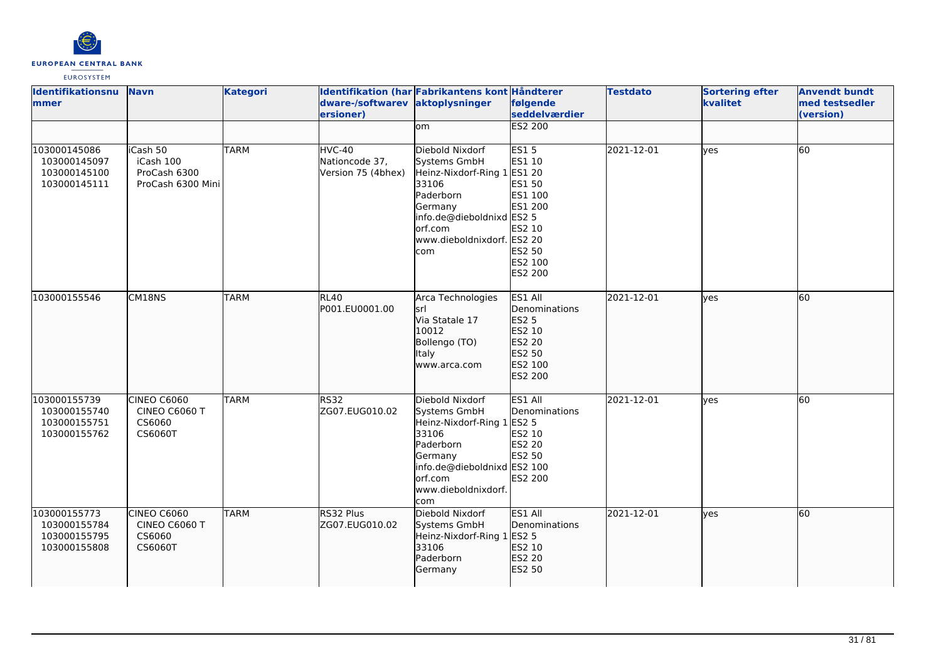

| Identifikationsnu<br><b>Immer</b>                            | <b>Navn</b>                                                | <b>Kategori</b> | dware-/softwarev aktoplysninger<br>ersioner)   | Identifikation (har Fabrikantens kont Håndterer                                                                                                                              | følgende<br>seddelværdier                                                                       | <b>Testdato</b> | <b>Sortering efter</b><br>kvalitet | <b>Anvendt bundt</b><br>med testsedler<br>(version) |
|--------------------------------------------------------------|------------------------------------------------------------|-----------------|------------------------------------------------|------------------------------------------------------------------------------------------------------------------------------------------------------------------------------|-------------------------------------------------------------------------------------------------|-----------------|------------------------------------|-----------------------------------------------------|
|                                                              |                                                            |                 |                                                | om                                                                                                                                                                           | <b>ES2 200</b>                                                                                  |                 |                                    |                                                     |
| 103000145086<br>103000145097<br>103000145100<br>103000145111 | iCash 50<br>iCash 100<br>ProCash 6300<br>ProCash 6300 Mini | <b>TARM</b>     | HVC-40<br>Nationcode 37,<br>Version 75 (4bhex) | Diebold Nixdorf<br>Systems GmbH<br>Heinz-Nixdorf-Ring 1 ES1 20<br>33106<br>Paderborn<br>Germany<br>info.de@dieboldnixd ES2 5<br>orf.com<br>www.dieboldnixdorf. ES2 20<br>com | <b>ES15</b><br>ES1 10<br>ES1 50<br>ES1 100<br>ES1 200<br>ES2 10<br>ES2 50<br>ES2 100<br>ES2 200 | 2021-12-01      | ves                                | 60                                                  |
| 103000155546                                                 | CM18NS                                                     | <b>TARM</b>     | RL40<br>P001.EU0001.00                         | Arca Technologies<br>lsrl<br>Via Statale 17<br>10012<br>Bollengo (TO)<br>Italy<br>www.arca.com                                                                               | ES1 All<br>Denominations<br><b>ES2 5</b><br>ES2 10<br>ES2 20<br>ES2 50<br>ES2 100<br>ES2 200    | 2021-12-01      | lyes                               | 60                                                  |
| 103000155739<br>103000155740<br>103000155751<br>103000155762 | CINEO C6060<br>CINEO C6060 T<br>CS6060<br>CS6060T          | <b>TARM</b>     | <b>RS32</b><br>ZG07.EUG010.02                  | Diebold Nixdorf<br>Systems GmbH<br>Heinz-Nixdorf-Ring 1 ES2 5<br>33106<br>Paderborn<br>Germany<br>info.de@dieboldnixd ES2 100<br>orf.com<br>www.dieboldnixdorf.<br>com       | ES1 All<br>Denominations<br>ES2 10<br><b>ES2 20</b><br>ES2 50<br>ES2 200                        | 2021-12-01      | ves                                | $\overline{60}$                                     |
| 103000155773<br>103000155784<br>103000155795<br>103000155808 | CINEO C6060<br>CINEO C6060 T<br>CS6060<br>CS6060T          | <b>TARM</b>     | RS32 Plus<br>ZG07.EUG010.02                    | Diebold Nixdorf<br>Systems GmbH<br>Heinz-Nixdorf-Ring 1 ES2 5<br>33106<br>Paderborn<br>Germany                                                                               | ES1 All<br>Denominations<br>ES2 10<br>ES2 20<br>ES2 50                                          | 2021-12-01      | ves                                | 60                                                  |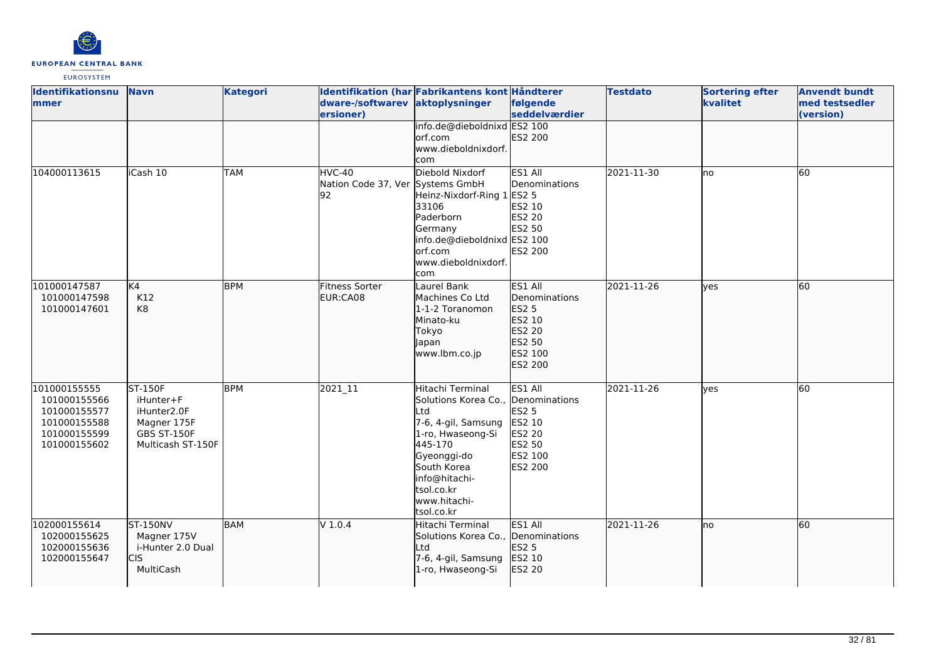

| Identifikationsnu<br>mmer                                                                    | <b>Navn</b>                                                                                          | <b>Kategori</b> | dware-/softwarev aktoplysninger<br>ersioner)     | Identifikation (har Fabrikantens kont Håndterer                                                                                                                                                                 | følgende<br>seddelværdier                                                             | <b>Testdato</b> | <b>Sortering efter</b><br>kvalitet | <b>Anvendt bundt</b><br>med testsedler<br>(version) |
|----------------------------------------------------------------------------------------------|------------------------------------------------------------------------------------------------------|-----------------|--------------------------------------------------|-----------------------------------------------------------------------------------------------------------------------------------------------------------------------------------------------------------------|---------------------------------------------------------------------------------------|-----------------|------------------------------------|-----------------------------------------------------|
|                                                                                              |                                                                                                      |                 |                                                  | info.de@dieboldnixd ES2 100<br>orf.com<br>www.dieboldnixdorf.<br>com                                                                                                                                            | ES2 200                                                                               |                 |                                    |                                                     |
| 104000113615                                                                                 | iCash 10                                                                                             | <b>TAM</b>      | HVC-40<br>Nation Code 37, Ver Systems GmbH<br>92 | Diebold Nixdorf<br>Heinz-Nixdorf-Ring 1 ES2 5<br>33106<br>Paderborn<br>Germany<br>info.de@dieboldnixd ES2 100<br>orf.com<br>www.dieboldnixdorf.<br>com                                                          | ES1 All<br>Denominations<br>ES2 10<br>ES2 20<br>ES2 50<br><b>ES2 200</b>              | 2021-11-30      | lno                                | <b>60</b>                                           |
| 101000147587<br>101000147598<br>101000147601                                                 | K4<br>K12<br>K8                                                                                      | <b>BPM</b>      | <b>Fitness Sorter</b><br>EUR:CA08                | Laurel Bank<br>Machines Co Ltd<br>1-1-2 Toranomon<br>Minato-ku<br>Tokyo<br>Japan<br>www.lbm.co.jp                                                                                                               | ES1 All<br>Denominations<br>ES2 5<br>ES2 10<br>ES2 20<br>ES2 50<br>ES2 100<br>ES2 200 | 2021-11-26      | lves                               | 60                                                  |
| 101000155555<br>101000155566<br>101000155577<br>101000155588<br>101000155599<br>101000155602 | <b>ST-150F</b><br>iHunter+F<br>iHunter2.0F<br>Magner 175F<br><b>GBS ST-150F</b><br>Multicash ST-150F | <b>BPM</b>      | 2021_11                                          | Hitachi Terminal<br>Solutions Korea Co., Denominations<br>Ltd<br>7-6, 4-gil, Samsung<br>1-ro, Hwaseong-Si<br>445-170<br>Gyeonggi-do<br>South Korea<br>info@hitachi-<br>tsol.co.kr<br>www.hitachi-<br>tsol.co.kr | ES1 All<br><b>ES2 5</b><br>ES2 10<br><b>ES2 20</b><br>ES2 50<br>ES2 100<br>ES2 200    | 2021-11-26      | lves                               | 60                                                  |
| 102000155614<br>102000155625<br>102000155636<br>102000155647                                 | <b>ST-150NV</b><br>Magner 175V<br>i-Hunter 2.0 Dual<br><b>CIS</b><br>MultiCash                       | BAM             | $V$ 1.0.4                                        | Hitachi Terminal<br>Solutions Korea Co., Denominations<br>Ltd<br>7-6, 4-gil, Samsung<br>1-ro, Hwaseong-Si                                                                                                       | ES1 All<br>ES2 5<br>ES2 10<br>ES2 20                                                  | 2021-11-26      | lno                                | 60                                                  |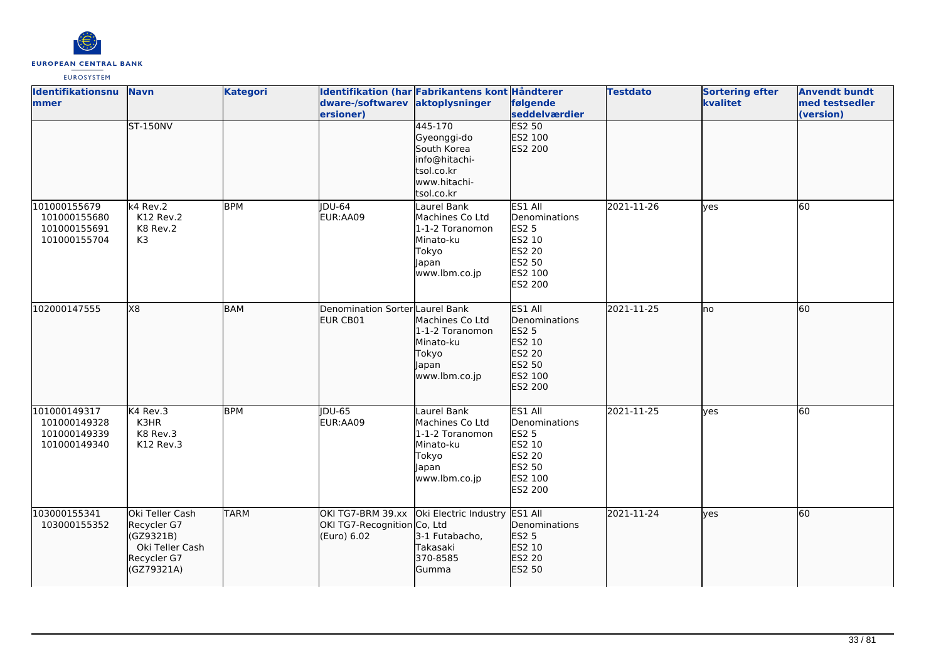

| <b>Identifikationsnu</b><br>lmmer                            | <b>Navn</b>                                                                                 | <b>Kategori</b> | dware-/softwarev aktoplysninger<br>ersioner)                    | Identifikation (har Fabrikantens kont Håndterer                                                    | følgende<br>seddelværdier                                                                                  | <b>Testdato</b> | <b>Sortering efter</b><br>kvalitet | <b>Anvendt bundt</b><br>med testsedler<br>(version) |
|--------------------------------------------------------------|---------------------------------------------------------------------------------------------|-----------------|-----------------------------------------------------------------|----------------------------------------------------------------------------------------------------|------------------------------------------------------------------------------------------------------------|-----------------|------------------------------------|-----------------------------------------------------|
|                                                              | <b>ST-150NV</b>                                                                             |                 |                                                                 | 445-170<br>Gyeonggi-do<br>South Korea<br>info@hitachi-<br>tsol.co.kr<br>www.hitachi-<br>tsol.co.kr | <b>ES2 50</b><br>ES2 100<br>ES2 200                                                                        |                 |                                    |                                                     |
| 101000155679<br>101000155680<br>101000155691<br>101000155704 | k4 Rev.2<br>K12 Rev.2<br>K8 Rev.2<br>K3                                                     | <b>BPM</b>      | $\overline{IDU-64}$<br>EUR:AA09                                 | Laurel Bank<br>Machines Co Ltd<br>1-1-2 Toranomon<br>Minato-ku<br>Tokyo<br>Japan<br>www.lbm.co.jp  | ES1 All<br>Denominations<br><b>ES2 5</b><br>ES2 10<br>ES2 20<br>ES2 50<br>ES2 100<br>ES2 200               | 2021-11-26      | ves                                | 60                                                  |
| 102000147555                                                 | X8                                                                                          | <b>BAM</b>      | Denomination Sorter Laurel Bank<br>EUR CB01                     | Machines Co Ltd<br>1-1-2 Toranomon<br>Minato-ku<br>Tokyo<br>Japan<br>www.lbm.co.jp                 | ES1 All<br>Denominations<br>ES2 5<br>ES2 10<br>ES2 20<br>ES2 50<br>ES2 100<br>ES2 200                      | 2021-11-25      | no                                 | 60                                                  |
| 101000149317<br>101000149328<br>101000149339<br>101000149340 | K4 Rev.3<br>K3HR<br>K8 Rev.3<br>K12 Rev.3                                                   | <b>BPM</b>      | $\overline{IDU-65}$<br>EUR:AA09                                 | Laurel Bank<br>Machines Co Ltd<br>1-1-2 Toranomon<br>Minato-ku<br>Tokyo<br>Japan<br>www.lbm.co.jp  | ES1 All<br>Denominations<br><b>ES2 5</b><br>ES2 10<br><b>ES2 20</b><br>ES2 50<br>ES2 100<br><b>ES2 200</b> | 2021-11-25      | ves                                | $\overline{60}$                                     |
| 103000155341<br>103000155352                                 | Oki Teller Cash<br>Recycler G7<br>(GZ9321B)<br>Oki Teller Cash<br>Recycler G7<br>(GZ79321A) | <b>TARM</b>     | OKI TG7-BRM 39.xx<br>OKI TG7-Recognition Co, Ltd<br>(Euro) 6.02 | Oki Electric Industry ES1 All<br>3-1 Futabacho,<br>Takasaki<br>370-8585<br>Gumma                   | Denominations<br>ES2 5<br>ES2 10<br>ES2 20<br>ES2 50                                                       | 2021-11-24      | lves                               | 60                                                  |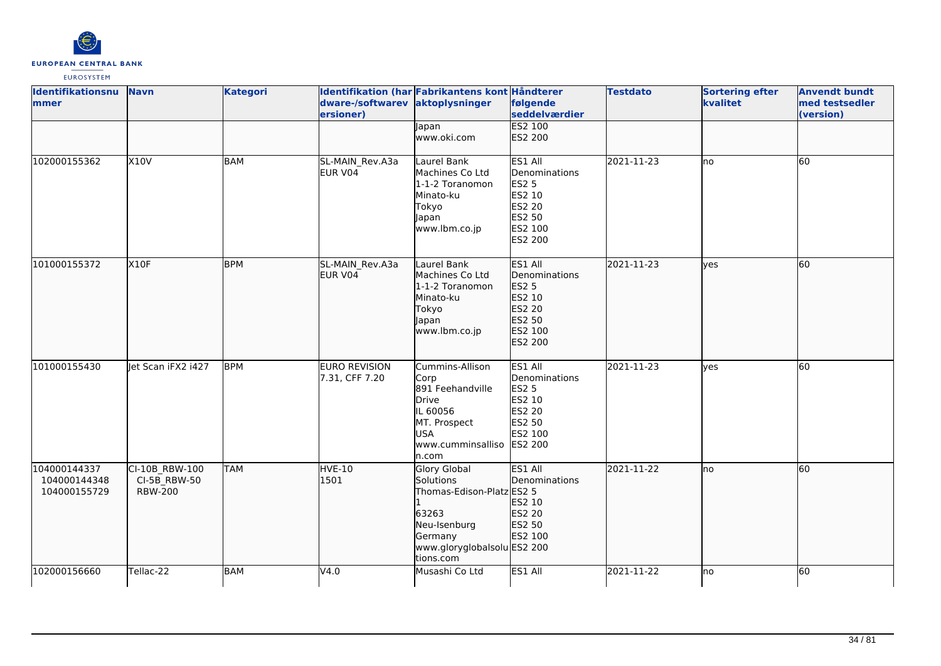

| Identifikationsnu<br>mmer                    | <b>Navn</b>                                      | <b>Kategori</b> | dware-/softwarev<br>ersioner)          | Identifikation (har Fabrikantens kont Håndterer<br>aktoplysninger                                                                      | følgende<br>seddelværdier                                                                    | <b>Testdato</b> | <b>Sortering efter</b><br>kvalitet | <b>Anvendt bundt</b><br>med testsedler<br>(version) |
|----------------------------------------------|--------------------------------------------------|-----------------|----------------------------------------|----------------------------------------------------------------------------------------------------------------------------------------|----------------------------------------------------------------------------------------------|-----------------|------------------------------------|-----------------------------------------------------|
|                                              |                                                  |                 |                                        | Japan<br>www.oki.com                                                                                                                   | <b>ES2 100</b><br>ES2 200                                                                    |                 |                                    |                                                     |
| 102000155362                                 | X10V                                             | BAM             | SL-MAIN_Rev.A3a<br>EUR V04             | Laurel Bank<br>Machines Co Ltd<br>1-1-2 Toranomon<br>Minato-ku<br>Tokyo<br>Japan<br>www.lbm.co.jp                                      | ES1 All<br>Denominations<br><b>ES2 5</b><br>ES2 10<br>ES2 20<br>ES2 50<br>ES2 100<br>ES2 200 | 2021-11-23      | lno                                | 60                                                  |
| 101000155372                                 | <b>X10F</b>                                      | <b>BPM</b>      | SL-MAIN_Rev.A3a<br>EUR V04             | Laurel Bank<br>Machines Co Ltd<br>1-1-2 Toranomon<br>Minato-ku<br>Tokyo<br>Japan<br>www.lbm.co.jp                                      | ES1 All<br>Denominations<br>ES2 5<br>ES2 10<br>ES2 20<br>ES2 50<br>ES2 100<br>ES2 200        | 2021-11-23      | lyes                               | 60                                                  |
| 101000155430                                 | let Scan iFX2 i427                               | <b>BPM</b>      | <b>EURO REVISION</b><br>7.31, CFF 7.20 | Cummins-Allison<br>Corp<br>891 Feehandville<br>Drive<br>IL 60056<br>MT. Prospect<br><b>USA</b><br>www.cumminsalliso<br>n.com           | ES1 All<br>Denominations<br><b>ES2 5</b><br>ES2 10<br>ES2 20<br>ES2 50<br>ES2 100<br>ES2 200 | 2021-11-23      | lyes                               | 60                                                  |
| 104000144337<br>104000144348<br>104000155729 | CI-10B RBW-100<br>CI-5B_RBW-50<br><b>RBW-200</b> | <b>TAM</b>      | <b>HVE-10</b><br>1501                  | Glory Global<br>Solutions<br>Thomas-Edison-Platz ES2 5<br>63263<br>Neu-Isenburg<br>Germany<br>www.gloryglobalsolu ES2 200<br>tions.com | ES1 All<br>Denominations<br>ES2 10<br>ES2 20<br>ES2 50<br>ES2 100                            | 2021-11-22      | lno                                | 60                                                  |
| 102000156660                                 | Tellac-22                                        | <b>BAM</b>      | V4.0                                   | Musashi Co Ltd                                                                                                                         | ES1 All                                                                                      | 2021-11-22      | lno                                | 60                                                  |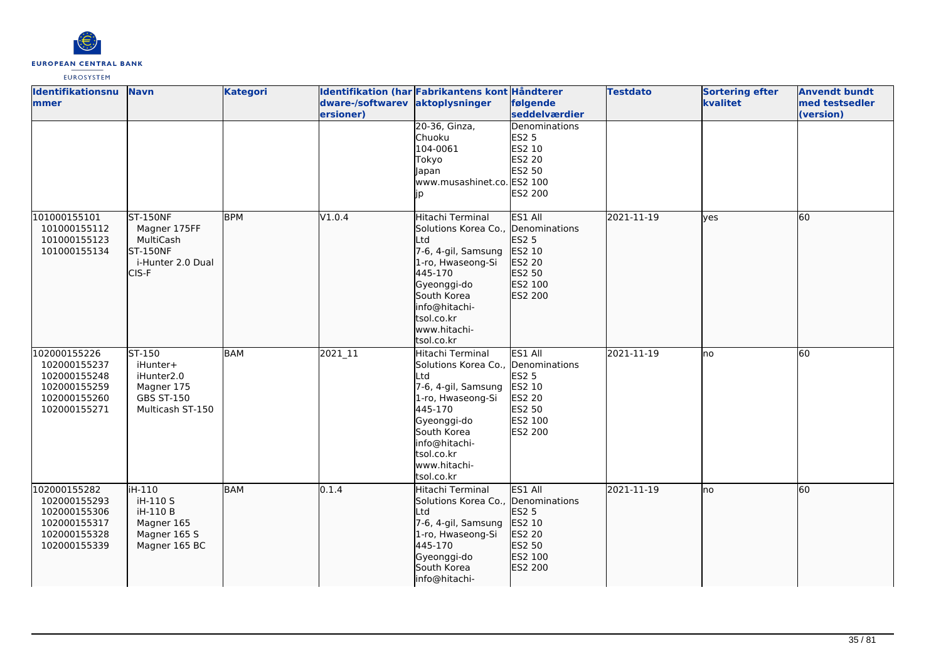

| <b>Identifikationsnu</b><br>lmmer                                                            | <b>Navn</b>                                                                             | <b>Kategori</b> | dware-/softwarev aktoplysninger | Identifikation (har Fabrikantens kont Håndterer                                                                                                                                                                 | følgende                                                                              | <b>Testdato</b> | <b>Sortering efter</b><br>kvalitet | <b>Anvendt bundt</b><br>med testsedler |
|----------------------------------------------------------------------------------------------|-----------------------------------------------------------------------------------------|-----------------|---------------------------------|-----------------------------------------------------------------------------------------------------------------------------------------------------------------------------------------------------------------|---------------------------------------------------------------------------------------|-----------------|------------------------------------|----------------------------------------|
|                                                                                              |                                                                                         |                 | ersioner)                       |                                                                                                                                                                                                                 | seddelværdier                                                                         |                 |                                    | (version)                              |
|                                                                                              |                                                                                         |                 |                                 | 20-36, Ginza,<br>Chuoku<br>104-0061<br>Tokyo<br>apan<br>www.musashinet.co. ES2 100<br>ID                                                                                                                        | Denominations<br><b>ES2 5</b><br>ES2 10<br>ES2 20<br>ES2 50<br><b>ES2 200</b>         |                 |                                    |                                        |
| 101000155101<br>101000155112<br>101000155123<br>101000155134                                 | <b>ST-150NF</b><br>Magner 175FF<br>MultiCash<br>ST-150NF<br>i-Hunter 2.0 Dual<br>CIS-F  | <b>BPM</b>      | V1.0.4                          | Hitachi Terminal<br>Solutions Korea Co.,<br>Ltd<br>7-6, 4-gil, Samsung<br>1-ro, Hwaseong-Si<br>445-170<br>Gyeonggi-do<br>South Korea<br>info@hitachi-<br>tsol.co.kr<br>www.hitachi-<br>tsol.co.kr               | ES1 All<br>Denominations<br>ES2 5<br>ES2 10<br>ES2 20<br>ES2 50<br>ES2 100<br>ES2 200 | 2021-11-19      | lves                               | 60                                     |
| 102000155226<br>102000155237<br>102000155248<br>102000155259<br>102000155260<br>102000155271 | ST-150<br>iHunter+<br>iHunter2.0<br>Magner 175<br><b>GBS ST-150</b><br>Multicash ST-150 | <b>BAM</b>      | 2021_11                         | Hitachi Terminal<br>Solutions Korea Co., Denominations<br>Ltd<br>7-6, 4-gil, Samsung<br>1-ro, Hwaseong-Si<br>445-170<br>Gyeonggi-do<br>South Korea<br>info@hitachi-<br>tsol.co.kr<br>www.hitachi-<br>tsol.co.kr | ES1 All<br><b>ES2 5</b><br>ES2 10<br><b>ES2 20</b><br>ES2 50<br>ES2 100<br>ES2 200    | 2021-11-19      | lno                                | 60                                     |
| 102000155282<br>102000155293<br>102000155306<br>102000155317<br>102000155328<br>102000155339 | liH-110<br>iH-110 S<br>iH-110 B<br>Magner 165<br>Magner 165 S<br>Magner 165 BC          | <b>BAM</b>      | 0.1.4                           | Hitachi Terminal<br>Solutions Korea Co.,<br>Ltd<br>7-6, 4-gil, Samsung<br>1-ro, Hwaseong-Si<br>445-170<br>Gyeonggi-do<br>South Korea<br>info@hitachi-                                                           | ES1 All<br>Denominations<br>ES2 5<br>ES2 10<br>ES2 20<br>ES2 50<br>ES2 100<br>ES2 200 | 2021-11-19      | Ino                                | 60                                     |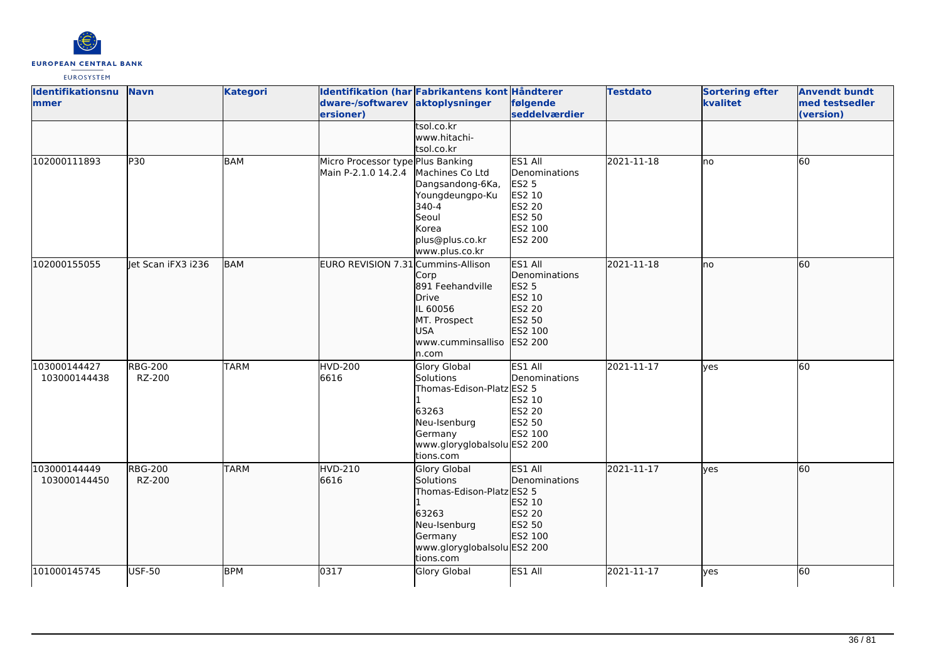

| <b>Identifikationsnu</b><br>mmer | <b>Navn</b>              | <b>Kategori</b> | dware-/softwarev aktoplysninger<br>ersioner)             | Identifikation (har Fabrikantens kont Håndterer                                                                                               | følgende<br>seddelværdier                                                                    | <b>Testdato</b> | <b>Sortering efter</b><br>kvalitet | <b>Anvendt bundt</b><br>med testsedler<br>(version) |
|----------------------------------|--------------------------|-----------------|----------------------------------------------------------|-----------------------------------------------------------------------------------------------------------------------------------------------|----------------------------------------------------------------------------------------------|-----------------|------------------------------------|-----------------------------------------------------|
|                                  |                          |                 |                                                          | tsol.co.kr<br>www.hitachi-<br>tsol.co.kr                                                                                                      |                                                                                              |                 |                                    |                                                     |
| 102000111893                     | P30                      | BAM             | Micro Processor type Plus Banking<br>Main P-2.1.0 14.2.4 | Machines Co Ltd<br>Dangsandong-6Ka,<br>Youngdeungpo-Ku<br>340-4<br>Seoul<br>Korea<br>plus@plus.co.kr<br>www.plus.co.kr                        | ES1 All<br>Denominations<br><b>ES2 5</b><br>ES2 10<br>ES2 20<br>ES2 50<br>ES2 100<br>ES2 200 | 2021-11-18      | lno                                | 60                                                  |
| 102000155055                     | let Scan iFX3 i236       | <b>BAM</b>      | EURO REVISION 7.31 Cummins-Allison                       | Corp<br>891 Feehandville<br>Drive<br>IL 60056<br>MT. Prospect<br><b>USA</b><br>www.cumminsalliso<br>n.com                                     | ES1 All<br>Denominations<br>ES2 5<br>ES2 10<br>ES2 20<br>ES2 50<br>ES2 100<br>ES2 200        | 2021-11-18      | lno                                | 60                                                  |
| 103000144427<br>103000144438     | <b>RBG-200</b><br>RZ-200 | <b>TARM</b>     | <b>HVD-200</b><br>6616                                   | <b>Glory Global</b><br>Solutions<br>Thomas-Edison-Platz ES2 5<br>63263<br>Neu-Isenburg<br>Germany<br>www.gloryglobalsolu ES2 200<br>tions.com | ES1 All<br>Denominations<br>ES2 10<br>ES2 20<br>ES2 50<br>ES2 100                            | 2021-11-17      | lyes                               | 60                                                  |
| 103000144449<br>103000144450     | <b>RBG-200</b><br>RZ-200 | <b>TARM</b>     | <b>HVD-210</b><br>6616                                   | Glory Global<br>Solutions<br>Thomas-Edison-Platz ES2 5<br>63263<br>Neu-Isenburg<br>Germany<br>www.gloryglobalsolu ES2 200<br>tions.com        | ES1 All<br>Denominations<br>ES2 10<br>ES2 20<br>ES2 50<br>ES2 100                            | 2021-11-17      | ves                                | 60                                                  |
| 101000145745                     | <b>USF-50</b>            | <b>BPM</b>      | 0317                                                     | <b>Glory Global</b>                                                                                                                           | ES1 All                                                                                      | 2021-11-17      | yes                                | 60                                                  |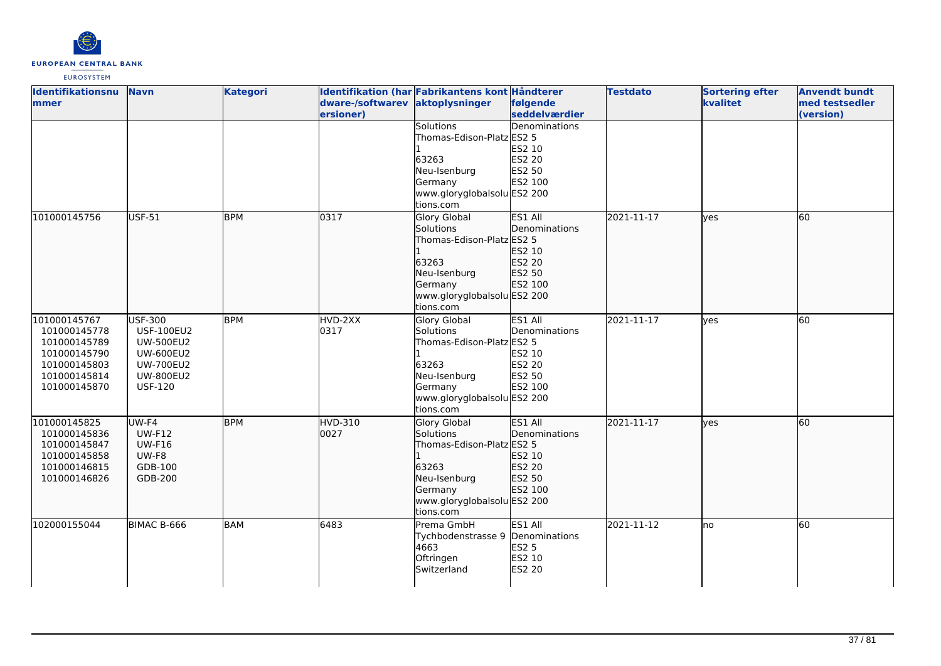

| <b>Identifikationsnu</b> | <b>Navn</b>       | <b>Kategori</b> |                  | Identifikation (har Fabrikantens kont Håndterer |                | <b>Testdato</b> | <b>Sortering efter</b> | <b>Anvendt bundt</b> |
|--------------------------|-------------------|-----------------|------------------|-------------------------------------------------|----------------|-----------------|------------------------|----------------------|
| <b>mmer</b>              |                   |                 | dware-/softwarev | aktoplysninger                                  | følgende       |                 | kvalitet               | med testsedler       |
|                          |                   |                 | ersioner)        |                                                 | seddelværdier  |                 |                        | (version)            |
|                          |                   |                 |                  | Solutions                                       | Denominations  |                 |                        |                      |
|                          |                   |                 |                  | Thomas-Edison-Platz ES2 5                       |                |                 |                        |                      |
|                          |                   |                 |                  |                                                 | ES2 10         |                 |                        |                      |
|                          |                   |                 |                  | 63263                                           | ES2 20         |                 |                        |                      |
|                          |                   |                 |                  | Neu-Isenburg                                    | ES2 50         |                 |                        |                      |
|                          |                   |                 |                  | Germany                                         | ES2 100        |                 |                        |                      |
|                          |                   |                 |                  | www.gloryglobalsolu ES2 200                     |                |                 |                        |                      |
|                          |                   |                 |                  | tions.com                                       |                |                 |                        |                      |
| 101000145756             | USF-51            | <b>BPM</b>      | $\sqrt{0317}$    | <b>Glory Global</b>                             | <b>ES1 All</b> | 2021-11-17      | lyes                   | 60                   |
|                          |                   |                 |                  | Solutions                                       | Denominations  |                 |                        |                      |
|                          |                   |                 |                  | Thomas-Edison-Platz ES2 5                       |                |                 |                        |                      |
|                          |                   |                 |                  |                                                 | ES2 10         |                 |                        |                      |
|                          |                   |                 |                  | 63263                                           | ES2 20         |                 |                        |                      |
|                          |                   |                 |                  | Neu-Isenburg                                    | ES2 50         |                 |                        |                      |
|                          |                   |                 |                  | Germany                                         | ES2 100        |                 |                        |                      |
|                          |                   |                 |                  | www.gloryglobalsolu ES2 200                     |                |                 |                        |                      |
|                          |                   |                 |                  | tions.com                                       |                |                 |                        |                      |
| 101000145767             | <b>USF-300</b>    | <b>BPM</b>      | HVD-2XX          | <b>Glory Global</b>                             | ES1 All        | 2021-11-17      | <b>ves</b>             | 60                   |
| 101000145778             | <b>USF-100EU2</b> |                 | 0317             | Solutions                                       | Denominations  |                 |                        |                      |
| 101000145789             | <b>UW-500EU2</b>  |                 |                  | Thomas-Edison-Platz ES2 5                       |                |                 |                        |                      |
| 101000145790             | <b>UW-600EU2</b>  |                 |                  |                                                 | ES2 10         |                 |                        |                      |
| 101000145803             | <b>UW-700EU2</b>  |                 |                  | 63263                                           | <b>ES2 20</b>  |                 |                        |                      |
| 101000145814             | <b>UW-800EU2</b>  |                 |                  | Neu-Isenburg                                    | ES2 50         |                 |                        |                      |
| 101000145870             | <b>USF-120</b>    |                 |                  | Germany                                         | ES2 100        |                 |                        |                      |
|                          |                   |                 |                  | www.gloryglobalsolu ES2 200                     |                |                 |                        |                      |
|                          |                   |                 |                  | tions.com                                       |                |                 |                        |                      |
| 101000145825             | UW-F4             | <b>BPM</b>      | HVD-310          | Glory Global                                    | <b>ES1 All</b> | 2021-11-17      | lves                   | 60                   |
| 101000145836             | <b>UW-F12</b>     |                 | 0027             | Solutions                                       | Denominations  |                 |                        |                      |
| 101000145847             | <b>UW-F16</b>     |                 |                  | Thomas-Edison-Platz ES2 5                       |                |                 |                        |                      |
| 101000145858             | UW-F8             |                 |                  |                                                 | ES2 10         |                 |                        |                      |
| 101000146815             | GDB-100           |                 |                  | 63263                                           | ES2 20         |                 |                        |                      |
| 101000146826             | GDB-200           |                 |                  | Neu-Isenburg                                    | ES2 50         |                 |                        |                      |
|                          |                   |                 |                  | Germany                                         | ES2 100        |                 |                        |                      |
|                          |                   |                 |                  | www.gloryglobalsolu ES2 200                     |                |                 |                        |                      |
|                          |                   |                 |                  | tions.com                                       |                |                 |                        |                      |
| 102000155044             | BIMAC B-666       | <b>BAM</b>      | 6483             | Prema GmbH                                      | ES1 All        | 2021-11-12      | lno                    | 60                   |
|                          |                   |                 |                  | Tychbodenstrasse 9                              | Denominations  |                 |                        |                      |
|                          |                   |                 |                  | 4663                                            | <b>ES2 5</b>   |                 |                        |                      |
|                          |                   |                 |                  | Oftringen                                       | ES2 10         |                 |                        |                      |
|                          |                   |                 |                  | Switzerland                                     | ES2 20         |                 |                        |                      |
|                          |                   |                 |                  |                                                 |                |                 |                        |                      |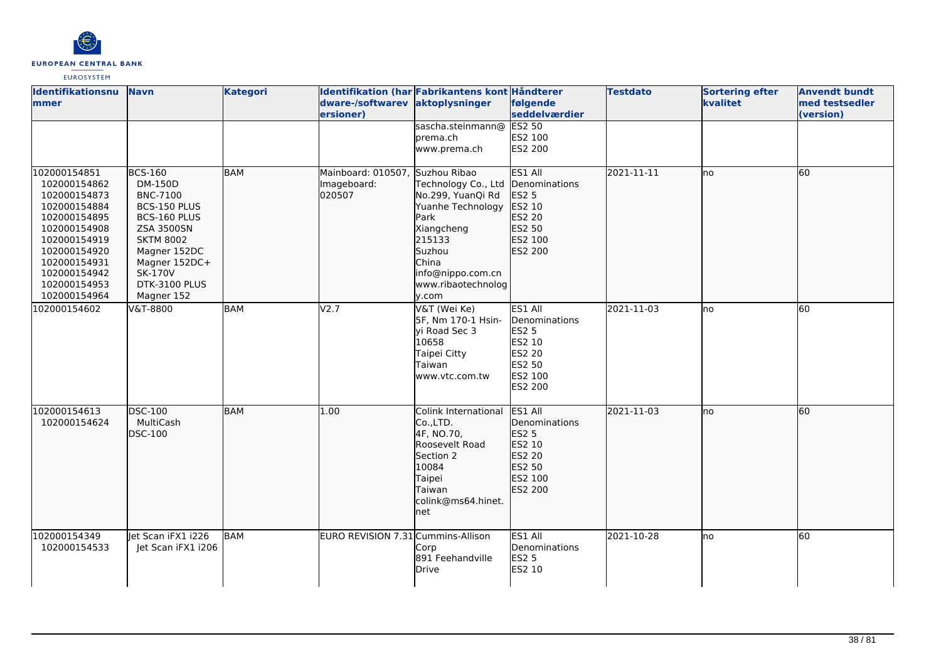

| <b>Identifikationsnu</b><br><b>mmer</b>                                                                                                                                                      | <b>Navn</b>                                                                                                                                                                                             | <b>Kategori</b> | dware-/softwarev aktoplysninger<br>ersioner)             | Identifikation (har Fabrikantens kont Håndterer                                                                                                                      | følgende<br><b>seddelværdier</b>                                                             | <b>Testdato</b> | <b>Sortering efter</b><br>kvalitet | <b>Anvendt bundt</b><br>med testsedler<br>(version) |
|----------------------------------------------------------------------------------------------------------------------------------------------------------------------------------------------|---------------------------------------------------------------------------------------------------------------------------------------------------------------------------------------------------------|-----------------|----------------------------------------------------------|----------------------------------------------------------------------------------------------------------------------------------------------------------------------|----------------------------------------------------------------------------------------------|-----------------|------------------------------------|-----------------------------------------------------|
|                                                                                                                                                                                              |                                                                                                                                                                                                         |                 |                                                          | sascha.steinmann@<br>prema.ch<br>www.prema.ch                                                                                                                        | <b>ES2 50</b><br>ES2 100<br><b>ES2 200</b>                                                   |                 |                                    |                                                     |
| 102000154851<br>102000154862<br>102000154873<br>102000154884<br>102000154895<br>102000154908<br>102000154919<br>102000154920<br>102000154931<br>102000154942<br>102000154953<br>102000154964 | <b>BCS-160</b><br>DM-150D<br><b>BNC-7100</b><br>BCS-150 PLUS<br>BCS-160 PLUS<br><b>ZSA 3500SN</b><br><b>SKTM 8002</b><br>Magner 152DC<br>Magner 152DC+<br><b>SK-170V</b><br>DTK-3100 PLUS<br>Magner 152 | BAM             | Mainboard: 010507, Suzhou Ribao<br>Imageboard:<br>020507 | Technology Co., Ltd<br>No.299, YuanQi Rd<br>Yuanhe Technology<br>Park<br>Xiangcheng<br>215133<br>Suzhou<br>China<br>info@nippo.com.cn<br>www.ribaotechnolog<br>y.com | ES1 All<br>Denominations<br>ES2 5<br>ES2 10<br>ES2 20<br>ES2 50<br>ES2 100<br>ES2 200        | 2021-11-11      | Ino                                | 60                                                  |
| 102000154602                                                                                                                                                                                 | V&T-8800                                                                                                                                                                                                | <b>BAM</b>      | V2.7                                                     | V&T (Wei Ke)<br>5F, Nm 170-1 Hsin-<br>yi Road Sec 3<br>10658<br>Taipei Citty<br>Taiwan<br>www.vtc.com.tw                                                             | ES1 All<br>Denominations<br><b>ES2 5</b><br>ES2 10<br>ES2 20<br>ES2 50<br>ES2 100<br>ES2 200 | 2021-11-03      | lno                                | 60                                                  |
| 102000154613<br>102000154624                                                                                                                                                                 | <b>DSC-100</b><br>MultiCash<br>DSC-100                                                                                                                                                                  | <b>BAM</b>      | 1.00                                                     | Colink International<br>Co.,LTD.<br>4F, NO.70,<br>Roosevelt Road<br>Section 2<br>10084<br>Taipei<br>Taiwan<br>colink@ms64.hinet.<br>net                              | ES1 All<br>Denominations<br>ES2 5<br>ES2 10<br>ES2 20<br>ES2 50<br>ES2 100<br>ES2 200        | 2021-11-03      | Ino                                | 60                                                  |
| 102000154349<br>102000154533                                                                                                                                                                 | et Scan iFX1 i226<br>Jet Scan iFX1 i206                                                                                                                                                                 | <b>BAM</b>      | EURO REVISION 7.31 Cummins-Allison                       | Corp<br>891 Feehandville<br>Drive                                                                                                                                    | ES1 All<br>Denominations<br><b>ES2 5</b><br>ES2 10                                           | 2021-10-28      | lno                                | 60                                                  |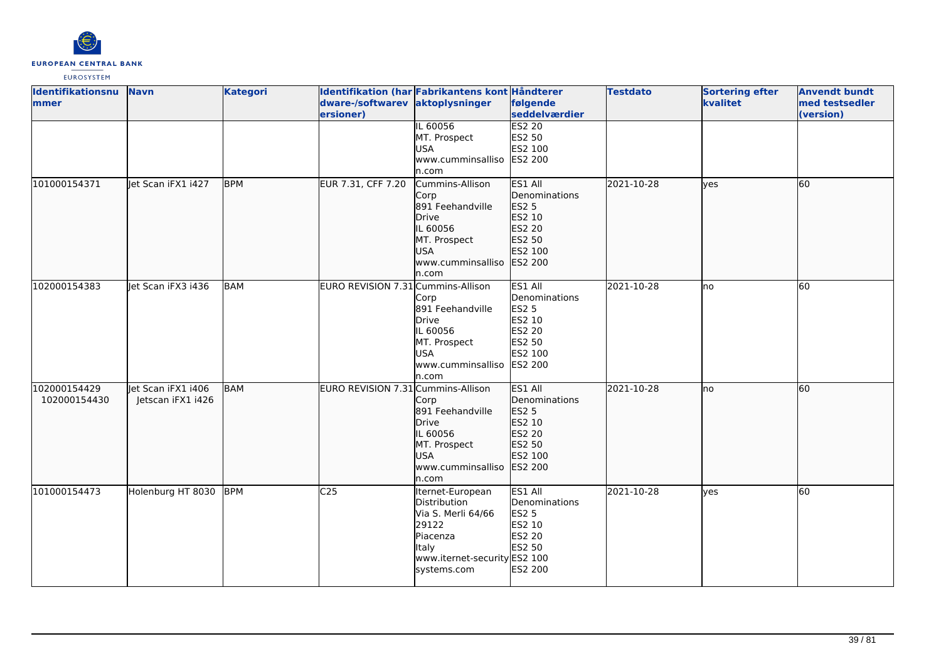

| <b>Identifikationsnu</b> | <b>Navn</b>         | <b>Kategori</b> |                                    | Identifikation (har Fabrikantens kont Håndterer |                           | <b>Testdato</b> | <b>Sortering efter</b> | <b>Anvendt bundt</b>        |
|--------------------------|---------------------|-----------------|------------------------------------|-------------------------------------------------|---------------------------|-----------------|------------------------|-----------------------------|
| <b>mmer</b>              |                     |                 | dware-/softwarev<br>ersioner)      | aktoplysninger                                  | følgende<br>seddelværdier |                 | kvalitet               | med testsedler<br>(version) |
|                          |                     |                 |                                    | IL 60056                                        | <b>ES2 20</b>             |                 |                        |                             |
|                          |                     |                 |                                    | MT. Prospect                                    | ES2 50                    |                 |                        |                             |
|                          |                     |                 |                                    | <b>USA</b>                                      | ES2 100                   |                 |                        |                             |
|                          |                     |                 |                                    | www.cumminsalliso                               | <b>ES2 200</b>            |                 |                        |                             |
|                          |                     |                 |                                    | n.com                                           |                           |                 |                        |                             |
| 101000154371             | Jet Scan iFX1 1427  | <b>BPM</b>      | EUR 7.31, CFF 7.20                 | Cummins-Allison                                 | ES1 All                   | 2021-10-28      | lves                   | 60                          |
|                          |                     |                 |                                    | Corp                                            | Denominations             |                 |                        |                             |
|                          |                     |                 |                                    | 891 Feehandville                                | ES2 5                     |                 |                        |                             |
|                          |                     |                 |                                    | <b>Drive</b>                                    | ES2 10                    |                 |                        |                             |
|                          |                     |                 |                                    | IL 60056                                        | ES2 20                    |                 |                        |                             |
|                          |                     |                 |                                    | MT. Prospect                                    | ES2 50                    |                 |                        |                             |
|                          |                     |                 |                                    | <b>USA</b>                                      | ES2 100                   |                 |                        |                             |
|                          |                     |                 |                                    | www.cumminsalliso                               | ES2 200                   |                 |                        |                             |
|                          |                     |                 |                                    | n.com                                           |                           |                 |                        |                             |
| 102000154383             | llet Scan iFX3 i436 | <b>BAM</b>      | EURO REVISION 7.31 Cummins-Allison |                                                 | ES1 All                   | 2021-10-28      | lno                    | 60                          |
|                          |                     |                 |                                    | Corp                                            | Denominations             |                 |                        |                             |
|                          |                     |                 |                                    | 891 Feehandville                                | <b>ES2 5</b>              |                 |                        |                             |
|                          |                     |                 |                                    | <b>Drive</b>                                    | ES2 10                    |                 |                        |                             |
|                          |                     |                 |                                    | IL 60056                                        | ES2 20                    |                 |                        |                             |
|                          |                     |                 |                                    |                                                 | ES2 50                    |                 |                        |                             |
|                          |                     |                 |                                    | MT. Prospect<br><b>USA</b>                      | ES2 100                   |                 |                        |                             |
|                          |                     |                 |                                    |                                                 |                           |                 |                        |                             |
|                          |                     |                 |                                    | www.cumminsalliso                               | ES2 200                   |                 |                        |                             |
|                          |                     |                 |                                    | n.com                                           |                           |                 |                        |                             |
| 102000154429             | Jet Scan iFX1 1406  | <b>BAM</b>      | EURO REVISION 7.31 Cummins-Allison |                                                 | ES1 All                   | 2021-10-28      | lno                    | 60                          |
| 102000154430             | Jetscan iFX1 i426   |                 |                                    | Corp                                            | Denominations             |                 |                        |                             |
|                          |                     |                 |                                    | 891 Feehandville                                | <b>ES2 5</b>              |                 |                        |                             |
|                          |                     |                 |                                    | <b>Drive</b>                                    | ES2 10                    |                 |                        |                             |
|                          |                     |                 |                                    | IL 60056                                        | ES2 20                    |                 |                        |                             |
|                          |                     |                 |                                    | MT. Prospect                                    | ES2 50                    |                 |                        |                             |
|                          |                     |                 |                                    | <b>USA</b>                                      | ES2 100                   |                 |                        |                             |
|                          |                     |                 |                                    | www.cumminsalliso                               | ES2 200                   |                 |                        |                             |
|                          |                     |                 |                                    | n.com                                           |                           |                 |                        |                             |
| 101000154473             | Holenburg HT 8030   | BPM             | C <sub>25</sub>                    | Iternet-European                                | ES1 All                   | 2021-10-28      | <b>ves</b>             | 60                          |
|                          |                     |                 |                                    | Distribution                                    | Denominations             |                 |                        |                             |
|                          |                     |                 |                                    | Via S. Merli 64/66                              | <b>ES2 5</b>              |                 |                        |                             |
|                          |                     |                 |                                    | 29122                                           | ES2 10                    |                 |                        |                             |
|                          |                     |                 |                                    | Piacenza                                        | ES2 20                    |                 |                        |                             |
|                          |                     |                 |                                    | Italy                                           | ES2 50                    |                 |                        |                             |
|                          |                     |                 |                                    | www.iternet-security ES2 100                    |                           |                 |                        |                             |
|                          |                     |                 |                                    | systems.com                                     | ES2 200                   |                 |                        |                             |
|                          |                     |                 |                                    |                                                 |                           |                 |                        |                             |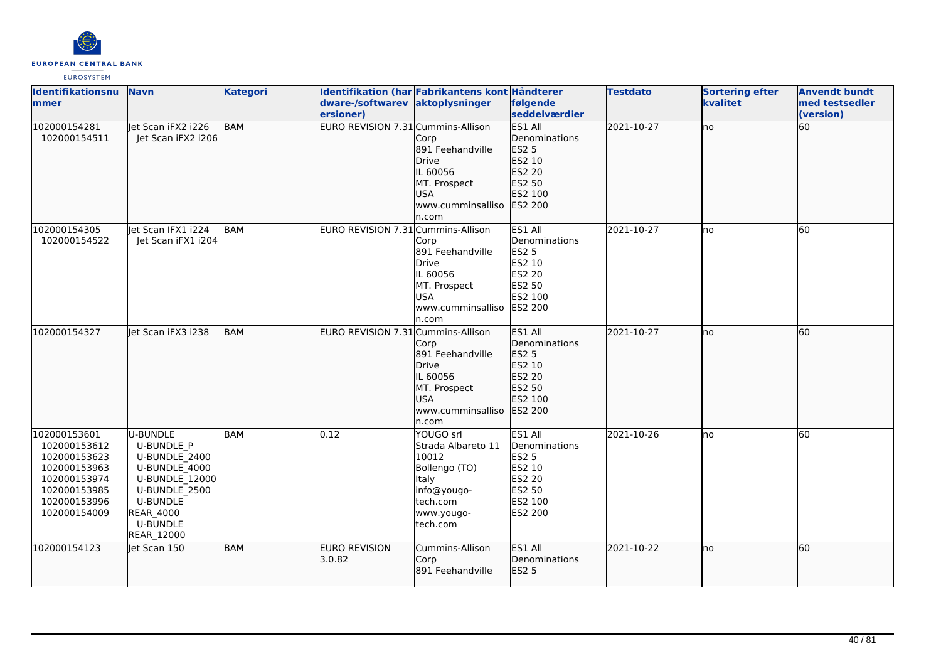

| <b>Identifikationsnu</b><br>mmer                                                                                             | <b>Navn</b>                                                                                                                                                                       | <b>Kategori</b> | Identifikation (har Fabrikantens kont Håndterer<br>dware-/softwarev<br>ersioner) | aktoplysninger                                                                                                          | følgende<br>seddelværdier                                                                           | <b>Testdato</b> | <b>Sortering efter</b><br>kvalitet | <b>Anvendt bundt</b><br>med testsedler<br>(version) |
|------------------------------------------------------------------------------------------------------------------------------|-----------------------------------------------------------------------------------------------------------------------------------------------------------------------------------|-----------------|----------------------------------------------------------------------------------|-------------------------------------------------------------------------------------------------------------------------|-----------------------------------------------------------------------------------------------------|-----------------|------------------------------------|-----------------------------------------------------|
| 102000154281<br>102000154511                                                                                                 | let Scan iFX2 i226<br>Jet Scan iFX2 i206                                                                                                                                          | BAM             | EURO REVISION 7.31 Cummins-Allison                                               | Corp<br>891 Feehandville<br><b>Drive</b><br>IL 60056<br>MT. Prospect<br><b>USA</b><br>www.cumminsalliso<br>n.com        | ES1 All<br><b>Denominations</b><br>ES2 5<br>ES2 10<br>ES2 20<br>ES2 50<br>ES2 100<br>ES2 200        | 2021-10-27      | no                                 | 60                                                  |
| 102000154305<br>102000154522                                                                                                 | Jet Scan IFX1 1224<br>Jet Scan iFX1 i204                                                                                                                                          | BAM             | EURO REVISION 7.31 Cummins-Allison                                               | Corp<br>891 Feehandville<br>Drive<br>IL 60056<br>MT. Prospect<br><b>USA</b><br>www.cumminsalliso<br>n.com               | ES1 All<br>Denominations<br><b>ES2 5</b><br>ES2 10<br>ES2 20<br>ES2 50<br>ES2 100<br><b>ES2 200</b> | 2021-10-27      | no                                 | 60                                                  |
| 102000154327                                                                                                                 | let Scan iFX3 i238                                                                                                                                                                | <b>BAM</b>      | EURO REVISION 7.31 Cummins-Allison                                               | Corp<br>891 Feehandville<br><b>Drive</b><br>IL 60056<br>MT. Prospect<br>USA<br>www.cumminsalliso<br>n.com               | ES1 All<br>Denominations<br>ES2 5<br>ES2 10<br>ES2 20<br>ES2 50<br>ES2 100<br>ES2 200               | 2021-10-27      | lno                                | 60                                                  |
| 102000153601<br>102000153612<br>102000153623<br>102000153963<br>102000153974<br>102000153985<br>102000153996<br>102000154009 | U-BUNDLE<br><b>U-BUNDLE P</b><br>U-BUNDLE 2400<br>U-BUNDLE 4000<br>U-BUNDLE 12000<br>U-BUNDLE 2500<br><b>U-BUNDLE</b><br><b>REAR_4000</b><br><b>U-BUNDLE</b><br><b>REAR 12000</b> | <b>BAM</b>      | $\overline{0.12}$                                                                | YOUGO srl<br>Strada Albareto 11<br>10012<br>Bollengo (TO)<br>Italy<br>info@yougo-<br>tech.com<br>www.yougo-<br>tech.com | ES1 All<br>Denominations<br><b>ES2 5</b><br>ES2 10<br>ES2 20<br>ES2 50<br>ES2 100<br>ES2 200        | 2021-10-26      | no                                 | 60                                                  |
| 102000154123                                                                                                                 | let Scan 150                                                                                                                                                                      | <b>BAM</b>      | <b>EURO REVISION</b><br>3.0.82                                                   | Cummins-Allison<br>Corp<br>891 Feehandville                                                                             | ES1 All<br>Denominations<br>ES2 5                                                                   | 2021-10-22      | no                                 | 60                                                  |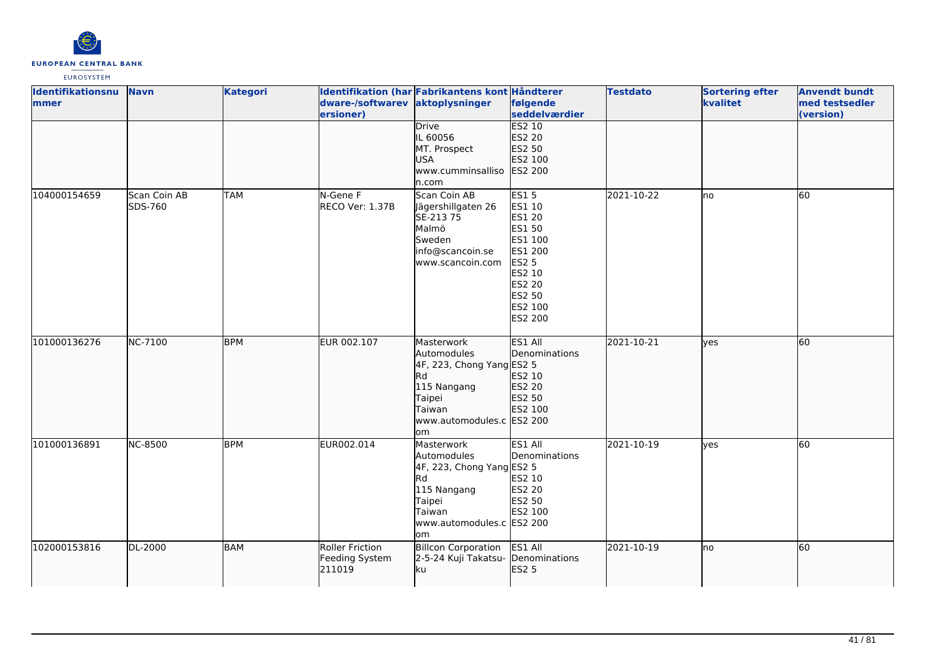

| Identifikationsnu<br>mmer | <b>Navn</b>             | <b>Kategori</b> | dware-/softwarev aktoplysninger<br>ersioner)       | Identifikation (har Fabrikantens kont Håndterer                                                                                            | følgende<br>seddelværdier                                                                                                                  | <b>Testdato</b> | <b>Sortering efter</b><br>kvalitet | <b>Anvendt bundt</b><br>med testsedler<br>(version) |
|---------------------------|-------------------------|-----------------|----------------------------------------------------|--------------------------------------------------------------------------------------------------------------------------------------------|--------------------------------------------------------------------------------------------------------------------------------------------|-----------------|------------------------------------|-----------------------------------------------------|
|                           |                         |                 |                                                    | Drive<br>IL 60056<br>MT. Prospect<br><b>USA</b><br>www.cumminsalliso<br>n.com                                                              | <b>ES2 10</b><br>ES2 20<br>ES2 50<br>ES2 100<br>ES2 200                                                                                    |                 |                                    |                                                     |
| 104000154659              | Scan Coin AB<br>SDS-760 | <b>TAM</b>      | N-Gene F<br>RECO Ver: 1.37B                        | Scan Coin AB<br>Jägershillgaten 26<br>SE-213 75<br>Malmö<br>Sweden<br>info@scancoin.se<br>www.scancoin.com                                 | <b>ES15</b><br>ES1 10<br>ES1 20<br>ES1 50<br>ES1 100<br>ES1 200<br><b>ES2 5</b><br>ES2 10<br><b>ES2 20</b><br>ES2 50<br>ES2 100<br>ES2 200 | 2021-10-22      | no                                 | 60                                                  |
| 101000136276              | NC-7100                 | <b>BPM</b>      | EUR 002.107                                        | Masterwork<br>Automodules<br>4F, 223, Chong Yang ES2 5<br>Rd<br>115 Nangang<br>Taipei<br>Taiwan<br>www.automodules.c ES2 200<br>lom        | ES1 All<br>Denominations<br>ES2 10<br>ES2 20<br>ES2 50<br>ES2 100                                                                          | 2021-10-21      | lyes                               | 60                                                  |
| 101000136891              | <b>NC-8500</b>          | <b>BPM</b>      | EUR002.014                                         | Masterwork<br>Automodules<br>4F, 223, Chong Yang ES2 5<br><b>Rd</b><br>115 Nangang<br>Taipei<br>Taiwan<br>www.automodules.c ES2 200<br>lom | ES1 All<br>Denominations<br>ES2 10<br><b>ES2 20</b><br>ES2 50<br>ES2 100                                                                   | 2021-10-19      | yes                                | 60                                                  |
| 102000153816              | DL-2000                 | BAM             | <b>Roller Friction</b><br>Feeding System<br>211019 | <b>Billcon Corporation</b><br>2-5-24 Kuji Takatsu- Denominations<br>ku                                                                     | ES1 All<br><b>ES2 5</b>                                                                                                                    | 2021-10-19      | lno                                | 60                                                  |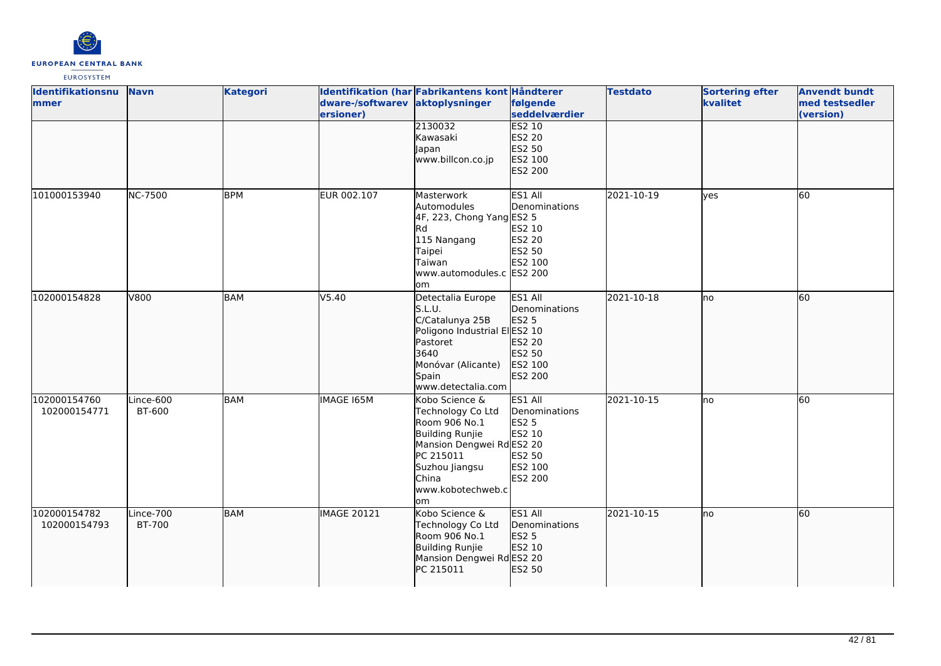

| <b>Identifikationsnu</b><br>mmer | <b>Navn</b>                | <b>Kategori</b> | dware-/softwarev aktoplysninger<br>ersioner) | Identifikation (har Fabrikantens kont Håndterer                                                                                                                         | følgende<br>seddelværdier                                                          | <b>Testdato</b> | <b>Sortering efter</b><br>kvalitet | <b>Anvendt bundt</b><br>med testsedler<br>(version) |
|----------------------------------|----------------------------|-----------------|----------------------------------------------|-------------------------------------------------------------------------------------------------------------------------------------------------------------------------|------------------------------------------------------------------------------------|-----------------|------------------------------------|-----------------------------------------------------|
|                                  |                            |                 |                                              | 2130032<br>Kawasaki<br>Japan<br>www.billcon.co.jp                                                                                                                       | <b>ES2 10</b><br>ES2 20<br>ES2 50<br>ES2 100<br>ES2 200                            |                 |                                    |                                                     |
| 101000153940                     | NC-7500                    | <b>BPM</b>      | EUR 002.107                                  | Masterwork<br>Automodules<br>4F, 223, Chong Yang ES2 5<br><b>Rd</b><br>115 Nangang<br>Taipei<br>Taiwan<br>www.automodules.c ES2 200<br>om                               | ES1 All<br>Denominations<br>ES2 10<br>ES2 20<br>ES2 50<br>ES2 100                  | 2021-10-19      | <b>l</b> ves                       | 60                                                  |
| 102000154828                     | V800                       | BAM             | V5.40                                        | Detectalia Europe<br>S.L.U.<br>C/Catalunya 25B<br>Poligono Industrial ElES2 10<br>Pastoret<br>3640<br>Monóvar (Alicante)<br>Spain<br>www.detectalia.com                 | ES1 All<br>Denominations<br><b>ES2 5</b><br>ES2 20<br>ES2 50<br>ES2 100<br>ES2 200 | 2021-10-18      | lno                                | 60                                                  |
| 102000154760<br>102000154771     | Lince-600<br>BT-600        | <b>BAM</b>      | <b>IMAGE 165M</b>                            | Kobo Science &<br>Technology Co Ltd<br>Room 906 No.1<br>Building Runjie<br>Mansion Dengwei RdES2 20<br>PC 215011<br>Suzhou Jiangsu<br>China<br>www.kobotechweb.c<br>lom | ES1 All<br>Denominations<br><b>ES2 5</b><br>ES2 10<br>ES2 50<br>ES2 100<br>ES2 200 | 2021-10-15      | lno                                | 60                                                  |
| 102000154782<br>102000154793     | Lince-700<br><b>BT-700</b> | <b>BAM</b>      | <b>IMAGE 20121</b>                           | Kobo Science &<br>Technology Co Ltd<br>Room 906 No.1<br>Building Runjie<br>Mansion Dengwei RdES2 20<br>PC 215011                                                        | ES1 All<br>Denominations<br>ES2 5<br>ES2 10<br>ES2 50                              | 2021-10-15      | lno                                | <b>60</b>                                           |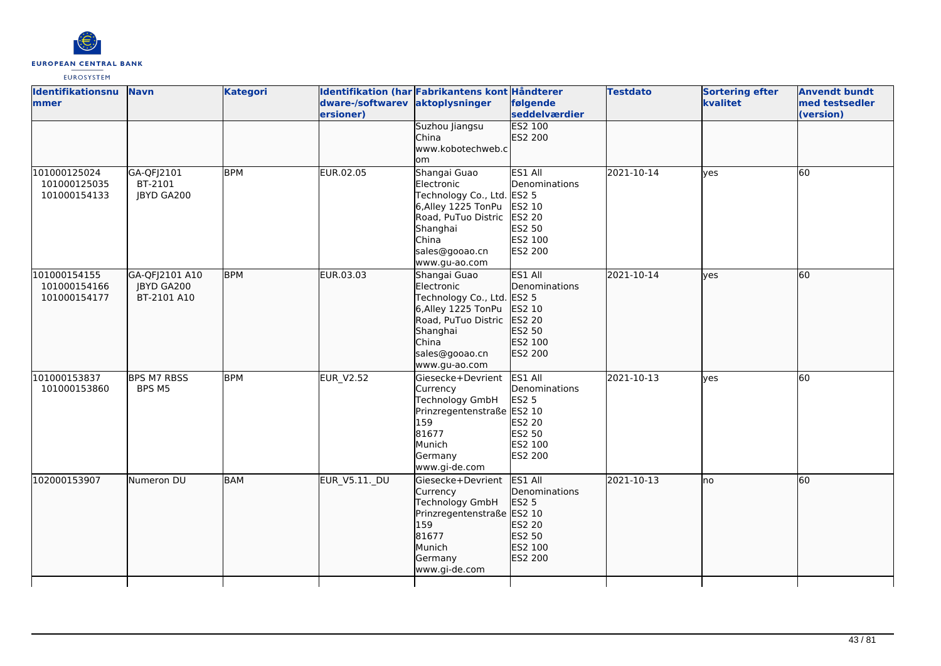

| <b>Identifikationsnu</b><br>lmmer            | <b>Navn</b>                                 | <b>Kategori</b> | dware-/softwarev aktoplysninger<br>ersioner) | Identifikation (har Fabrikantens kont Håndterer                                                                                                               | følgende<br>seddelværdier                                                           | <b>Testdato</b> | <b>Sortering efter</b><br>kvalitet | <b>Anvendt bundt</b><br>med testsedler<br>(version) |
|----------------------------------------------|---------------------------------------------|-----------------|----------------------------------------------|---------------------------------------------------------------------------------------------------------------------------------------------------------------|-------------------------------------------------------------------------------------|-----------------|------------------------------------|-----------------------------------------------------|
|                                              |                                             |                 |                                              | Suzhou Jiangsu<br>China<br>www.kobotechweb.c<br>lom                                                                                                           | <b>ES2 100</b><br>ES2 200                                                           |                 |                                    |                                                     |
| 101000125024<br>101000125035<br>101000154133 | GA-QFJ2101<br>BT-2101<br><b>JBYD GA200</b>  | <b>BPM</b>      | EUR.02.05                                    | Shangai Guao<br>Electronic<br>Technology Co., Ltd. ES2 5<br>6,Alley 1225 TonPu<br>Road, PuTuo Distric<br>Shanghai<br>China<br>sales@gooao.cn<br>www.gu-ao.com | ES1 All<br>Denominations<br>ES2 10<br>ES2 20<br>ES2 50<br>ES2 100<br><b>ES2 200</b> | 2021-10-14      | lves                               | <b>60</b>                                           |
| 101000154155<br>101000154166<br>101000154177 | GA-QFJ2101 A10<br>JBYD GA200<br>BT-2101 A10 | <b>BPM</b>      | EUR.03.03                                    | Shangai Guao<br>Electronic<br>Technology Co., Ltd. ES2 5<br>6,Alley 1225 TonPu<br>Road, PuTuo Distric<br>Shanghai<br>China<br>sales@gooao.cn<br>www.gu-ao.com | ES1 All<br>Denominations<br>ES2 10<br>ES2 20<br>ES2 50<br>ES2 100<br>ES2 200        | 2021-10-14      | lves                               | 60                                                  |
| 101000153837<br>101000153860                 | <b>BPS M7 RBSS</b><br>BPS M5                | <b>BPM</b>      | <b>EUR V2.52</b>                             | Giesecke+Devrient<br>Currency<br>Technology GmbH<br>Prinzregentenstraße ES2 10<br>159<br>81677<br>Munich<br>Germany<br>www.gi-de.com                          | ES1 All<br>Denominations<br><b>ES2 5</b><br>ES2 20<br>ES2 50<br>ES2 100<br>ES2 200  | 2021-10-13      | <b>ves</b>                         | 60                                                  |
| 102000153907                                 | Numeron DU                                  | <b>BAM</b>      | EUR_V5.11._DU                                | Giesecke+Devrient<br>Currency<br>Technology GmbH<br>Prinzregentenstraße ES2 10<br>159<br>81677<br>Munich<br>Germany<br>www.gi-de.com                          | ES1 All<br>Denominations<br>ES2 5<br>ES2 20<br>ES2 50<br>ES2 100<br>ES2 200         | 2021-10-13      | Ino                                | 60                                                  |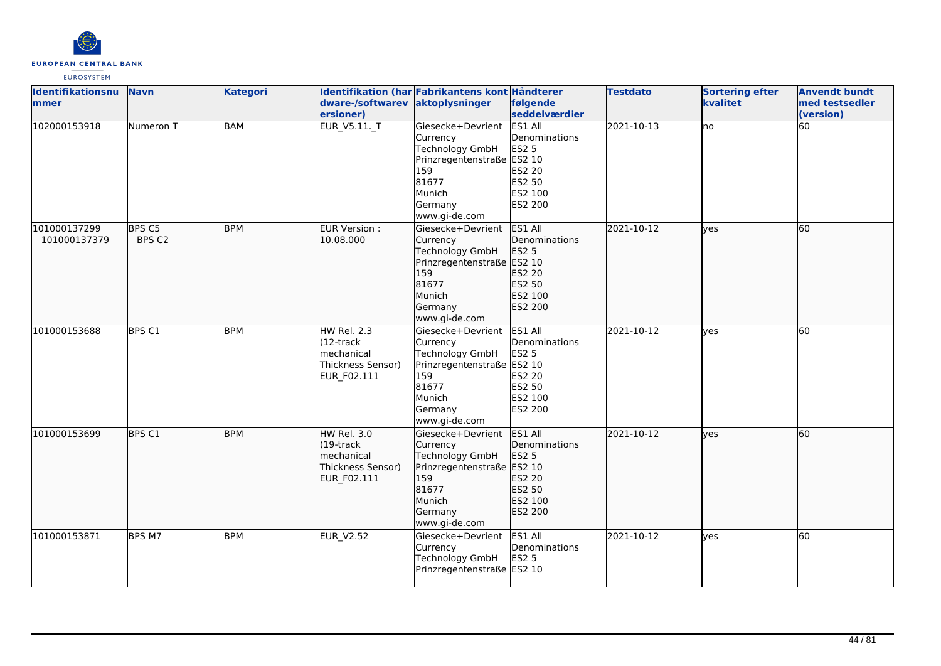

| Identifikationsnu<br>mmer    | <b>Navn</b>      | <b>Kategori</b> | dware-/softwarev aktoplysninger<br>ersioner)                                          | Identifikation (har Fabrikantens kont Håndterer                                                                                             | følgende<br>seddelværdier                                                                 | <b>Testdato</b> | <b>Sortering efter</b><br>kvalitet | <b>Anvendt bundt</b><br>med testsedler<br>(version) |
|------------------------------|------------------|-----------------|---------------------------------------------------------------------------------------|---------------------------------------------------------------------------------------------------------------------------------------------|-------------------------------------------------------------------------------------------|-----------------|------------------------------------|-----------------------------------------------------|
| 102000153918                 | Numeron T        | <b>BAM</b>      | EUR_V5.11._T                                                                          | Giesecke+Devrient<br>Currency<br><b>Technology GmbH</b><br>Prinzregentenstraße ES2 10<br>159<br>81677<br>Munich<br>Germany<br>www.gi-de.com | ES1 All<br>Denominations<br><b>ES2 5</b><br>ES2 20<br>ES2 50<br>ES2 100<br><b>ES2 200</b> | $[2021-10-13]$  | <b>no</b>                          | 60                                                  |
| 101000137299<br>101000137379 | BPS C5<br>BPS C2 | <b>BPM</b>      | EUR Version :<br>10.08.000                                                            | Giesecke+Devrient<br>Currency<br>Technology GmbH<br>Prinzregentenstraße ES2 10<br>159<br>81677<br>Munich<br>Germany<br>www.gi-de.com        | ES1 All<br>Denominations<br>ES2 5<br>ES2 20<br>ES2 50<br>ES2 100<br>ES2 200               | 2021-10-12      | lyes                               | 60                                                  |
| 101000153688                 | BPS C1           | <b>BPM</b>      | <b>HW Rel. 2.3</b><br>$(12 -$ track<br>mechanical<br>Thickness Sensor)<br>EUR_F02.111 | Giesecke+Devrient<br>Currency<br>Technology GmbH<br>Prinzregentenstraße ES2 10<br>159<br>81677<br>Munich<br>Germany<br>www.gi-de.com        | ES1 All<br>Denominations<br><b>ES2 5</b><br>ES2 20<br>ES2 50<br>ES2 100<br>ES2 200        | 2021-10-12      | lyes                               | 60                                                  |
| 101000153699                 | <b>BPS C1</b>    | <b>BPM</b>      | <b>HW Rel. 3.0</b><br>$(19$ -track<br>mechanical<br>Thickness Sensor)<br>EUR_F02.111  | Giesecke+Devrient<br>Currency<br>Technology GmbH<br>Prinzregentenstraße ES2 10<br>159<br>81677<br>Munich<br>Germany<br>www.gi-de.com        | ES1 All<br>Denominations<br><b>ES2 5</b><br>ES2 20<br>ES2 50<br>ES2 100<br>ES2 200        | 2021-10-12      | yes                                | 60                                                  |
| 101000153871                 | BPS M7           | <b>BPM</b>      | <b>EUR_V2.52</b>                                                                      | Giesecke+Devrient<br>Currency<br><b>Technology GmbH</b><br>Prinzregentenstraße ES2 10                                                       | ES1 All<br>Denominations<br>ES2 5                                                         | 2021-10-12      | yes                                | 60                                                  |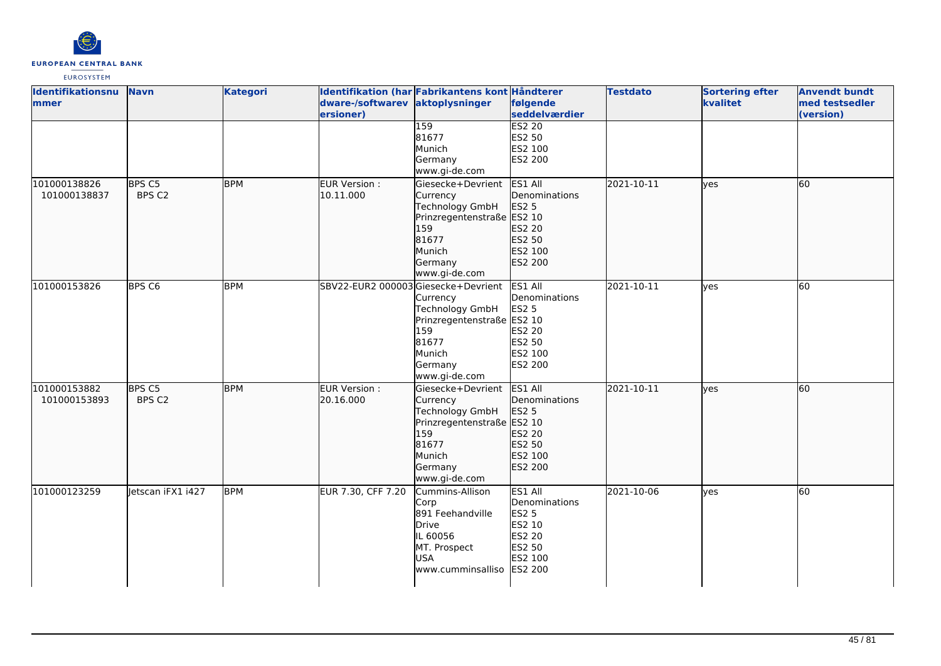

| <b>Identifikationsnu</b> | <b>Navn</b>       | <b>Kategori</b> |                                    | Identifikation (har Fabrikantens kont Håndterer |                | <b>Testdato</b> | <b>Sortering efter</b> | <b>Anvendt bundt</b> |
|--------------------------|-------------------|-----------------|------------------------------------|-------------------------------------------------|----------------|-----------------|------------------------|----------------------|
| lmmer                    |                   |                 | dware-/softwarev                   | aktoplysninger                                  | følgende       |                 | kvalitet               | med testsedler       |
|                          |                   |                 | ersioner)                          |                                                 | seddelværdier  |                 |                        | (version)            |
|                          |                   |                 |                                    | 159                                             | <b>ES2 20</b>  |                 |                        |                      |
|                          |                   |                 |                                    | 81677                                           | <b>ES2 50</b>  |                 |                        |                      |
|                          |                   |                 |                                    | Munich                                          | ES2 100        |                 |                        |                      |
|                          |                   |                 |                                    | Germany                                         | <b>ES2 200</b> |                 |                        |                      |
|                          |                   |                 |                                    | www.gi-de.com                                   |                |                 |                        |                      |
| 101000138826             | BPS C5            | <b>BPM</b>      | EUR Version :                      | Giesecke+Devrient                               | ES1 All        | 2021-10-11      | lyes                   | 60                   |
| 101000138837             | BPS C2            |                 | 10.11.000                          | Currency                                        | Denominations  |                 |                        |                      |
|                          |                   |                 |                                    | Technology GmbH                                 | <b>ES2 5</b>   |                 |                        |                      |
|                          |                   |                 |                                    | Prinzregentenstraße ES2 10                      |                |                 |                        |                      |
|                          |                   |                 |                                    | 159                                             | ES2 20         |                 |                        |                      |
|                          |                   |                 |                                    | 81677                                           | ES2 50         |                 |                        |                      |
|                          |                   |                 |                                    | Munich                                          | ES2 100        |                 |                        |                      |
|                          |                   |                 |                                    | Germany                                         | ES2 200        |                 |                        |                      |
|                          |                   |                 |                                    | www.gi-de.com                                   |                |                 |                        |                      |
| 101000153826             | BPS <sub>C6</sub> | <b>BPM</b>      | SBV22-EUR2 000003Giesecke+Devrient |                                                 | ES1 All        | 2021-10-11      | <b>ves</b>             | 60                   |
|                          |                   |                 |                                    | Currency                                        | Denominations  |                 |                        |                      |
|                          |                   |                 |                                    | Technology GmbH                                 | <b>ES2 5</b>   |                 |                        |                      |
|                          |                   |                 |                                    | Prinzregentenstraße ES2 10                      |                |                 |                        |                      |
|                          |                   |                 |                                    | 159                                             | ES2 20         |                 |                        |                      |
|                          |                   |                 |                                    | 81677                                           | <b>ES2 50</b>  |                 |                        |                      |
|                          |                   |                 |                                    | Munich                                          | ES2 100        |                 |                        |                      |
|                          |                   |                 |                                    | Germany                                         | ES2 200        |                 |                        |                      |
|                          |                   |                 |                                    | www.gi-de.com                                   |                |                 |                        |                      |
| 101000153882             | BPS C5            | <b>BPM</b>      | EUR Version :                      | Giesecke+Devrient                               | ES1 All        | 2021-10-11      | ves                    | 60                   |
| 101000153893             | BPS C2            |                 | 20.16.000                          | Currency                                        | Denominations  |                 |                        |                      |
|                          |                   |                 |                                    | Technology GmbH                                 | <b>ES2 5</b>   |                 |                        |                      |
|                          |                   |                 |                                    | Prinzregentenstraße                             | ES2 10         |                 |                        |                      |
|                          |                   |                 |                                    | 159                                             | ES2 20         |                 |                        |                      |
|                          |                   |                 |                                    | 81677                                           | ES2 50         |                 |                        |                      |
|                          |                   |                 |                                    | Munich                                          | ES2 100        |                 |                        |                      |
|                          |                   |                 |                                    | Germany                                         | ES2 200        |                 |                        |                      |
|                          |                   |                 |                                    | www.gi-de.com                                   |                |                 |                        |                      |
| 101000123259             | letscan iFX1 i427 | <b>BPM</b>      | EUR 7.30, CFF 7.20                 | Cummins-Allison                                 | ES1 All        | 2021-10-06      | yes                    | 60                   |
|                          |                   |                 |                                    | Corp                                            | Denominations  |                 |                        |                      |
|                          |                   |                 |                                    | 891 Feehandville                                | <b>ES2 5</b>   |                 |                        |                      |
|                          |                   |                 |                                    | Drive                                           | ES2 10         |                 |                        |                      |
|                          |                   |                 |                                    | IL 60056                                        | ES2 20         |                 |                        |                      |
|                          |                   |                 |                                    | MT. Prospect                                    | ES2 50         |                 |                        |                      |
|                          |                   |                 |                                    | <b>USA</b>                                      | ES2 100        |                 |                        |                      |
|                          |                   |                 |                                    | www.cumminsalliso                               | <b>ES2 200</b> |                 |                        |                      |
|                          |                   |                 |                                    |                                                 |                |                 |                        |                      |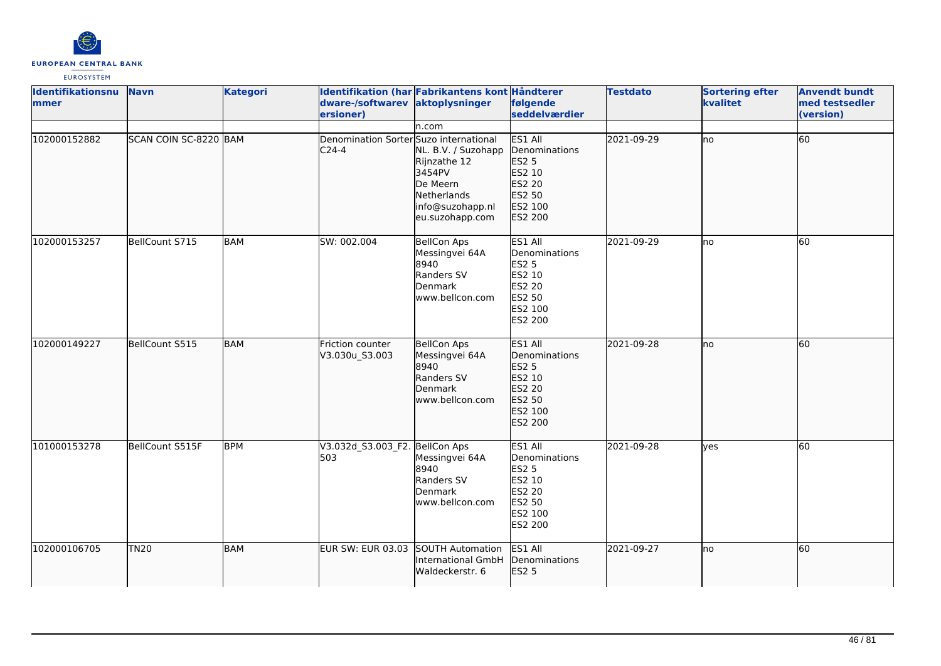

| <b>Identifikationsnu</b><br><b>mmer</b> | <b>Navn</b>           | <b>Kategori</b> | dware-/softwarev aktoplysninger<br>ersioner)      | Identifikation (har Fabrikantens kont Håndterer                                                                          | følgende<br>seddelværdier                                                                                  | <b>Testdato</b> | <b>Sortering efter</b><br>kvalitet | <b>Anvendt bundt</b><br>med testsedler<br>(version) |
|-----------------------------------------|-----------------------|-----------------|---------------------------------------------------|--------------------------------------------------------------------------------------------------------------------------|------------------------------------------------------------------------------------------------------------|-----------------|------------------------------------|-----------------------------------------------------|
| 102000152882                            | SCAN COIN SC-8220 BAM |                 | Denomination Sorter Suzo international<br>$C24-4$ | n.com<br>NL. B.V. / Suzohapp<br>Rijnzathe 12<br>3454PV<br>De Meern<br>Netherlands<br>info@suzohapp.nl<br>eu.suzohapp.com | ES1 All<br>Denominations<br>ES2 5<br>ES2 10<br>ES2 20<br>ES2 50<br>ES2 100<br>ES2 200                      | 2021-09-29      | lno                                | 60                                                  |
| 102000153257                            | BellCount S715        | <b>BAM</b>      | SW: 002.004                                       | <b>BellCon Aps</b><br>Messingvei 64A<br>8940<br>Randers SV<br>Denmark<br>lwww.bellcon.com                                | ES1 All<br>Denominations<br><b>ES2 5</b><br>ES2 10<br>ES2 20<br>ES2 50<br>ES2 100<br>ES2 200               | 2021-09-29      | lno                                | 60                                                  |
| 102000149227                            | BellCount S515        | <b>BAM</b>      | Friction counter<br>V3.030u_S3.003                | <b>BellCon Aps</b><br>Messingvei 64A<br>8940<br>Randers SV<br>Denmark<br>www.bellcon.com                                 | ES1 All<br>Denominations<br>ES2 5<br>ES2 10<br>ES2 20<br>ES2 50<br>ES2 100<br>ES2 200                      | 2021-09-28      | lno                                | 60                                                  |
| 101000153278                            | BellCount S515F       | BPM             | V3.032d_S3.003_F2. BellCon Aps<br>503             | Messingvei 64A<br>8940<br>Randers SV<br>Denmark<br>www.bellcon.com                                                       | ES1 All<br>Denominations<br><b>ES2 5</b><br>ES2 10<br><b>ES2 20</b><br><b>ES2 50</b><br>ES2 100<br>ES2 200 | 2021-09-28      | ves                                | 60                                                  |
| 102000106705                            | TN20                  | <b>BAM</b>      | EUR SW: EUR 03.03                                 | SOUTH Automation<br><b>International GmbH</b><br>Waldeckerstr. 6                                                         | ES1 All<br>Denominations<br>ES2 5                                                                          | 2021-09-27      | lno                                | 60                                                  |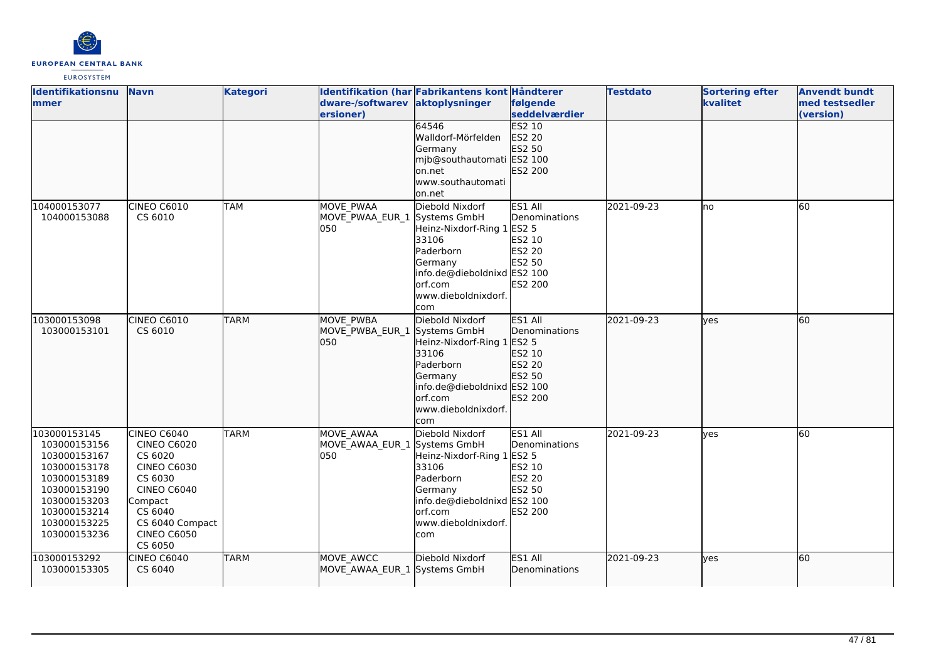

| Identifikationsnu<br>mmer                                                                                                                                    | <b>Navn</b>                                                                                                                                                            | <b>Kategori</b> | dware-/softwarev aktoplysninger<br>ersioner)             | Identifikation (har Fabrikantens kont Håndterer                                                                                                                  | følgende<br>seddelværdier                                                                       | <b>Testdato</b> | <b>Sortering efter</b><br>kvalitet | <b>Anvendt bundt</b><br>med testsedler<br>(version) |
|--------------------------------------------------------------------------------------------------------------------------------------------------------------|------------------------------------------------------------------------------------------------------------------------------------------------------------------------|-----------------|----------------------------------------------------------|------------------------------------------------------------------------------------------------------------------------------------------------------------------|-------------------------------------------------------------------------------------------------|-----------------|------------------------------------|-----------------------------------------------------|
|                                                                                                                                                              |                                                                                                                                                                        |                 |                                                          | 64546<br>Walldorf-Mörfelden<br>Germany<br>mjb@southautomati ES2 100<br>lon.net<br>www.southautomati<br>on.net                                                    | <b>ES2 10</b><br>ES2 20<br>ES2 50<br>ES2 200                                                    |                 |                                    |                                                     |
| 104000153077<br>104000153088                                                                                                                                 | <b>CINEO C6010</b><br>CS 6010                                                                                                                                          | <b>TAM</b>      | <b>MOVE PWAA</b><br>MOVE PWAA EUR 1<br>050               | Diebold Nixdorf<br>Systems GmbH<br>Heinz-Nixdorf-Ring 1<br>33106<br>Paderborn<br>Germany<br>info.de@dieboldnixd ES2 100<br>orf.com<br>www.dieboldnixdorf.<br>com | ES1 All<br>Denominations<br><b>ES2 5</b><br>ES2 10<br>ES2 20<br>ES2 50<br>ES2 200               | 2021-09-23      | lno                                | 60                                                  |
| 103000153098<br>103000153101                                                                                                                                 | CINEO C6010<br>CS 6010                                                                                                                                                 | <b>TARM</b>     | <b>MOVE PWBA</b><br>MOVE PWBA EUR 1 Systems GmbH<br>l050 | Diebold Nixdorf<br>Heinz-Nixdorf-Ring 1 ES2 5<br>33106<br>Paderborn<br>Germany<br>info.de@dieboldnixd ES2 100<br>orf.com<br>www.dieboldnixdorf.<br>com           | ES1 All<br>Denominations<br>ES2 10<br><b>ES2 20</b><br>ES2 50<br><b>ES2 200</b>                 | 2021-09-23      | lves                               | 60                                                  |
| 103000153145<br>103000153156<br>103000153167<br>103000153178<br>103000153189<br>103000153190<br>103000153203<br>103000153214<br>103000153225<br>103000153236 | CINEO C6040<br><b>CINEO C6020</b><br>CS 6020<br><b>CINEO C6030</b><br>CS 6030<br>CINEO C6040<br>Compact<br>CS 6040<br>CS 6040 Compact<br><b>CINEO C6050</b><br>CS 6050 | <b>TARM</b>     | MOVE AWAA<br>MOVE_AWAA_EUR_1 Systems GmbH<br>050         | Diebold Nixdorf<br>Heinz-Nixdorf-Ring 1<br>33106<br>Paderborn<br>Germany<br>info.de@dieboldnixd ES2 100<br>lorf.com<br>www.dieboldnixdorf.<br>com                | ES1 All<br>Denominations<br><b>ES2 5</b><br>ES2 10<br><b>ES2 20</b><br>ES2 50<br><b>ES2 200</b> | 2021-09-23      | yes                                | 60                                                  |
| 103000153292<br>103000153305                                                                                                                                 | <b>CINEO C6040</b><br>CS 6040                                                                                                                                          | <b>TARM</b>     | MOVE AWCC<br>MOVE_AWAA_EUR_1 Systems GmbH                | Diebold Nixdorf                                                                                                                                                  | ES1 All<br>Denominations                                                                        | 2021-09-23      | lyes                               | 60                                                  |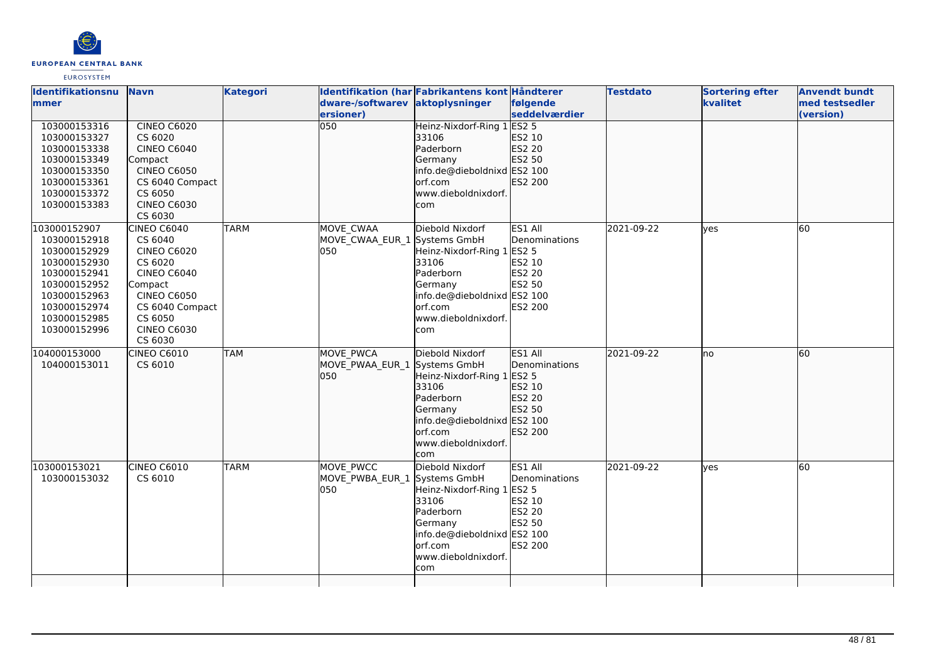

| <b>Identifikationsnu</b> | <b>Navn</b>        | <b>Kategori</b> |                                 | Identifikation (har Fabrikantens kont Håndterer |                | <b>Testdato</b> | <b>Sortering efter</b> | <b>Anvendt bundt</b> |
|--------------------------|--------------------|-----------------|---------------------------------|-------------------------------------------------|----------------|-----------------|------------------------|----------------------|
| mmer                     |                    |                 | dware-/softwarev aktoplysninger |                                                 | følgende       |                 | kvalitet               | med testsedler       |
|                          |                    |                 | ersioner)                       |                                                 | seddelværdier  |                 |                        | (version)            |
| 103000153316             | <b>CINEO C6020</b> |                 | $\overline{050}$                | Heinz-Nixdorf-Ring 1 ES2 5                      |                |                 |                        |                      |
| 103000153327             | CS 6020            |                 |                                 | 33106                                           | ES2 10         |                 |                        |                      |
| 103000153338             | <b>CINEO C6040</b> |                 |                                 | Paderborn                                       | ES2 20         |                 |                        |                      |
| 103000153349             | Compact            |                 |                                 | Germany                                         | ES2 50         |                 |                        |                      |
| 103000153350             | <b>CINEO C6050</b> |                 |                                 | info.de@dieboldnixd ES2 100                     |                |                 |                        |                      |
| 103000153361             | CS 6040 Compact    |                 |                                 | orf.com                                         | ES2 200        |                 |                        |                      |
| 103000153372             | CS 6050            |                 |                                 | www.dieboldnixdorf.                             |                |                 |                        |                      |
| 103000153383             | <b>CINEO C6030</b> |                 |                                 | com                                             |                |                 |                        |                      |
|                          | CS 6030            |                 |                                 |                                                 |                |                 |                        |                      |
| 103000152907             | <b>CINEO C6040</b> | <b>TARM</b>     | MOVE CWAA                       | Diebold Nixdorf                                 | ES1 All        | 2021-09-22      | ves                    | 60                   |
| 103000152918             | CS 6040            |                 | MOVE CWAA EUR 1 Systems GmbH    |                                                 | Denominations  |                 |                        |                      |
| 103000152929             | <b>CINEO C6020</b> |                 | 050                             | Heinz-Nixdorf-Ring 1                            | <b>ES2 5</b>   |                 |                        |                      |
| 103000152930             | CS 6020            |                 |                                 | 33106                                           | ES2 10         |                 |                        |                      |
| 103000152941             | <b>CINEO C6040</b> |                 |                                 | Paderborn                                       | ES2 20         |                 |                        |                      |
| 103000152952             | Compact            |                 |                                 | Germany                                         | ES2 50         |                 |                        |                      |
| 103000152963             | <b>CINEO C6050</b> |                 |                                 | info.de@dieboldnixd ES2 100                     |                |                 |                        |                      |
| 103000152974             | CS 6040 Compact    |                 |                                 | orf.com                                         | <b>ES2 200</b> |                 |                        |                      |
| 103000152985             | CS 6050            |                 |                                 | www.dieboldnixdorf.                             |                |                 |                        |                      |
| 103000152996             | <b>CINEO C6030</b> |                 |                                 | com                                             |                |                 |                        |                      |
|                          | CS 6030            |                 |                                 |                                                 |                |                 |                        |                      |
| 104000153000             | <b>CINEO C6010</b> | <b>TAM</b>      | <b>MOVE PWCA</b>                | Diebold Nixdorf                                 | ES1 All        | 2021-09-22      | lno                    | 60                   |
| 104000153011             | CS 6010            |                 | MOVE PWAA EUR 1 Systems GmbH    |                                                 | Denominations  |                 |                        |                      |
|                          |                    |                 | 050                             | Heinz-Nixdorf-Ring 1 ES2 5                      |                |                 |                        |                      |
|                          |                    |                 |                                 | 33106                                           | ES2 10         |                 |                        |                      |
|                          |                    |                 |                                 | Paderborn                                       | ES2 20         |                 |                        |                      |
|                          |                    |                 |                                 | Germany                                         | ES2 50         |                 |                        |                      |
|                          |                    |                 |                                 | info.de@dieboldnixd ES2 100                     |                |                 |                        |                      |
|                          |                    |                 |                                 | orf.com                                         | ES2 200        |                 |                        |                      |
|                          |                    |                 |                                 | www.dieboldnixdorf.                             |                |                 |                        |                      |
|                          |                    |                 |                                 | com                                             |                |                 |                        |                      |
| 103000153021             | CINEO C6010        | <b>TARM</b>     | MOVE PWCC                       | Diebold Nixdorf                                 | ES1 All        | 2021-09-22      | ves                    | 60                   |
| 103000153032             | CS 6010            |                 | MOVE PWBA EUR 1 Systems GmbH    |                                                 | Denominations  |                 |                        |                      |
|                          |                    |                 | 050                             | Heinz-Nixdorf-Ring 1                            | <b>ES2 5</b>   |                 |                        |                      |
|                          |                    |                 |                                 | 33106                                           | ES2 10         |                 |                        |                      |
|                          |                    |                 |                                 | Paderborn                                       | ES2 20         |                 |                        |                      |
|                          |                    |                 |                                 | Germany                                         | ES2 50         |                 |                        |                      |
|                          |                    |                 |                                 | info.de@dieboldnixd ES2 100                     |                |                 |                        |                      |
|                          |                    |                 |                                 | orf.com                                         | <b>ES2 200</b> |                 |                        |                      |
|                          |                    |                 |                                 | www.dieboldnixdorf.                             |                |                 |                        |                      |
|                          |                    |                 |                                 | com                                             |                |                 |                        |                      |
|                          |                    |                 |                                 |                                                 |                |                 |                        |                      |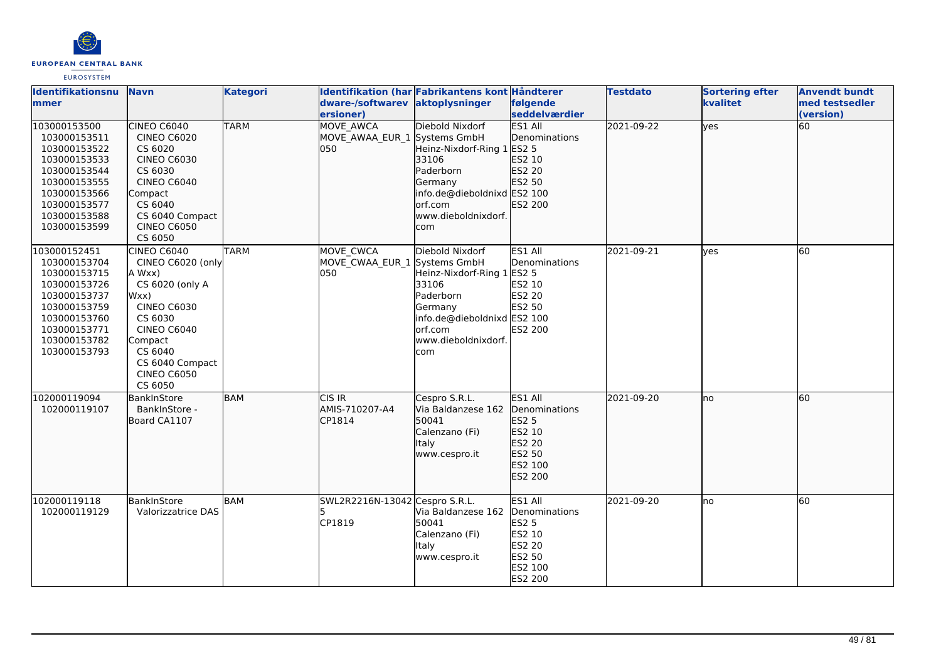

| Identifikationsnu<br>lmmer                                                                                                                                   | <b>Navn</b>                                                                                                                                                                                                   | <b>Kategori</b> | dware-/softwarev<br>ersioner)                            | Identifikation (har Fabrikantens kont Håndterer<br>aktoplysninger                                                                                       | følgende<br>seddelværdier                                                                           | <b>Testdato</b> | <b>Sortering efter</b><br>kvalitet | <b>Anvendt bundt</b><br>med testsedler<br>(version) |
|--------------------------------------------------------------------------------------------------------------------------------------------------------------|---------------------------------------------------------------------------------------------------------------------------------------------------------------------------------------------------------------|-----------------|----------------------------------------------------------|---------------------------------------------------------------------------------------------------------------------------------------------------------|-----------------------------------------------------------------------------------------------------|-----------------|------------------------------------|-----------------------------------------------------|
| 103000153500<br>103000153511<br>103000153522<br>103000153533<br>103000153544<br>103000153555<br>103000153566<br>103000153577<br>103000153588<br>103000153599 | <b>CINEO C6040</b><br><b>CINEO C6020</b><br>CS 6020<br><b>CINEO C6030</b><br>CS 6030<br><b>CINEO C6040</b><br>Compact<br>CS 6040<br>CS 6040 Compact<br><b>CINEO C6050</b><br>CS 6050                          | <b>TARM</b>     | <b>MOVE AWCA</b><br>MOVE AWAA EUR 1 Systems GmbH<br>l050 | Diebold Nixdorf<br>Heinz-Nixdorf-Ring 1 ES2 5<br>33106<br>Paderborn<br>Germany<br>info.de@dieboldnixd ES2 100<br>orf.com<br>www.dieboldnixdorf.<br>com  | <b>ES1 All</b><br>Denominations<br>ES2 10<br>ES2 20<br>ES2 50<br>ES2 200                            | 2021-09-22      | <b>yes</b>                         | 60                                                  |
| 103000152451<br>103000153704<br>103000153715<br>103000153726<br>103000153737<br>103000153759<br>103000153760<br>103000153771<br>103000153782<br>103000153793 | <b>CINEO C6040</b><br>CINEO C6020 (only<br>A Wxx)<br>CS 6020 (only A<br>Wxx)<br><b>CINEO C6030</b><br>CS 6030<br><b>CINEO C6040</b><br>Compact<br>CS 6040<br>CS 6040 Compact<br><b>CINEO C6050</b><br>CS 6050 | <b>TARM</b>     | MOVE CWCA<br>MOVE_CWAA_EUR_1 Systems GmbH<br>050         | Diebold Nixdorf<br>Heinz-Nixdorf-Ring 1 ES2 5<br>33106<br>Paderborn<br>Germany<br>info.de@dieboldnixd ES2 100<br>lorf.com<br>www.dieboldnixdorf.<br>com | ES1 All<br>Denominations<br>ES2 10<br>ES2 20<br>ES2 50<br>ES2 200                                   | 2021-09-21      | lves                               | 60                                                  |
| 102000119094<br>102000119107                                                                                                                                 | BankInStore<br>BankInStore -<br>Board CA1107                                                                                                                                                                  | <b>BAM</b>      | CIS IR<br>AMIS-710207-A4<br>CP1814                       | Cespro S.R.L.<br>Via Baldanzese 162<br>50041<br>Calenzano (Fi)<br><b>Italy</b><br>www.cespro.it                                                         | ES1 All<br>Denominations<br>ES2 5<br>ES2 10<br>ES2 20<br>ES2 50<br>ES2 100<br>ES2 200               | 2021-09-20      | lno                                | 60                                                  |
| 102000119118<br>102000119129                                                                                                                                 | BankInStore<br><b>Valorizzatrice DAS</b>                                                                                                                                                                      | BAM             | SWL2R2216N-13042 Cespro S.R.L.<br>CP1819                 | Via Baldanzese 162<br>50041<br>Calenzano (Fi)<br><b>Italy</b><br>www.cespro.it                                                                          | ES1 All<br>Denominations<br><b>ES2 5</b><br>ES2 10<br>ES2 20<br>ES2 50<br>ES2 100<br><b>ES2 200</b> | 2021-09-20      | Ino                                | 60                                                  |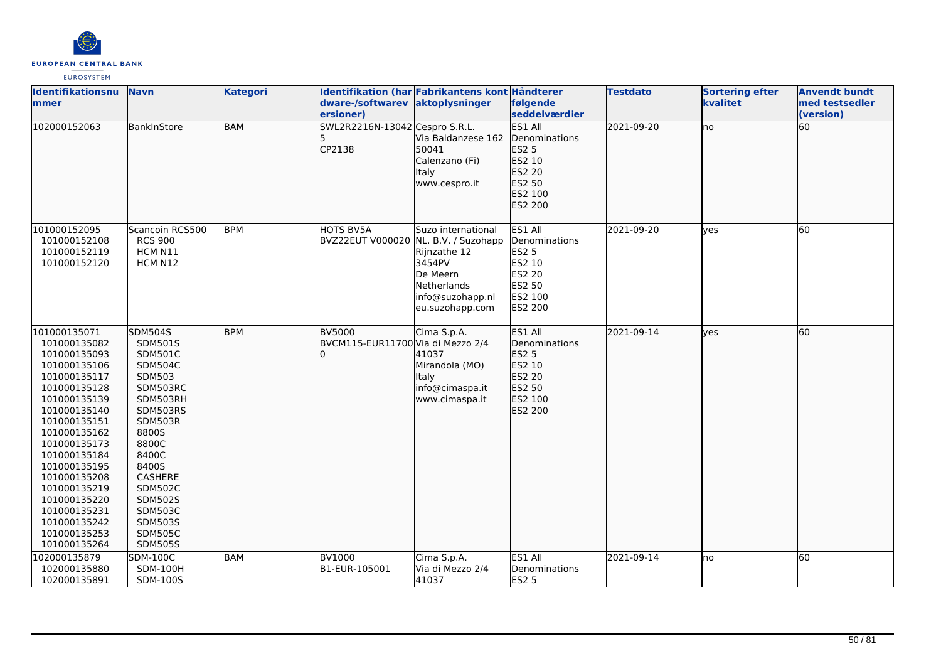

| Identifikationsnu<br>mmer                                                                                                                                                                                                                                                                                                    | <b>Navn</b>                                                                                                                                                                                                                                                                              | <b>Kategori</b> | dware-/softwarev aktoplysninger<br>ersioner)            | Identifikation (har Fabrikantens kont Håndterer                                                                | følgende<br>seddelværdier                                                                           | <b>Testdato</b> | <b>Sortering efter</b><br>kvalitet | <b>Anvendt bundt</b><br>med testsedler<br>(version) |
|------------------------------------------------------------------------------------------------------------------------------------------------------------------------------------------------------------------------------------------------------------------------------------------------------------------------------|------------------------------------------------------------------------------------------------------------------------------------------------------------------------------------------------------------------------------------------------------------------------------------------|-----------------|---------------------------------------------------------|----------------------------------------------------------------------------------------------------------------|-----------------------------------------------------------------------------------------------------|-----------------|------------------------------------|-----------------------------------------------------|
| 102000152063                                                                                                                                                                                                                                                                                                                 | BankInStore                                                                                                                                                                                                                                                                              | <b>BAM</b>      | SWL2R2216N-13042 Cespro S.R.L.<br>CP2138                | Via Baldanzese 162<br>50041<br>Calenzano (Fi)<br><b>Italy</b><br>www.cespro.it                                 | ES1 All<br>Denominations<br>ES2 5<br>ES2 10<br>ES2 20<br>ES2 50<br>ES2 100<br>ES2 200               | 2021-09-20      | lno.                               | 60                                                  |
| 101000152095<br>101000152108<br>101000152119<br>101000152120                                                                                                                                                                                                                                                                 | Scancoin RCS500<br><b>RCS 900</b><br>HCM N11<br>HCM N12                                                                                                                                                                                                                                  | <b>BPM</b>      | HOTS BV5A<br>BVZ22EUT V000020 NL. B.V. / Suzohapp       | Suzo international<br>Rijnzathe 12<br>3454PV<br>De Meern<br>Netherlands<br>info@suzohapp.nl<br>eu.suzohapp.com | ES1 All<br>Denominations<br><b>ES2 5</b><br>ES2 10<br>ES2 20<br>ES2 50<br>ES2 100<br><b>ES2 200</b> | 2021-09-20      | lyes                               | 60                                                  |
| 101000135071<br>101000135082<br>101000135093<br>101000135106<br>101000135117<br>101000135128<br>101000135139<br>101000135140<br>101000135151<br>101000135162<br>101000135173<br>101000135184<br>101000135195<br>101000135208<br>101000135219<br>101000135220<br>101000135231<br>101000135242<br>101000135253<br>101000135264 | <b>SDM504S</b><br>SDM501S<br><b>SDM501C</b><br><b>SDM504C</b><br><b>SDM503</b><br>SDM503RC<br>SDM503RH<br>SDM503RS<br>SDM503R<br>8800S<br>8800C<br>8400C<br>8400S<br>CASHERE<br><b>SDM502C</b><br><b>SDM502S</b><br><b>SDM503C</b><br><b>SDM503S</b><br><b>SDM505C</b><br><b>SDM505S</b> | <b>BPM</b>      | <b>BV5000</b><br>BVCM115-EUR11700 Via di Mezzo 2/4<br>U | Cima S.p.A.<br>41037<br>Mirandola (MO)<br><b>Italy</b><br>info@cimaspa.it<br>www.cimaspa.it                    | ES1 All<br>Denominations<br>ES2 5<br>ES2 10<br>ES2 20<br>ES2 50<br>ES2 100<br>ES2 200               | 2021-09-14      | lves                               | 60                                                  |
| 102000135879<br>102000135880<br>102000135891                                                                                                                                                                                                                                                                                 | <b>SDM-100C</b><br><b>SDM-100H</b><br>SDM-100S                                                                                                                                                                                                                                           | <b>BAM</b>      | <b>BV1000</b><br>B1-EUR-105001                          | Cima S.p.A.<br>Via di Mezzo 2/4<br>41037                                                                       | ES1 All<br>Denominations<br><b>ES2 5</b>                                                            | 2021-09-14      | lno                                | 60                                                  |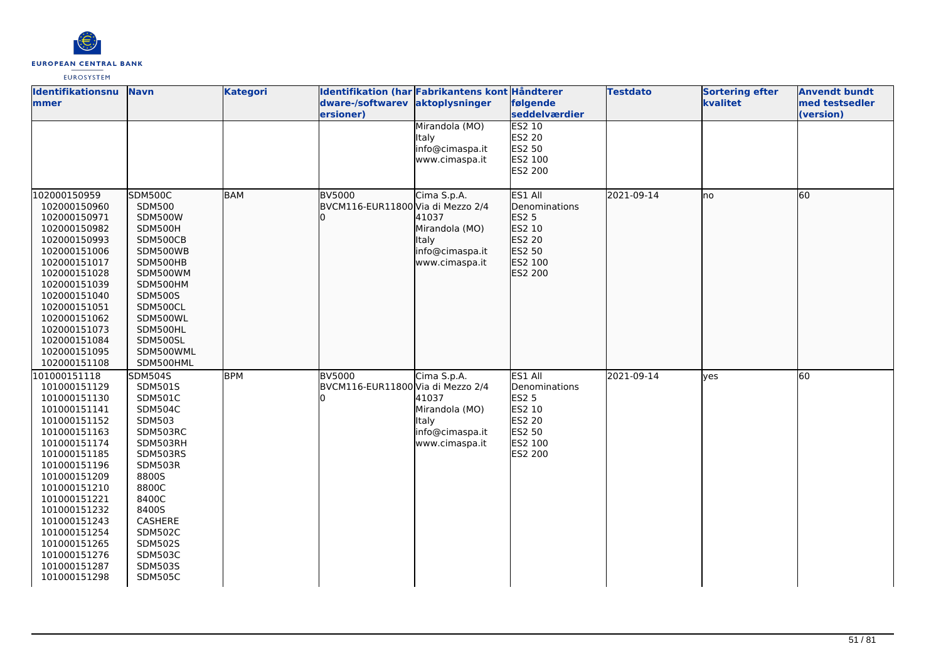

| Identifikationsnu<br>mmer                                                                                                                                                                                                                                                                                    | <b>Navn</b>                                                                                                                                                                                                                                              | <b>Kategori</b> | dware-/softwarev aktoplysninger                    | Identifikation (har Fabrikantens kont Håndterer                                             | følgende                                                                                     | <b>Testdato</b> | <b>Sortering efter</b><br>kvalitet | <b>Anvendt bundt</b><br>med testsedler |
|--------------------------------------------------------------------------------------------------------------------------------------------------------------------------------------------------------------------------------------------------------------------------------------------------------------|----------------------------------------------------------------------------------------------------------------------------------------------------------------------------------------------------------------------------------------------------------|-----------------|----------------------------------------------------|---------------------------------------------------------------------------------------------|----------------------------------------------------------------------------------------------|-----------------|------------------------------------|----------------------------------------|
|                                                                                                                                                                                                                                                                                                              |                                                                                                                                                                                                                                                          |                 | ersioner)                                          | Mirandola (MO)<br>Italy<br>info@cimaspa.it                                                  | seddelværdier<br><b>ES2 10</b><br><b>ES2 20</b><br>ES2 50                                    |                 |                                    | (version)                              |
|                                                                                                                                                                                                                                                                                                              |                                                                                                                                                                                                                                                          |                 |                                                    | www.cimaspa.it                                                                              | ES2 100<br>ES2 200                                                                           |                 |                                    |                                        |
| 102000150959<br>102000150960<br>102000150971<br>102000150982<br>102000150993<br>102000151006<br>102000151017<br>102000151028<br>102000151039<br>102000151040<br>102000151051<br>102000151062<br>102000151073<br>102000151084<br>102000151095<br>102000151108                                                 | <b>SDM500C</b><br><b>SDM500</b><br><b>SDM500W</b><br>SDM500H<br>SDM500CB<br>SDM500WB<br>SDM500HB<br>SDM500WM<br>SDM500HM<br><b>SDM500S</b><br>SDM500CL<br>SDM500WL<br>SDM500HL<br>SDM500SL<br>SDM500WML<br>SDM500HML                                     | <b>BAM</b>      | <b>BV5000</b><br>BVCM116-EUR11800 Via di Mezzo 2/4 | Cima S.p.A.<br>41037<br>Mirandola (MO)<br>Italy<br>info@cimaspa.it<br>www.cimaspa.it        | ES1 All<br>Denominations<br><b>ES2 5</b><br>ES2 10<br>ES2 20<br>ES2 50<br>ES2 100<br>ES2 200 | 2021-09-14      | lno                                | 60                                     |
| 101000151118<br>101000151129<br>101000151130<br>101000151141<br>101000151152<br>101000151163<br>101000151174<br>101000151185<br>101000151196<br>101000151209<br>101000151210<br>101000151221<br>101000151232<br>101000151243<br>101000151254<br>101000151265<br>101000151276<br>101000151287<br>101000151298 | <b>SDM504S</b><br>SDM501S<br><b>SDM501C</b><br><b>SDM504C</b><br>SDM503<br>SDM503RC<br>SDM503RH<br>SDM503RS<br>SDM503R<br>8800S<br>8800C<br>8400C<br>8400S<br>CASHERE<br><b>SDM502C</b><br><b>SDM502S</b><br><b>SDM503C</b><br>SDM503S<br><b>SDM505C</b> | <b>BPM</b>      | <b>BV5000</b><br>BVCM116-EUR11800 Via di Mezzo 2/4 | Cima S.p.A.<br>41037<br>Mirandola (MO)<br><b>Italy</b><br>info@cimaspa.it<br>www.cimaspa.it | ES1 All<br>Denominations<br><b>ES2 5</b><br>ES2 10<br>ES2 20<br>ES2 50<br>ES2 100<br>ES2 200 | 2021-09-14      | lyes                               | 60                                     |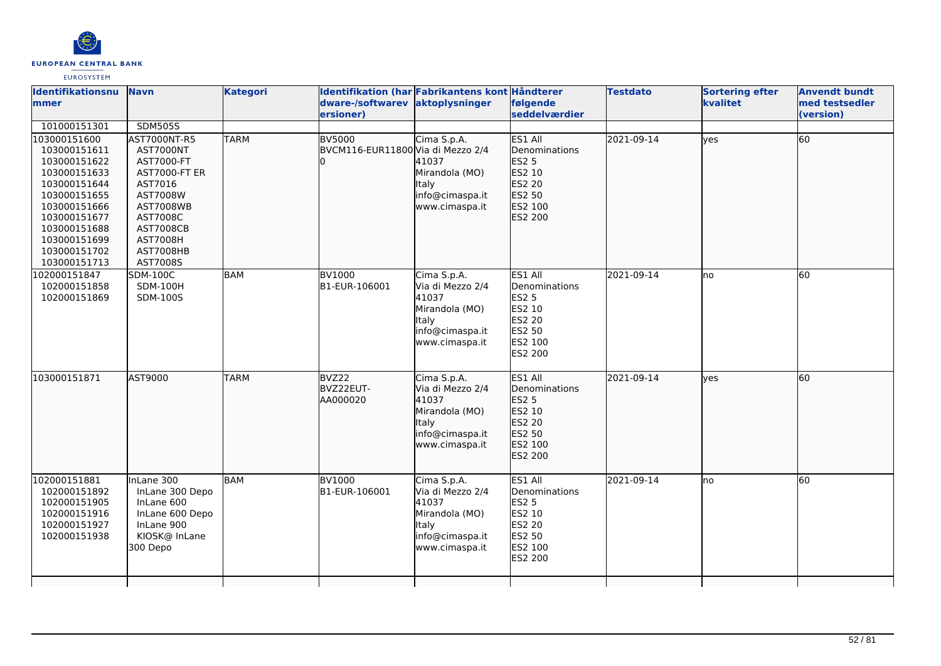

#### **Identifikationsnu mmer Navn Kategori Identifikation (har Fabrikantens kont Håndterer dware-/softwarev ersioner) aktoplysninger følgende seddelværdier Testdato Sortering efter kvalitet Anvendt bundt med testsedler (version)**  101000151301 SDM505S 103000151600 103000151611 103000151622 103000151633 103000151644 103000151655 103000151666 103000151677 103000151688 103000151699 103000151702 103000151713 AST7000NT-R5 AST7000NT AST7000-FT AST7000-FT ER AST7016 AST7008W AST7008WB AST7008C AST7008CB AST7008H AST7008HB AST7008S TARM BV5000 BVCM116-EUR11800 Via di Mezzo 2/4 l∩ Cima S.p.A. 41037 Mirandola (MO) Italy info@cimaspa.it www.cimaspa.it ES1 All Denominations ES2 5 ES2 10 ES2 20  $F5250$ ES2 100 ES2 200 2021-09-14 ves 60 102000151847 102000151858 102000151869 SDM-100C SDM-100H SDM-100S  $BAM$   $BVI000$ B1-EUR-106001 Cima S.p.A. Via di Mezzo 2/4 41037 Mirandola (MO) Italy info@cimaspa.it www.cimaspa.it ES1 All Denominations ES2 5 **ES2 10** ES2 20 ES2 50 ES2 100 ES2 200 2021-09-14 no 60 103000151871 AST9000 TARM BVZ22 BVZ22EUT-AA000020 Cima S.p.A. Via di Mezzo 2/4 41037 Mirandola (MO) litaly info@cimaspa.it www.cimaspa.it ES1 All Denominations ES2 5 **ES2 10** ES2 20 ES2 50 ES2 100 ES2 200  $2021 - 09 - 14$  yes 60 102000151881 102000151892 102000151905 102000151916 102000151927 102000151938 InLane 300 InLane 300 Depo InLane 600 InLane 600 Depo InLane 900 KIOSK@ InLane 300 Depo **BAM** BV1000 B1-EUR-106001 Cima S.p.A. Via di Mezzo 2/4 41037 Mirandola (MO) Italy info@cimaspa.it www.cimaspa.it ES1 All Denominations ES2 5 ES2 10 ES2 20 **ES2 50** ES2 100 ES2 200 2021-09-14 no 60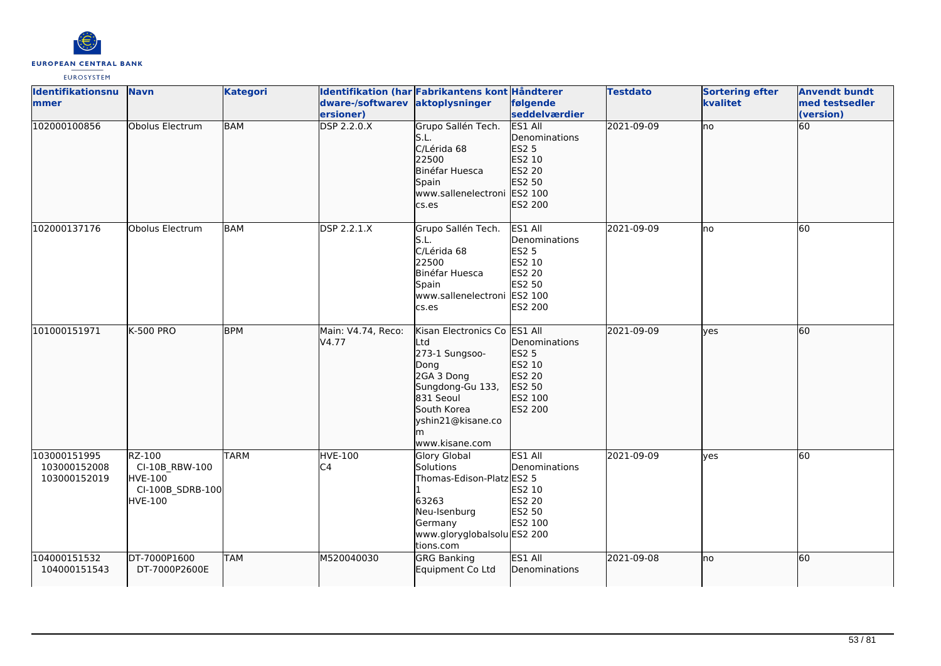

| Identifikationsnu                            | <b>Navn</b>                                                                      | <b>Kategori</b> |                             | Identifikation (har Fabrikantens kont Håndterer                                                                                                                         |                                                                                                 | <b>Testdato</b> | <b>Sortering efter</b> | <b>Anvendt bundt</b> |
|----------------------------------------------|----------------------------------------------------------------------------------|-----------------|-----------------------------|-------------------------------------------------------------------------------------------------------------------------------------------------------------------------|-------------------------------------------------------------------------------------------------|-----------------|------------------------|----------------------|
| <b>Immer</b>                                 |                                                                                  |                 | dware-/softwarev            | aktoplysninger                                                                                                                                                          | følgende                                                                                        |                 | kvalitet               | med testsedler       |
|                                              |                                                                                  |                 | ersioner)                   |                                                                                                                                                                         | seddelværdier                                                                                   |                 |                        | (version)            |
| 102000100856                                 | Obolus Electrum                                                                  | <b>BAM</b>      | <b>DSP 2.2.0.X</b>          | Grupo Sallén Tech.<br>S.L.<br>C/Lérida 68<br>22500<br>Binéfar Huesca<br>Spain<br>www.sallenelectroni ES2 100<br>cs.es                                                   | <b>ES1 All</b><br>Denominations<br>ES2 5<br>ES2 10<br>ES2 20<br>ES2 50<br>ES2 200               | 2021-09-09      | lno                    | 60                   |
| 102000137176                                 | Obolus Electrum                                                                  | BAM             | DSP 2.2.1.X                 | Grupo Sallén Tech.<br>S.L.<br>C/Lérida 68<br>22500<br>Binéfar Huesca<br>Spain<br>www.sallenelectroni ES2 100<br>cs.es                                                   | ES1 All<br>Denominations<br><b>ES2 5</b><br>ES2 10<br><b>ES2 20</b><br>ES2 50<br><b>ES2 200</b> | 2021-09-09      | lno                    | 60                   |
| 101000151971                                 | <b>K-500 PRO</b>                                                                 | <b>BPM</b>      | Main: V4.74, Reco:<br>V4.77 | Kisan Electronics Co ES1 All<br>Ltd<br>273-1 Sungsoo-<br>Dong<br>2GA 3 Dong<br>Sungdong-Gu 133,<br>831 Seoul<br>South Korea<br>yshin21@kisane.co<br>m<br>www.kisane.com | Denominations<br>ES2 5<br>ES2 10<br>ES2 20<br>ES2 50<br>ES2 100<br>ES2 200                      | 2021-09-09      | lves                   | 60                   |
| 103000151995<br>103000152008<br>103000152019 | RZ-100<br>CI-10B_RBW-100<br><b>HVE-100</b><br>CI-100B_SDRB-100<br><b>HVE-100</b> | <b>TARM</b>     | <b>HVE-100</b><br>C4        | <b>Glory Global</b><br>Solutions<br>Thomas-Edison-Platz ES2 5<br>63263<br>Neu-Isenburg<br>Germany<br>www.gloryglobalsolu ES2 200<br>tions.com                           | ES1 All<br>Denominations<br>ES2 10<br>ES2 20<br>ES2 50<br>ES2 100                               | 2021-09-09      | yes                    | 60                   |
| 104000151532<br>104000151543                 | DT-7000P1600<br>DT-7000P2600E                                                    | <b>TAM</b>      | M520040030                  | <b>GRG Banking</b><br>Equipment Co Ltd                                                                                                                                  | ES1 All<br>Denominations                                                                        | 2021-09-08      | lno                    | 60                   |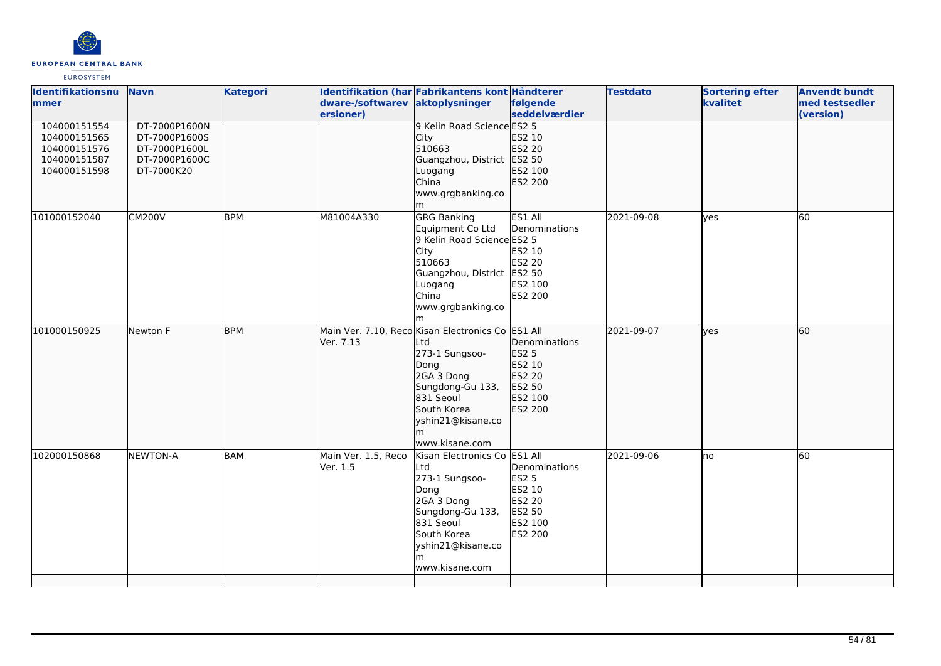

| Identifikationsnu<br>mmer                                                    | <b>Navn</b>                                                                    | <b>Kategori</b> | dware-/softwarev<br>ersioner)   | Identifikation (har Fabrikantens kont Håndterer<br>aktoplysninger                                                                                                                             | følgende<br>seddelværdier                                                         | <b>Testdato</b> | <b>Sortering efter</b><br>kvalitet | <b>Anvendt bundt</b><br>med testsedler<br>(version) |
|------------------------------------------------------------------------------|--------------------------------------------------------------------------------|-----------------|---------------------------------|-----------------------------------------------------------------------------------------------------------------------------------------------------------------------------------------------|-----------------------------------------------------------------------------------|-----------------|------------------------------------|-----------------------------------------------------|
| 104000151554<br>104000151565<br>104000151576<br>104000151587<br>104000151598 | DT-7000P1600N<br>DT-7000P1600S<br>DT-7000P1600L<br>DT-7000P1600C<br>DT-7000K20 |                 |                                 | 9 Kelin Road Science ES2 5<br>City<br>510663<br>Guangzhou, District ES2 50<br>Luogang<br>China<br>www.grgbanking.co<br>lm                                                                     | ES2 10<br>ES2 20<br>ES2 100<br>ES2 200                                            |                 |                                    |                                                     |
| 101000152040                                                                 | <b>CM200V</b>                                                                  | <b>BPM</b>      | M81004A330                      | <b>GRG Banking</b><br>Equipment Co Ltd<br>9 Kelin Road Science ES2 5<br>City<br>510663<br>Guangzhou, District ES2 50<br>Luogang<br>China<br>www.grgbanking.co                                 | ES1 All<br>Denominations<br>ES2 10<br>ES2 20<br>ES2 100<br><b>ES2 200</b>         | 2021-09-08      | ves                                | 60                                                  |
| 101000150925                                                                 | Newton F                                                                       | <b>BPM</b>      | Ver. 7.13                       | Main Ver. 7.10, Reco Kisan Electronics Co ES1 All<br>Ltd<br>273-1 Sungsoo-<br>Dong<br>2GA 3 Dong<br>Sungdong-Gu 133,<br>831 Seoul<br>South Korea<br>yshin21@kisane.co<br>lm<br>www.kisane.com | Denominations<br><b>ES2 5</b><br>ES2 10<br>ES2 20<br>ES2 50<br>ES2 100<br>ES2 200 | 2021-09-07      | ves                                | 60                                                  |
| 102000150868                                                                 | NEWTON-A                                                                       | BAM             | Main Ver. 1.5, Reco<br>Ver. 1.5 | Kisan Electronics Co ES1 All<br>Ltd<br>273-1 Sungsoo-<br>Dong<br>2GA 3 Dong<br>Sungdong-Gu 133,<br>831 Seoul<br>South Korea<br>yshin21@kisane.co<br>m<br>lwww.kisane.com                      | Denominations<br>ES2 5<br>ES2 10<br><b>ES2 20</b><br>ES2 50<br>ES2 100<br>ES2 200 | 2021-09-06      | Ino                                | 60                                                  |
|                                                                              |                                                                                |                 |                                 |                                                                                                                                                                                               |                                                                                   |                 |                                    |                                                     |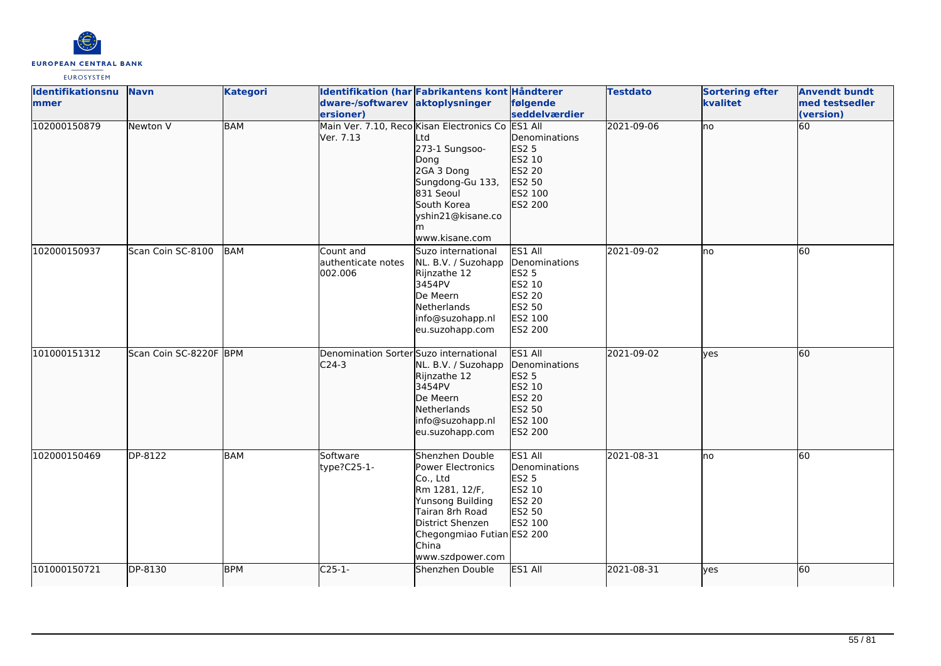

| <b>Identifikationsnu</b><br>mmer | <b>Navn</b>            | <b>Kategori</b> | dware-/softwarev aktoplysninger<br>ersioner)      | Identifikation (har Fabrikantens kont Håndterer                                                                                                                                                 | følgende<br>seddelværdier                                                                           | <b>Testdato</b> | <b>Sortering efter</b><br>kvalitet | <b>Anvendt bundt</b><br>med testsedler<br>(version) |
|----------------------------------|------------------------|-----------------|---------------------------------------------------|-------------------------------------------------------------------------------------------------------------------------------------------------------------------------------------------------|-----------------------------------------------------------------------------------------------------|-----------------|------------------------------------|-----------------------------------------------------|
| 102000150879                     | Newton V               | <b>BAM</b>      | Ver. 7.13                                         | Main Ver. 7.10, Reco Kisan Electronics Co<br>_td<br>273-1 Sungsoo-<br>Dong<br>2GA 3 Dong<br>Sungdong-Gu 133,<br>831 Seoul<br>South Korea<br>yshin21@kisane.co<br>lm<br>www.kisane.com           | <b>ES1 All</b><br>Denominations<br><b>ES2 5</b><br>ES2 10<br>ES2 20<br>ES2 50<br>ES2 100<br>ES2 200 | 2021-09-06      | no                                 | 60                                                  |
| 102000150937                     | Scan Coin SC-8100      | BAM             | Count and<br>lauthenticate notes<br>002.006       | Suzo international<br>NL. B.V. / Suzohapp<br>Rijnzathe 12<br>3454PV<br>De Meern<br>Netherlands<br>info@suzohapp.nl<br>eu.suzohapp.com                                                           | ES1 All<br>Denominations<br><b>ES2 5</b><br>ES2 10<br>ES2 20<br>ES2 50<br>ES2 100<br>ES2 200        | 2021-09-02      | lno                                | 60                                                  |
| 101000151312                     | Scan Coin SC-8220F BPM |                 | Denomination Sorter Suzo international<br>$C24-3$ | NL. B.V. / Suzohapp<br>Rijnzathe 12<br>3454PV<br>De Meern<br>Netherlands<br>info@suzohapp.nl<br>eu.suzohapp.com                                                                                 | ES1 All<br>Denominations<br>ES2 5<br>ES2 10<br>ES2 20<br>ES2 50<br>ES2 100<br>ES2 200               | 2021-09-02      | ves                                | 60                                                  |
| 102000150469                     | DP-8122                | <b>BAM</b>      | Software<br>type?C25-1-                           | Shenzhen Double<br>Power Electronics<br>Co., Ltd<br>Rm 1281, 12/F,<br>Yunsong Building<br>Tairan 8rh Road<br><b>District Shenzen</b><br>Chegongmiao Futian ES2 200<br>China<br>www.szdpower.com | ES1 All<br>Denominations<br><b>ES2 5</b><br>ES2 10<br><b>ES2 20</b><br>ES2 50<br>ES2 100            | 2021-08-31      | lno                                | 60                                                  |
| 101000150721                     | DP-8130                | <b>BPM</b>      | C <sub>25-1-</sub>                                | Shenzhen Double                                                                                                                                                                                 | ES1 All                                                                                             | 2021-08-31      | ves                                | 60                                                  |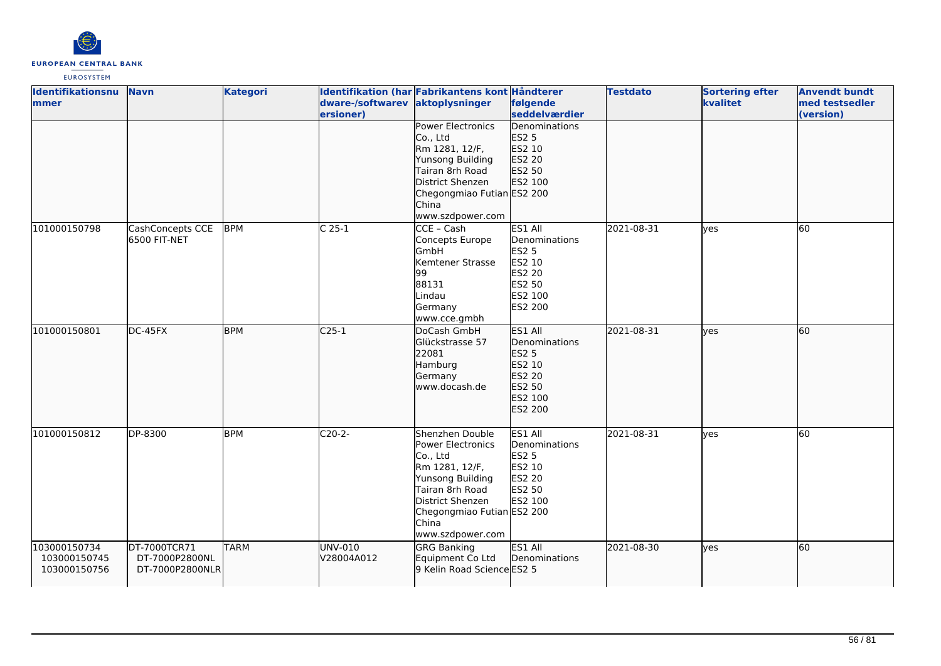

| <b>Identifikationsnu</b> | <b>Navn</b>      | <b>Kategori</b> |                  | Identifikation (har Fabrikantens kont Håndterer |               | <b>Testdato</b> | <b>Sortering efter</b> | <b>Anvendt bundt</b> |
|--------------------------|------------------|-----------------|------------------|-------------------------------------------------|---------------|-----------------|------------------------|----------------------|
| <b>mmer</b>              |                  |                 | dware-/softwarev | aktoplysninger                                  | følgende      |                 | kvalitet               | med testsedler       |
|                          |                  |                 | ersioner)        |                                                 | seddelværdier |                 |                        | (version)            |
|                          |                  |                 |                  | <b>Power Electronics</b>                        | Denominations |                 |                        |                      |
|                          |                  |                 |                  | Co., Ltd                                        | <b>ES2 5</b>  |                 |                        |                      |
|                          |                  |                 |                  | Rm 1281, 12/F,                                  | ES2 10        |                 |                        |                      |
|                          |                  |                 |                  | Yunsong Building                                | ES2 20        |                 |                        |                      |
|                          |                  |                 |                  | Tairan 8rh Road                                 | ES2 50        |                 |                        |                      |
|                          |                  |                 |                  | District Shenzen                                | ES2 100       |                 |                        |                      |
|                          |                  |                 |                  | Chegongmiao Futian ES2 200                      |               |                 |                        |                      |
|                          |                  |                 |                  | China                                           |               |                 |                        |                      |
|                          |                  |                 |                  | www.szdpower.com                                |               |                 |                        |                      |
| 101000150798             | CashConcepts CCE | <b>BPM</b>      | $C25-1$          | CCE - Cash                                      | ES1 All       | 2021-08-31      | yes                    | 60                   |
|                          | 6500 FIT-NET     |                 |                  | Concepts Europe                                 | Denominations |                 |                        |                      |
|                          |                  |                 |                  | GmbH                                            | <b>ES2 5</b>  |                 |                        |                      |
|                          |                  |                 |                  | Kemtener Strasse                                | ES2 10        |                 |                        |                      |
|                          |                  |                 |                  | 99                                              | <b>ES2 20</b> |                 |                        |                      |
|                          |                  |                 |                  | 88131                                           | ES2 50        |                 |                        |                      |
|                          |                  |                 |                  | Lindau                                          | ES2 100       |                 |                        |                      |
|                          |                  |                 |                  | Germany                                         | ES2 200       |                 |                        |                      |
|                          |                  |                 |                  | www.cce.gmbh                                    |               |                 |                        |                      |
| 101000150801             | DC-45FX          | <b>BPM</b>      | $C25-1$          | DoCash GmbH                                     | ES1 All       | 2021-08-31      | lyes                   | 60                   |
|                          |                  |                 |                  | Glückstrasse 57                                 | Denominations |                 |                        |                      |
|                          |                  |                 |                  | 22081                                           | ES2 5         |                 |                        |                      |
|                          |                  |                 |                  | Hamburg                                         | ES2 10        |                 |                        |                      |
|                          |                  |                 |                  | Germany                                         | ES2 20        |                 |                        |                      |
|                          |                  |                 |                  | www.docash.de                                   | ES2 50        |                 |                        |                      |
|                          |                  |                 |                  |                                                 | ES2 100       |                 |                        |                      |
|                          |                  |                 |                  |                                                 | ES2 200       |                 |                        |                      |
|                          |                  |                 |                  |                                                 |               |                 |                        |                      |
| 101000150812             | DP-8300          | <b>BPM</b>      | $C20-2-$         | Shenzhen Double                                 | ES1 All       | 2021-08-31      | yes                    | 60                   |
|                          |                  |                 |                  | Power Electronics                               | Denominations |                 |                        |                      |
|                          |                  |                 |                  | Co., Ltd                                        | <b>ES2 5</b>  |                 |                        |                      |
|                          |                  |                 |                  | Rm 1281, 12/F,                                  | ES2 10        |                 |                        |                      |
|                          |                  |                 |                  | Yunsong Building                                | <b>ES2 20</b> |                 |                        |                      |
|                          |                  |                 |                  | Tairan 8rh Road                                 | ES2 50        |                 |                        |                      |
|                          |                  |                 |                  | District Shenzen                                | ES2 100       |                 |                        |                      |
|                          |                  |                 |                  | Chegongmiao Futian ES2 200                      |               |                 |                        |                      |
|                          |                  |                 |                  | China                                           |               |                 |                        |                      |
|                          |                  |                 |                  | www.szdpower.com                                |               |                 |                        |                      |
| 103000150734             | DT-7000TCR71     | <b>TARM</b>     | UNV-010          | <b>GRG Banking</b>                              | ES1 All       | 2021-08-30      | ves                    | 60                   |
| 103000150745             | DT-7000P2800NL   |                 | V28004A012       | Equipment Co Ltd                                | Denominations |                 |                        |                      |
| 103000150756             | DT-7000P2800NLR  |                 |                  | 9 Kelin Road Science ES2 5                      |               |                 |                        |                      |
|                          |                  |                 |                  |                                                 |               |                 |                        |                      |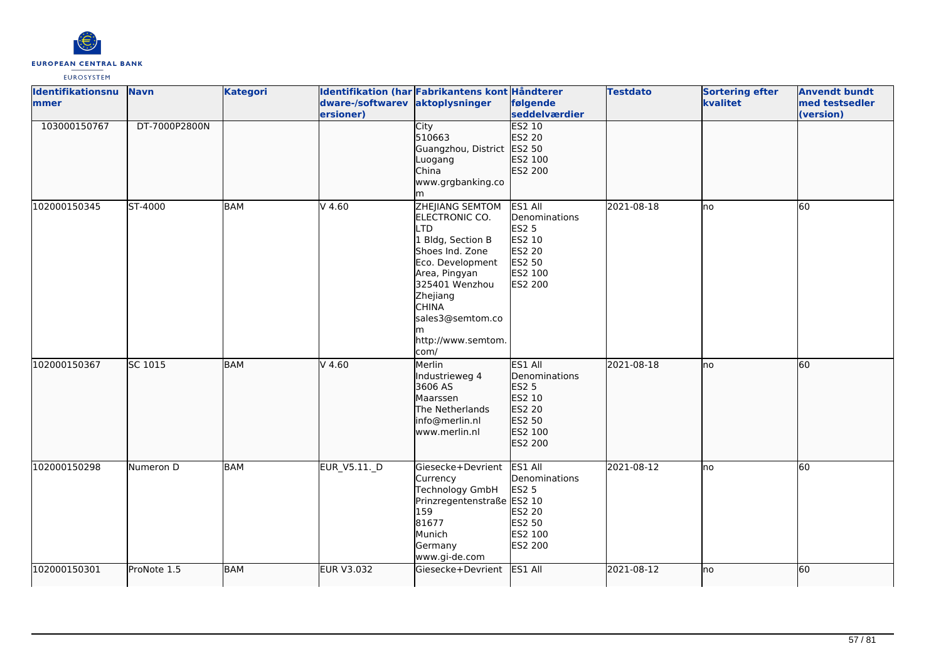

| Identifikationsnu<br>lmmer | <b>Navn</b>   | <b>Kategori</b> | dware-/softwarev aktoplysninger | Identifikation (har Fabrikantens kont Håndterer                                                                                                                                                                                          | følgende                                                                              | <b>Testdato</b> | <b>Sortering efter</b><br>kvalitet | <b>Anvendt bundt</b><br>med testsedler |
|----------------------------|---------------|-----------------|---------------------------------|------------------------------------------------------------------------------------------------------------------------------------------------------------------------------------------------------------------------------------------|---------------------------------------------------------------------------------------|-----------------|------------------------------------|----------------------------------------|
|                            |               |                 | ersioner)                       |                                                                                                                                                                                                                                          | seddelværdier                                                                         |                 |                                    | (version)                              |
| 103000150767               | DT-7000P2800N |                 |                                 | City<br>510663<br>Guangzhou, District ES2 50<br>Luogang                                                                                                                                                                                  | <b>ES2 10</b><br>ES2 20<br>ES2 100                                                    |                 |                                    |                                        |
|                            |               |                 |                                 | China<br>www.grgbanking.co<br>lm                                                                                                                                                                                                         | ES2 200                                                                               |                 |                                    |                                        |
| 102000150345               | ST-4000       | <b>BAM</b>      | $V$ 4.60                        | <b>ZHEJIANG SEMTOM</b><br>ELECTRONIC CO.<br><b>LTD</b><br>1 Bldg, Section B<br>Shoes Ind. Zone<br>Eco. Development<br>Area, Pingyan<br>325401 Wenzhou<br>Zhejiang<br><b>CHINA</b><br>sales3@semtom.co<br>m<br>http://www.semtom.<br>com/ | ES1 All<br>Denominations<br>ES2 5<br>ES2 10<br>ES2 20<br>ES2 50<br>ES2 100<br>ES2 200 | 2021-08-18      | lno                                | 60                                     |
| 102000150367               | SC 1015       | <b>BAM</b>      | $V$ 4.60                        | Merlin<br>Industrieweg 4<br>3606 AS<br>Maarssen<br>The Netherlands<br>info@merlin.nl<br>www.merlin.nl                                                                                                                                    | ES1 All<br>Denominations<br>ES2 5<br>ES2 10<br>ES2 20<br>ES2 50<br>ES2 100<br>ES2 200 | 2021-08-18      | Ino                                | 60                                     |
| 102000150298               | Numeron D     | <b>BAM</b>      | EUR_V5.11._D                    | Giesecke+Devrient<br>Currency<br>Technology GmbH<br>Prinzregentenstraße ES2 10<br>159<br>81677<br>Munich<br>Germany<br>www.gi-de.com                                                                                                     | ES1 All<br>Denominations<br>ES2 5<br>ES2 20<br>ES2 50<br>ES2 100<br>ES2 200           | 2021-08-12      | lno                                | 60                                     |
| 102000150301               | ProNote 1.5   | <b>BAM</b>      | <b>EUR V3.032</b>               | Giesecke+Devrient                                                                                                                                                                                                                        | ES1 All                                                                               | 2021-08-12      | lno                                | 60                                     |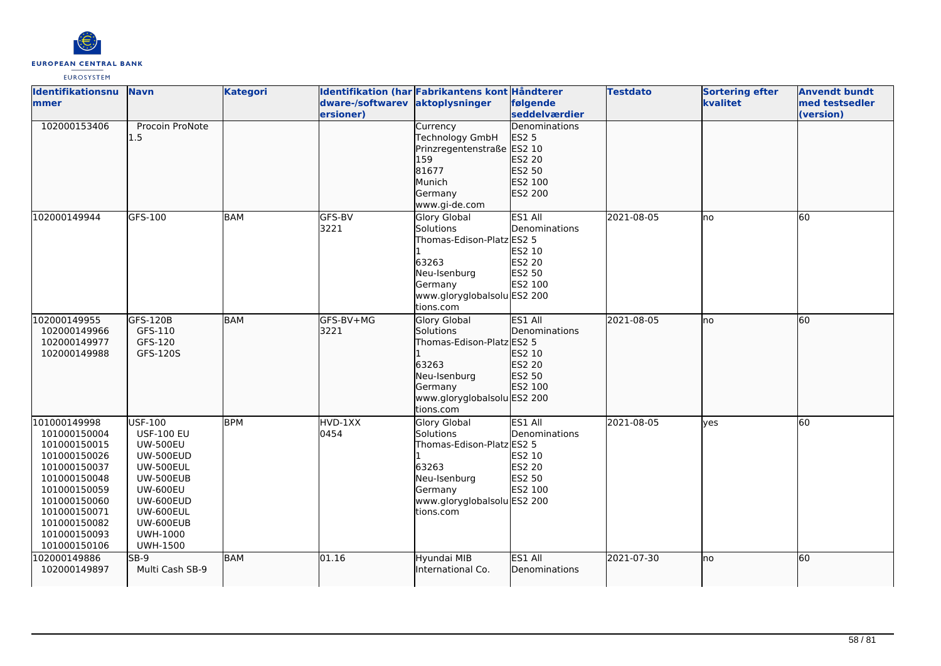

| <b>Identifikationsnu</b> | <b>Navn</b>       | <b>Kategori</b> |                                 | Identifikation (har Fabrikantens kont Håndterer |               | <b>Testdato</b> | <b>Sortering efter</b> | <b>Anvendt bundt</b> |
|--------------------------|-------------------|-----------------|---------------------------------|-------------------------------------------------|---------------|-----------------|------------------------|----------------------|
| mmer                     |                   |                 | dware-/softwarev aktoplysninger |                                                 | følgende      |                 | kvalitet               | med testsedler       |
|                          |                   |                 | ersioner)                       |                                                 | seddelværdier |                 |                        | (version)            |
| 102000153406             | Procoin ProNote   |                 |                                 | Currency                                        | Denominations |                 |                        |                      |
|                          | 1.5               |                 |                                 | Technology GmbH                                 | ES2 5         |                 |                        |                      |
|                          |                   |                 |                                 | Prinzregentenstraße ES2 10                      |               |                 |                        |                      |
|                          |                   |                 |                                 | 159                                             | ES2 20        |                 |                        |                      |
|                          |                   |                 |                                 | 81677                                           | ES2 50        |                 |                        |                      |
|                          |                   |                 |                                 | Munich                                          | ES2 100       |                 |                        |                      |
|                          |                   |                 |                                 | Germany                                         | ES2 200       |                 |                        |                      |
|                          |                   |                 |                                 | www.gi-de.com                                   |               |                 |                        |                      |
| 102000149944             | GFS-100           | BAM             | GFS-BV                          | <b>Glory Global</b>                             | ES1 All       | 2021-08-05      | lno                    | 60                   |
|                          |                   |                 | 3221                            | Solutions                                       | Denominations |                 |                        |                      |
|                          |                   |                 |                                 | Thomas-Edison-Platz ES2 5                       |               |                 |                        |                      |
|                          |                   |                 |                                 |                                                 | ES2 10        |                 |                        |                      |
|                          |                   |                 |                                 | 63263                                           | ES2 20        |                 |                        |                      |
|                          |                   |                 |                                 | Neu-Isenburg                                    | ES2 50        |                 |                        |                      |
|                          |                   |                 |                                 | Germany                                         | ES2 100       |                 |                        |                      |
|                          |                   |                 |                                 | www.gloryglobalsolu ES2 200                     |               |                 |                        |                      |
|                          |                   |                 |                                 | tions.com                                       |               |                 |                        |                      |
| 102000149955             | GFS-120B          | BAM             | GFS-BV+MG                       | Glory Global                                    | ES1 All       | 2021-08-05      | no                     | 60                   |
| 102000149966             | GFS-110           |                 | 3221                            | Solutions                                       | Denominations |                 |                        |                      |
| 102000149977             | GFS-120           |                 |                                 | Thomas-Edison-Platz ES2 5                       |               |                 |                        |                      |
| 102000149988             | GFS-120S          |                 |                                 |                                                 | ES2 10        |                 |                        |                      |
|                          |                   |                 |                                 | 63263                                           | ES2 20        |                 |                        |                      |
|                          |                   |                 |                                 | Neu-Isenburg                                    | ES2 50        |                 |                        |                      |
|                          |                   |                 |                                 | Germany                                         | ES2 100       |                 |                        |                      |
|                          |                   |                 |                                 | www.gloryglobalsolu ES2 200                     |               |                 |                        |                      |
|                          |                   |                 |                                 | tions.com                                       |               |                 |                        |                      |
| 101000149998             | USF-100           | <b>BPM</b>      | HVD-1XX                         | <b>Glory Global</b>                             | ES1 All       | 2021-08-05      | lves                   | 60                   |
| 101000150004             | <b>USF-100 EU</b> |                 | 0454                            | Solutions                                       | Denominations |                 |                        |                      |
| 101000150015             | <b>UW-500EU</b>   |                 |                                 | Thomas-Edison-Platz ES2 5                       |               |                 |                        |                      |
| 101000150026             | <b>UW-500EUD</b>  |                 |                                 |                                                 | ES2 10        |                 |                        |                      |
| 101000150037             | <b>UW-500EUL</b>  |                 |                                 | 63263                                           | ES2 20        |                 |                        |                      |
| 101000150048             | UW-500EUB         |                 |                                 | Neu-Isenburg                                    | ES2 50        |                 |                        |                      |
| 101000150059             | <b>UW-600EU</b>   |                 |                                 | Germany                                         | ES2 100       |                 |                        |                      |
| 101000150060             | UW-600EUD         |                 |                                 | www.gloryglobalsolu ES2 200                     |               |                 |                        |                      |
| 101000150071             | <b>UW-600EUL</b>  |                 |                                 | tions.com                                       |               |                 |                        |                      |
| 101000150082             | UW-600EUB         |                 |                                 |                                                 |               |                 |                        |                      |
| 101000150093             | <b>UWH-1000</b>   |                 |                                 |                                                 |               |                 |                        |                      |
| 101000150106             | <b>UWH-1500</b>   |                 |                                 |                                                 |               |                 |                        |                      |
| 102000149886             | SB-9              | <b>BAM</b>      | 01.16                           | Hyundai MIB                                     | ES1 All       | 2021-07-30      | lno                    | 60                   |
| 102000149897             | Multi Cash SB-9   |                 |                                 | International Co.                               | Denominations |                 |                        |                      |
|                          |                   |                 |                                 |                                                 |               |                 |                        |                      |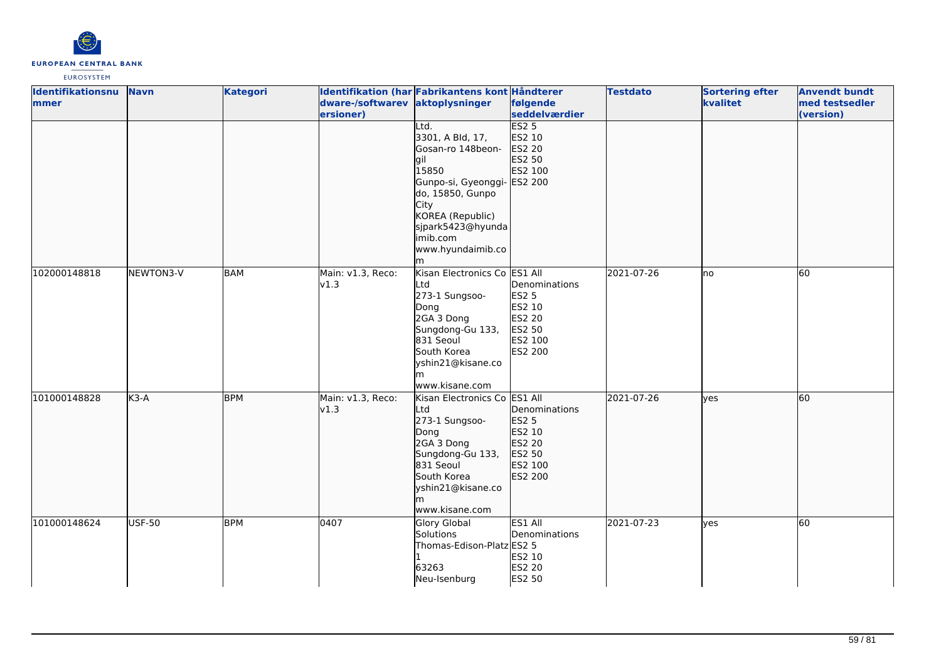

| Identifikationsnu | <b>Navn</b>   | <b>Kategori</b> |                                 | Identifikation (har Fabrikantens kont Håndterer |               | <b>Testdato</b> | <b>Sortering efter</b> | <b>Anvendt bundt</b> |
|-------------------|---------------|-----------------|---------------------------------|-------------------------------------------------|---------------|-----------------|------------------------|----------------------|
| mmer              |               |                 | dware-/softwarev aktoplysninger |                                                 | følgende      |                 | kvalitet               | med testsedler       |
|                   |               |                 | ersioner)                       |                                                 | seddelværdier |                 |                        | (version)            |
|                   |               |                 |                                 | Ltd.                                            | ES25          |                 |                        |                      |
|                   |               |                 |                                 | 3301, A Bld, 17,                                | ES2 10        |                 |                        |                      |
|                   |               |                 |                                 | Gosan-ro 148beon-                               | ES2 20        |                 |                        |                      |
|                   |               |                 |                                 | lgil<br>15850                                   | ES2 50        |                 |                        |                      |
|                   |               |                 |                                 |                                                 | ES2 100       |                 |                        |                      |
|                   |               |                 |                                 | Gunpo-si, Gyeonggi- ES2 200<br>do, 15850, Gunpo |               |                 |                        |                      |
|                   |               |                 |                                 | City                                            |               |                 |                        |                      |
|                   |               |                 |                                 | KOREA (Republic)                                |               |                 |                        |                      |
|                   |               |                 |                                 | sjpark5423@hyunda                               |               |                 |                        |                      |
|                   |               |                 |                                 | imib.com                                        |               |                 |                        |                      |
|                   |               |                 |                                 | www.hyundaimib.co                               |               |                 |                        |                      |
|                   |               |                 |                                 | lm                                              |               |                 |                        |                      |
| 102000148818      | NEWTON3-V     | BAM             | Main: v1.3, Reco:               | Kisan Electronics Co ES1 All                    |               | 2021-07-26      | lno                    | 60                   |
|                   |               |                 | v1.3                            | Ltd                                             | Denominations |                 |                        |                      |
|                   |               |                 |                                 | 273-1 Sungsoo-                                  | <b>ES2 5</b>  |                 |                        |                      |
|                   |               |                 |                                 | Dong                                            | ES2 10        |                 |                        |                      |
|                   |               |                 |                                 | 2GA 3 Dong                                      | ES2 20        |                 |                        |                      |
|                   |               |                 |                                 | Sungdong-Gu 133,                                | ES2 50        |                 |                        |                      |
|                   |               |                 |                                 | 831 Seoul                                       | ES2 100       |                 |                        |                      |
|                   |               |                 |                                 | South Korea                                     | ES2 200       |                 |                        |                      |
|                   |               |                 |                                 | yshin21@kisane.co                               |               |                 |                        |                      |
|                   |               |                 |                                 | www.kisane.com                                  |               |                 |                        |                      |
| 101000148828      | $K3-A$        | <b>BPM</b>      | Main: v1.3, Reco:               | Kisan Electronics Co ES1 All                    |               | 2021-07-26      | lyes                   | 60                   |
|                   |               |                 | v1.3                            | Ltd                                             | Denominations |                 |                        |                      |
|                   |               |                 |                                 | 273-1 Sungsoo-                                  | ES2 5         |                 |                        |                      |
|                   |               |                 |                                 | Dong                                            | ES2 10        |                 |                        |                      |
|                   |               |                 |                                 | 2GA 3 Dong                                      | ES2 20        |                 |                        |                      |
|                   |               |                 |                                 | Sungdong-Gu 133,                                | ES2 50        |                 |                        |                      |
|                   |               |                 |                                 | 831 Seoul                                       | ES2 100       |                 |                        |                      |
|                   |               |                 |                                 | South Korea                                     | ES2 200       |                 |                        |                      |
|                   |               |                 |                                 | yshin21@kisane.co                               |               |                 |                        |                      |
|                   |               |                 |                                 | m                                               |               |                 |                        |                      |
|                   |               |                 |                                 | www.kisane.com                                  |               |                 |                        |                      |
| 101000148624      | <b>USF-50</b> | <b>BPM</b>      | 0407                            | <b>Glory Global</b>                             | ES1 All       | 2021-07-23      | yes                    | 60                   |
|                   |               |                 |                                 | Solutions                                       | Denominations |                 |                        |                      |
|                   |               |                 |                                 | Thomas-Edison-Platz ES2 5                       |               |                 |                        |                      |
|                   |               |                 |                                 |                                                 | ES2 10        |                 |                        |                      |
|                   |               |                 |                                 | 63263                                           | <b>ES2 20</b> |                 |                        |                      |
|                   |               |                 |                                 | Neu-Isenburg                                    | ES2 50        |                 |                        |                      |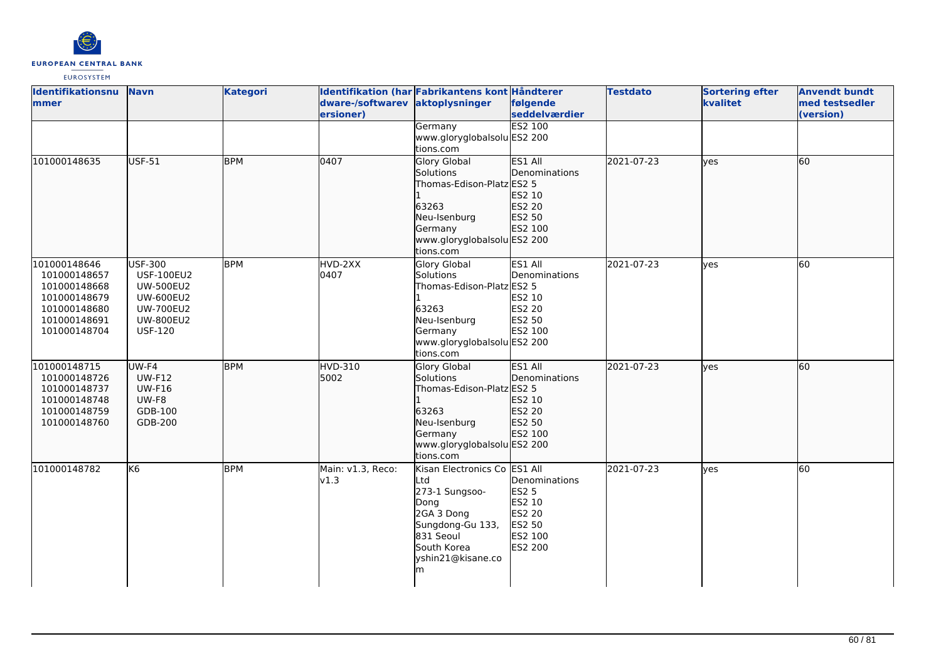

| <b>Identifikationsnu</b><br>mmer | <b>Navn</b>            | <b>Kategori</b> | dware-/softwarev aktoplysninger | Identifikation (har Fabrikantens kont Håndterer | følgende<br>seddelværdier | <b>Testdato</b> | <b>Sortering efter</b><br>kvalitet | <b>Anvendt bundt</b><br>med testsedler |
|----------------------------------|------------------------|-----------------|---------------------------------|-------------------------------------------------|---------------------------|-----------------|------------------------------------|----------------------------------------|
|                                  |                        |                 | ersioner)                       |                                                 | <b>ES2 100</b>            |                 |                                    | (version)                              |
|                                  |                        |                 |                                 | Germany<br>www.gloryglobalsolu ES2 200          |                           |                 |                                    |                                        |
|                                  |                        |                 |                                 | tions.com                                       |                           |                 |                                    |                                        |
| 101000148635                     | USF-51                 | <b>BPM</b>      | 0407                            | Glory Global                                    | ES1 All                   | 2021-07-23      | lyes                               | 60                                     |
|                                  |                        |                 |                                 | Solutions                                       | Denominations             |                 |                                    |                                        |
|                                  |                        |                 |                                 | Thomas-Edison-Platz ES2 5                       |                           |                 |                                    |                                        |
|                                  |                        |                 |                                 |                                                 | ES2 10                    |                 |                                    |                                        |
|                                  |                        |                 |                                 | 63263                                           | ES2 20                    |                 |                                    |                                        |
|                                  |                        |                 |                                 | Neu-Isenburg                                    | ES2 50                    |                 |                                    |                                        |
|                                  |                        |                 |                                 | Germany                                         | ES2 100                   |                 |                                    |                                        |
|                                  |                        |                 |                                 | www.gloryglobalsolu ES2 200                     |                           |                 |                                    |                                        |
|                                  |                        |                 |                                 | tions.com                                       |                           |                 |                                    |                                        |
| 101000148646                     | USF-300                | <b>BPM</b>      | HVD-2XX                         | Glory Global                                    | ES1 All                   | 2021-07-23      | <b>ves</b>                         | 60                                     |
| 101000148657                     | <b>USF-100EU2</b>      |                 | 0407                            | Solutions                                       | Denominations             |                 |                                    |                                        |
| 101000148668                     | <b>UW-500EU2</b>       |                 |                                 | Thomas-Edison-Platz ES2 5                       |                           |                 |                                    |                                        |
| 101000148679                     | <b>UW-600EU2</b>       |                 |                                 |                                                 | ES2 10                    |                 |                                    |                                        |
| 101000148680                     | <b>UW-700EU2</b>       |                 |                                 | 63263                                           | ES2 20                    |                 |                                    |                                        |
| 101000148691                     | <b>UW-800EU2</b>       |                 |                                 | Neu-Isenburg                                    | ES2 50                    |                 |                                    |                                        |
| 101000148704                     | <b>USF-120</b>         |                 |                                 | Germany                                         | ES2 100                   |                 |                                    |                                        |
|                                  |                        |                 |                                 | www.gloryglobalsolu ES2 200                     |                           |                 |                                    |                                        |
|                                  |                        |                 |                                 | tions.com                                       |                           |                 |                                    |                                        |
| 101000148715                     | UW-F4                  | <b>BPM</b>      | <b>HVD-310</b>                  | <b>Glory Global</b>                             | ES1 All                   | 2021-07-23      | lyes                               | 60                                     |
| 101000148726                     | <b>UW-F12</b>          |                 | 5002                            | Solutions                                       | Denominations             |                 |                                    |                                        |
| 101000148737<br>101000148748     | <b>UW-F16</b><br>UW-F8 |                 |                                 | Thomas-Edison-Platz ES2 5                       | ES2 10                    |                 |                                    |                                        |
| 101000148759                     | GDB-100                |                 |                                 | 63263                                           | ES2 20                    |                 |                                    |                                        |
| 101000148760                     | GDB-200                |                 |                                 | Neu-Isenburg                                    | ES2 50                    |                 |                                    |                                        |
|                                  |                        |                 |                                 | Germany                                         | ES2 100                   |                 |                                    |                                        |
|                                  |                        |                 |                                 | www.gloryglobalsolu ES2 200                     |                           |                 |                                    |                                        |
|                                  |                        |                 |                                 | tions.com                                       |                           |                 |                                    |                                        |
| 101000148782                     | K <sub>6</sub>         | <b>BPM</b>      | Main: v1.3, Reco:               | Kisan Electronics Co ES1 All                    |                           | 2021-07-23      | lves                               | 60                                     |
|                                  |                        |                 | v1.3                            | Ltd                                             | Denominations             |                 |                                    |                                        |
|                                  |                        |                 |                                 | 273-1 Sungsoo-                                  | <b>ES2 5</b>              |                 |                                    |                                        |
|                                  |                        |                 |                                 | Dong                                            | ES2 10                    |                 |                                    |                                        |
|                                  |                        |                 |                                 | 2GA 3 Dong                                      | ES2 20                    |                 |                                    |                                        |
|                                  |                        |                 |                                 | Sungdong-Gu 133,                                | ES2 50                    |                 |                                    |                                        |
|                                  |                        |                 |                                 | 831 Seoul                                       | ES2 100                   |                 |                                    |                                        |
|                                  |                        |                 |                                 | South Korea                                     | ES2 200                   |                 |                                    |                                        |
|                                  |                        |                 |                                 | yshin21@kisane.co                               |                           |                 |                                    |                                        |
|                                  |                        |                 |                                 | m                                               |                           |                 |                                    |                                        |
|                                  |                        |                 |                                 |                                                 |                           |                 |                                    |                                        |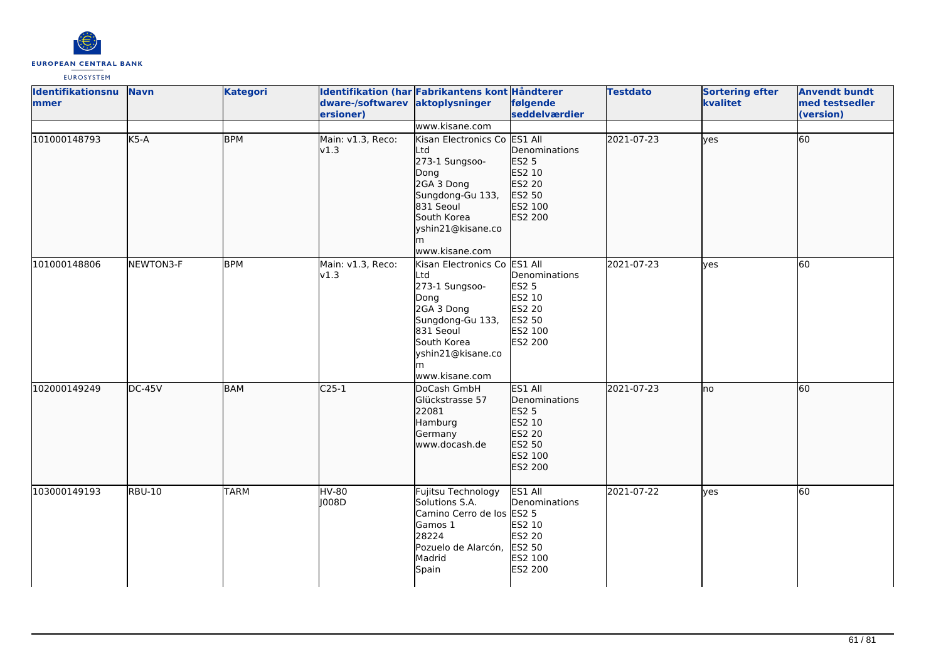

| Identifikationsnu<br>mmer | <b>Navn</b>   | <b>Kategori</b> | dware-/softwarev aktoplysninger<br>ersioner) | Identifikation (har Fabrikantens kont Håndterer                                                                                                                          | følgende<br>seddelværdier                                                                    | <b>Testdato</b> | <b>Sortering efter</b><br>kvalitet | <b>Anvendt bundt</b><br>med testsedler<br>(version) |
|---------------------------|---------------|-----------------|----------------------------------------------|--------------------------------------------------------------------------------------------------------------------------------------------------------------------------|----------------------------------------------------------------------------------------------|-----------------|------------------------------------|-----------------------------------------------------|
|                           |               |                 |                                              | www.kisane.com                                                                                                                                                           |                                                                                              |                 |                                    |                                                     |
| 101000148793              | $K5-A$        | <b>BPM</b>      | Main: v1.3, Reco:<br>v1.3                    | Kisan Electronics Co ES1 All<br>Ltd<br>273-1 Sungsoo-<br>Dong<br>2GA 3 Dong<br>Sungdong-Gu 133,<br>831 Seoul<br>South Korea<br>yshin21@kisane.co<br>lm<br>www.kisane.com | Denominations<br>ES2 5<br>ES2 10<br>ES2 20<br>ES2 50<br>ES2 100<br>ES2 200                   | 2021-07-23      | lyes                               | 60                                                  |
| 101000148806              | NEWTON3-F     | <b>BPM</b>      | Main: v1.3, Reco:<br>v1.3                    | Kisan Electronics Co<br>Ltd<br>273-1 Sungsoo-<br>Dong<br>2GA 3 Dong<br>Sungdong-Gu 133,<br>831 Seoul<br>South Korea<br>yshin21@kisane.co<br>m<br>www.kisane.com          | ES1 All<br>Denominations<br><b>ES2 5</b><br>ES2 10<br>ES2 20<br>ES2 50<br>ES2 100<br>ES2 200 | 2021-07-23      | yes                                | 60                                                  |
| 102000149249              | $DC-45V$      | <b>BAM</b>      | $C25-1$                                      | DoCash GmbH<br>Glückstrasse 57<br>22081<br>Hamburg<br>Germany<br>www.docash.de                                                                                           | ES1 All<br>Denominations<br><b>ES2 5</b><br>ES2 10<br>ES2 20<br>ES2 50<br>ES2 100<br>ES2 200 | 2021-07-23      | lno                                | 60                                                  |
| 103000149193              | <b>RBU-10</b> | <b>TARM</b>     | <b>HV-80</b><br>J008D                        | Fujitsu Technology<br>Solutions S.A.<br>Camino Cerro de los<br>Gamos 1<br>28224<br>Pozuelo de Alarcón,<br>Madrid<br>Spain                                                | ES1 All<br>Denominations<br><b>ES2 5</b><br>ES2 10<br>ES2 20<br>ES2 50<br>ES2 100<br>ES2 200 | 2021-07-22      | lyes                               | 60                                                  |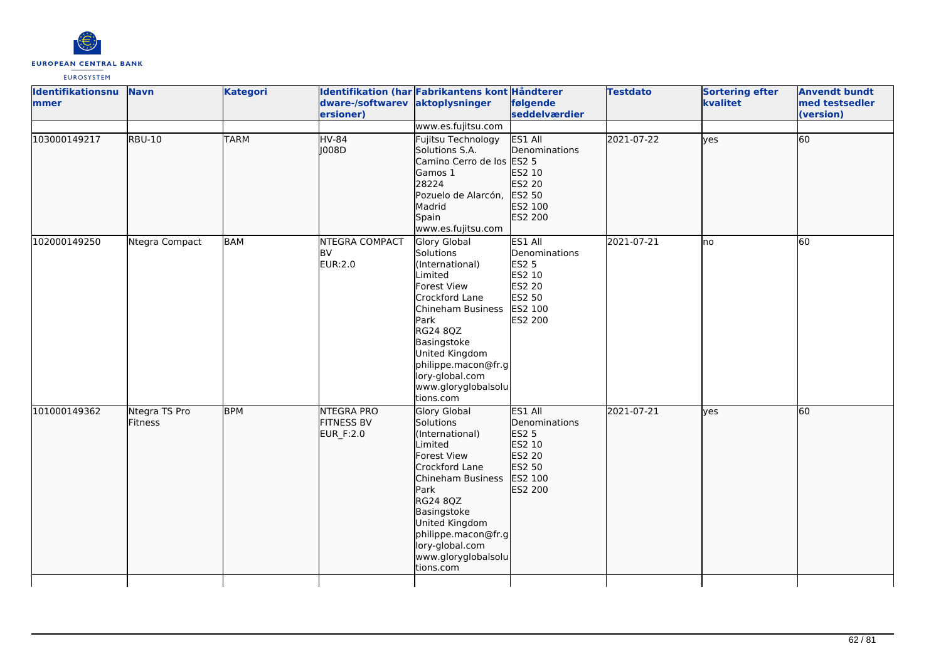

| <b>Identifikationsnu</b><br>mmer | <b>Navn</b>              | <b>Kategori</b> | dware-/softwarev aktoplysninger<br>ersioner)        | Identifikation (har Fabrikantens kont Håndterer                                                                                                                                                                                                         | følgende<br>seddelværdier                                                             | <b>Testdato</b> | <b>Sortering efter</b><br>kvalitet | <b>Anvendt bundt</b><br>med testsedler<br>(version) |
|----------------------------------|--------------------------|-----------------|-----------------------------------------------------|---------------------------------------------------------------------------------------------------------------------------------------------------------------------------------------------------------------------------------------------------------|---------------------------------------------------------------------------------------|-----------------|------------------------------------|-----------------------------------------------------|
| 103000149217                     | <b>RBU-10</b>            | <b>TARM</b>     | <b>HV-84</b><br>J008D                               | www.es.fujitsu.com<br>Fujitsu Technology<br>Solutions S.A.<br>Camino Cerro de los ES2 5<br>Gamos 1<br>28224<br>Pozuelo de Alarcón,<br>Madrid<br>Spain<br>www.es.fujitsu.com                                                                             | ES1 All<br>Denominations<br>ES2 10<br>ES2 20<br>ES2 50<br>ES2 100<br>ES2 200          | 2021-07-22      | ves                                | 60                                                  |
| 102000149250                     | Ntegra Compact           | BAM             | <b>NTEGRA COMPACT</b><br>BV<br>EUR:2.0              | Glory Global<br>Solutions<br>(International)<br>Limited<br><b>Forest View</b><br>Crockford Lane<br>Chineham Business<br>Park<br>RG24 8QZ<br>Basingstoke<br>United Kingdom<br>philippe.macon@fr.g<br>lory-global.com<br>www.gloryglobalsolu<br>tions.com | ES1 All<br>Denominations<br>ES2 5<br>ES2 10<br>ES2 20<br>ES2 50<br>ES2 100<br>ES2 200 | 2021-07-21      | lno                                | $\overline{60}$                                     |
| 101000149362                     | Ntegra TS Pro<br>Fitness | <b>BPM</b>      | <b>NTEGRA PRO</b><br><b>FITNESS BV</b><br>EUR_F:2.0 | <b>Glory Global</b><br>Solutions<br>(International)<br>Limited<br>Forest View<br>Crockford Lane<br>Chineham Business<br>Park<br>RG24 8QZ<br>Basingstoke<br>United Kingdom<br>philippe.macon@fr.g<br>lory-global.com<br>www.gloryglobalsolu<br>tions.com | ES1 All<br>Denominations<br>ES2 5<br>ES2 10<br>ES2 20<br>ES2 50<br>ES2 100<br>ES2 200 | 2021-07-21      | lyes                               | 60                                                  |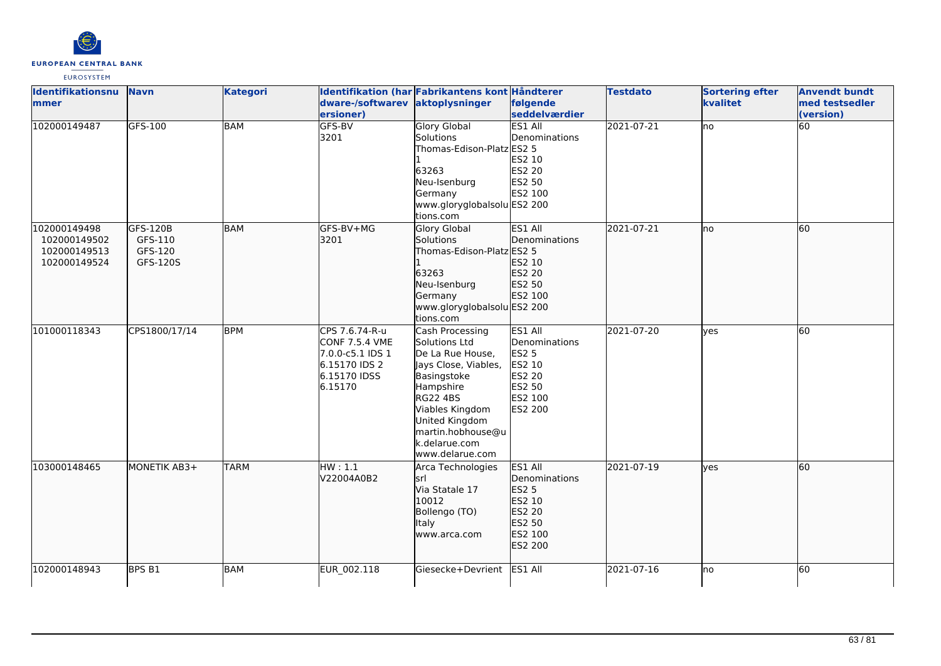

| <b>Identifikationsnu</b> | <b>Navn</b>       | <b>Kategori</b> |                                 | Identifikation (har Fabrikantens kont Håndterer |               | <b>Testdato</b> | <b>Sortering efter</b> | <b>Anvendt bundt</b> |
|--------------------------|-------------------|-----------------|---------------------------------|-------------------------------------------------|---------------|-----------------|------------------------|----------------------|
| mmer                     |                   |                 | dware-/softwarev aktoplysninger |                                                 | følgende      |                 | kvalitet               | med testsedler       |
|                          |                   |                 | ersioner)                       |                                                 | seddelværdier |                 |                        | (version)            |
| 102000149487             | GFS-100           | <b>BAM</b>      | GFS-BV                          | <b>Glory Global</b>                             | ES1 All       | 2021-07-21      | lno                    | 60                   |
|                          |                   |                 | 3201                            | Solutions                                       | Denominations |                 |                        |                      |
|                          |                   |                 |                                 | Thomas-Edison-Platz ES2 5                       |               |                 |                        |                      |
|                          |                   |                 |                                 |                                                 | ES2 10        |                 |                        |                      |
|                          |                   |                 |                                 | 63263                                           | <b>ES2 20</b> |                 |                        |                      |
|                          |                   |                 |                                 | Neu-Isenburg                                    | ES2 50        |                 |                        |                      |
|                          |                   |                 |                                 | Germany                                         | ES2 100       |                 |                        |                      |
|                          |                   |                 |                                 | www.gloryglobalsolu ES2 200                     |               |                 |                        |                      |
|                          |                   |                 |                                 | tions.com                                       |               |                 |                        |                      |
| 102000149498             | GFS-120B          | <b>BAM</b>      | GFS-BV+MG                       | Glory Global                                    | ES1 All       | 2021-07-21      | no                     | 60                   |
| 102000149502             | GFS-110           |                 | 3201                            | Solutions                                       | Denominations |                 |                        |                      |
| 102000149513             | GFS-120           |                 |                                 | Thomas-Edison-Platz ES2 5                       |               |                 |                        |                      |
| 102000149524             | GFS-120S          |                 |                                 |                                                 | ES2 10        |                 |                        |                      |
|                          |                   |                 |                                 | 63263                                           | <b>ES2 20</b> |                 |                        |                      |
|                          |                   |                 |                                 | Neu-Isenburg                                    | ES2 50        |                 |                        |                      |
|                          |                   |                 |                                 | Germany                                         | ES2 100       |                 |                        |                      |
|                          |                   |                 |                                 | www.gloryglobalsolu ES2 200                     |               |                 |                        |                      |
|                          |                   |                 |                                 | tions.com                                       |               |                 |                        |                      |
| 101000118343             | CPS1800/17/14     | <b>BPM</b>      | CPS 7.6.74-R-u                  | Cash Processing                                 | ES1 All       | 2021-07-20      | <b>l</b> ves           | 60                   |
|                          |                   |                 | <b>CONF 7.5.4 VME</b>           | Solutions Ltd                                   | Denominations |                 |                        |                      |
|                          |                   |                 | 7.0.0-c5.1 IDS 1                | De La Rue House,                                | <b>ES2 5</b>  |                 |                        |                      |
|                          |                   |                 | 6.15170 IDS 2                   | Jays Close, Viables,                            | ES2 10        |                 |                        |                      |
|                          |                   |                 | 6.15170 IDSS                    | Basingstoke                                     | ES2 20        |                 |                        |                      |
|                          |                   |                 | 6.15170                         | Hampshire                                       | ES2 50        |                 |                        |                      |
|                          |                   |                 |                                 | <b>RG22 4BS</b>                                 | ES2 100       |                 |                        |                      |
|                          |                   |                 |                                 | Viables Kingdom                                 | ES2 200       |                 |                        |                      |
|                          |                   |                 |                                 | United Kingdom                                  |               |                 |                        |                      |
|                          |                   |                 |                                 | martin.hobhouse@u                               |               |                 |                        |                      |
|                          |                   |                 |                                 | k.delarue.com                                   |               |                 |                        |                      |
|                          |                   |                 |                                 | www.delarue.com                                 |               |                 |                        |                      |
| 103000148465             | MONETIK AB3+      | <b>TARM</b>     | HW:1.1                          | Arca Technologies                               | ES1 All       | 2021-07-19      | <b>ves</b>             | 60                   |
|                          |                   |                 | V22004A0B2                      | İsrl                                            | Denominations |                 |                        |                      |
|                          |                   |                 |                                 | Via Statale 17                                  | ES2 5         |                 |                        |                      |
|                          |                   |                 |                                 | 10012                                           | ES2 10        |                 |                        |                      |
|                          |                   |                 |                                 | Bollengo (TO)                                   | ES2 20        |                 |                        |                      |
|                          |                   |                 |                                 | Italy                                           | ES2 50        |                 |                        |                      |
|                          |                   |                 |                                 | www.arca.com                                    | ES2 100       |                 |                        |                      |
|                          |                   |                 |                                 |                                                 | ES2 200       |                 |                        |                      |
|                          |                   |                 |                                 |                                                 |               |                 |                        |                      |
| 102000148943             | BPS <sub>B1</sub> | <b>BAM</b>      | EUR_002.118                     | Giesecke+Devrient                               | ES1 All       | 2021-07-16      | no                     | 60                   |
|                          |                   |                 |                                 |                                                 |               |                 |                        |                      |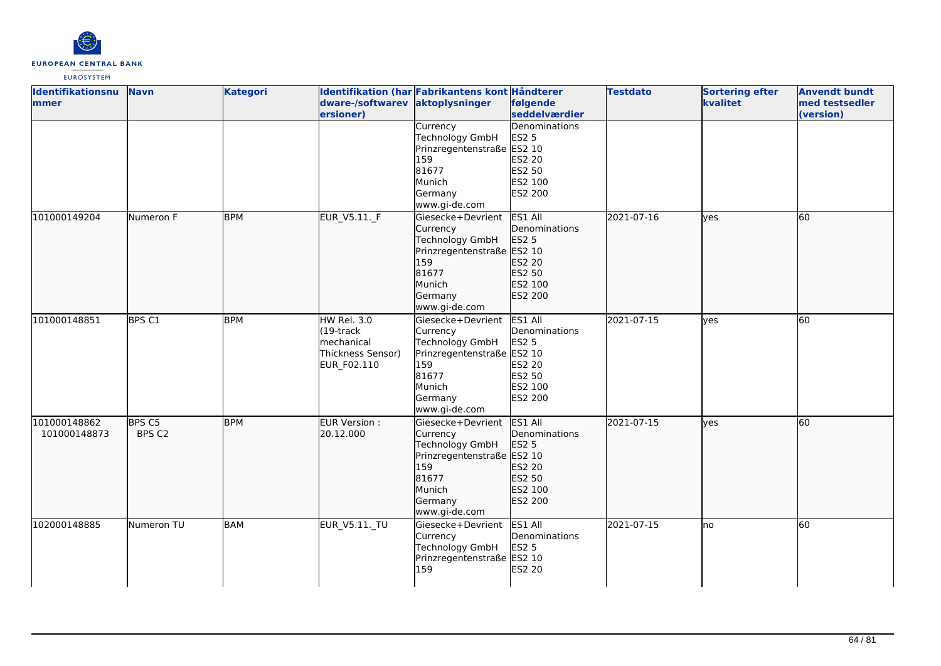

| Identifikationsnu | <b>Navn</b>   | <b>Kategori</b> |                                              | Identifikation (har Fabrikantens kont Håndterer |                           | <b>Testdato</b> | <b>Sortering efter</b> | <b>Anvendt bundt</b>        |
|-------------------|---------------|-----------------|----------------------------------------------|-------------------------------------------------|---------------------------|-----------------|------------------------|-----------------------------|
| <b>Immer</b>      |               |                 | dware-/softwarev aktoplysninger<br>ersioner) |                                                 | følgende<br>seddelværdier |                 | kvalitet               | med testsedler<br>(version) |
|                   |               |                 |                                              | Currency                                        | Denominations             |                 |                        |                             |
|                   |               |                 |                                              | <b>Technology GmbH</b>                          | <b>ES2 5</b>              |                 |                        |                             |
|                   |               |                 |                                              | Prinzregentenstraße ES2 10                      |                           |                 |                        |                             |
|                   |               |                 |                                              | 159                                             | ES2 20                    |                 |                        |                             |
|                   |               |                 |                                              | 81677                                           | ES2 50                    |                 |                        |                             |
|                   |               |                 |                                              | Munich                                          | ES2 100                   |                 |                        |                             |
|                   |               |                 |                                              | Germany                                         | <b>ES2 200</b>            |                 |                        |                             |
|                   |               |                 |                                              | www.gi-de.com                                   |                           |                 |                        |                             |
| 101000149204      | Numeron F     | <b>BPM</b>      | EUR_V5.11._F                                 | Giesecke+Devrient                               | ES1 All                   | 2021-07-16      | lves                   | 60                          |
|                   |               |                 |                                              | Currency                                        | Denominations             |                 |                        |                             |
|                   |               |                 |                                              | <b>Technology GmbH</b>                          | <b>ES2 5</b>              |                 |                        |                             |
|                   |               |                 |                                              | Prinzregentenstraße ES2 10                      |                           |                 |                        |                             |
|                   |               |                 |                                              | 159                                             | ES2 20                    |                 |                        |                             |
|                   |               |                 |                                              | 81677                                           | ES2 50                    |                 |                        |                             |
|                   |               |                 |                                              | Munich                                          | ES2 100                   |                 |                        |                             |
|                   |               |                 |                                              | Germany                                         | ES2 200                   |                 |                        |                             |
|                   |               |                 |                                              | www.gi-de.com                                   |                           |                 |                        |                             |
| 101000148851      | <b>BPS C1</b> | <b>BPM</b>      | <b>HW Rel. 3.0</b>                           | Giesecke+Devrient                               | ES1 All                   | 2021-07-15      | <b>l</b> ves           | 60                          |
|                   |               |                 | $(19$ -track                                 | Currency                                        | Denominations             |                 |                        |                             |
|                   |               |                 | Imechanical                                  | Technology GmbH                                 | <b>ES2 5</b>              |                 |                        |                             |
|                   |               |                 | Thickness Sensor)                            | Prinzregentenstraße ES2 10                      |                           |                 |                        |                             |
|                   |               |                 |                                              | 159                                             | ES2 20                    |                 |                        |                             |
|                   |               |                 | EUR_F02.110                                  | 81677                                           | <b>ES2 50</b>             |                 |                        |                             |
|                   |               |                 |                                              | Munich                                          | ES2 100                   |                 |                        |                             |
|                   |               |                 |                                              |                                                 | <b>ES2 200</b>            |                 |                        |                             |
|                   |               |                 |                                              | Germany<br>www.gi-de.com                        |                           |                 |                        |                             |
|                   |               |                 |                                              |                                                 |                           |                 |                        |                             |
| 101000148862      | BPS C5        | <b>BPM</b>      | EUR Version :                                | Giesecke+Devrient                               | ES1 All                   | 2021-07-15      | lves                   | 60                          |
| 101000148873      | BPS C2        |                 | 20.12.000                                    | Currency                                        | Denominations             |                 |                        |                             |
|                   |               |                 |                                              | Technology GmbH                                 | ES2 5                     |                 |                        |                             |
|                   |               |                 |                                              | Prinzregentenstraße ES2 10<br>159               |                           |                 |                        |                             |
|                   |               |                 |                                              | 81677                                           | ES2 20<br>ES2 50          |                 |                        |                             |
|                   |               |                 |                                              | Munich                                          | ES2 100                   |                 |                        |                             |
|                   |               |                 |                                              |                                                 | ES2 200                   |                 |                        |                             |
|                   |               |                 |                                              | Germany                                         |                           |                 |                        |                             |
|                   |               | <b>BAM</b>      |                                              | www.gi-de.com                                   |                           | 2021-07-15      |                        | 60                          |
| 102000148885      | Numeron TU    |                 | <b>EUR_V5.11._TU</b>                         | Giesecke+Devrient                               | ES1 All                   |                 | Ino                    |                             |
|                   |               |                 |                                              | Currency                                        | Denominations             |                 |                        |                             |
|                   |               |                 |                                              | <b>Technology GmbH</b>                          | ES2 5                     |                 |                        |                             |
|                   |               |                 |                                              | Prinzregentenstraße ES2 10<br>159               |                           |                 |                        |                             |
|                   |               |                 |                                              |                                                 | ES2 20                    |                 |                        |                             |
|                   |               |                 |                                              |                                                 |                           |                 |                        |                             |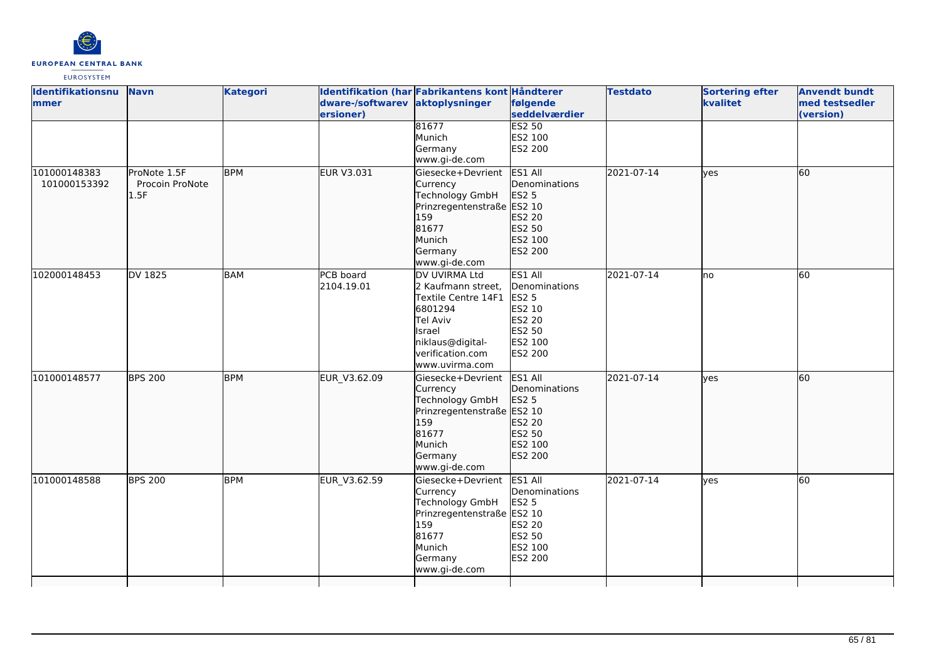

| Identifikationsnu | <b>Navn</b>     | <b>Kategori</b> |                   | Identifikation (har Fabrikantens kont Håndterer |                | <b>Testdato</b> | <b>Sortering efter</b> | <b>Anvendt bundt</b> |
|-------------------|-----------------|-----------------|-------------------|-------------------------------------------------|----------------|-----------------|------------------------|----------------------|
| mmer              |                 |                 | dware-/softwarev  | aktoplysninger                                  | følgende       |                 | kvalitet               | med testsedler       |
|                   |                 |                 | ersioner)         |                                                 | seddelværdier  |                 |                        | (version)            |
|                   |                 |                 |                   | 81677                                           | <b>ES2 50</b>  |                 |                        |                      |
|                   |                 |                 |                   | Munich                                          | ES2 100        |                 |                        |                      |
|                   |                 |                 |                   | Germany                                         | ES2 200        |                 |                        |                      |
|                   |                 |                 |                   | www.gi-de.com                                   |                |                 |                        |                      |
| 101000148383      | ProNote 1.5F    | <b>BPM</b>      | <b>EUR V3.031</b> | Giesecke+Devrient                               | ES1 All        | 2021-07-14      | lves                   | 60                   |
| 101000153392      | Procoin ProNote |                 |                   | Currency                                        | Denominations  |                 |                        |                      |
|                   | 1.5F            |                 |                   | <b>Technology GmbH</b>                          | <b>ES2 5</b>   |                 |                        |                      |
|                   |                 |                 |                   | Prinzregentenstraße ES2 10                      |                |                 |                        |                      |
|                   |                 |                 |                   | 159                                             | ES2 20         |                 |                        |                      |
|                   |                 |                 |                   | 81677                                           | ES2 50         |                 |                        |                      |
|                   |                 |                 |                   | Munich                                          | ES2 100        |                 |                        |                      |
|                   |                 |                 |                   | Germany                                         | ES2 200        |                 |                        |                      |
|                   |                 |                 |                   | www.gi-de.com                                   |                |                 |                        |                      |
| 102000148453      | DV 1825         | <b>BAM</b>      | PCB board         | DV UVIRMA Ltd                                   | ES1 All        | 2021-07-14      | lno                    | 60                   |
|                   |                 |                 | 2104.19.01        | 2 Kaufmann street,                              | Denominations  |                 |                        |                      |
|                   |                 |                 |                   | Textile Centre 14F1                             | <b>ES2 5</b>   |                 |                        |                      |
|                   |                 |                 |                   | 6801294                                         | ES2 10         |                 |                        |                      |
|                   |                 |                 |                   | Tel Aviv                                        | <b>ES2 20</b>  |                 |                        |                      |
|                   |                 |                 |                   | Israel                                          | ES2 50         |                 |                        |                      |
|                   |                 |                 |                   | niklaus@digital-                                | ES2 100        |                 |                        |                      |
|                   |                 |                 |                   | verification.com                                | <b>ES2 200</b> |                 |                        |                      |
|                   |                 |                 |                   | www.uvirma.com                                  |                |                 |                        |                      |
| 101000148577      | <b>BPS 200</b>  | <b>BPM</b>      | EUR_V3.62.09      | Giesecke+Devrient                               | ES1 All        | 2021-07-14      | lves                   | 60                   |
|                   |                 |                 |                   | Currency                                        | Denominations  |                 |                        |                      |
|                   |                 |                 |                   | Technology GmbH                                 | <b>ES2 5</b>   |                 |                        |                      |
|                   |                 |                 |                   | Prinzregentenstraße ES2 10                      |                |                 |                        |                      |
|                   |                 |                 |                   | 159                                             | ES2 20         |                 |                        |                      |
|                   |                 |                 |                   | 81677                                           | ES2 50         |                 |                        |                      |
|                   |                 |                 |                   | Munich                                          | ES2 100        |                 |                        |                      |
|                   |                 |                 |                   | Germany                                         | ES2 200        |                 |                        |                      |
|                   |                 |                 |                   | www.gi-de.com                                   |                |                 |                        |                      |
| 101000148588      | <b>BPS 200</b>  | <b>BPM</b>      | EUR_V3.62.59      | Giesecke+Devrient                               | ES1 All        | 2021-07-14      | lves                   | 60                   |
|                   |                 |                 |                   | Currency                                        | Denominations  |                 |                        |                      |
|                   |                 |                 |                   | <b>Technology GmbH</b>                          | <b>ES2 5</b>   |                 |                        |                      |
|                   |                 |                 |                   | Prinzregentenstraße ES2 10                      |                |                 |                        |                      |
|                   |                 |                 |                   | 159                                             | <b>ES2 20</b>  |                 |                        |                      |
|                   |                 |                 |                   | 81677                                           | <b>ES2 50</b>  |                 |                        |                      |
|                   |                 |                 |                   | Munich                                          | ES2 100        |                 |                        |                      |
|                   |                 |                 |                   | Germany                                         | ES2 200        |                 |                        |                      |
|                   |                 |                 |                   | www.gi-de.com                                   |                |                 |                        |                      |
|                   |                 |                 |                   |                                                 |                |                 |                        |                      |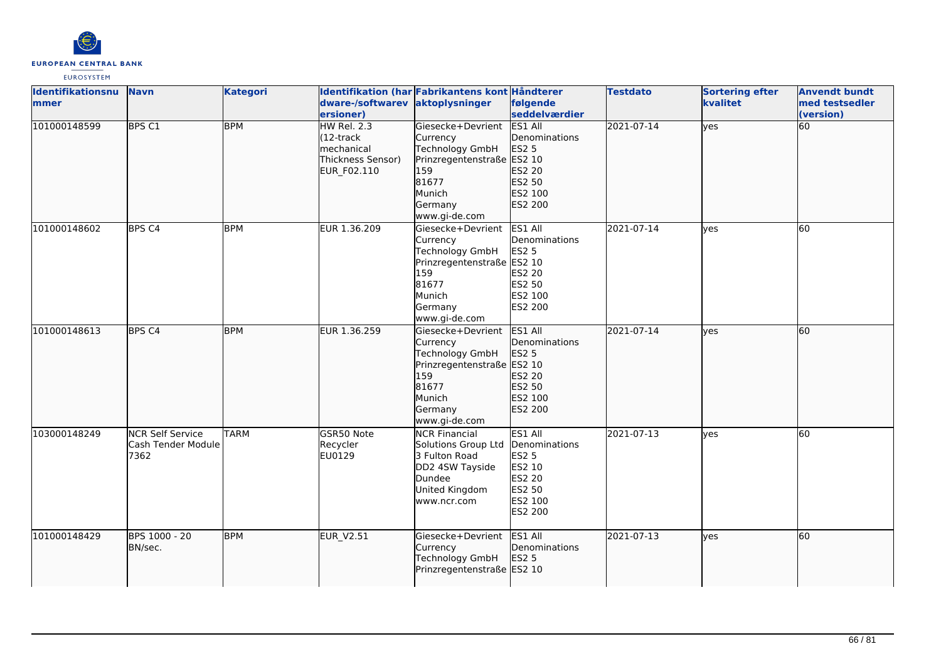

| Identifikationsnu<br>mmer | <b>Navn</b>                                           | <b>Kategori</b> | dware-/softwarev<br>ersioner)                                                                 | Identifikation (har Fabrikantens kont Håndterer<br>aktoplysninger                                                                    | følgende<br>seddelværdier                                                                                  | <b>Testdato</b> | <b>Sortering efter</b><br>kvalitet | <b>Anvendt bundt</b><br>med testsedler<br>(version) |
|---------------------------|-------------------------------------------------------|-----------------|-----------------------------------------------------------------------------------------------|--------------------------------------------------------------------------------------------------------------------------------------|------------------------------------------------------------------------------------------------------------|-----------------|------------------------------------|-----------------------------------------------------|
| 101000148599              | <b>BPS C1</b>                                         | <b>BPM</b>      | <b>HW Rel. 2.3</b><br>$(12 -$ track<br><b>Imechanical</b><br>Thickness Sensor)<br>EUR F02.110 | Giesecke+Devrient<br>Currency<br>Technology GmbH<br>Prinzregentenstraße ES2 10<br>159<br>81677<br>Munich<br>Germany<br>www.gi-de.com | <b>ES1 All</b><br>Denominations<br><b>ES2 5</b><br>ES2 20<br>ES2 50<br>ES2 100<br>ES2 200                  | 2021-07-14      | lyes                               | 60                                                  |
| 101000148602              | BPS <sub>C4</sub>                                     | <b>BPM</b>      | EUR 1.36.209                                                                                  | Giesecke+Devrient<br>Currency<br>Technology GmbH<br>Prinzregentenstraße ES2 10<br>159<br>81677<br>Munich<br>Germany<br>www.gi-de.com | ES1 All<br>Denominations<br><b>ES2 5</b><br>ES2 20<br>ES2 50<br>ES2 100<br>ES2 200                         | 2021-07-14      | <b>ves</b>                         | $\overline{60}$                                     |
| 101000148613              | BPS <sub>C4</sub>                                     | <b>BPM</b>      | EUR 1.36.259                                                                                  | Giesecke+Devrient<br>Currency<br>Technology GmbH<br>Prinzregentenstraße ES2 10<br>159<br>81677<br>Munich<br>Germany<br>www.gi-de.com | ES1 All<br>Denominations<br>ES2 5<br>ES2 20<br>ES2 50<br>ES2 100<br>ES2 200                                | 2021-07-14      | lves                               | 60                                                  |
| 103000148249              | <b>NCR Self Service</b><br>Cash Tender Module<br>7362 | <b>TARM</b>     | GSR50 Note<br>Recycler<br>EU0129                                                              | <b>NCR Financial</b><br>Solutions Group Ltd<br>3 Fulton Road<br>DD2 4SW Tayside<br>Dundee<br>United Kingdom<br>www.ncr.com           | ES1 All<br>Denominations<br><b>ES2 5</b><br>ES2 10<br><b>ES2 20</b><br><b>ES2 50</b><br>ES2 100<br>ES2 200 | 2021-07-13      | <b>ves</b>                         | 60                                                  |
| 101000148429              | BPS 1000 - 20<br>BN/sec.                              | <b>BPM</b>      | <b>EUR_V2.51</b>                                                                              | Giesecke+Devrient<br>Currency<br>Technology GmbH<br>Prinzregentenstraße ES2 10                                                       | ES1 All<br>Denominations<br><b>ES2 5</b>                                                                   | 2021-07-13      | lves                               | 60                                                  |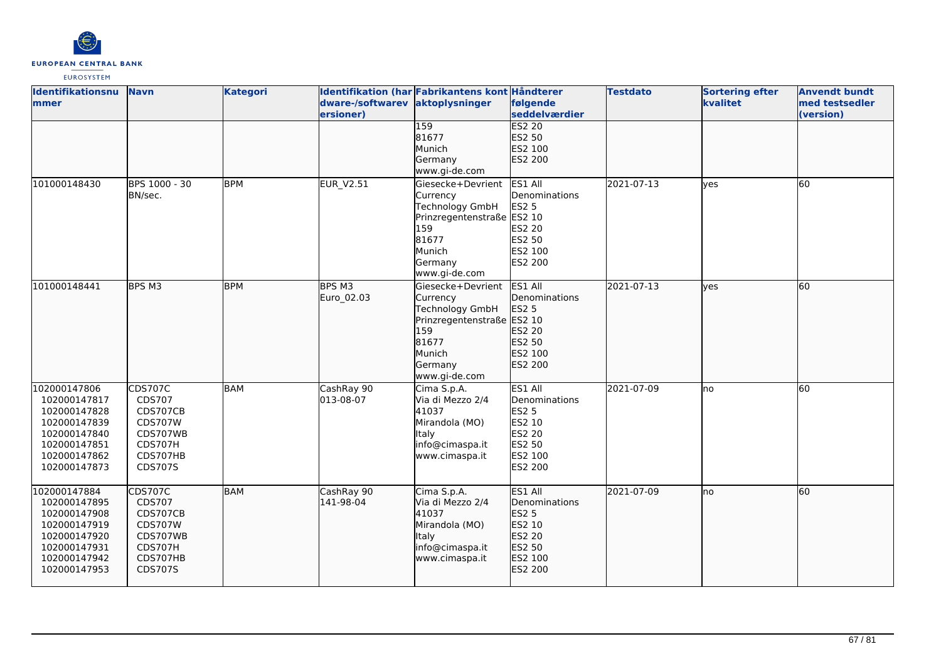

| <b>Identifikationsnu</b><br>lmmer | <b>Navn</b>    | <b>Kategori</b> | dware-/softwarev aktoplysninger | Identifikation (har Fabrikantens kont Håndterer | følgende      | <b>Testdato</b> | <b>Sortering efter</b><br>kvalitet | <b>Anvendt bundt</b><br>med testsedler |
|-----------------------------------|----------------|-----------------|---------------------------------|-------------------------------------------------|---------------|-----------------|------------------------------------|----------------------------------------|
|                                   |                |                 | ersioner)                       |                                                 | seddelværdier |                 |                                    | (version)                              |
|                                   |                |                 |                                 | 159                                             | <b>ES2 20</b> |                 |                                    |                                        |
|                                   |                |                 |                                 | 81677                                           | ES2 50        |                 |                                    |                                        |
|                                   |                |                 |                                 | Munich                                          | ES2 100       |                 |                                    |                                        |
|                                   |                |                 |                                 | Germany                                         | ES2 200       |                 |                                    |                                        |
|                                   |                |                 |                                 | www.gi-de.com                                   |               |                 |                                    |                                        |
| 101000148430                      | BPS 1000 - 30  | <b>BPM</b>      | <b>EUR V2.51</b>                | lGiesecke+Devrient                              | ES1 All       | 2021-07-13      | <b>l</b> ves                       | 60                                     |
|                                   | BN/sec.        |                 |                                 | Currency                                        | Denominations |                 |                                    |                                        |
|                                   |                |                 |                                 | Technology GmbH                                 | <b>ES2 5</b>  |                 |                                    |                                        |
|                                   |                |                 |                                 | Prinzregentenstraße ES2 10                      |               |                 |                                    |                                        |
|                                   |                |                 |                                 | 159                                             | ES2 20        |                 |                                    |                                        |
|                                   |                |                 |                                 | 81677                                           | ES2 50        |                 |                                    |                                        |
|                                   |                |                 |                                 | Munich                                          | ES2 100       |                 |                                    |                                        |
|                                   |                |                 |                                 | Germany                                         | ES2 200       |                 |                                    |                                        |
|                                   |                |                 |                                 | www.gi-de.com                                   |               |                 |                                    |                                        |
| 101000148441                      | BPS M3         | <b>BPM</b>      | BPS M3                          | lGiesecke+Devrient                              | ES1 All       | 2021-07-13      | lves                               | 60                                     |
|                                   |                |                 | Euro 02.03                      | Currency                                        | Denominations |                 |                                    |                                        |
|                                   |                |                 |                                 |                                                 |               |                 |                                    |                                        |
|                                   |                |                 |                                 | Technology GmbH                                 | ES2 5         |                 |                                    |                                        |
|                                   |                |                 |                                 | Prinzregentenstraße ES2 10                      |               |                 |                                    |                                        |
|                                   |                |                 |                                 | 159                                             | ES2 20        |                 |                                    |                                        |
|                                   |                |                 |                                 | 81677                                           | ES2 50        |                 |                                    |                                        |
|                                   |                |                 |                                 | Munich                                          | ES2 100       |                 |                                    |                                        |
|                                   |                |                 |                                 | Germany                                         | ES2 200       |                 |                                    |                                        |
|                                   |                |                 |                                 | www.gi-de.com                                   |               |                 |                                    |                                        |
| 102000147806                      | <b>CDS707C</b> | BAM             | CashRay 90                      | Cima S.p.A.                                     | ES1 All       | 2021-07-09      | no                                 | 60                                     |
| 102000147817                      | CDS707         |                 | 013-08-07                       | Via di Mezzo 2/4                                | Denominations |                 |                                    |                                        |
| 102000147828                      | CDS707CB       |                 |                                 | 41037                                           | <b>ES2 5</b>  |                 |                                    |                                        |
| 102000147839                      | <b>CDS707W</b> |                 |                                 | Mirandola (MO)                                  | ES2 10        |                 |                                    |                                        |
| 102000147840                      | CDS707WB       |                 |                                 | Italy                                           | <b>ES2 20</b> |                 |                                    |                                        |
| 102000147851                      | CDS707H        |                 |                                 | info@cimaspa.it                                 | ES2 50        |                 |                                    |                                        |
| 102000147862                      | CDS707HB       |                 |                                 | www.cimaspa.it                                  | ES2 100       |                 |                                    |                                        |
| 102000147873                      | CDS707S        |                 |                                 |                                                 | ES2 200       |                 |                                    |                                        |
|                                   |                |                 |                                 |                                                 |               |                 |                                    |                                        |
| 102000147884                      | <b>CDS707C</b> | <b>BAM</b>      | CashRay 90                      | Cima S.p.A.                                     | ES1 All       | 2021-07-09      | Ino                                | 60                                     |
| 102000147895                      | CDS707         |                 | 141-98-04                       | Via di Mezzo 2/4                                | Denominations |                 |                                    |                                        |
| 102000147908                      | CDS707CB       |                 |                                 | 41037                                           | ES2 5         |                 |                                    |                                        |
| 102000147919                      | <b>CDS707W</b> |                 |                                 | Mirandola (MO)                                  | ES2 10        |                 |                                    |                                        |
| 102000147920                      | CDS707WB       |                 |                                 | Italy                                           | ES2 20        |                 |                                    |                                        |
| 102000147931                      | CDS707H        |                 |                                 | info@cimaspa.it                                 | ES2 50        |                 |                                    |                                        |
| 102000147942                      | CDS707HB       |                 |                                 | www.cimaspa.it                                  | ES2 100       |                 |                                    |                                        |
| 102000147953                      | CDS707S        |                 |                                 |                                                 | ES2 200       |                 |                                    |                                        |
|                                   |                |                 |                                 |                                                 |               |                 |                                    |                                        |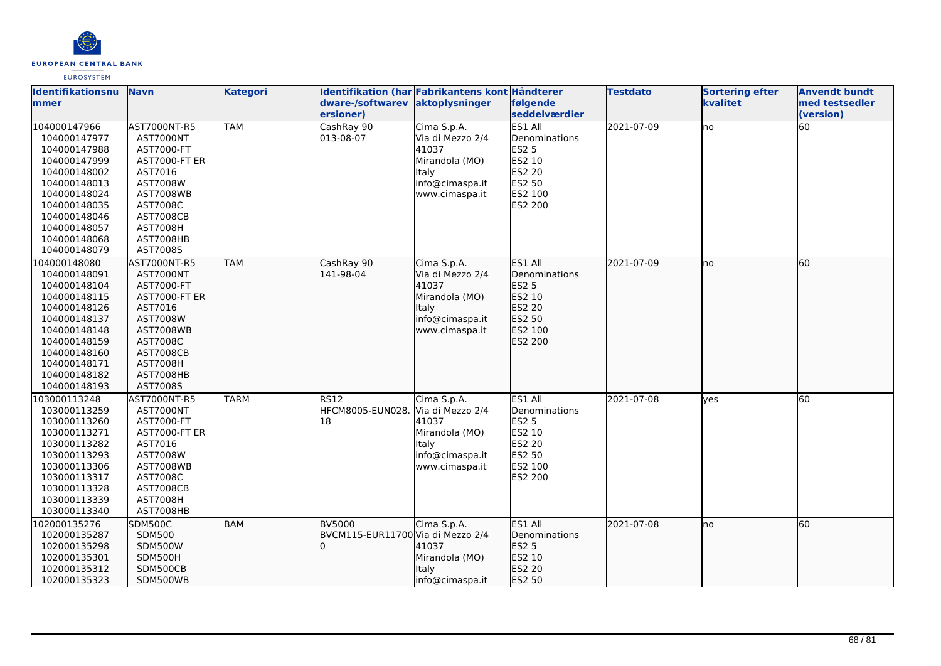

| Identifikationsnu            | <b>Navn</b>                  | <b>Kategori</b> |                                   | Identifikation (har Fabrikantens kont Håndterer |                           | <b>Testdato</b> | <b>Sortering efter</b> | <b>Anvendt bundt</b>        |
|------------------------------|------------------------------|-----------------|-----------------------------------|-------------------------------------------------|---------------------------|-----------------|------------------------|-----------------------------|
| <b>Immer</b>                 |                              |                 | dware-/softwarev<br>ersioner)     | aktoplysninger                                  | følgende<br>seddelværdier |                 | kvalitet               | med testsedler<br>(version) |
| 104000147966                 | AST7000NT-R5                 | <b>TAM</b>      | CashRay 90                        | Cima S.p.A.                                     | ES1 All                   | 2021-07-09      | <b>I</b> no            | 60                          |
| 104000147977                 | <b>AST7000NT</b>             |                 | 013-08-07                         | Via di Mezzo 2/4                                | Denominations             |                 |                        |                             |
| 104000147988                 | AST7000-FT                   |                 |                                   | 41037                                           | <b>ES2 5</b>              |                 |                        |                             |
| 104000147999                 | <b>AST7000-FT ER</b>         |                 |                                   | Mirandola (MO)                                  | ES2 10                    |                 |                        |                             |
| 104000148002                 | AST7016                      |                 |                                   | <b>Italy</b>                                    | ES2 20                    |                 |                        |                             |
| 104000148013                 | AST7008W                     |                 |                                   | info@cimaspa.it                                 | ES2 50                    |                 |                        |                             |
| 104000148024                 | <b>AST7008WB</b>             |                 |                                   | www.cimaspa.it                                  | ES2 100                   |                 |                        |                             |
| 104000148035                 | AST7008C                     |                 |                                   |                                                 | <b>ES2 200</b>            |                 |                        |                             |
| 104000148046                 | <b>AST7008CB</b>             |                 |                                   |                                                 |                           |                 |                        |                             |
| 104000148057                 | <b>AST7008H</b>              |                 |                                   |                                                 |                           |                 |                        |                             |
| 104000148068                 | AST7008HB                    |                 |                                   |                                                 |                           |                 |                        |                             |
| 104000148079                 | AST7008S                     |                 |                                   |                                                 |                           |                 |                        |                             |
| 104000148080                 | AST7000NT-R5                 | <b>TAM</b>      | CashRay 90                        | Cima S.p.A.                                     | ES1 All                   | 2021-07-09      | no                     | 60                          |
| 104000148091                 | AST7000NT                    |                 | 141-98-04                         | Via di Mezzo 2/4                                | <b>I</b> Denominations    |                 |                        |                             |
| 104000148104                 | AST7000-FT                   |                 |                                   | 41037                                           | <b>ES2 5</b>              |                 |                        |                             |
| 104000148115                 | <b>AST7000-FT ER</b>         |                 |                                   | Mirandola (MO)                                  | ES2 10                    |                 |                        |                             |
| 104000148126                 | AST7016                      |                 |                                   | <b>Italy</b>                                    | ES2 20                    |                 |                        |                             |
| 104000148137                 | AST7008W                     |                 |                                   | info@cimaspa.it                                 | ES2 50                    |                 |                        |                             |
| 104000148148                 | <b>AST7008WB</b>             |                 |                                   | www.cimaspa.it                                  | ES2 100                   |                 |                        |                             |
| 104000148159                 | AST7008C                     |                 |                                   |                                                 | ES2 200                   |                 |                        |                             |
| 104000148160                 | <b>AST7008CB</b>             |                 |                                   |                                                 |                           |                 |                        |                             |
| 104000148171<br>104000148182 | <b>AST7008H</b><br>AST7008HB |                 |                                   |                                                 |                           |                 |                        |                             |
| 104000148193                 | AST7008S                     |                 |                                   |                                                 |                           |                 |                        |                             |
| 103000113248                 | AST7000NT-R5                 | <b>TARM</b>     | <b>RS12</b>                       | Cima S.p.A.                                     | ES1 All                   | 2021-07-08      | lves                   | 60                          |
| 103000113259                 | AST7000NT                    |                 | HFCM8005-EUN028.                  | Via di Mezzo 2/4                                | Denominations             |                 |                        |                             |
| 103000113260                 | AST7000-FT                   |                 | 18                                | 41037                                           | <b>ES2 5</b>              |                 |                        |                             |
| 103000113271                 | <b>AST7000-FT ER</b>         |                 |                                   | Mirandola (MO)                                  | ES2 10                    |                 |                        |                             |
| 103000113282                 | AST7016                      |                 |                                   | <b>Italy</b>                                    | <b>ES2 20</b>             |                 |                        |                             |
| 103000113293                 | AST7008W                     |                 |                                   | info@cimaspa.it                                 | ES2 50                    |                 |                        |                             |
| 103000113306                 | AST7008WB                    |                 |                                   | www.cimaspa.it                                  | ES2 100                   |                 |                        |                             |
| 103000113317                 | AST7008C                     |                 |                                   |                                                 | <b>ES2 200</b>            |                 |                        |                             |
| 103000113328                 | <b>AST7008CB</b>             |                 |                                   |                                                 |                           |                 |                        |                             |
| 103000113339                 | <b>AST7008H</b>              |                 |                                   |                                                 |                           |                 |                        |                             |
| 103000113340                 | AST7008HB                    |                 |                                   |                                                 |                           |                 |                        |                             |
| 102000135276                 | <b>SDM500C</b>               | <b>BAM</b>      | <b>BV5000</b>                     | Cima S.p.A.                                     | ES1 All                   | 2021-07-08      | lno                    | 60                          |
| 102000135287                 | <b>SDM500</b>                |                 | BVCM115-EUR11700 Via di Mezzo 2/4 |                                                 | Denominations             |                 |                        |                             |
| 102000135298                 | <b>SDM500W</b>               |                 |                                   | 41037                                           | <b>ES2 5</b>              |                 |                        |                             |
| 102000135301                 | SDM500H                      |                 |                                   | Mirandola (MO)                                  | ES2 10                    |                 |                        |                             |
| 102000135312                 | SDM500CB                     |                 |                                   | Italy                                           | ES2 20                    |                 |                        |                             |
| 102000135323                 | SDM500WB                     |                 |                                   | info@cimaspa.it                                 | ES2 50                    |                 |                        |                             |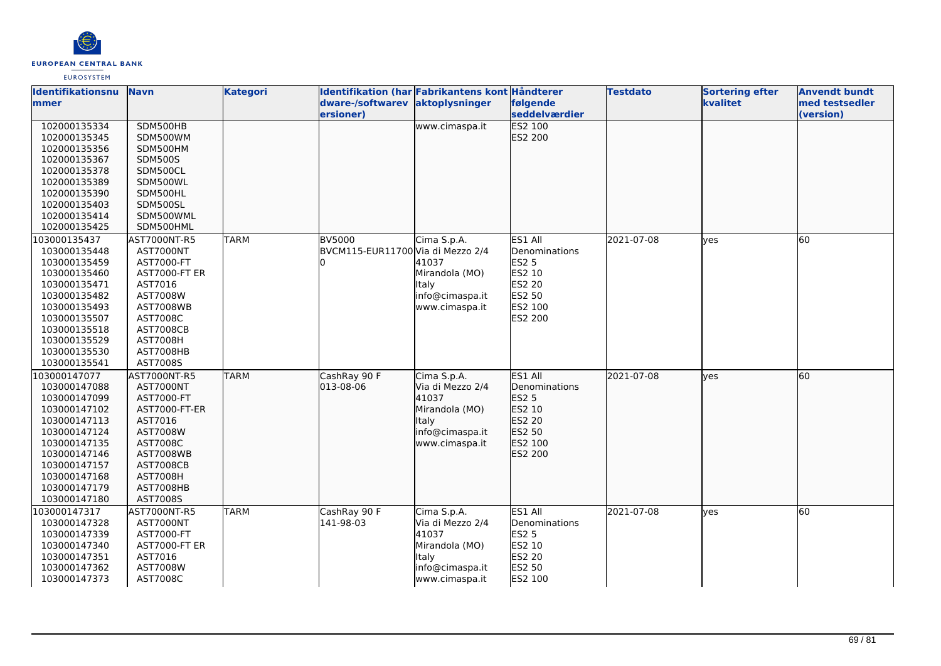

| <b>Identifikationsnu</b> | <b>Navn</b>          | <b>Kategori</b> | Identifikation (har Fabrikantens kont Håndterer |                  |                | <b>Testdato</b> | <b>Sortering efter</b> | <b>Anvendt bundt</b> |
|--------------------------|----------------------|-----------------|-------------------------------------------------|------------------|----------------|-----------------|------------------------|----------------------|
| <b>mmer</b>              |                      |                 | dware-/softwarev aktoplysninger                 |                  | følgende       |                 | kvalitet               | med testsedler       |
|                          |                      |                 | ersioner)                                       |                  | seddelværdier  |                 |                        | (version)            |
| 102000135334             | SDM500HB             |                 |                                                 | www.cimaspa.it   | <b>ES2 100</b> |                 |                        |                      |
| 102000135345             | SDM500WM             |                 |                                                 |                  | ES2 200        |                 |                        |                      |
| 102000135356             | SDM500HM             |                 |                                                 |                  |                |                 |                        |                      |
| 102000135367             | <b>SDM500S</b>       |                 |                                                 |                  |                |                 |                        |                      |
| 102000135378             | SDM500CL             |                 |                                                 |                  |                |                 |                        |                      |
| 102000135389             | SDM500WL             |                 |                                                 |                  |                |                 |                        |                      |
| 102000135390             | SDM500HL             |                 |                                                 |                  |                |                 |                        |                      |
| 102000135403             | SDM500SL             |                 |                                                 |                  |                |                 |                        |                      |
| 102000135414             | SDM500WML            |                 |                                                 |                  |                |                 |                        |                      |
| 102000135425             | SDM500HML            |                 |                                                 |                  |                |                 |                        |                      |
| 103000135437             | AST7000NT-R5         | <b>TARM</b>     | <b>BV5000</b>                                   | Cima S.p.A.      | ES1 All        | 2021-07-08      | ves                    | 60                   |
| 103000135448             | AST7000NT            |                 | BVCM115-EUR11700 Via di Mezzo 2/4               |                  | Denominations  |                 |                        |                      |
| 103000135459             | AST7000-FT           |                 | n.                                              | 41037            | <b>ES2 5</b>   |                 |                        |                      |
| 103000135460             | <b>AST7000-FT ER</b> |                 |                                                 | Mirandola (MO)   | ES2 10         |                 |                        |                      |
| 103000135471             | AST7016              |                 |                                                 | Italy            | ES2 20         |                 |                        |                      |
| 103000135482             | AST7008W             |                 |                                                 | info@cimaspa.it  | ES2 50         |                 |                        |                      |
| 103000135493             | <b>AST7008WB</b>     |                 |                                                 | www.cimaspa.it   | ES2 100        |                 |                        |                      |
| 103000135507             | AST7008C             |                 |                                                 |                  | ES2 200        |                 |                        |                      |
| 103000135518             | <b>AST7008CB</b>     |                 |                                                 |                  |                |                 |                        |                      |
| 103000135529             | <b>AST7008H</b>      |                 |                                                 |                  |                |                 |                        |                      |
| 103000135530             | AST7008HB            |                 |                                                 |                  |                |                 |                        |                      |
| 103000135541             | AST7008S             |                 |                                                 |                  |                |                 |                        |                      |
| 103000147077             | AST7000NT-R5         | <b>TARM</b>     | CashRay 90 F                                    | Cima S.p.A.      | ES1 All        | 2021-07-08      | lyes                   | 60                   |
| 103000147088             | AST7000NT            |                 | 013-08-06                                       | Via di Mezzo 2/4 | Denominations  |                 |                        |                      |
| 103000147099             | AST7000-FT           |                 |                                                 | 41037            | ES2 5          |                 |                        |                      |
| 103000147102             | AST7000-FT-ER        |                 |                                                 | Mirandola (MO)   | ES2 10         |                 |                        |                      |
| 103000147113             | AST7016              |                 |                                                 | lltaly           | ES2 20         |                 |                        |                      |
| 103000147124             | AST7008W             |                 |                                                 | info@cimaspa.it  | ES2 50         |                 |                        |                      |
| 103000147135             | AST7008C             |                 |                                                 | www.cimaspa.it   | ES2 100        |                 |                        |                      |
| 103000147146             | AST7008WB            |                 |                                                 |                  | ES2 200        |                 |                        |                      |
| 103000147157             | <b>AST7008CB</b>     |                 |                                                 |                  |                |                 |                        |                      |
| 103000147168             | <b>AST7008H</b>      |                 |                                                 |                  |                |                 |                        |                      |
| 103000147179             | AST7008HB            |                 |                                                 |                  |                |                 |                        |                      |
| 103000147180             | AST7008S             |                 |                                                 |                  |                |                 |                        |                      |
| 103000147317             | AST7000NT-R5         | TARM            | CashRay 90 F                                    | Cima S.p.A.      | ES1 All        | 2021-07-08      | yes                    | 60                   |
| 103000147328             | AST7000NT            |                 | 141-98-03                                       | Via di Mezzo 2/4 | Denominations  |                 |                        |                      |
| 103000147339             | AST7000-FT           |                 |                                                 | 41037            | <b>ES2 5</b>   |                 |                        |                      |
| 103000147340             | <b>AST7000-FT ER</b> |                 |                                                 | Mirandola (MO)   | <b>ES2 10</b>  |                 |                        |                      |
| 103000147351             | AST7016              |                 |                                                 | Italy            | ES2 20         |                 |                        |                      |
| 103000147362             | AST7008W             |                 |                                                 | info@cimaspa.it  | ES2 50         |                 |                        |                      |
| 103000147373             | AST7008C             |                 |                                                 | www.cimaspa.it   | ES2 100        |                 |                        |                      |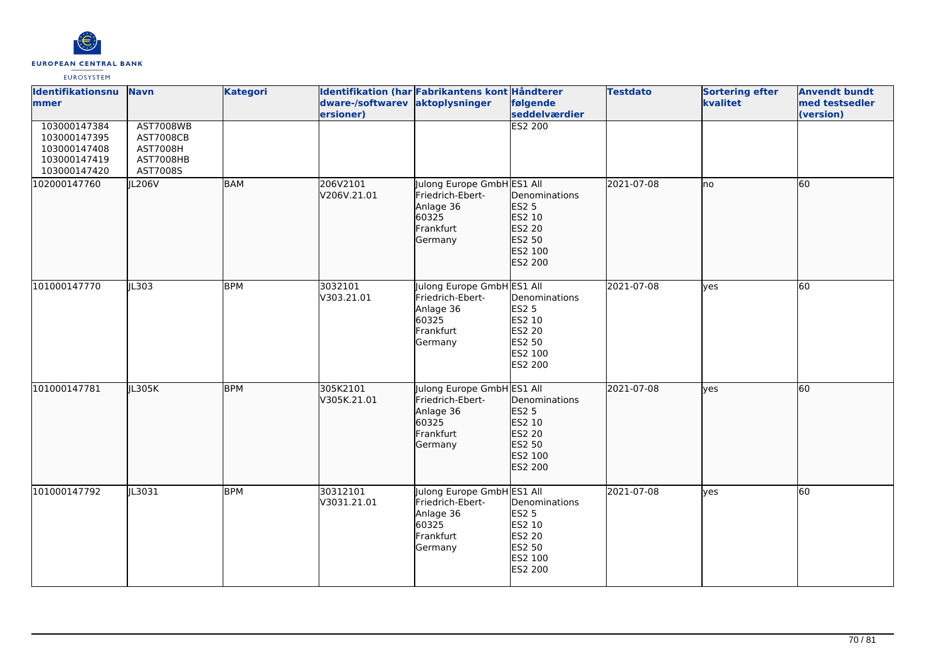

| <b>Identifikationsnu</b><br>mmer                                             | <b>Navn</b>                                                                      | <b>Kategori</b> | dware-/softwarev<br>ersioner) | Identifikation (har Fabrikantens kont Håndterer<br>aktoplysninger                            | følgende<br>seddelværdier                                                                       | <b>Testdato</b> | <b>Sortering efter</b><br>kvalitet | <b>Anvendt bundt</b><br>med testsedler<br>(version) |
|------------------------------------------------------------------------------|----------------------------------------------------------------------------------|-----------------|-------------------------------|----------------------------------------------------------------------------------------------|-------------------------------------------------------------------------------------------------|-----------------|------------------------------------|-----------------------------------------------------|
| 103000147384<br>103000147395<br>103000147408<br>103000147419<br>103000147420 | <b>AST7008WB</b><br><b>AST7008CB</b><br><b>AST7008H</b><br>AST7008HB<br>AST7008S |                 |                               |                                                                                              | <b>ES2 200</b>                                                                                  |                 |                                    |                                                     |
| 102000147760                                                                 | JL206V                                                                           | <b>BAM</b>      | 206V2101<br>V206V.21.01       | Julong Europe GmbH ES1 All<br>Friedrich-Ebert-<br>Anlage 36<br>60325<br>Frankfurt<br>Germany | Denominations<br><b>ES2 5</b><br>ES2 10<br>ES2 20<br>ES2 50<br>ES2 100<br>ES2 200               | 2021-07-08      | lno                                | 60                                                  |
| 101000147770                                                                 | JL303                                                                            | <b>BPM</b>      | 3032101<br>V303.21.01         | Julong Europe GmbH ES1 All<br>Friedrich-Ebert-<br>Anlage 36<br>60325<br>Frankfurt<br>Germany | Denominations<br><b>ES2 5</b><br>ES2 10<br><b>ES2 20</b><br>ES2 50<br>ES2 100<br>ES2 200        | 2021-07-08      | <b>l</b> ves                       | <b>60</b>                                           |
| 101000147781                                                                 | JL305K                                                                           | <b>BPM</b>      | 305K2101<br>V305K.21.01       | Julong Europe GmbH ES1 All<br>Friedrich-Ebert-<br>Anlage 36<br>60325<br>Frankfurt<br>Germany | Denominations<br><b>ES2 5</b><br>ES2 10<br>ES2 20<br>ES2 50<br>ES2 100<br>ES2 200               | 2021-07-08      | <b>yes</b>                         | 60                                                  |
| 101000147792                                                                 | IL3031                                                                           | <b>BPM</b>      | 30312101<br>V3031.21.01       | Julong Europe GmbH ES1 All<br>Friedrich-Ebert-<br>Anlage 36<br>60325<br>Frankfurt<br>Germany | Denominations<br><b>ES2 5</b><br>ES2 10<br><b>ES2 20</b><br>ES2 50<br>ES2 100<br><b>ES2 200</b> | 2021-07-08      | lyes                               | 60                                                  |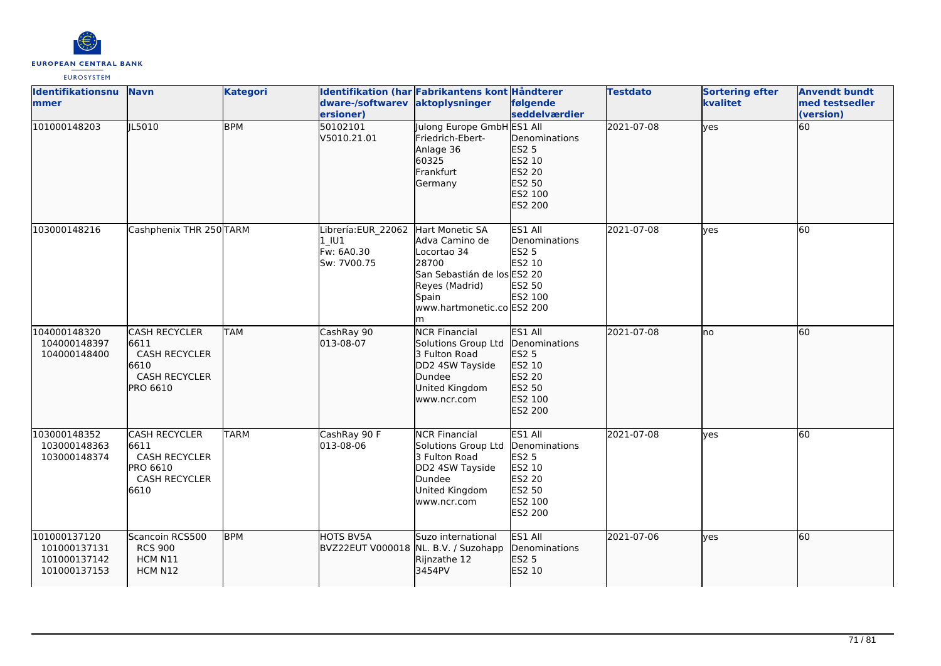

| <b>Identifikationsnu</b><br>lmmer                            | <b>Navn</b>                                                                                      | <b>Kategori</b> | dware-/softwarev aktoplysninger<br>ersioner)              | Identifikation (har Fabrikantens kont Håndterer                                                                                                        | følgende<br>seddelværdier                                                                           | <b>Testdato</b> | <b>Sortering efter</b><br>kvalitet | <b>Anvendt bundt</b><br>med testsedler<br>(version) |
|--------------------------------------------------------------|--------------------------------------------------------------------------------------------------|-----------------|-----------------------------------------------------------|--------------------------------------------------------------------------------------------------------------------------------------------------------|-----------------------------------------------------------------------------------------------------|-----------------|------------------------------------|-----------------------------------------------------|
| 101000148203                                                 | IL5010                                                                                           | <b>BPM</b>      | 50102101<br>V5010.21.01                                   | Julong Europe GmbH ES1 All<br>Friedrich-Ebert-<br>Anlage 36<br>60325<br>Frankfurt<br>Germany                                                           | Denominations<br>ES2 5<br>ES2 10<br>ES2 20<br>ES2 50<br>ES2 100<br>ES2 200                          | 2021-07-08      | lyes                               | 60                                                  |
| 103000148216                                                 | Cashphenix THR 250TARM                                                                           |                 | Librería:EUR_22062<br>$1$ U1<br>Fw: 6A0.30<br>Sw: 7V00.75 | Hart Monetic SA<br>Adva Camino de<br>Locortao 34<br>28700<br>San Sebastián de los ES2 20<br>Reyes (Madrid)<br>Spain<br>www.hartmonetic.co ES2 200<br>m | ES1 All<br>Denominations<br><b>ES2 5</b><br>ES2 10<br>ES2 50<br>ES2 100                             | 2021-07-08      | lves                               | 60                                                  |
| 104000148320<br>104000148397<br>104000148400                 | <b>CASH RECYCLER</b><br>6611<br><b>CASH RECYCLER</b><br>6610<br><b>CASH RECYCLER</b><br>PRO 6610 | <b>TAM</b>      | CashRay 90<br>013-08-07                                   | <b>NCR Financial</b><br>Solutions Group Ltd<br>3 Fulton Road<br>DD2 4SW Tayside<br>Dundee<br>United Kingdom<br>www.ncr.com                             | ES1 All<br>Denominations<br>ES2 5<br>ES2 10<br>ES2 20<br>ES2 50<br>ES2 100<br>ES2 200               | 2021-07-08      | lno                                | 60                                                  |
| 103000148352<br>103000148363<br>103000148374                 | <b>CASH RECYCLER</b><br>6611<br><b>CASH RECYCLER</b><br>PRO 6610<br><b>CASH RECYCLER</b><br>6610 | <b>TARM</b>     | CashRay 90 F<br>013-08-06                                 | <b>NCR Financial</b><br>Solutions Group Ltd<br>3 Fulton Road<br>DD2 4SW Tayside<br>Dundee<br>United Kingdom<br>www.ncr.com                             | ES1 All<br>Denominations<br><b>ES2 5</b><br>ES2 10<br><b>ES2 20</b><br>ES2 50<br>ES2 100<br>ES2 200 | 2021-07-08      | ves                                | 60                                                  |
| 101000137120<br>101000137131<br>101000137142<br>101000137153 | Scancoin RCS500<br><b>RCS 900</b><br>HCM N11<br>HCM N12                                          | <b>BPM</b>      | HOTS BV5A<br>BVZ22EUT V000018 NL. B.V. / Suzohapp         | Suzo international<br>Rijnzathe 12<br>3454PV                                                                                                           | ES1 All<br>Denominations<br>ES2 5<br>ES2 10                                                         | 2021-07-06      | lyes                               | 60                                                  |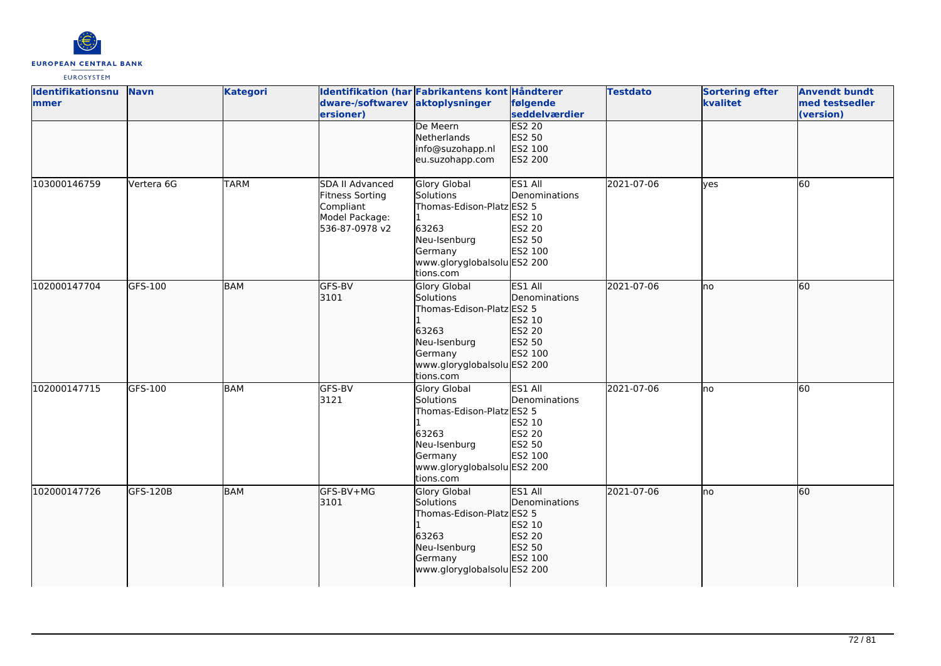

| Identifikationsnu<br><b>Immer</b> | <b>Navn</b> | <b>Kategori</b> | dware-/softwarev aktoplysninger<br>ersioner)                                        | Identifikation (har Fabrikantens kont Håndterer                                                                                               | følgende<br>seddelværdier                                                | <b>Testdato</b> | <b>Sortering efter</b><br>kvalitet | <b>Anvendt bundt</b><br>med testsedler<br>(version) |
|-----------------------------------|-------------|-----------------|-------------------------------------------------------------------------------------|-----------------------------------------------------------------------------------------------------------------------------------------------|--------------------------------------------------------------------------|-----------------|------------------------------------|-----------------------------------------------------|
|                                   |             |                 |                                                                                     | De Meern<br>Netherlands<br>info@suzohapp.nl<br>eu.suzohapp.com                                                                                | <b>ES2 20</b><br>ES2 50<br>ES2 100<br>ES2 200                            |                 |                                    |                                                     |
| 103000146759                      | Vertera 6G  | <b>TARM</b>     | SDA II Advanced<br>Fitness Sorting<br>Compliant<br>Model Package:<br>536-87-0978 v2 | <b>Glory Global</b><br>Solutions<br>Thomas-Edison-Platz ES2 5<br>63263<br>Neu-Isenburg<br>Germany<br>www.gloryglobalsolu ES2 200<br>tions.com | ES1 All<br>Denominations<br>ES2 10<br><b>ES2 20</b><br>ES2 50<br>ES2 100 | 2021-07-06      | <b>l</b> ves                       | 60                                                  |
| 102000147704                      | GFS-100     | <b>BAM</b>      | GFS-BV<br>3101                                                                      | Glory Global<br>Solutions<br>Thomas-Edison-Platz ES2 5<br>63263<br>Neu-Isenburg<br>Germany<br>www.gloryglobalsolu ES2 200<br>tions.com        | ES1 All<br>Denominations<br>ES2 10<br>ES2 20<br>ES2 50<br>ES2 100        | 2021-07-06      | lno                                | 60                                                  |
| 102000147715                      | GFS-100     | BAM             | GFS-BV<br>3121                                                                      | <b>Glory Global</b><br>Solutions<br>Thomas-Edison-Platz ES2 5<br>63263<br>Neu-Isenburg<br>Germany<br>www.gloryglobalsolu ES2 200<br>tions.com | ES1 All<br>Denominations<br>ES2 10<br>ES2 20<br>ES2 50<br>ES2 100        | 2021-07-06      | Ino                                | 60                                                  |
| 102000147726                      | GFS-120B    | BAM             | GFS-BV+MG<br>3101                                                                   | Glory Global<br>Solutions<br>Thomas-Edison-Platz ES2 5<br>63263<br>Neu-Isenburg<br>Germany<br>www.gloryglobalsolu ES2 200                     | ES1 All<br>Denominations<br>ES2 10<br>ES2 20<br>ES2 50<br>ES2 100        | 2021-07-06      | lno                                | 60                                                  |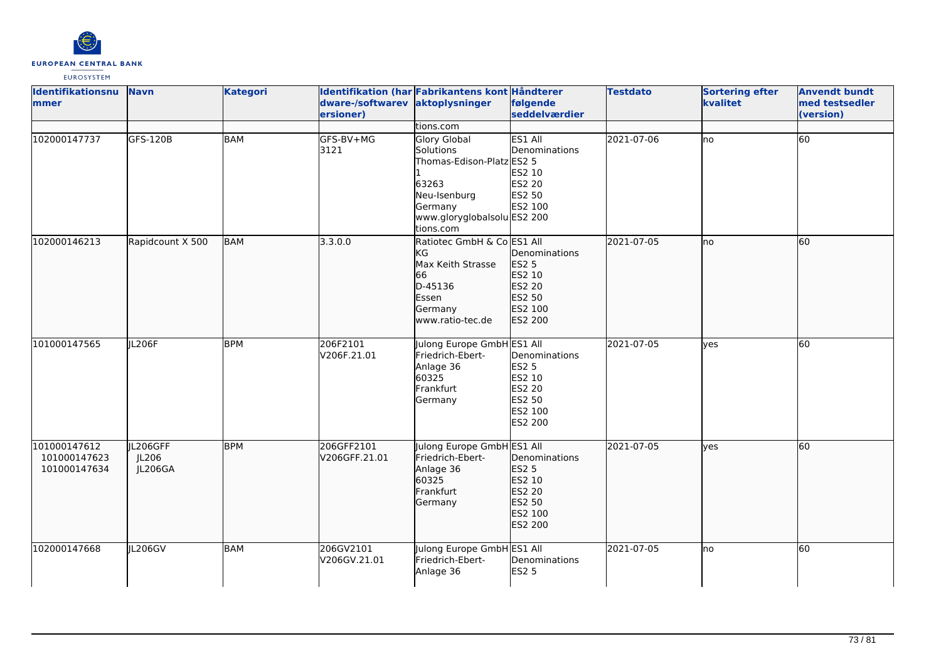

| <b>Identifikationsnu</b><br>mmer             | <b>Navn</b>                  | <b>Kategori</b> | Identifikation (har Fabrikantens kont Håndterer<br>dware-/softwarev aktoplysninger<br>ersioner) |                                                                                                                                                            | følgende<br>seddelværdier                                                                | <b>Testdato</b> | <b>Sortering efter</b><br>kvalitet | <b>Anvendt bundt</b><br>med testsedler<br>(version) |
|----------------------------------------------|------------------------------|-----------------|-------------------------------------------------------------------------------------------------|------------------------------------------------------------------------------------------------------------------------------------------------------------|------------------------------------------------------------------------------------------|-----------------|------------------------------------|-----------------------------------------------------|
| 102000147737                                 | <b>GFS-120B</b>              | <b>BAM</b>      | GFS-BV+MG<br>3121                                                                               | tions.com<br><b>Glory Global</b><br>Solutions<br>Thomas-Edison-Platz ES2 5<br>63263<br>Neu-Isenburg<br>Germany<br>www.gloryglobalsolu ES2 200<br>tions.com | ES1 All<br>Denominations<br>ES2 10<br>ES2 20<br>ES2 50<br>ES2 100                        | 2021-07-06      | lno                                | 60                                                  |
| 102000146213                                 | Rapidcount X 500             | <b>BAM</b>      | 3.3.0.0                                                                                         | Ratiotec GmbH & Co ES1 All<br>KG<br>Max Keith Strasse<br>66<br>D-45136<br>Essen<br>Germany<br>www.ratio-tec.de                                             | Denominations<br>ES2 <sub>5</sub><br>ES2 10<br>ES2 20<br>ES2 50<br>ES2 100<br>ES2 200    | 2021-07-05      | lno                                | 60                                                  |
| 101000147565                                 | JL206F                       | <b>BPM</b>      | 206F2101<br>V206F.21.01                                                                         | Julong Europe GmbH ES1 All<br>Friedrich-Ebert-<br>Anlage 36<br>60325<br>Frankfurt<br>Germany                                                               | Denominations<br><b>ES2 5</b><br>ES2 10<br><b>ES2 20</b><br>ES2 50<br>ES2 100<br>ES2 200 | 2021-07-05      | yes                                | 60                                                  |
| 101000147612<br>101000147623<br>101000147634 | IL206GFF<br>JL206<br>JL206GA | <b>BPM</b>      | 206GFF2101<br>V206GFF.21.01                                                                     | Julong Europe GmbH ES1 All<br>Friedrich-Ebert-<br>Anlage 36<br>60325<br>Frankfurt<br>Germany                                                               | Denominations<br><b>ES2 5</b><br>ES2 10<br>ES2 20<br>ES2 50<br>ES2 100<br>ES2 200        | 2021-07-05      | lyes                               | 60                                                  |
| 102000147668                                 | JL206GV                      | <b>BAM</b>      | 206GV2101<br>V206GV.21.01                                                                       | Julong Europe GmbH ES1 All<br>Friedrich-Ebert-<br>Anlage 36                                                                                                | Denominations<br><b>ES2 5</b>                                                            | 2021-07-05      | Ino                                | 60                                                  |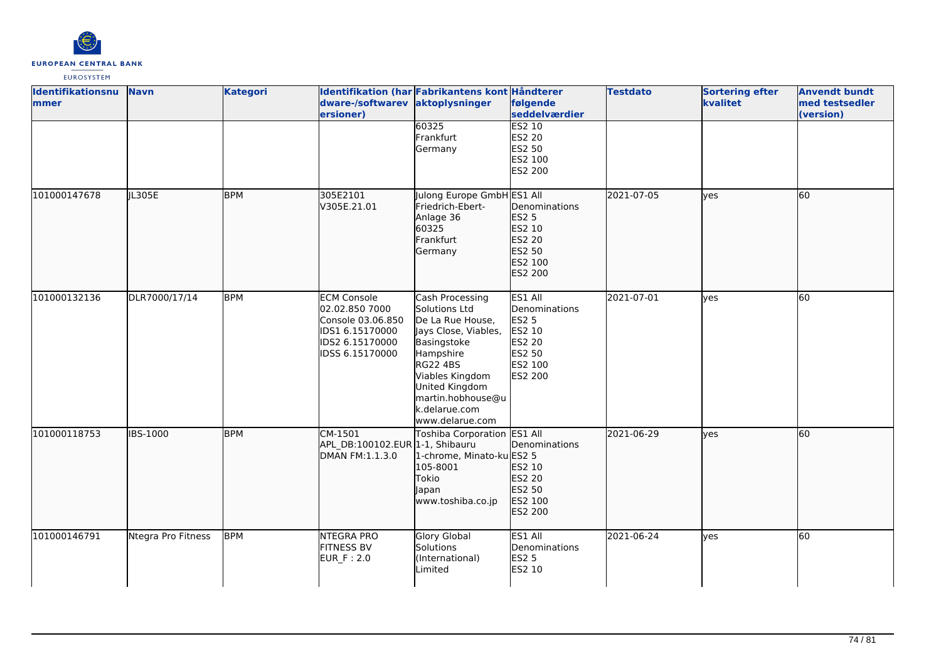

| Identifikationsnu<br>mmer | <b>Navn</b>        | <b>Kategori</b> | dware-/softwarev aktoplysninger<br>ersioner)                                                                       | Identifikation (har Fabrikantens kont Håndterer                                                                                                                                                                           | følgende<br>seddelværdier                                                                           | <b>Testdato</b> | <b>Sortering efter</b><br>kvalitet | <b>Anvendt bundt</b><br>med testsedler<br>(version) |
|---------------------------|--------------------|-----------------|--------------------------------------------------------------------------------------------------------------------|---------------------------------------------------------------------------------------------------------------------------------------------------------------------------------------------------------------------------|-----------------------------------------------------------------------------------------------------|-----------------|------------------------------------|-----------------------------------------------------|
|                           |                    |                 |                                                                                                                    | 60325<br>Frankfurt<br>Germany                                                                                                                                                                                             | <b>ES2 10</b><br>ES2 20<br>ES2 50<br>ES2 100<br><b>ES2 200</b>                                      |                 |                                    |                                                     |
| 101000147678              | IL305E             | <b>BPM</b>      | 305E2101<br>V305E.21.01                                                                                            | Julong Europe GmbH ES1 All<br>Friedrich-Ebert-<br>Anlage 36<br>60325<br>Frankfurt<br>Germany                                                                                                                              | Denominations<br>ES2 5<br>ES2 10<br>ES2 20<br>ES2 50<br>ES2 100<br>ES2 200                          | 2021-07-05      | lves                               | 60                                                  |
| 101000132136              | DLR7000/17/14      | <b>BPM</b>      | <b>ECM Console</b><br>02.02.850 7000<br>Console 03.06.850<br>IDS1 6.15170000<br>IDS2 6.15170000<br>IDSS 6.15170000 | Cash Processing<br>Solutions Ltd<br>De La Rue House,<br>Jays Close, Viables,<br>Basingstoke<br>Hampshire<br><b>RG22 4BS</b><br>Viables Kingdom<br>United Kingdom<br>martin.hobhouse@u<br>k.delarue.com<br>www.delarue.com | ES1 All<br>Denominations<br>ES2 5<br>ES2 10<br><b>ES2 20</b><br>ES2 50<br>ES2 100<br><b>ES2 200</b> | 2021-07-01      | <b>l</b> ves                       | 60                                                  |
| 101000118753              | <b>IBS-1000</b>    | <b>BPM</b>      | CM-1501<br>APL DB:100102.EUR 1-1, Shibauru<br>DMAN FM:1.1.3.0                                                      | Toshiba Corporation ES1 All<br>1-chrome, Minato-ku ES2 5<br>105-8001<br>Tokio<br>Japan<br>www.toshiba.co.jp                                                                                                               | Denominations<br>ES2 10<br>ES2 20<br>ES2 50<br>ES2 100<br>ES2 200                                   | 2021-06-29      | lves                               | 60                                                  |
| 101000146791              | Ntegra Pro Fitness | <b>BPM</b>      | NTEGRA PRO<br><b>FITNESS BV</b><br>EUR_F: 2.0                                                                      | Glory Global<br>Solutions<br>(International)<br>Limited                                                                                                                                                                   | ES1 All<br>Denominations<br>ES2 5<br>ES2 10                                                         | 2021-06-24      | yes                                | 60                                                  |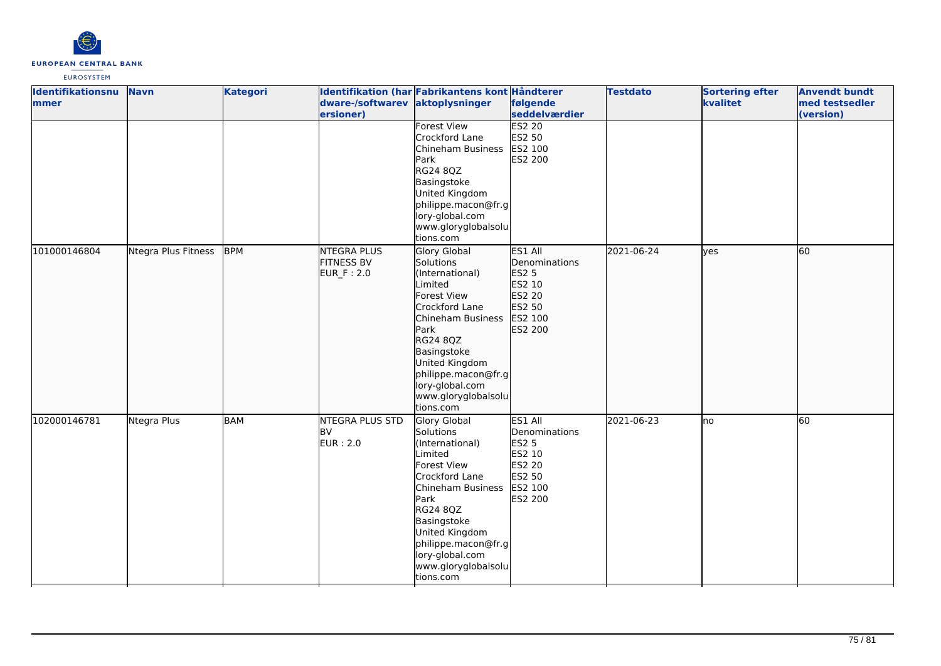

| <b>Identifikationsnu</b> | <b>Navn</b>         | <b>Kategori</b> |                    | Identifikation (har Fabrikantens kont Håndterer |               | <b>Testdato</b> | <b>Sortering efter</b> | <b>Anvendt bundt</b> |
|--------------------------|---------------------|-----------------|--------------------|-------------------------------------------------|---------------|-----------------|------------------------|----------------------|
| <b>mmer</b>              |                     |                 | dware-/softwarev   | aktoplysninger                                  | følgende      |                 | kvalitet               | med testsedler       |
|                          |                     |                 | ersioner)          |                                                 | seddelværdier |                 |                        | (version)            |
|                          |                     |                 |                    | <b>Forest View</b>                              | <b>ES2 20</b> |                 |                        |                      |
|                          |                     |                 |                    | Crockford Lane                                  | ES2 50        |                 |                        |                      |
|                          |                     |                 |                    | Chineham Business                               | ES2 100       |                 |                        |                      |
|                          |                     |                 |                    | Park                                            | ES2 200       |                 |                        |                      |
|                          |                     |                 |                    | <b>RG24 8QZ</b>                                 |               |                 |                        |                      |
|                          |                     |                 |                    | Basingstoke                                     |               |                 |                        |                      |
|                          |                     |                 |                    | United Kingdom                                  |               |                 |                        |                      |
|                          |                     |                 |                    | philippe.macon@fr.g                             |               |                 |                        |                      |
|                          |                     |                 |                    | lory-global.com                                 |               |                 |                        |                      |
|                          |                     |                 |                    | www.gloryglobalsolu                             |               |                 |                        |                      |
|                          |                     |                 |                    | tions.com                                       |               |                 |                        |                      |
| 101000146804             | Ntegra Plus Fitness | <b>BPM</b>      | <b>NTEGRA PLUS</b> | Glory Global                                    | ES1 All       | 2021-06-24      | lves                   | 60                   |
|                          |                     |                 | <b>FITNESS BV</b>  | Solutions                                       | Denominations |                 |                        |                      |
|                          |                     |                 | EUR_F: 2.0         | (International)                                 | ES2 5         |                 |                        |                      |
|                          |                     |                 |                    | Limited                                         | ES2 10        |                 |                        |                      |
|                          |                     |                 |                    | <b>Forest View</b>                              | ES2 20        |                 |                        |                      |
|                          |                     |                 |                    | Crockford Lane                                  | ES2 50        |                 |                        |                      |
|                          |                     |                 |                    | Chineham Business                               | ES2 100       |                 |                        |                      |
|                          |                     |                 |                    | Park                                            | ES2 200       |                 |                        |                      |
|                          |                     |                 |                    | RG24 8QZ                                        |               |                 |                        |                      |
|                          |                     |                 |                    | Basingstoke                                     |               |                 |                        |                      |
|                          |                     |                 |                    | United Kingdom                                  |               |                 |                        |                      |
|                          |                     |                 |                    | philippe.macon@fr.g                             |               |                 |                        |                      |
|                          |                     |                 |                    | lory-global.com                                 |               |                 |                        |                      |
|                          |                     |                 |                    | www.gloryglobalsolu                             |               |                 |                        |                      |
|                          |                     |                 |                    | tions.com                                       |               |                 |                        |                      |
| 102000146781             | Ntegra Plus         | <b>BAM</b>      | NTEGRA PLUS STD    | Glory Global                                    | ES1 All       | 2021-06-23      | lno                    | 60                   |
|                          |                     |                 | <b>BV</b>          | Solutions                                       | Denominations |                 |                        |                      |
|                          |                     |                 | <b>EUR: 2.0</b>    | (International)                                 | <b>ES2 5</b>  |                 |                        |                      |
|                          |                     |                 |                    | Limited                                         | ES2 10        |                 |                        |                      |
|                          |                     |                 |                    | Forest View                                     | <b>ES2 20</b> |                 |                        |                      |
|                          |                     |                 |                    | Crockford Lane                                  | ES2 50        |                 |                        |                      |
|                          |                     |                 |                    | Chineham Business                               | ES2 100       |                 |                        |                      |
|                          |                     |                 |                    | Park                                            | ES2 200       |                 |                        |                      |
|                          |                     |                 |                    | RG24 8QZ                                        |               |                 |                        |                      |
|                          |                     |                 |                    | Basingstoke                                     |               |                 |                        |                      |
|                          |                     |                 |                    | United Kingdom                                  |               |                 |                        |                      |
|                          |                     |                 |                    | philippe.macon@fr.g                             |               |                 |                        |                      |
|                          |                     |                 |                    | lory-global.com                                 |               |                 |                        |                      |
|                          |                     |                 |                    | www.gloryglobalsolu                             |               |                 |                        |                      |
|                          |                     |                 |                    | tions.com                                       |               |                 |                        |                      |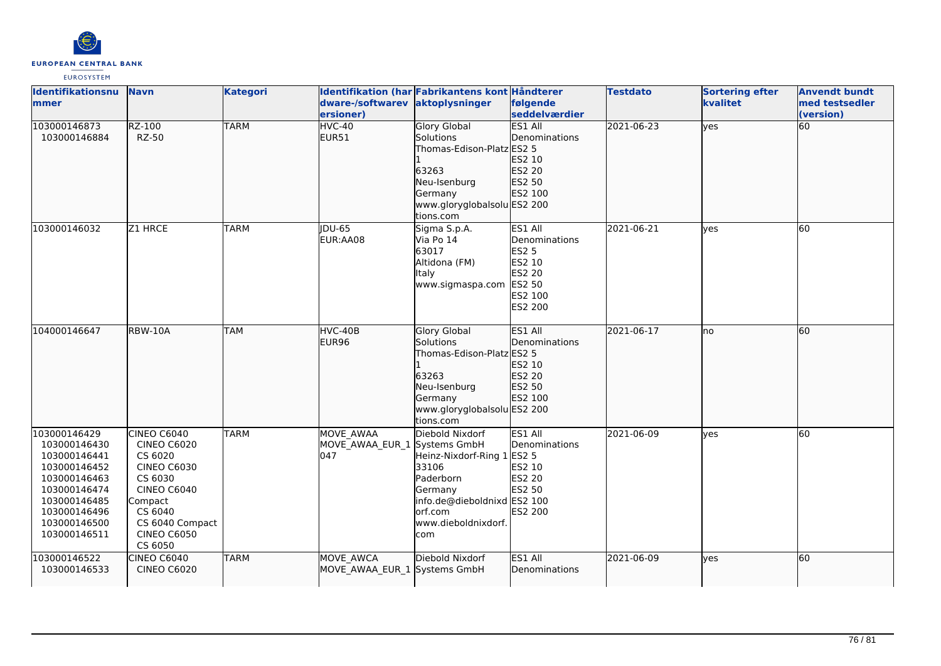

| Identifikationsnu<br>lmmer                                                                                                                                   | <b>Navn</b>                                                                                                                                                                   | <b>Kategori</b> | dware-/softwarev<br>ersioner)                           | Identifikation (har Fabrikantens kont Håndterer<br>aktoplysninger                                                                                | følgende<br>seddelværdier                                                             | <b>Testdato</b> | <b>Sortering efter</b><br>kvalitet | <b>Anvendt bundt</b><br>med testsedler<br>(version) |
|--------------------------------------------------------------------------------------------------------------------------------------------------------------|-------------------------------------------------------------------------------------------------------------------------------------------------------------------------------|-----------------|---------------------------------------------------------|--------------------------------------------------------------------------------------------------------------------------------------------------|---------------------------------------------------------------------------------------|-----------------|------------------------------------|-----------------------------------------------------|
| 103000146873<br>103000146884                                                                                                                                 | RZ-100<br><b>RZ-50</b>                                                                                                                                                        | <b>TARM</b>     | HVC-40<br>EUR51                                         | <b>Glory Global</b><br>Solutions<br>Thomas-Edison-Platz ES2 5<br>63263<br>Neu-Isenburg<br>Germany<br>www.gloryglobalsolu ES2 200<br>tions.com    | <b>ES1 All</b><br><b>I</b> Denominations<br>ES2 10<br>ES2 20<br>ES2 50<br>ES2 100     | 2021-06-23      | yes                                | $\overline{60}$                                     |
| 103000146032                                                                                                                                                 | Z1 HRCE                                                                                                                                                                       | <b>TARM</b>     | <b>IDU-65</b><br>EUR:AA08                               | Sigma S.p.A.<br>Via Po 14<br>63017<br>Altidona (FM)<br>Italy<br>www.sigmaspa.com                                                                 | ES1 All<br>Denominations<br>ES2 5<br>ES2 10<br>ES2 20<br>ES2 50<br>ES2 100<br>ES2 200 | 2021-06-21      | lves                               | 60                                                  |
| 104000146647                                                                                                                                                 | RBW-10A                                                                                                                                                                       | <b>TAM</b>      | HVC-40B<br>EUR96                                        | <b>Glory Global</b><br>Solutions<br>Thomas-Edison-Platz ES2 5<br>63263<br>Neu-Isenburg<br>Germany<br>www.gloryglobalsolu ES2 200<br>tions.com    | ES1 All<br>Denominations<br>ES2 10<br>ES2 20<br>ES2 50<br>ES2 100                     | 2021-06-17      | lno                                | 60                                                  |
| 103000146429<br>103000146430<br>103000146441<br>103000146452<br>103000146463<br>103000146474<br>103000146485<br>103000146496<br>103000146500<br>103000146511 | CINEO C6040<br><b>CINEO C6020</b><br>CS 6020<br><b>CINEO C6030</b><br>CS 6030<br><b>CINEO C6040</b><br>Compact<br>CS 6040<br>CS 6040 Compact<br><b>CINEO C6050</b><br>CS 6050 | <b>TARM</b>     | <b>MOVE AWAA</b><br>MOVE AWAA EUR 1 Systems GmbH<br>047 | Diebold Nixdorf<br>Heinz-Nixdorf-Ring 1<br>33106<br>Paderborn<br>Germany<br>info.de@dieboldnixd ES2 100<br>orf.com<br>www.dieboldnixdorf.<br>com | ES1 All<br>Denominations<br>ES2 5<br>ES2 10<br>ES2 20<br>ES2 50<br>ES2 200            | 2021-06-09      | yes                                | 60                                                  |
| 103000146522<br>103000146533                                                                                                                                 | <b>CINEO C6040</b><br><b>CINEO C6020</b>                                                                                                                                      | <b>TARM</b>     | MOVE AWCA<br>MOVE AWAA EUR 1 Systems GmbH               | Diebold Nixdorf                                                                                                                                  | ES1 All<br><b>I</b> Denominations                                                     | 2021-06-09      | lyes                               | 60                                                  |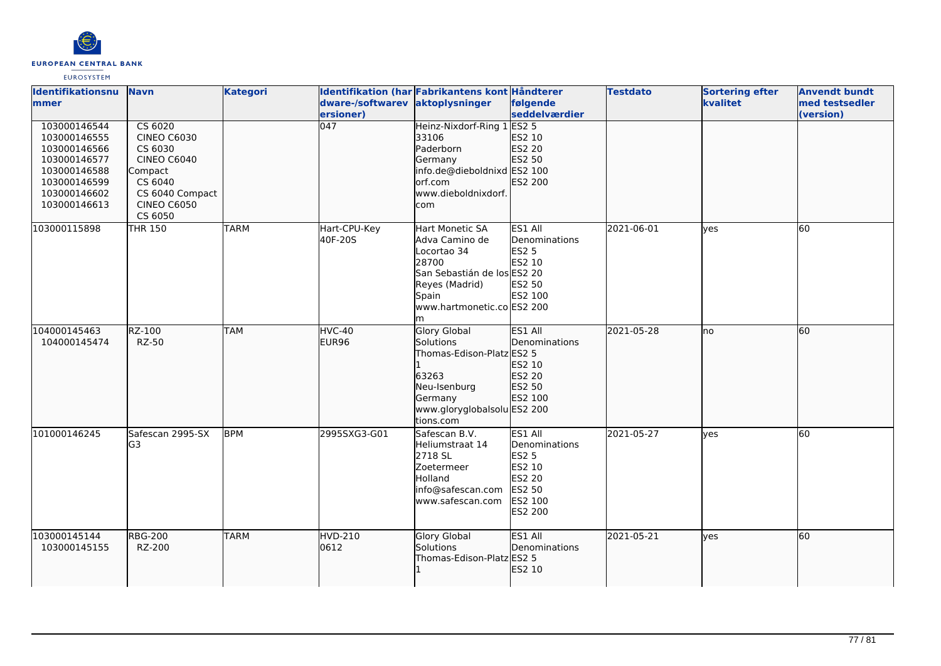

| <b>Identifikationsnu</b><br>mmer                                                                                             | <b>Navn</b>                                                                                                                                           | <b>Kategori</b> | dware-/softwarev<br>ersioner) | Identifikation (har Fabrikantens kont Håndterer<br>aktoplysninger                                                                                      | følgende<br>seddelværdier                                                                                  | <b>Testdato</b> | <b>Sortering efter</b><br>kvalitet | <b>Anvendt bundt</b><br>med testsedler<br>(version) |
|------------------------------------------------------------------------------------------------------------------------------|-------------------------------------------------------------------------------------------------------------------------------------------------------|-----------------|-------------------------------|--------------------------------------------------------------------------------------------------------------------------------------------------------|------------------------------------------------------------------------------------------------------------|-----------------|------------------------------------|-----------------------------------------------------|
| 103000146544<br>103000146555<br>103000146566<br>103000146577<br>103000146588<br>103000146599<br>103000146602<br>103000146613 | $\overline{CS}$ 6020<br><b>CINEO C6030</b><br>CS 6030<br><b>CINEO C6040</b><br>Compact<br>CS 6040<br>CS 6040 Compact<br><b>CINEO C6050</b><br>CS 6050 |                 | $\overline{047}$              | Heinz-Nixdorf-Ring 1<br>33106<br>Paderborn<br>Germany<br>info.de@dieboldnixd ES2 100<br>orf.com<br>www.dieboldnixdorf.<br>com                          | ES2 <sub>5</sub><br>ES2 10<br>ES2 20<br>ES2 50<br>ES2 200                                                  |                 |                                    |                                                     |
| 103000115898                                                                                                                 | THR 150                                                                                                                                               | <b>TARM</b>     | Hart-CPU-Key<br>40F-20S       | Hart Monetic SA<br>Adva Camino de<br>Locortao 34<br>28700<br>San Sebastián de los ES2 20<br>Reyes (Madrid)<br>Spain<br>www.hartmonetic.co ES2 200<br>m | ES1 All<br>Denominations<br><b>ES2 5</b><br><b>ES2 10</b><br>ES2 50<br>ES2 100                             | 2021-06-01      | <b>ves</b>                         | 60                                                  |
| 104000145463<br>104000145474                                                                                                 | RZ-100<br><b>RZ-50</b>                                                                                                                                | <b>TAM</b>      | HVC-40<br>EUR96               | <b>Glory Global</b><br>Solutions<br>Thomas-Edison-Platz ES2 5<br>63263<br>Neu-Isenburg<br>Germany<br>www.gloryglobalsolu ES2 200<br>tions.com          | ES1 All<br>Denominations<br>ES2 10<br>ES2 20<br>ES2 50<br>ES2 100                                          | 2021-05-28      | lno                                | 60                                                  |
| 101000146245                                                                                                                 | Safescan 2995-SX<br>G3                                                                                                                                | <b>BPM</b>      | 2995SXG3-G01                  | Safescan B.V.<br>Heliumstraat 14<br>2718 SL<br>Zoetermeer<br>Holland<br>info@safescan.com<br>www.safescan.com                                          | ES1 All<br>Denominations<br><b>ES2 5</b><br>ES2 10<br><b>ES2 20</b><br><b>ES2 50</b><br>ES2 100<br>ES2 200 | 2021-05-27      | lyes                               | 60                                                  |
| 103000145144<br>103000145155                                                                                                 | <b>RBG-200</b><br>RZ-200                                                                                                                              | <b>TARM</b>     | HVD-210<br>0612               | Glory Global<br>Solutions<br>Thomas-Edison-Platz ES2 5                                                                                                 | ES1 All<br>Denominations<br><b>IES2 10</b>                                                                 | 2021-05-21      | lyes                               | 60                                                  |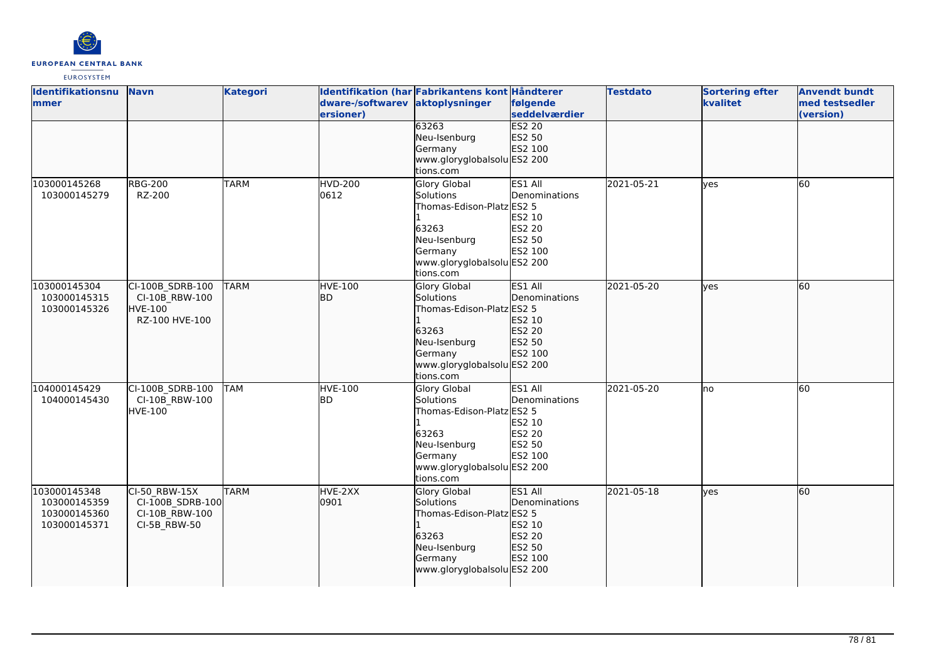

| Identifikationsnu<br>mmer                                    | <b>Navn</b>                                                            | <b>Kategori</b> | dware-/softwarev aktoplysninger<br>ersioner) | Identifikation (har Fabrikantens kont Håndterer                                                                                                      | følgende<br>seddelværdier                                                 | <b>Testdato</b> | <b>Sortering efter</b><br>kvalitet | <b>Anvendt bundt</b><br>med testsedler<br>(version) |
|--------------------------------------------------------------|------------------------------------------------------------------------|-----------------|----------------------------------------------|------------------------------------------------------------------------------------------------------------------------------------------------------|---------------------------------------------------------------------------|-----------------|------------------------------------|-----------------------------------------------------|
|                                                              |                                                                        |                 |                                              | 63263<br>Neu-Isenburg<br>Germany<br>www.gloryglobalsolu ES2 200<br>tions.com                                                                         | <b>ES2 20</b><br>ES2 50<br>ES2 100                                        |                 |                                    |                                                     |
| 103000145268<br>103000145279                                 | <b>RBG-200</b><br>RZ-200                                               | <b>TARM</b>     | <b>HVD-200</b><br>0612                       | Glory Global<br>Solutions<br>Thomas-Edison-Platz ES2 5<br>63263<br>Neu-Isenburg<br>Germany<br>www.gloryglobalsolu ES2 200<br>tions.com               | ES1 All<br>Denominations<br>ES2 10<br>ES2 20<br><b>ES2 50</b><br>ES2 100  | 2021-05-21      | <b>l</b> ves                       | 60                                                  |
| 103000145304<br>103000145315<br>103000145326                 | CI-100B_SDRB-100<br>CI-10B RBW-100<br><b>HVE-100</b><br>RZ-100 HVE-100 | <b>TARM</b>     | <b>HVE-100</b><br>lbd.                       | Glory Global<br>Solutions<br>Thomas-Edison-Platz ES2 5<br>63263<br>Neu-Isenburg<br>Germany<br>www.gloryglobalsolu ES2 200<br>tions.com               | ES1 All<br><b>IDenominations</b><br>ES2 10<br>ES2 20<br>ES2 50<br>ES2 100 | 2021-05-20      | lves                               | 60                                                  |
| 104000145429<br>104000145430                                 | CI-100B SDRB-100<br>CI-10B RBW-100<br><b>HVE-100</b>                   | <b>TAM</b>      | <b>HVE-100</b><br>lbd.                       | <b>Glory Global</b><br><b>Solutions</b><br>Thomas-Edison-Platz ES2 5<br>63263<br>Neu-Isenburg<br>Germany<br>www.gloryglobalsolu ES2 200<br>tions.com | ES1 All<br>Denominations<br>ES2 10<br>ES2 20<br>ES2 50<br>ES2 100         | 2021-05-20      | lno                                | 60                                                  |
| 103000145348<br>103000145359<br>103000145360<br>103000145371 | CI-50 RBW-15X<br>CI-100B SDRB-100<br>CI-10B RBW-100<br>CI-5B_RBW-50    | <b>TARM</b>     | HVE-2XX<br>0901                              | Glory Global<br>Solutions<br>Thomas-Edison-Platz ES2 5<br>63263<br>Neu-Isenburg<br>Germany<br>www.gloryglobalsolu ES2 200                            | ES1 All<br>Denominations<br>ES2 10<br>ES2 20<br>ES2 50<br>ES2 100         | 2021-05-18      | lves                               | 60                                                  |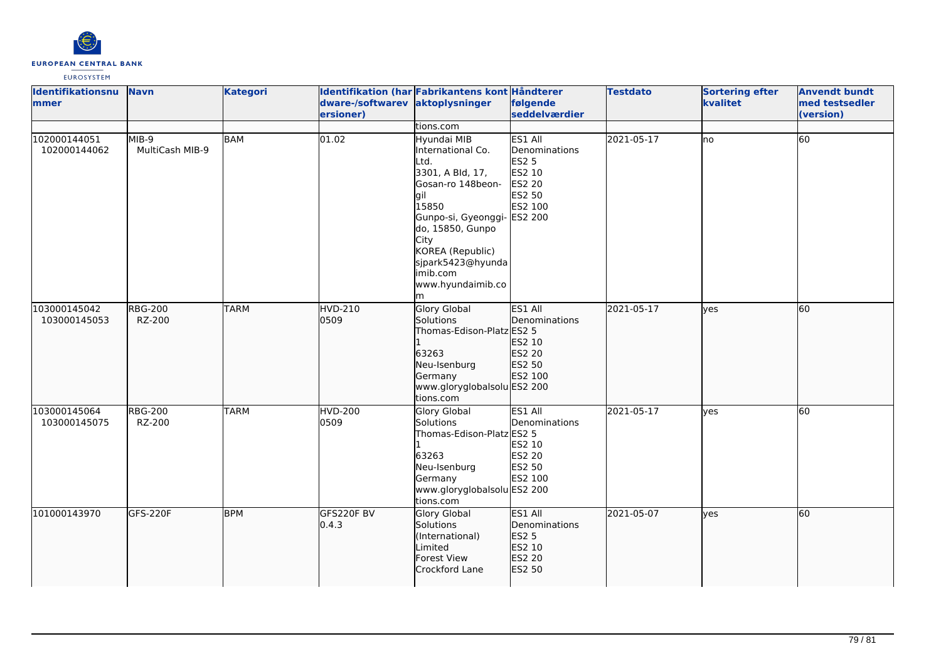

| Identifikationsnu<br>mmer    | <b>Navn</b>              | <b>Kategori</b> | dware-/softwarev<br>ersioner) | Identifikation (har Fabrikantens kont Håndterer<br>aktoplysninger<br>tions.com                                                                                                                                                                | følgende<br>seddelværdier                                                                    | <b>Testdato</b> | <b>Sortering efter</b><br>kvalitet | <b>Anvendt bundt</b><br>med testsedler<br>(version) |
|------------------------------|--------------------------|-----------------|-------------------------------|-----------------------------------------------------------------------------------------------------------------------------------------------------------------------------------------------------------------------------------------------|----------------------------------------------------------------------------------------------|-----------------|------------------------------------|-----------------------------------------------------|
| 102000144051<br>102000144062 | MIB-9<br>MultiCash MIB-9 | <b>BAM</b>      | 01.02                         | Hyundai MIB<br>International Co.<br>Ltd.<br>3301, A Bld, 17,<br>Gosan-ro 148beon-<br>lqil<br>15850<br>Gunpo-si, Gyeonggi-<br>do, 15850, Gunpo<br><b>City</b><br>KOREA (Republic)<br>sjpark5423@hyunda<br>limib.com<br>www.hyundaimib.co<br>lm | ES1 All<br>Denominations<br><b>ES2 5</b><br>ES2 10<br>ES2 20<br>ES2 50<br>ES2 100<br>ES2 200 | 2021-05-17      | lno                                | 60                                                  |
| 103000145042<br>103000145053 | <b>RBG-200</b><br>RZ-200 | <b>TARM</b>     | <b>HVD-210</b><br>0509        | Glory Global<br><b>Solutions</b><br>Thomas-Edison-Platz ES2 5<br>63263<br>Neu-Isenburg<br>Germany<br>www.gloryglobalsolu ES2 200<br>tions.com                                                                                                 | ES1 All<br><b>Denominations</b><br>ES2 10<br>ES2 20<br>ES2 50<br>ES2 100                     | 2021-05-17      | lyes                               | 60                                                  |
| 103000145064<br>103000145075 | <b>RBG-200</b><br>RZ-200 | <b>TARM</b>     | <b>HVD-200</b><br>0509        | <b>Glory Global</b><br>Solutions<br>Thomas-Edison-Platz ES2 5<br>63263<br>Neu-Isenburg<br>Germany<br>www.gloryglobalsolu ES2 200<br>tions.com                                                                                                 | ES1 All<br>Denominations<br>ES2 10<br>ES2 20<br>ES2 50<br>ES2 100                            | 2021-05-17      | lves                               | 60                                                  |
| 101000143970                 | GFS-220F                 | <b>BPM</b>      | GFS220F BV<br>0.4.3           | Glory Global<br>Solutions<br>(International)<br>Limited<br><b>Forest View</b><br>Crockford Lane                                                                                                                                               | <b>ES1 All</b><br>Denominations<br>ES2 5<br>ES2 10<br>ES2 20<br>ES2 50                       | 2021-05-07      | lves                               | 60                                                  |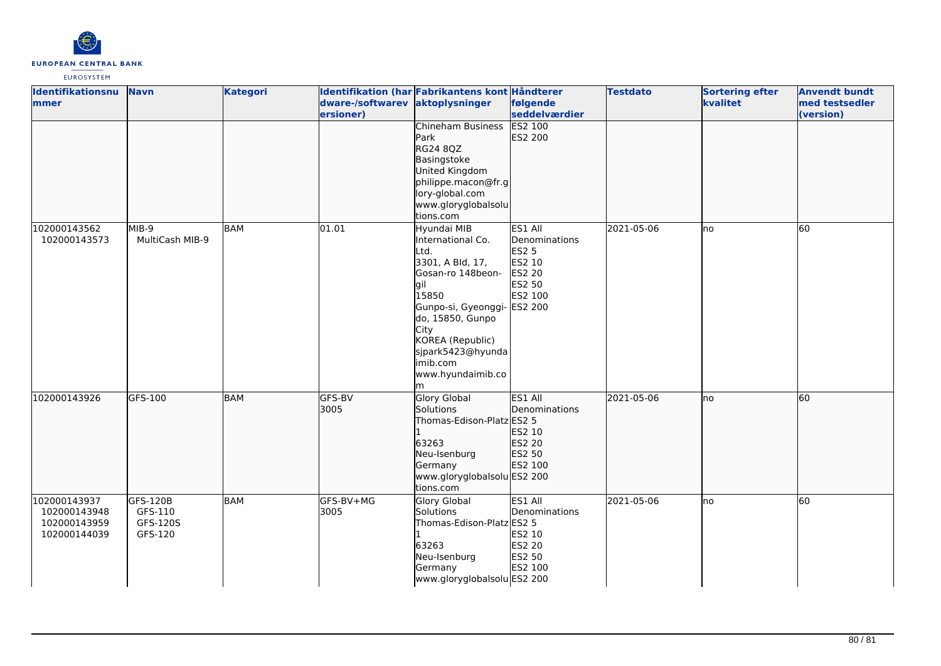

| Identifikationsnu<br>mmer                                    | <b>Navn</b>                                | <b>Kategori</b> | dware-/softwarev aktoplysninger<br>ersioner) | Identifikation (har Fabrikantens kont Håndterer                                                                                                                                                                                      | følgende<br>seddelværdier                                                                           | <b>Testdato</b> | <b>Sortering efter</b><br>kvalitet | <b>Anvendt bundt</b><br>med testsedler<br>(version) |
|--------------------------------------------------------------|--------------------------------------------|-----------------|----------------------------------------------|--------------------------------------------------------------------------------------------------------------------------------------------------------------------------------------------------------------------------------------|-----------------------------------------------------------------------------------------------------|-----------------|------------------------------------|-----------------------------------------------------|
|                                                              |                                            |                 |                                              | Chineham Business<br>Park<br>RG24 8QZ<br>Basingstoke<br>United Kingdom<br>philippe.macon@fr.g<br>lory-global.com<br>www.gloryglobalsolu<br>tions.com                                                                                 | <b>ES2 100</b><br>ES2 200                                                                           |                 |                                    |                                                     |
| 102000143562<br>102000143573                                 | MIB-9<br>MultiCash MIB-9                   | <b>BAM</b>      | 01.01                                        | Hyundai MIB<br>International Co.<br>Ltd.<br>3301, A Bld, 17,<br>Gosan-ro 148beon-<br>gil<br>15850<br>Gunpo-si, Gyeonggi-<br>do, 15850, Gunpo<br>City<br>KOREA (Republic)<br>sjpark5423@hyunda<br>imib.com<br>www.hyundaimib.co<br>lm | ES1 All<br>Denominations<br><b>ES2 5</b><br>ES2 10<br><b>ES2 20</b><br>ES2 50<br>ES2 100<br>ES2 200 | 2021-05-06      | lno                                | 60                                                  |
| 102000143926                                                 | GFS-100                                    | <b>BAM</b>      | GFS-BV<br>3005                               | <b>Glory Global</b><br>Solutions<br>Thomas-Edison-Platz ES2 5<br>63263<br>Neu-Isenburg<br>Germany<br>www.gloryglobalsolu ES2 200<br>tions.com                                                                                        | ES1 All<br>Denominations<br>ES2 10<br>ES2 20<br>ES2 50<br>ES2 100                                   | 2021-05-06      | lno                                | 60                                                  |
| 102000143937<br>102000143948<br>102000143959<br>102000144039 | GFS-120B<br>GFS-110<br>GFS-120S<br>GFS-120 | <b>BAM</b>      | GFS-BV+MG<br>3005                            | <b>Glory Global</b><br>Solutions<br>Thomas-Edison-Platz ES2 5<br>63263<br>Neu-Isenburg<br>Germany<br>www.gloryglobalsolu ES2 200                                                                                                     | ES1 All<br>Denominations<br>ES2 10<br>ES2 20<br>ES2 50<br>ES2 100                                   | 2021-05-06      | lno                                | 60                                                  |